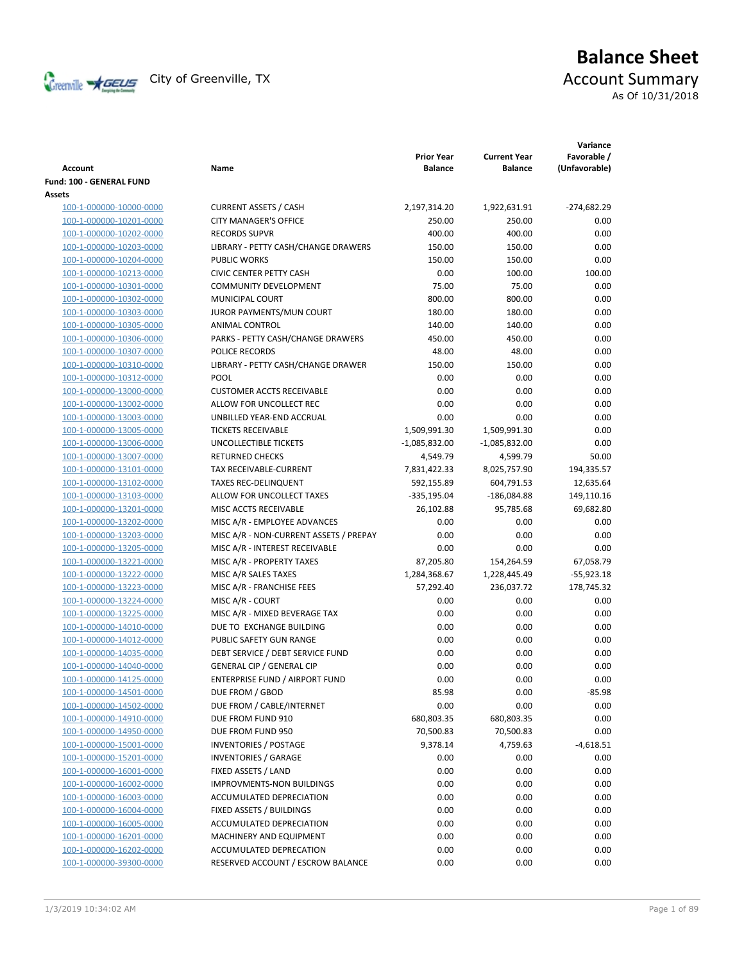

# **Balance Sheet** Creenville  $\star$  GEUS</del> City of Greenville, TX **Account Summary** As Of 10/31/2018

|                                 |                                        |                                     |                                       | Variance                     |
|---------------------------------|----------------------------------------|-------------------------------------|---------------------------------------|------------------------------|
| Account                         | Name                                   | <b>Prior Year</b><br><b>Balance</b> | <b>Current Year</b><br><b>Balance</b> | Favorable /<br>(Unfavorable) |
| <b>Fund: 100 - GENERAL FUND</b> |                                        |                                     |                                       |                              |
| <b>Assets</b>                   |                                        |                                     |                                       |                              |
| 100-1-000000-10000-0000         | <b>CURRENT ASSETS / CASH</b>           | 2,197,314.20                        | 1,922,631.91                          | $-274,682.29$                |
| 100-1-000000-10201-0000         | <b>CITY MANAGER'S OFFICE</b>           | 250.00                              | 250.00                                | 0.00                         |
| 100-1-000000-10202-0000         | <b>RECORDS SUPVR</b>                   | 400.00                              | 400.00                                | 0.00                         |
| 100-1-000000-10203-0000         | LIBRARY - PETTY CASH/CHANGE DRAWERS    | 150.00                              | 150.00                                | 0.00                         |
| 100-1-000000-10204-0000         | <b>PUBLIC WORKS</b>                    | 150.00                              | 150.00                                | 0.00                         |
| 100-1-000000-10213-0000         | <b>CIVIC CENTER PETTY CASH</b>         | 0.00                                | 100.00                                | 100.00                       |
| 100-1-000000-10301-0000         | <b>COMMUNITY DEVELOPMENT</b>           | 75.00                               | 75.00                                 | 0.00                         |
| 100-1-000000-10302-0000         | MUNICIPAL COURT                        | 800.00                              | 800.00                                | 0.00                         |
| 100-1-000000-10303-0000         | JUROR PAYMENTS/MUN COURT               | 180.00                              | 180.00                                | 0.00                         |
| 100-1-000000-10305-0000         | ANIMAL CONTROL                         | 140.00                              | 140.00                                | 0.00                         |
| 100-1-000000-10306-0000         | PARKS - PETTY CASH/CHANGE DRAWERS      | 450.00                              | 450.00                                | 0.00                         |
| 100-1-000000-10307-0000         | POLICE RECORDS                         | 48.00                               | 48.00                                 | 0.00                         |
| 100-1-000000-10310-0000         | LIBRARY - PETTY CASH/CHANGE DRAWER     | 150.00                              | 150.00                                | 0.00                         |
| 100-1-000000-10312-0000         | <b>POOL</b>                            | 0.00                                | 0.00                                  | 0.00                         |
| 100-1-000000-13000-0000         | <b>CUSTOMER ACCTS RECEIVABLE</b>       | 0.00                                | 0.00                                  | 0.00                         |
| 100-1-000000-13002-0000         | ALLOW FOR UNCOLLECT REC                | 0.00                                | 0.00                                  | 0.00                         |
| 100-1-000000-13003-0000         | UNBILLED YEAR-END ACCRUAL              | 0.00                                | 0.00                                  | 0.00                         |
| 100-1-000000-13005-0000         | <b>TICKETS RECEIVABLE</b>              | 1,509,991.30                        | 1,509,991.30                          | 0.00                         |
| 100-1-000000-13006-0000         | <b>UNCOLLECTIBLE TICKETS</b>           | $-1,085,832.00$                     | $-1,085,832.00$                       | 0.00                         |
| 100-1-000000-13007-0000         | <b>RETURNED CHECKS</b>                 | 4,549.79                            | 4,599.79                              | 50.00                        |
| 100-1-000000-13101-0000         | TAX RECEIVABLE-CURRENT                 | 7,831,422.33                        | 8,025,757.90                          | 194,335.57                   |
| 100-1-000000-13102-0000         | <b>TAXES REC-DELINQUENT</b>            | 592,155.89                          | 604,791.53                            | 12,635.64                    |
| 100-1-000000-13103-0000         | ALLOW FOR UNCOLLECT TAXES              | $-335,195.04$                       | $-186,084.88$                         | 149,110.16                   |
| 100-1-000000-13201-0000         | MISC ACCTS RECEIVABLE                  | 26,102.88                           | 95,785.68                             | 69,682.80                    |
| 100-1-000000-13202-0000         | MISC A/R - EMPLOYEE ADVANCES           | 0.00                                | 0.00                                  | 0.00                         |
| 100-1-000000-13203-0000         | MISC A/R - NON-CURRENT ASSETS / PREPAY | 0.00                                | 0.00                                  | 0.00                         |
| 100-1-000000-13205-0000         | MISC A/R - INTEREST RECEIVABLE         | 0.00                                | 0.00                                  | 0.00                         |
| 100-1-000000-13221-0000         | MISC A/R - PROPERTY TAXES              | 87,205.80                           | 154,264.59                            | 67,058.79                    |
| 100-1-000000-13222-0000         | MISC A/R SALES TAXES                   | 1,284,368.67                        | 1,228,445.49                          | $-55,923.18$                 |
| 100-1-000000-13223-0000         | MISC A/R - FRANCHISE FEES              | 57,292.40                           | 236,037.72                            | 178,745.32                   |
| 100-1-000000-13224-0000         | MISC A/R - COURT                       | 0.00                                | 0.00                                  | 0.00                         |
| 100-1-000000-13225-0000         | MISC A/R - MIXED BEVERAGE TAX          | 0.00                                | 0.00                                  | 0.00                         |
| 100-1-000000-14010-0000         | DUE TO EXCHANGE BUILDING               | 0.00                                | 0.00                                  | 0.00                         |
| 100-1-000000-14012-0000         | PUBLIC SAFETY GUN RANGE                | 0.00                                | 0.00                                  | 0.00                         |
| 100-1-000000-14035-0000         | DEBT SERVICE / DEBT SERVICE FUND       | 0.00                                | 0.00                                  | 0.00                         |
| 100-1-000000-14040-0000         | <b>GENERAL CIP / GENERAL CIP</b>       | 0.00                                | 0.00                                  | 0.00                         |
| 100-1-000000-14125-0000         | <b>ENTERPRISE FUND / AIRPORT FUND</b>  | 0.00                                | 0.00                                  | 0.00                         |
| 100-1-000000-14501-0000         | DUE FROM / GBOD                        | 85.98                               | 0.00                                  | $-85.98$                     |
| 100-1-000000-14502-0000         | DUE FROM / CABLE/INTERNET              | 0.00                                | 0.00                                  | 0.00                         |
| 100-1-000000-14910-0000         | DUE FROM FUND 910                      | 680,803.35                          | 680,803.35                            | 0.00                         |
| 100-1-000000-14950-0000         | DUE FROM FUND 950                      | 70,500.83                           | 70,500.83                             | 0.00                         |
| 100-1-000000-15001-0000         | <b>INVENTORIES / POSTAGE</b>           | 9,378.14                            | 4,759.63                              | $-4,618.51$                  |
| 100-1-000000-15201-0000         | <b>INVENTORIES / GARAGE</b>            | 0.00                                | 0.00                                  | 0.00                         |
| 100-1-000000-16001-0000         | FIXED ASSETS / LAND                    | 0.00                                | 0.00                                  | 0.00                         |
| 100-1-000000-16002-0000         | <b>IMPROVMENTS-NON BUILDINGS</b>       | 0.00                                | 0.00                                  | 0.00                         |
| 100-1-000000-16003-0000         | ACCUMULATED DEPRECIATION               | 0.00                                | 0.00                                  | 0.00                         |
| 100-1-000000-16004-0000         | FIXED ASSETS / BUILDINGS               | 0.00                                | 0.00                                  | 0.00                         |
| 100-1-000000-16005-0000         | ACCUMULATED DEPRECIATION               | 0.00                                | 0.00                                  | 0.00                         |
| 100-1-000000-16201-0000         | MACHINERY AND EQUIPMENT                | 0.00                                | 0.00                                  | 0.00                         |
| 100-1-000000-16202-0000         | ACCUMULATED DEPRECATION                | 0.00                                | 0.00                                  | 0.00                         |
| 100-1-000000-39300-0000         | RESERVED ACCOUNT / ESCROW BALANCE      | 0.00                                | 0.00                                  | 0.00                         |
|                                 |                                        |                                     |                                       |                              |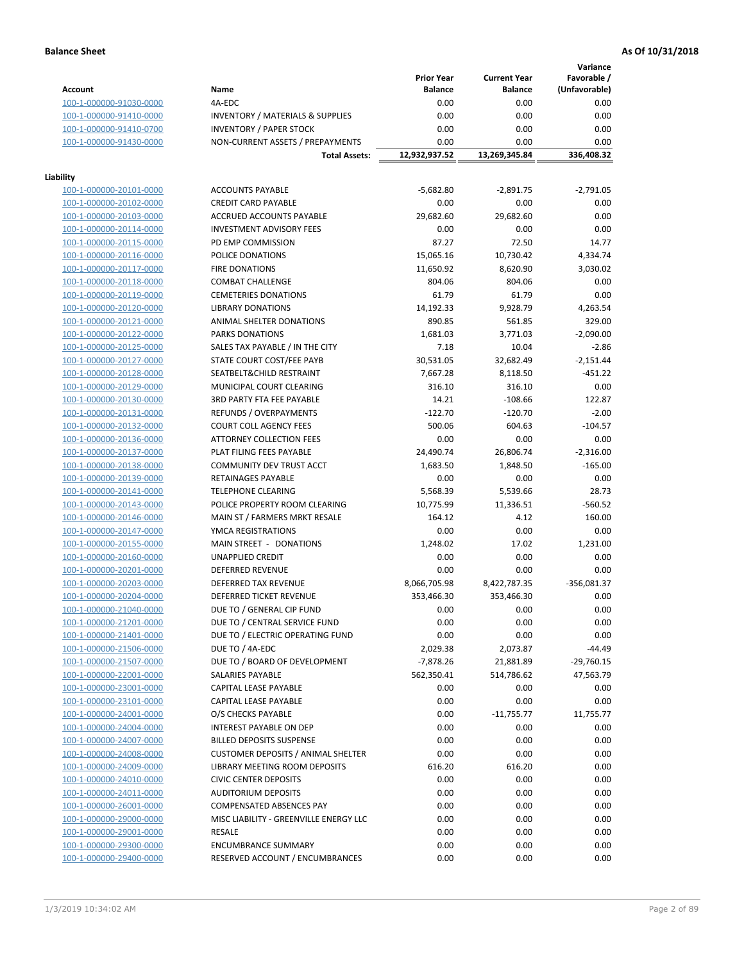**Variance**

|                         |                                             | <b>Prior Year</b> | <b>Current Year</b> | Favorable /   |
|-------------------------|---------------------------------------------|-------------------|---------------------|---------------|
| Account                 | Name                                        | <b>Balance</b>    | <b>Balance</b>      | (Unfavorable) |
| 100-1-000000-91030-0000 | 4A-EDC                                      | 0.00              | 0.00                | 0.00          |
| 100-1-000000-91410-0000 | <b>INVENTORY / MATERIALS &amp; SUPPLIES</b> | 0.00              | 0.00                | 0.00          |
| 100-1-000000-91410-0700 | <b>INVENTORY / PAPER STOCK</b>              | 0.00              | 0.00                | 0.00          |
| 100-1-000000-91430-0000 | NON-CURRENT ASSETS / PREPAYMENTS            | 0.00              | 0.00                | 0.00          |
|                         | <b>Total Assets:</b>                        | 12,932,937.52     | 13,269,345.84       | 336,408.32    |
|                         |                                             |                   |                     |               |
| Liability               |                                             |                   |                     |               |
| 100-1-000000-20101-0000 | <b>ACCOUNTS PAYABLE</b>                     | $-5,682.80$       | $-2,891.75$         | $-2,791.05$   |
| 100-1-000000-20102-0000 | <b>CREDIT CARD PAYABLE</b>                  | 0.00              | 0.00                | 0.00          |
| 100-1-000000-20103-0000 | ACCRUED ACCOUNTS PAYABLE                    | 29,682.60         | 29,682.60           | 0.00          |
|                         | <b>INVESTMENT ADVISORY FEES</b>             | 0.00              | 0.00                | 0.00          |
| 100-1-000000-20114-0000 |                                             |                   |                     |               |
| 100-1-000000-20115-0000 | PD EMP COMMISSION                           | 87.27             | 72.50               | 14.77         |
| 100-1-000000-20116-0000 | POLICE DONATIONS                            | 15,065.16         | 10,730.42           | 4,334.74      |
| 100-1-000000-20117-0000 | <b>FIRE DONATIONS</b>                       | 11,650.92         | 8,620.90            | 3,030.02      |
| 100-1-000000-20118-0000 | <b>COMBAT CHALLENGE</b>                     | 804.06            | 804.06              | 0.00          |
| 100-1-000000-20119-0000 | <b>CEMETERIES DONATIONS</b>                 | 61.79             | 61.79               | 0.00          |
| 100-1-000000-20120-0000 | <b>LIBRARY DONATIONS</b>                    | 14,192.33         | 9,928.79            | 4,263.54      |
| 100-1-000000-20121-0000 | ANIMAL SHELTER DONATIONS                    | 890.85            | 561.85              | 329.00        |
| 100-1-000000-20122-0000 | <b>PARKS DONATIONS</b>                      | 1,681.03          | 3,771.03            | $-2,090.00$   |
| 100-1-000000-20125-0000 | SALES TAX PAYABLE / IN THE CITY             | 7.18              | 10.04               | $-2.86$       |
| 100-1-000000-20127-0000 | STATE COURT COST/FEE PAYB                   | 30,531.05         | 32,682.49           | $-2,151.44$   |
| 100-1-000000-20128-0000 | SEATBELT&CHILD RESTRAINT                    | 7,667.28          | 8,118.50            | $-451.22$     |
| 100-1-000000-20129-0000 | MUNICIPAL COURT CLEARING                    | 316.10            | 316.10              | 0.00          |
| 100-1-000000-20130-0000 | <b>3RD PARTY FTA FEE PAYABLE</b>            | 14.21             | $-108.66$           | 122.87        |
| 100-1-000000-20131-0000 | <b>REFUNDS / OVERPAYMENTS</b>               | $-122.70$         | $-120.70$           | $-2.00$       |
|                         |                                             |                   |                     |               |
| 100-1-000000-20132-0000 | <b>COURT COLL AGENCY FEES</b>               | 500.06            | 604.63              | $-104.57$     |
| 100-1-000000-20136-0000 | <b>ATTORNEY COLLECTION FEES</b>             | 0.00              | 0.00                | 0.00          |
| 100-1-000000-20137-0000 | PLAT FILING FEES PAYABLE                    | 24,490.74         | 26,806.74           | $-2,316.00$   |
| 100-1-000000-20138-0000 | COMMUNITY DEV TRUST ACCT                    | 1,683.50          | 1,848.50            | $-165.00$     |
| 100-1-000000-20139-0000 | RETAINAGES PAYABLE                          | 0.00              | 0.00                | 0.00          |
| 100-1-000000-20141-0000 | <b>TELEPHONE CLEARING</b>                   | 5,568.39          | 5,539.66            | 28.73         |
| 100-1-000000-20143-0000 | POLICE PROPERTY ROOM CLEARING               | 10,775.99         | 11,336.51           | $-560.52$     |
| 100-1-000000-20146-0000 | MAIN ST / FARMERS MRKT RESALE               | 164.12            | 4.12                | 160.00        |
| 100-1-000000-20147-0000 | YMCA REGISTRATIONS                          | 0.00              | 0.00                | 0.00          |
| 100-1-000000-20155-0000 | MAIN STREET - DONATIONS                     | 1,248.02          | 17.02               | 1,231.00      |
| 100-1-000000-20160-0000 | <b>UNAPPLIED CREDIT</b>                     | 0.00              | 0.00                | 0.00          |
| 100-1-000000-20201-0000 | <b>DEFERRED REVENUE</b>                     | 0.00              | 0.00                | 0.00          |
| 100-1-000000-20203-0000 | DEFERRED TAX REVENUE                        | 8,066,705.98      | 8,422,787.35        | $-356,081.37$ |
| 100-1-000000-20204-0000 | DEFERRED TICKET REVENUE                     | 353,466.30        | 353,466.30          | 0.00          |
| 100-1-000000-21040-0000 | DUE TO / GENERAL CIP FUND                   | 0.00              | 0.00                | 0.00          |
| 100-1-000000-21201-0000 | DUE TO / CENTRAL SERVICE FUND               | 0.00              | 0.00                | 0.00          |
| 100-1-000000-21401-0000 | DUE TO / ELECTRIC OPERATING FUND            | 0.00              | 0.00                | 0.00          |
|                         | DUE TO / 4A-EDC                             |                   |                     |               |
| 100-1-000000-21506-0000 |                                             | 2,029.38          | 2,073.87            | -44.49        |
| 100-1-000000-21507-0000 | DUE TO / BOARD OF DEVELOPMENT               | $-7,878.26$       | 21,881.89           | $-29,760.15$  |
| 100-1-000000-22001-0000 | SALARIES PAYABLE                            | 562,350.41        | 514,786.62          | 47,563.79     |
| 100-1-000000-23001-0000 | <b>CAPITAL LEASE PAYABLE</b>                | 0.00              | 0.00                | 0.00          |
| 100-1-000000-23101-0000 | CAPITAL LEASE PAYABLE                       | 0.00              | 0.00                | 0.00          |
| 100-1-000000-24001-0000 | O/S CHECKS PAYABLE                          | 0.00              | $-11,755.77$        | 11,755.77     |
| 100-1-000000-24004-0000 | INTEREST PAYABLE ON DEP                     | 0.00              | 0.00                | 0.00          |
| 100-1-000000-24007-0000 | <b>BILLED DEPOSITS SUSPENSE</b>             | 0.00              | 0.00                | 0.00          |
| 100-1-000000-24008-0000 | <b>CUSTOMER DEPOSITS / ANIMAL SHELTER</b>   | 0.00              | 0.00                | 0.00          |
| 100-1-000000-24009-0000 | LIBRARY MEETING ROOM DEPOSITS               | 616.20            | 616.20              | 0.00          |
| 100-1-000000-24010-0000 | <b>CIVIC CENTER DEPOSITS</b>                | 0.00              | 0.00                | 0.00          |
| 100-1-000000-24011-0000 | <b>AUDITORIUM DEPOSITS</b>                  | 0.00              | 0.00                | 0.00          |
| 100-1-000000-26001-0000 | COMPENSATED ABSENCES PAY                    | 0.00              | 0.00                | 0.00          |
| 100-1-000000-29000-0000 | MISC LIABILITY - GREENVILLE ENERGY LLC      | 0.00              | 0.00                | 0.00          |
| 100-1-000000-29001-0000 | RESALE                                      | 0.00              | 0.00                | 0.00          |
| 100-1-000000-29300-0000 | <b>ENCUMBRANCE SUMMARY</b>                  | 0.00              | 0.00                | 0.00          |
| 100-1-000000-29400-0000 | RESERVED ACCOUNT / ENCUMBRANCES             | 0.00              | 0.00                | 0.00          |
|                         |                                             |                   |                     |               |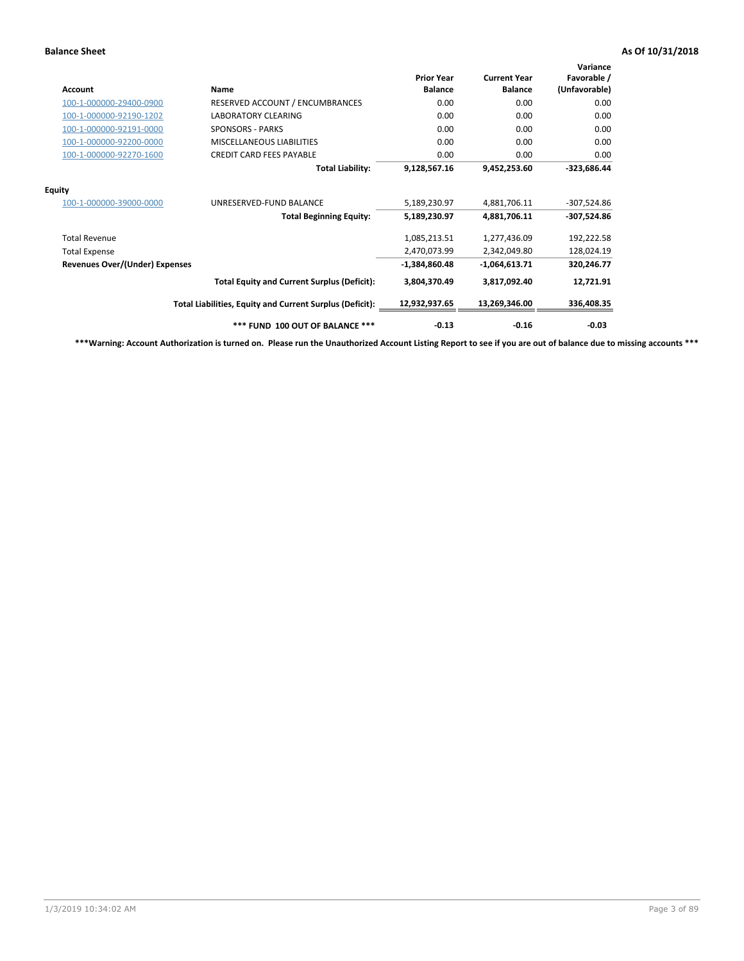| <b>Account</b>                        | Name                                                     | <b>Prior Year</b><br><b>Balance</b> | <b>Current Year</b><br><b>Balance</b> | Variance<br>Favorable /<br>(Unfavorable) |
|---------------------------------------|----------------------------------------------------------|-------------------------------------|---------------------------------------|------------------------------------------|
| 100-1-000000-29400-0900               | RESERVED ACCOUNT / ENCUMBRANCES                          | 0.00                                | 0.00                                  | 0.00                                     |
| 100-1-000000-92190-1202               | LABORATORY CLEARING                                      | 0.00                                | 0.00                                  | 0.00                                     |
| 100-1-000000-92191-0000               | <b>SPONSORS - PARKS</b>                                  | 0.00                                | 0.00                                  | 0.00                                     |
| 100-1-000000-92200-0000               | MISCELLANEOUS LIABILITIES                                | 0.00                                | 0.00                                  | 0.00                                     |
| 100-1-000000-92270-1600               | <b>CREDIT CARD FEES PAYABLE</b>                          | 0.00                                | 0.00                                  | 0.00                                     |
|                                       | <b>Total Liability:</b>                                  | 9,128,567.16                        | 9,452,253.60                          | -323,686.44                              |
| <b>Equity</b>                         |                                                          |                                     |                                       |                                          |
| 100-1-000000-39000-0000               | UNRESERVED-FUND BALANCE                                  | 5,189,230.97                        | 4,881,706.11                          | $-307,524.86$                            |
|                                       | <b>Total Beginning Equity:</b>                           | 5,189,230.97                        | 4,881,706.11                          | $-307,524.86$                            |
| <b>Total Revenue</b>                  |                                                          | 1,085,213.51                        | 1,277,436.09                          | 192,222.58                               |
| <b>Total Expense</b>                  |                                                          | 2,470,073.99                        | 2,342,049.80                          | 128,024.19                               |
| <b>Revenues Over/(Under) Expenses</b> |                                                          | $-1,384,860.48$                     | $-1,064,613.71$                       | 320,246.77                               |
|                                       | <b>Total Equity and Current Surplus (Deficit):</b>       | 3,804,370.49                        | 3,817,092.40                          | 12,721.91                                |
|                                       | Total Liabilities, Equity and Current Surplus (Deficit): | 12,932,937.65                       | 13,269,346.00                         | 336,408.35                               |
|                                       | *** FUND 100 OUT OF BALANCE ***                          | $-0.13$                             | $-0.16$                               | $-0.03$                                  |

**\*\*\*Warning: Account Authorization is turned on. Please run the Unauthorized Account Listing Report to see if you are out of balance due to missing accounts \*\*\***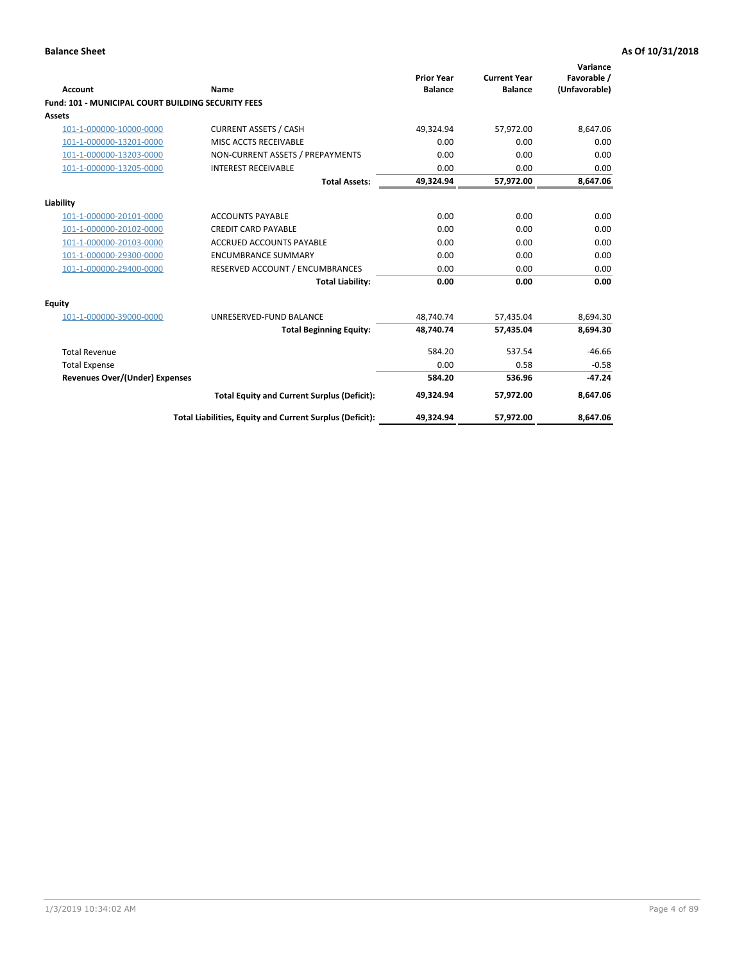| Account                                                   | Name                                                     | <b>Prior Year</b><br><b>Balance</b> | <b>Current Year</b><br><b>Balance</b> | Variance<br>Favorable /<br>(Unfavorable) |
|-----------------------------------------------------------|----------------------------------------------------------|-------------------------------------|---------------------------------------|------------------------------------------|
| <b>Fund: 101 - MUNICIPAL COURT BUILDING SECURITY FEES</b> |                                                          |                                     |                                       |                                          |
| Assets                                                    |                                                          |                                     |                                       |                                          |
| 101-1-000000-10000-0000                                   | <b>CURRENT ASSETS / CASH</b>                             | 49,324.94                           | 57,972.00                             | 8,647.06                                 |
| 101-1-000000-13201-0000                                   | MISC ACCTS RECEIVABLE                                    | 0.00                                | 0.00                                  | 0.00                                     |
| 101-1-000000-13203-0000                                   | NON-CURRENT ASSETS / PREPAYMENTS                         | 0.00                                | 0.00                                  | 0.00                                     |
| 101-1-000000-13205-0000                                   | <b>INTEREST RECEIVABLE</b>                               | 0.00                                | 0.00                                  | 0.00                                     |
|                                                           | <b>Total Assets:</b>                                     | 49,324.94                           | 57,972.00                             | 8,647.06                                 |
| Liability                                                 |                                                          |                                     |                                       |                                          |
| 101-1-000000-20101-0000                                   | <b>ACCOUNTS PAYABLE</b>                                  | 0.00                                | 0.00                                  | 0.00                                     |
| 101-1-000000-20102-0000                                   | <b>CREDIT CARD PAYABLE</b>                               | 0.00                                | 0.00                                  | 0.00                                     |
| 101-1-000000-20103-0000                                   | <b>ACCRUED ACCOUNTS PAYABLE</b>                          | 0.00                                | 0.00                                  | 0.00                                     |
| 101-1-000000-29300-0000                                   | <b>ENCUMBRANCE SUMMARY</b>                               | 0.00                                | 0.00                                  | 0.00                                     |
| 101-1-000000-29400-0000                                   | RESERVED ACCOUNT / ENCUMBRANCES                          | 0.00                                | 0.00                                  | 0.00                                     |
|                                                           | <b>Total Liability:</b>                                  | 0.00                                | 0.00                                  | 0.00                                     |
| <b>Equity</b>                                             |                                                          |                                     |                                       |                                          |
| 101-1-000000-39000-0000                                   | UNRESERVED-FUND BALANCE                                  | 48,740.74                           | 57,435.04                             | 8,694.30                                 |
|                                                           | <b>Total Beginning Equity:</b>                           | 48,740.74                           | 57,435.04                             | 8,694.30                                 |
| <b>Total Revenue</b>                                      |                                                          | 584.20                              | 537.54                                | $-46.66$                                 |
| <b>Total Expense</b>                                      |                                                          | 0.00                                | 0.58                                  | $-0.58$                                  |
| Revenues Over/(Under) Expenses                            |                                                          | 584.20                              | 536.96                                | $-47.24$                                 |
|                                                           | <b>Total Equity and Current Surplus (Deficit):</b>       | 49,324.94                           | 57,972.00                             | 8,647.06                                 |
|                                                           | Total Liabilities, Equity and Current Surplus (Deficit): | 49,324.94                           | 57,972.00                             | 8,647.06                                 |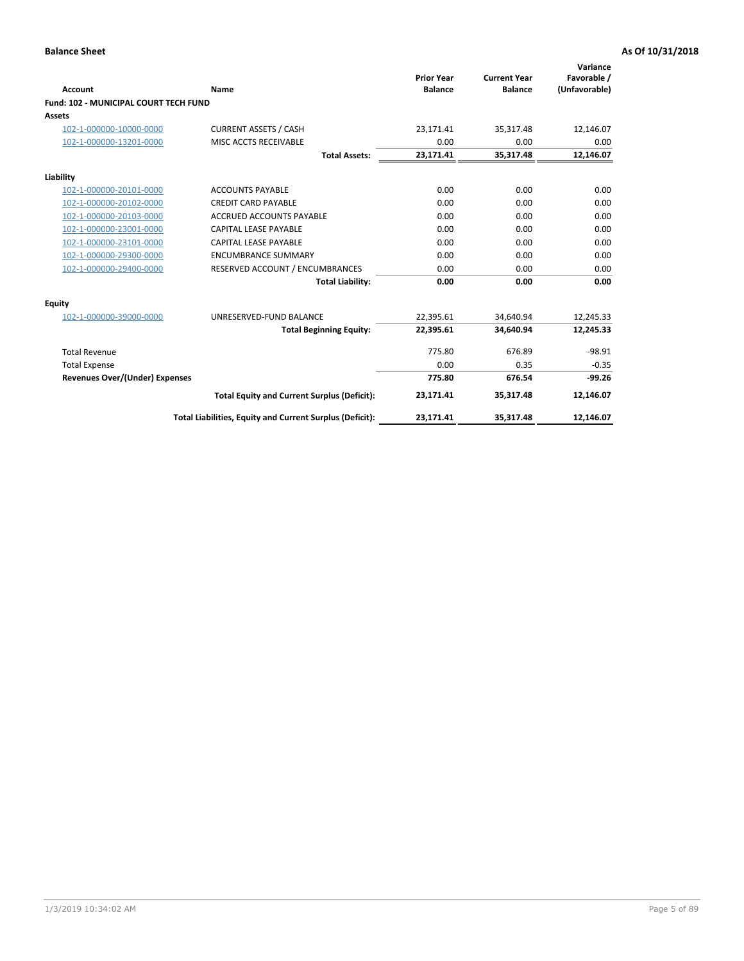| <b>Account</b>                        | Name                                                     | <b>Prior Year</b><br><b>Balance</b> | <b>Current Year</b><br><b>Balance</b> | Variance<br>Favorable /<br>(Unfavorable) |
|---------------------------------------|----------------------------------------------------------|-------------------------------------|---------------------------------------|------------------------------------------|
| Fund: 102 - MUNICIPAL COURT TECH FUND |                                                          |                                     |                                       |                                          |
| Assets                                |                                                          |                                     |                                       |                                          |
| 102-1-000000-10000-0000               | <b>CURRENT ASSETS / CASH</b>                             | 23,171.41                           | 35,317.48                             | 12,146.07                                |
| 102-1-000000-13201-0000               | MISC ACCTS RECEIVABLE                                    | 0.00                                | 0.00                                  | 0.00                                     |
|                                       | <b>Total Assets:</b>                                     | 23,171.41                           | 35,317.48                             | 12,146.07                                |
| Liability                             |                                                          |                                     |                                       |                                          |
| 102-1-000000-20101-0000               | <b>ACCOUNTS PAYABLE</b>                                  | 0.00                                | 0.00                                  | 0.00                                     |
| 102-1-000000-20102-0000               | <b>CREDIT CARD PAYABLE</b>                               | 0.00                                | 0.00                                  | 0.00                                     |
| 102-1-000000-20103-0000               | <b>ACCRUED ACCOUNTS PAYABLE</b>                          | 0.00                                | 0.00                                  | 0.00                                     |
| 102-1-000000-23001-0000               | CAPITAL LEASE PAYABLE                                    | 0.00                                | 0.00                                  | 0.00                                     |
| 102-1-000000-23101-0000               | CAPITAL LEASE PAYABLE                                    | 0.00                                | 0.00                                  | 0.00                                     |
| 102-1-000000-29300-0000               | <b>ENCUMBRANCE SUMMARY</b>                               | 0.00                                | 0.00                                  | 0.00                                     |
| 102-1-000000-29400-0000               | RESERVED ACCOUNT / ENCUMBRANCES                          | 0.00                                | 0.00                                  | 0.00                                     |
|                                       | <b>Total Liability:</b>                                  | 0.00                                | 0.00                                  | 0.00                                     |
| <b>Equity</b>                         |                                                          |                                     |                                       |                                          |
| 102-1-000000-39000-0000               | UNRESERVED-FUND BALANCE                                  | 22,395.61                           | 34,640.94                             | 12,245.33                                |
|                                       | <b>Total Beginning Equity:</b>                           | 22,395.61                           | 34.640.94                             | 12,245.33                                |
| <b>Total Revenue</b>                  |                                                          | 775.80                              | 676.89                                | $-98.91$                                 |
| <b>Total Expense</b>                  |                                                          | 0.00                                | 0.35                                  | $-0.35$                                  |
| Revenues Over/(Under) Expenses        |                                                          | 775.80                              | 676.54                                | $-99.26$                                 |
|                                       | <b>Total Equity and Current Surplus (Deficit):</b>       | 23,171.41                           | 35,317.48                             | 12,146.07                                |
|                                       | Total Liabilities, Equity and Current Surplus (Deficit): | 23,171.41                           | 35,317.48                             | 12,146.07                                |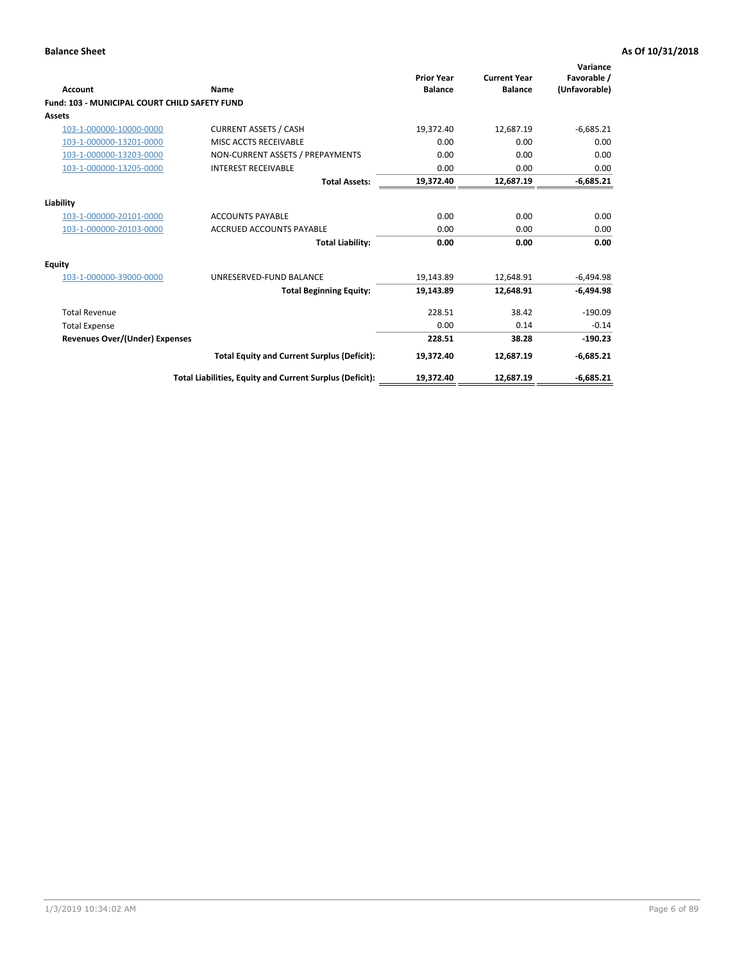| <b>Account</b>                                       | Name                                                     | <b>Prior Year</b><br><b>Balance</b> | <b>Current Year</b><br><b>Balance</b> | Variance<br>Favorable /<br>(Unfavorable) |
|------------------------------------------------------|----------------------------------------------------------|-------------------------------------|---------------------------------------|------------------------------------------|
| <b>Fund: 103 - MUNICIPAL COURT CHILD SAFETY FUND</b> |                                                          |                                     |                                       |                                          |
| <b>Assets</b>                                        |                                                          |                                     |                                       |                                          |
| 103-1-000000-10000-0000                              | <b>CURRENT ASSETS / CASH</b>                             | 19,372.40                           | 12,687.19                             | $-6,685.21$                              |
| 103-1-000000-13201-0000                              | MISC ACCTS RECEIVABLE                                    | 0.00                                | 0.00                                  | 0.00                                     |
| 103-1-000000-13203-0000                              | NON-CURRENT ASSETS / PREPAYMENTS                         | 0.00                                | 0.00                                  | 0.00                                     |
| 103-1-000000-13205-0000                              | <b>INTEREST RECEIVABLE</b>                               | 0.00                                | 0.00                                  | 0.00                                     |
|                                                      | <b>Total Assets:</b>                                     | 19,372.40                           | 12,687.19                             | $-6,685.21$                              |
| Liability                                            |                                                          |                                     |                                       |                                          |
| 103-1-000000-20101-0000                              | <b>ACCOUNTS PAYABLE</b>                                  | 0.00                                | 0.00                                  | 0.00                                     |
| 103-1-000000-20103-0000                              | <b>ACCRUED ACCOUNTS PAYABLE</b>                          | 0.00                                | 0.00                                  | 0.00                                     |
|                                                      | <b>Total Liability:</b>                                  | 0.00                                | 0.00                                  | 0.00                                     |
| Equity                                               |                                                          |                                     |                                       |                                          |
| 103-1-000000-39000-0000                              | UNRESERVED-FUND BALANCE                                  | 19,143.89                           | 12,648.91                             | $-6,494.98$                              |
|                                                      | <b>Total Beginning Equity:</b>                           | 19,143.89                           | 12.648.91                             | $-6,494.98$                              |
| <b>Total Revenue</b>                                 |                                                          | 228.51                              | 38.42                                 | $-190.09$                                |
| <b>Total Expense</b>                                 |                                                          | 0.00                                | 0.14                                  | $-0.14$                                  |
| <b>Revenues Over/(Under) Expenses</b>                |                                                          | 228.51                              | 38.28                                 | $-190.23$                                |
|                                                      | <b>Total Equity and Current Surplus (Deficit):</b>       | 19,372.40                           | 12,687.19                             | $-6,685.21$                              |
|                                                      | Total Liabilities, Equity and Current Surplus (Deficit): | 19,372.40                           | 12,687.19                             | $-6,685.21$                              |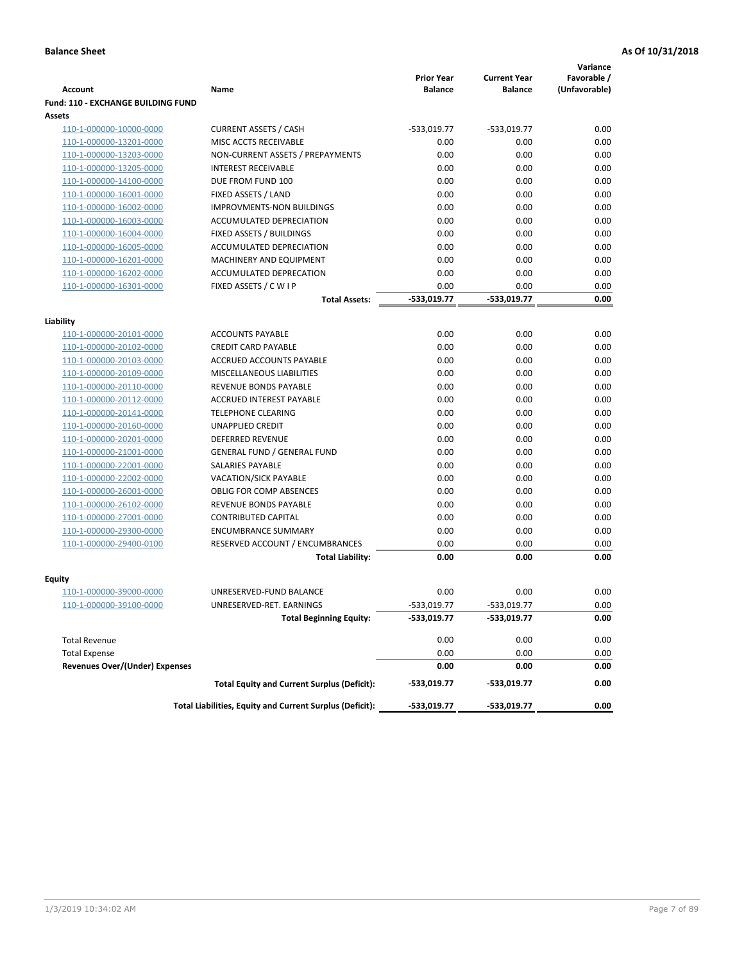|                                           |                                                            |                                     |                                       | Variance                     |
|-------------------------------------------|------------------------------------------------------------|-------------------------------------|---------------------------------------|------------------------------|
| <b>Account</b>                            | Name                                                       | <b>Prior Year</b><br><b>Balance</b> | <b>Current Year</b><br><b>Balance</b> | Favorable /<br>(Unfavorable) |
| <b>Fund: 110 - EXCHANGE BUILDING FUND</b> |                                                            |                                     |                                       |                              |
| Assets                                    |                                                            |                                     |                                       |                              |
| 110-1-000000-10000-0000                   | <b>CURRENT ASSETS / CASH</b>                               | -533,019.77                         | $-533,019.77$                         | 0.00                         |
| 110-1-000000-13201-0000                   | MISC ACCTS RECEIVABLE                                      | 0.00                                | 0.00                                  | 0.00                         |
| 110-1-000000-13203-0000                   | NON-CURRENT ASSETS / PREPAYMENTS                           | 0.00                                | 0.00                                  | 0.00                         |
| 110-1-000000-13205-0000                   | <b>INTEREST RECEIVABLE</b>                                 | 0.00                                | 0.00                                  | 0.00                         |
| 110-1-000000-14100-0000                   | DUE FROM FUND 100                                          | 0.00                                | 0.00                                  | 0.00                         |
| 110-1-000000-16001-0000                   | FIXED ASSETS / LAND                                        | 0.00                                | 0.00                                  | 0.00                         |
| 110-1-000000-16002-0000                   | <b>IMPROVMENTS-NON BUILDINGS</b>                           | 0.00                                | 0.00                                  | 0.00                         |
| 110-1-000000-16003-0000                   | ACCUMULATED DEPRECIATION                                   | 0.00                                | 0.00                                  | 0.00                         |
| 110-1-000000-16004-0000                   | FIXED ASSETS / BUILDINGS                                   | 0.00                                | 0.00                                  | 0.00                         |
| 110-1-000000-16005-0000                   | ACCUMULATED DEPRECIATION                                   | 0.00                                | 0.00                                  | 0.00                         |
| 110-1-000000-16201-0000                   | <b>MACHINERY AND EQUIPMENT</b>                             | 0.00                                | 0.00                                  | 0.00                         |
| 110-1-000000-16202-0000                   | ACCUMULATED DEPRECATION                                    | 0.00                                | 0.00                                  | 0.00                         |
| 110-1-000000-16301-0000                   | FIXED ASSETS / C W I P                                     | 0.00                                | 0.00                                  | 0.00                         |
|                                           | <b>Total Assets:</b>                                       | $-533,019.77$                       | -533,019.77                           | 0.00                         |
| Liability                                 |                                                            |                                     |                                       |                              |
| 110-1-000000-20101-0000                   | <b>ACCOUNTS PAYABLE</b>                                    | 0.00                                | 0.00                                  | 0.00                         |
| 110-1-000000-20102-0000                   | <b>CREDIT CARD PAYABLE</b>                                 | 0.00                                | 0.00                                  | 0.00                         |
| 110-1-000000-20103-0000                   | ACCRUED ACCOUNTS PAYABLE                                   | 0.00                                | 0.00                                  | 0.00                         |
| 110-1-000000-20109-0000                   | MISCELLANEOUS LIABILITIES                                  | 0.00                                | 0.00                                  | 0.00                         |
| 110-1-000000-20110-0000                   | REVENUE BONDS PAYABLE                                      | 0.00                                | 0.00                                  | 0.00                         |
| 110-1-000000-20112-0000                   | <b>ACCRUED INTEREST PAYABLE</b>                            | 0.00                                | 0.00                                  | 0.00                         |
| 110-1-000000-20141-0000                   | <b>TELEPHONE CLEARING</b>                                  | 0.00                                | 0.00                                  | 0.00                         |
| 110-1-000000-20160-0000                   | <b>UNAPPLIED CREDIT</b>                                    | 0.00                                | 0.00                                  | 0.00                         |
| 110-1-000000-20201-0000                   | <b>DEFERRED REVENUE</b>                                    | 0.00                                | 0.00                                  | 0.00                         |
| 110-1-000000-21001-0000                   | <b>GENERAL FUND / GENERAL FUND</b>                         | 0.00                                | 0.00                                  | 0.00                         |
| 110-1-000000-22001-0000                   | SALARIES PAYABLE                                           | 0.00                                | 0.00                                  | 0.00                         |
| 110-1-000000-22002-0000                   | <b>VACATION/SICK PAYABLE</b>                               | 0.00                                | 0.00                                  | 0.00                         |
| 110-1-000000-26001-0000                   | <b>OBLIG FOR COMP ABSENCES</b>                             | 0.00                                | 0.00                                  | 0.00                         |
| 110-1-000000-26102-0000                   | REVENUE BONDS PAYABLE                                      | 0.00                                | 0.00                                  | 0.00                         |
| 110-1-000000-27001-0000                   | <b>CONTRIBUTED CAPITAL</b>                                 | 0.00                                | 0.00                                  | 0.00                         |
| 110-1-000000-29300-0000                   | <b>ENCUMBRANCE SUMMARY</b>                                 | 0.00                                | 0.00                                  | 0.00                         |
| 110-1-000000-29400-0100                   | RESERVED ACCOUNT / ENCUMBRANCES                            | 0.00                                | 0.00                                  | 0.00                         |
|                                           | <b>Total Liability:</b>                                    | 0.00                                | 0.00                                  | 0.00                         |
|                                           |                                                            |                                     |                                       |                              |
| <b>Equity</b>                             | UNRESERVED-FUND BALANCE                                    | 0.00                                | 0.00                                  | 0.00                         |
| 110-1-000000-39000-0000                   |                                                            |                                     |                                       |                              |
| 110-1-000000-39100-0000                   | UNRESERVED-RET. EARNINGS<br><b>Total Beginning Equity:</b> | -533,019.77<br>-533,019.77          | -533,019.77<br>-533,019.77            | 0.00<br>0.00                 |
|                                           |                                                            |                                     |                                       |                              |
| <b>Total Revenue</b>                      |                                                            | 0.00                                | 0.00                                  | 0.00                         |
| <b>Total Expense</b>                      |                                                            | 0.00                                | 0.00                                  | 0.00                         |
| <b>Revenues Over/(Under) Expenses</b>     |                                                            | 0.00                                | 0.00                                  | 0.00                         |
|                                           | <b>Total Equity and Current Surplus (Deficit):</b>         | -533,019.77                         | -533,019.77                           | 0.00                         |
|                                           | Total Liabilities, Equity and Current Surplus (Deficit):   | -533,019.77                         | -533,019.77                           | 0.00                         |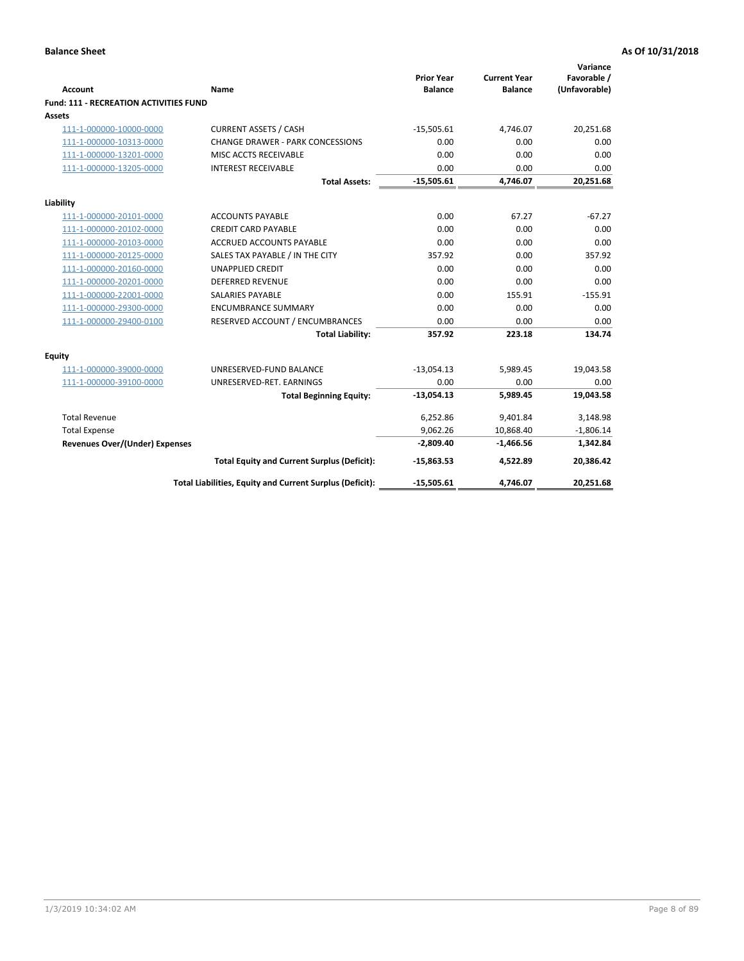| <b>Account</b>                         | <b>Name</b>                                              | <b>Prior Year</b><br><b>Balance</b> | <b>Current Year</b><br><b>Balance</b> | Variance<br>Favorable /<br>(Unfavorable) |
|----------------------------------------|----------------------------------------------------------|-------------------------------------|---------------------------------------|------------------------------------------|
| Fund: 111 - RECREATION ACTIVITIES FUND |                                                          |                                     |                                       |                                          |
| <b>Assets</b>                          |                                                          |                                     |                                       |                                          |
| 111-1-000000-10000-0000                | <b>CURRENT ASSETS / CASH</b>                             | $-15,505.61$                        | 4,746.07                              | 20,251.68                                |
| 111-1-000000-10313-0000                | <b>CHANGE DRAWER - PARK CONCESSIONS</b>                  | 0.00                                | 0.00                                  | 0.00                                     |
| 111-1-000000-13201-0000                | MISC ACCTS RECEIVABLE                                    | 0.00                                | 0.00                                  | 0.00                                     |
| 111-1-000000-13205-0000                | <b>INTEREST RECEIVABLE</b>                               | 0.00                                | 0.00                                  | 0.00                                     |
|                                        | <b>Total Assets:</b>                                     | $-15,505.61$                        | 4,746.07                              | 20,251.68                                |
| Liability                              |                                                          |                                     |                                       |                                          |
| 111-1-000000-20101-0000                | <b>ACCOUNTS PAYABLE</b>                                  | 0.00                                | 67.27                                 | $-67.27$                                 |
| 111-1-000000-20102-0000                | <b>CREDIT CARD PAYABLE</b>                               | 0.00                                | 0.00                                  | 0.00                                     |
| 111-1-000000-20103-0000                | <b>ACCRUED ACCOUNTS PAYABLE</b>                          | 0.00                                | 0.00                                  | 0.00                                     |
| 111-1-000000-20125-0000                | SALES TAX PAYABLE / IN THE CITY                          | 357.92                              | 0.00                                  | 357.92                                   |
| 111-1-000000-20160-0000                | <b>UNAPPLIED CREDIT</b>                                  | 0.00                                | 0.00                                  | 0.00                                     |
| 111-1-000000-20201-0000                | <b>DEFERRED REVENUE</b>                                  | 0.00                                | 0.00                                  | 0.00                                     |
| 111-1-000000-22001-0000                | <b>SALARIES PAYABLE</b>                                  | 0.00                                | 155.91                                | $-155.91$                                |
| 111-1-000000-29300-0000                | <b>ENCUMBRANCE SUMMARY</b>                               | 0.00                                | 0.00                                  | 0.00                                     |
| 111-1-000000-29400-0100                | RESERVED ACCOUNT / ENCUMBRANCES                          | 0.00                                | 0.00                                  | 0.00                                     |
|                                        | <b>Total Liability:</b>                                  | 357.92                              | 223.18                                | 134.74                                   |
| Equity                                 |                                                          |                                     |                                       |                                          |
| 111-1-000000-39000-0000                | UNRESERVED-FUND BALANCE                                  | $-13,054.13$                        | 5,989.45                              | 19,043.58                                |
| 111-1-000000-39100-0000                | UNRESERVED-RET. EARNINGS                                 | 0.00                                | 0.00                                  | 0.00                                     |
|                                        | <b>Total Beginning Equity:</b>                           | $-13,054.13$                        | 5,989.45                              | 19,043.58                                |
| <b>Total Revenue</b>                   |                                                          | 6,252.86                            | 9,401.84                              | 3,148.98                                 |
| <b>Total Expense</b>                   |                                                          | 9,062.26                            | 10,868.40                             | $-1,806.14$                              |
| <b>Revenues Over/(Under) Expenses</b>  |                                                          | $-2,809.40$                         | $-1,466.56$                           | 1,342.84                                 |
|                                        | <b>Total Equity and Current Surplus (Deficit):</b>       | $-15,863.53$                        | 4,522.89                              | 20,386.42                                |
|                                        | Total Liabilities, Equity and Current Surplus (Deficit): | $-15,505.61$                        | 4,746.07                              | 20,251.68                                |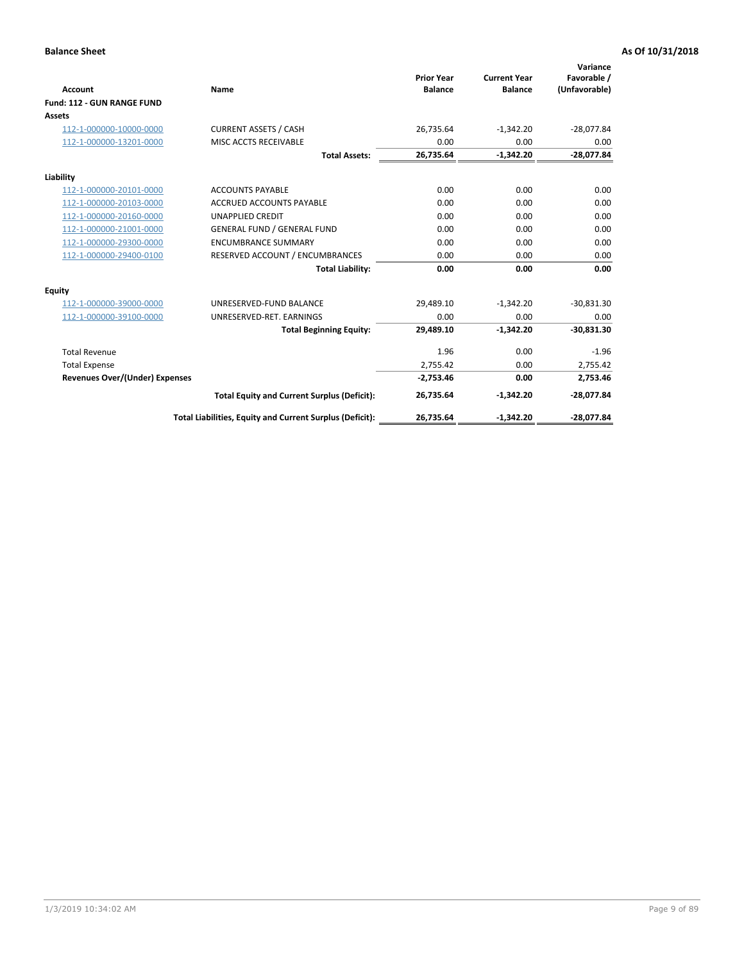|                                       |                                                          |                                     |                                       | Variance                     |
|---------------------------------------|----------------------------------------------------------|-------------------------------------|---------------------------------------|------------------------------|
| <b>Account</b>                        | Name                                                     | <b>Prior Year</b><br><b>Balance</b> | <b>Current Year</b><br><b>Balance</b> | Favorable /<br>(Unfavorable) |
| Fund: 112 - GUN RANGE FUND            |                                                          |                                     |                                       |                              |
| <b>Assets</b>                         |                                                          |                                     |                                       |                              |
| 112-1-000000-10000-0000               | <b>CURRENT ASSETS / CASH</b>                             | 26,735.64                           | $-1,342.20$                           | $-28,077.84$                 |
| 112-1-000000-13201-0000               | MISC ACCTS RECEIVABLE                                    | 0.00                                | 0.00                                  | 0.00                         |
|                                       | <b>Total Assets:</b>                                     | 26,735.64                           | $-1,342.20$                           | $-28,077.84$                 |
| Liability                             |                                                          |                                     |                                       |                              |
| 112-1-000000-20101-0000               | <b>ACCOUNTS PAYABLE</b>                                  | 0.00                                | 0.00                                  | 0.00                         |
| 112-1-000000-20103-0000               | <b>ACCRUED ACCOUNTS PAYABLE</b>                          | 0.00                                | 0.00                                  | 0.00                         |
| 112-1-000000-20160-0000               | <b>UNAPPLIED CREDIT</b>                                  | 0.00                                | 0.00                                  | 0.00                         |
| 112-1-000000-21001-0000               | <b>GENERAL FUND / GENERAL FUND</b>                       | 0.00                                | 0.00                                  | 0.00                         |
| 112-1-000000-29300-0000               | <b>ENCUMBRANCE SUMMARY</b>                               | 0.00                                | 0.00                                  | 0.00                         |
| 112-1-000000-29400-0100               | RESERVED ACCOUNT / ENCUMBRANCES                          | 0.00                                | 0.00                                  | 0.00                         |
|                                       | <b>Total Liability:</b>                                  | 0.00                                | 0.00                                  | 0.00                         |
| Equity                                |                                                          |                                     |                                       |                              |
| 112-1-000000-39000-0000               | UNRESERVED-FUND BALANCE                                  | 29,489.10                           | $-1,342.20$                           | $-30,831.30$                 |
| 112-1-000000-39100-0000               | UNRESERVED-RET. EARNINGS                                 | 0.00                                | 0.00                                  | 0.00                         |
|                                       | <b>Total Beginning Equity:</b>                           | 29,489.10                           | $-1.342.20$                           | $-30,831.30$                 |
| <b>Total Revenue</b>                  |                                                          | 1.96                                | 0.00                                  | $-1.96$                      |
| <b>Total Expense</b>                  |                                                          | 2,755.42                            | 0.00                                  | 2,755.42                     |
| <b>Revenues Over/(Under) Expenses</b> |                                                          | $-2,753.46$                         | 0.00                                  | 2,753.46                     |
|                                       | <b>Total Equity and Current Surplus (Deficit):</b>       | 26,735.64                           | $-1,342.20$                           | $-28,077.84$                 |
|                                       | Total Liabilities, Equity and Current Surplus (Deficit): | 26,735.64                           | $-1,342.20$                           | $-28,077.84$                 |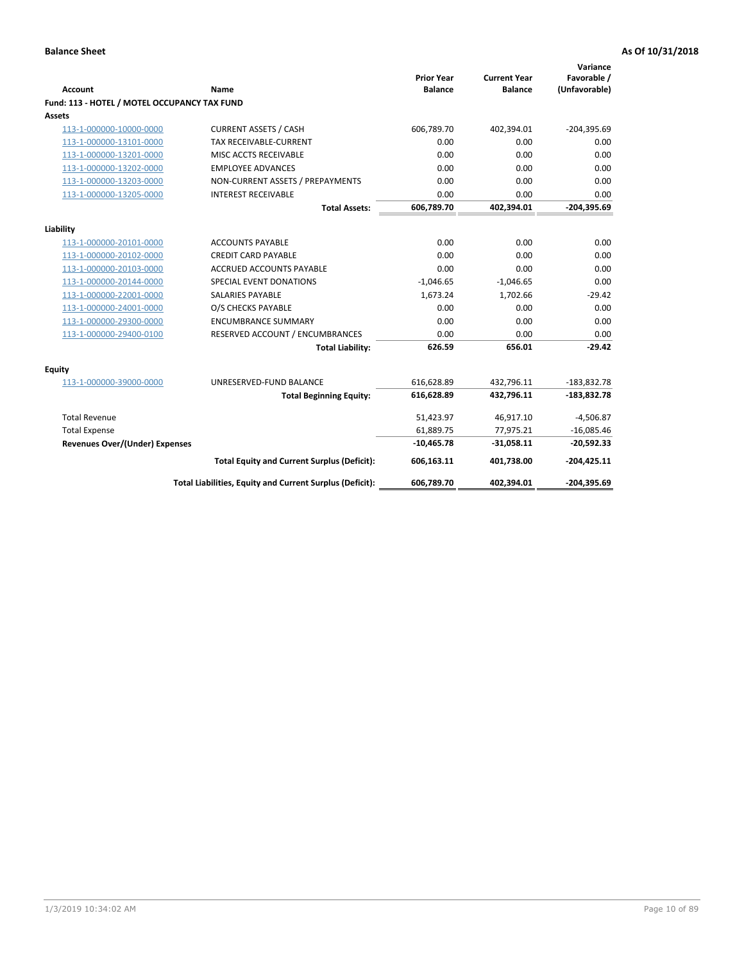| <b>Account</b>                               | <b>Name</b>                                              | <b>Prior Year</b><br><b>Balance</b> | <b>Current Year</b><br><b>Balance</b> | Variance<br>Favorable /<br>(Unfavorable) |
|----------------------------------------------|----------------------------------------------------------|-------------------------------------|---------------------------------------|------------------------------------------|
| Fund: 113 - HOTEL / MOTEL OCCUPANCY TAX FUND |                                                          |                                     |                                       |                                          |
| Assets                                       |                                                          |                                     |                                       |                                          |
| 113-1-000000-10000-0000                      | <b>CURRENT ASSETS / CASH</b>                             | 606,789.70                          | 402,394.01                            | $-204,395.69$                            |
| 113-1-000000-13101-0000                      | TAX RECEIVABLE-CURRENT                                   | 0.00                                | 0.00                                  | 0.00                                     |
| 113-1-000000-13201-0000                      | MISC ACCTS RECEIVABLE                                    | 0.00                                | 0.00                                  | 0.00                                     |
| 113-1-000000-13202-0000                      | <b>EMPLOYEE ADVANCES</b>                                 | 0.00                                | 0.00                                  | 0.00                                     |
| 113-1-000000-13203-0000                      | NON-CURRENT ASSETS / PREPAYMENTS                         | 0.00                                | 0.00                                  | 0.00                                     |
| 113-1-000000-13205-0000                      | <b>INTEREST RECEIVABLE</b>                               | 0.00                                | 0.00                                  | 0.00                                     |
|                                              | <b>Total Assets:</b>                                     | 606,789.70                          | 402,394.01                            | $-204,395.69$                            |
| Liability                                    |                                                          |                                     |                                       |                                          |
| 113-1-000000-20101-0000                      | <b>ACCOUNTS PAYABLE</b>                                  | 0.00                                | 0.00                                  | 0.00                                     |
| 113-1-000000-20102-0000                      | <b>CREDIT CARD PAYABLE</b>                               | 0.00                                | 0.00                                  | 0.00                                     |
| 113-1-000000-20103-0000                      | <b>ACCRUED ACCOUNTS PAYABLE</b>                          | 0.00                                | 0.00                                  | 0.00                                     |
| 113-1-000000-20144-0000                      | SPECIAL EVENT DONATIONS                                  | $-1,046.65$                         | $-1,046.65$                           | 0.00                                     |
| 113-1-000000-22001-0000                      | <b>SALARIES PAYABLE</b>                                  | 1,673.24                            | 1,702.66                              | $-29.42$                                 |
| 113-1-000000-24001-0000                      | O/S CHECKS PAYABLE                                       | 0.00                                | 0.00                                  | 0.00                                     |
| 113-1-000000-29300-0000                      | <b>ENCUMBRANCE SUMMARY</b>                               | 0.00                                | 0.00                                  | 0.00                                     |
| 113-1-000000-29400-0100                      | RESERVED ACCOUNT / ENCUMBRANCES                          | 0.00                                | 0.00                                  | 0.00                                     |
|                                              | <b>Total Liability:</b>                                  | 626.59                              | 656.01                                | $-29.42$                                 |
| Equity                                       |                                                          |                                     |                                       |                                          |
| 113-1-000000-39000-0000                      | UNRESERVED-FUND BALANCE                                  | 616,628.89                          | 432,796.11                            | $-183,832.78$                            |
|                                              | <b>Total Beginning Equity:</b>                           | 616,628.89                          | 432,796.11                            | $-183,832.78$                            |
|                                              |                                                          |                                     |                                       |                                          |
| <b>Total Revenue</b>                         |                                                          | 51,423.97                           | 46,917.10                             | $-4,506.87$                              |
| <b>Total Expense</b>                         |                                                          | 61,889.75                           | 77,975.21                             | $-16,085.46$                             |
| <b>Revenues Over/(Under) Expenses</b>        |                                                          | $-10,465.78$                        | $-31,058.11$                          | $-20,592.33$                             |
|                                              | <b>Total Equity and Current Surplus (Deficit):</b>       | 606,163.11                          | 401,738.00                            | $-204.425.11$                            |
|                                              | Total Liabilities, Equity and Current Surplus (Deficit): | 606,789.70                          | 402,394.01                            | $-204,395.69$                            |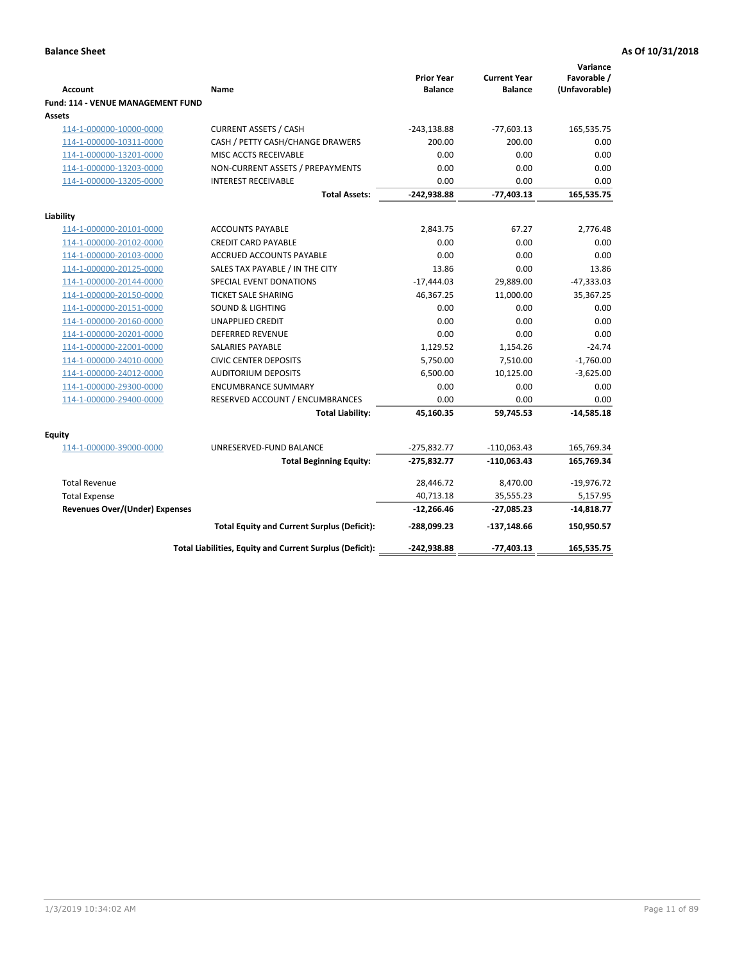| <b>Account</b><br>Fund: 114 - VENUE MANAGEMENT FUND | Name                                                     | <b>Prior Year</b><br><b>Balance</b> | <b>Current Year</b><br><b>Balance</b> | Variance<br>Favorable /<br>(Unfavorable) |
|-----------------------------------------------------|----------------------------------------------------------|-------------------------------------|---------------------------------------|------------------------------------------|
| Assets                                              |                                                          |                                     |                                       |                                          |
| 114-1-000000-10000-0000                             | <b>CURRENT ASSETS / CASH</b>                             | $-243,138.88$                       | $-77,603.13$                          | 165,535.75                               |
| 114-1-000000-10311-0000                             | CASH / PETTY CASH/CHANGE DRAWERS                         | 200.00                              | 200.00                                | 0.00                                     |
| 114-1-000000-13201-0000                             | MISC ACCTS RECEIVABLE                                    | 0.00                                | 0.00                                  | 0.00                                     |
| 114-1-000000-13203-0000                             | NON-CURRENT ASSETS / PREPAYMENTS                         | 0.00                                | 0.00                                  | 0.00                                     |
| 114-1-000000-13205-0000                             | <b>INTEREST RECEIVABLE</b>                               | 0.00                                | 0.00                                  | 0.00                                     |
|                                                     | <b>Total Assets:</b>                                     | -242,938.88                         | $-77,403.13$                          | 165,535.75                               |
| Liability                                           |                                                          |                                     |                                       |                                          |
| 114-1-000000-20101-0000                             | <b>ACCOUNTS PAYABLE</b>                                  | 2,843.75                            | 67.27                                 | 2,776.48                                 |
| 114-1-000000-20102-0000                             | <b>CREDIT CARD PAYABLE</b>                               | 0.00                                | 0.00                                  | 0.00                                     |
| 114-1-000000-20103-0000                             | <b>ACCRUED ACCOUNTS PAYABLE</b>                          | 0.00                                | 0.00                                  | 0.00                                     |
| 114-1-000000-20125-0000                             | SALES TAX PAYABLE / IN THE CITY                          | 13.86                               | 0.00                                  | 13.86                                    |
| 114-1-000000-20144-0000                             | SPECIAL EVENT DONATIONS                                  | $-17,444.03$                        | 29,889.00                             | $-47,333.03$                             |
| 114-1-000000-20150-0000                             | <b>TICKET SALE SHARING</b>                               | 46,367.25                           | 11,000.00                             | 35,367.25                                |
| 114-1-000000-20151-0000                             | <b>SOUND &amp; LIGHTING</b>                              | 0.00                                | 0.00                                  | 0.00                                     |
| 114-1-000000-20160-0000                             | <b>UNAPPLIED CREDIT</b>                                  | 0.00                                | 0.00                                  | 0.00                                     |
| 114-1-000000-20201-0000                             | <b>DEFERRED REVENUE</b>                                  | 0.00                                | 0.00                                  | 0.00                                     |
| 114-1-000000-22001-0000                             | SALARIES PAYABLE                                         | 1,129.52                            | 1,154.26                              | $-24.74$                                 |
| 114-1-000000-24010-0000                             | <b>CIVIC CENTER DEPOSITS</b>                             | 5,750.00                            | 7,510.00                              | $-1,760.00$                              |
| 114-1-000000-24012-0000                             | <b>AUDITORIUM DEPOSITS</b>                               | 6,500.00                            | 10,125.00                             | $-3,625.00$                              |
| 114-1-000000-29300-0000                             | <b>ENCUMBRANCE SUMMARY</b>                               | 0.00                                | 0.00                                  | 0.00                                     |
| 114-1-000000-29400-0000                             | RESERVED ACCOUNT / ENCUMBRANCES                          | 0.00                                | 0.00                                  | 0.00                                     |
|                                                     | <b>Total Liability:</b>                                  | 45,160.35                           | 59,745.53                             | $-14,585.18$                             |
| Equity                                              |                                                          |                                     |                                       |                                          |
| 114-1-000000-39000-0000                             | UNRESERVED-FUND BALANCE                                  | $-275,832.77$                       | $-110,063.43$                         | 165,769.34                               |
|                                                     | <b>Total Beginning Equity:</b>                           | $-275,832.77$                       | $-110,063.43$                         | 165,769.34                               |
| <b>Total Revenue</b>                                |                                                          | 28,446.72                           | 8,470.00                              | $-19,976.72$                             |
| <b>Total Expense</b>                                |                                                          | 40,713.18                           | 35,555.23                             | 5,157.95                                 |
| <b>Revenues Over/(Under) Expenses</b>               |                                                          | $-12,266.46$                        | $-27,085.23$                          | $-14,818.77$                             |
|                                                     | <b>Total Equity and Current Surplus (Deficit):</b>       | -288,099.23                         | $-137,148.66$                         | 150,950.57                               |
|                                                     | Total Liabilities, Equity and Current Surplus (Deficit): | -242,938.88                         | $-77,403.13$                          | 165,535.75                               |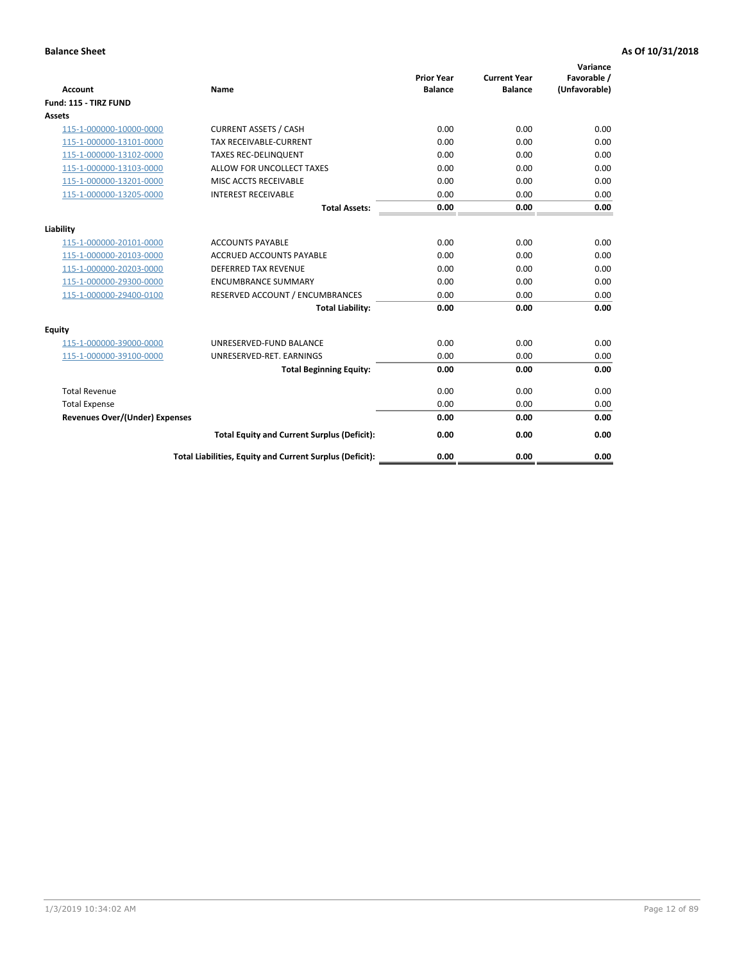| <b>Account</b>                        | <b>Name</b>                                              | <b>Prior Year</b><br><b>Balance</b> | <b>Current Year</b><br><b>Balance</b> | Variance<br>Favorable /<br>(Unfavorable) |
|---------------------------------------|----------------------------------------------------------|-------------------------------------|---------------------------------------|------------------------------------------|
| Fund: 115 - TIRZ FUND                 |                                                          |                                     |                                       |                                          |
| <b>Assets</b>                         |                                                          |                                     |                                       |                                          |
| 115-1-000000-10000-0000               | <b>CURRENT ASSETS / CASH</b>                             | 0.00                                | 0.00                                  | 0.00                                     |
| 115-1-000000-13101-0000               | <b>TAX RECEIVABLE-CURRENT</b>                            | 0.00                                | 0.00                                  | 0.00                                     |
| 115-1-000000-13102-0000               | <b>TAXES REC-DELINQUENT</b>                              | 0.00                                | 0.00                                  | 0.00                                     |
| 115-1-000000-13103-0000               | ALLOW FOR UNCOLLECT TAXES                                | 0.00                                | 0.00                                  | 0.00                                     |
| 115-1-000000-13201-0000               | MISC ACCTS RECEIVABLE                                    | 0.00                                | 0.00                                  | 0.00                                     |
| 115-1-000000-13205-0000               | <b>INTEREST RECEIVABLE</b>                               | 0.00                                | 0.00                                  | 0.00                                     |
|                                       | <b>Total Assets:</b>                                     | 0.00                                | 0.00                                  | 0.00                                     |
| Liability                             |                                                          |                                     |                                       |                                          |
| 115-1-000000-20101-0000               | <b>ACCOUNTS PAYABLE</b>                                  | 0.00                                | 0.00                                  | 0.00                                     |
| 115-1-000000-20103-0000               | <b>ACCRUED ACCOUNTS PAYABLE</b>                          | 0.00                                | 0.00                                  | 0.00                                     |
| 115-1-000000-20203-0000               | <b>DEFERRED TAX REVENUE</b>                              | 0.00                                | 0.00                                  | 0.00                                     |
| 115-1-000000-29300-0000               | <b>ENCUMBRANCE SUMMARY</b>                               | 0.00                                | 0.00                                  | 0.00                                     |
| 115-1-000000-29400-0100               | RESERVED ACCOUNT / ENCUMBRANCES                          | 0.00                                | 0.00                                  | 0.00                                     |
|                                       | <b>Total Liability:</b>                                  | 0.00                                | 0.00                                  | 0.00                                     |
| Equity                                |                                                          |                                     |                                       |                                          |
| 115-1-000000-39000-0000               | UNRESERVED-FUND BALANCE                                  | 0.00                                | 0.00                                  | 0.00                                     |
| 115-1-000000-39100-0000               | UNRESERVED-RET. EARNINGS                                 | 0.00                                | 0.00                                  | 0.00                                     |
|                                       | <b>Total Beginning Equity:</b>                           | 0.00                                | 0.00                                  | 0.00                                     |
| <b>Total Revenue</b>                  |                                                          | 0.00                                | 0.00                                  | 0.00                                     |
| <b>Total Expense</b>                  |                                                          | 0.00                                | 0.00                                  | 0.00                                     |
| <b>Revenues Over/(Under) Expenses</b> |                                                          | 0.00                                | 0.00                                  | 0.00                                     |
|                                       | <b>Total Equity and Current Surplus (Deficit):</b>       | 0.00                                | 0.00                                  | 0.00                                     |
|                                       | Total Liabilities, Equity and Current Surplus (Deficit): | 0.00                                | 0.00                                  | 0.00                                     |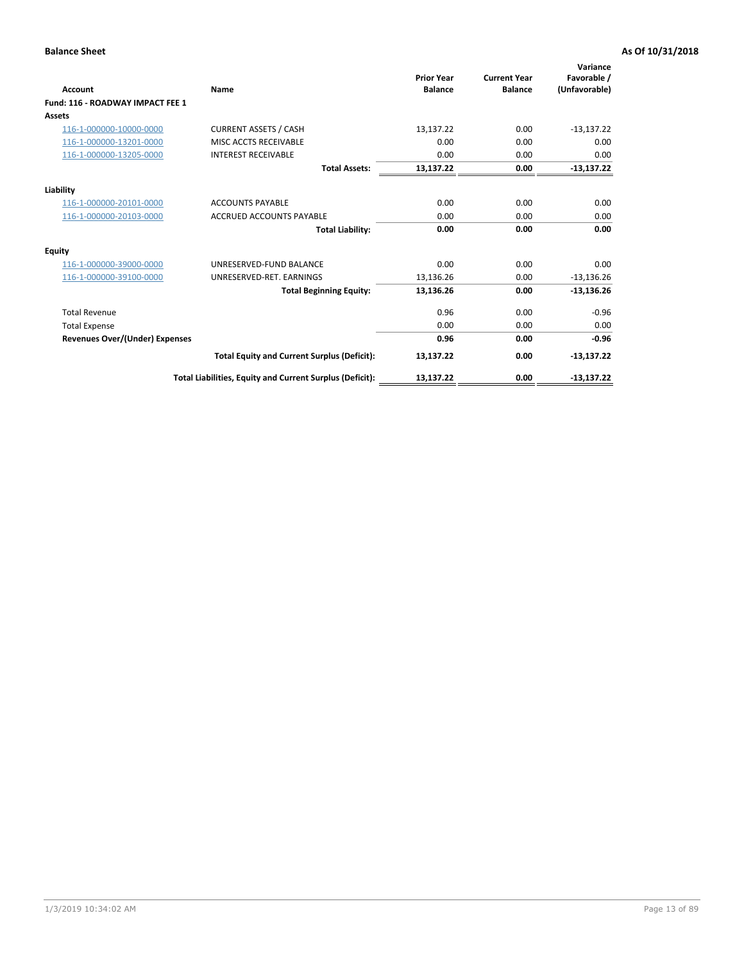| <b>Account</b>                        | Name                                                     | <b>Prior Year</b><br><b>Balance</b> | <b>Current Year</b><br><b>Balance</b> | Variance<br>Favorable /<br>(Unfavorable) |
|---------------------------------------|----------------------------------------------------------|-------------------------------------|---------------------------------------|------------------------------------------|
| Fund: 116 - ROADWAY IMPACT FEE 1      |                                                          |                                     |                                       |                                          |
| <b>Assets</b>                         |                                                          |                                     |                                       |                                          |
| 116-1-000000-10000-0000               | <b>CURRENT ASSETS / CASH</b>                             | 13,137.22                           | 0.00                                  | $-13,137.22$                             |
| 116-1-000000-13201-0000               | MISC ACCTS RECEIVABLE                                    | 0.00                                | 0.00                                  | 0.00                                     |
| 116-1-000000-13205-0000               | <b>INTEREST RECEIVABLE</b>                               | 0.00                                | 0.00                                  | 0.00                                     |
|                                       | <b>Total Assets:</b>                                     | 13,137.22                           | 0.00                                  | $-13,137.22$                             |
| Liability                             |                                                          |                                     |                                       |                                          |
| 116-1-000000-20101-0000               | <b>ACCOUNTS PAYABLE</b>                                  | 0.00                                | 0.00                                  | 0.00                                     |
| 116-1-000000-20103-0000               | <b>ACCRUED ACCOUNTS PAYABLE</b>                          | 0.00                                | 0.00                                  | 0.00                                     |
|                                       | <b>Total Liability:</b>                                  | 0.00                                | 0.00                                  | 0.00                                     |
| <b>Equity</b>                         |                                                          |                                     |                                       |                                          |
| 116-1-000000-39000-0000               | UNRESERVED-FUND BALANCE                                  | 0.00                                | 0.00                                  | 0.00                                     |
| 116-1-000000-39100-0000               | UNRESERVED-RET. EARNINGS                                 | 13,136.26                           | 0.00                                  | $-13,136.26$                             |
|                                       | <b>Total Beginning Equity:</b>                           | 13,136.26                           | 0.00                                  | $-13,136.26$                             |
| <b>Total Revenue</b>                  |                                                          | 0.96                                | 0.00                                  | $-0.96$                                  |
| <b>Total Expense</b>                  |                                                          | 0.00                                | 0.00                                  | 0.00                                     |
| <b>Revenues Over/(Under) Expenses</b> |                                                          | 0.96                                | 0.00                                  | $-0.96$                                  |
|                                       | <b>Total Equity and Current Surplus (Deficit):</b>       | 13,137.22                           | 0.00                                  | $-13,137.22$                             |
|                                       | Total Liabilities, Equity and Current Surplus (Deficit): | 13,137.22                           | 0.00                                  | $-13,137.22$                             |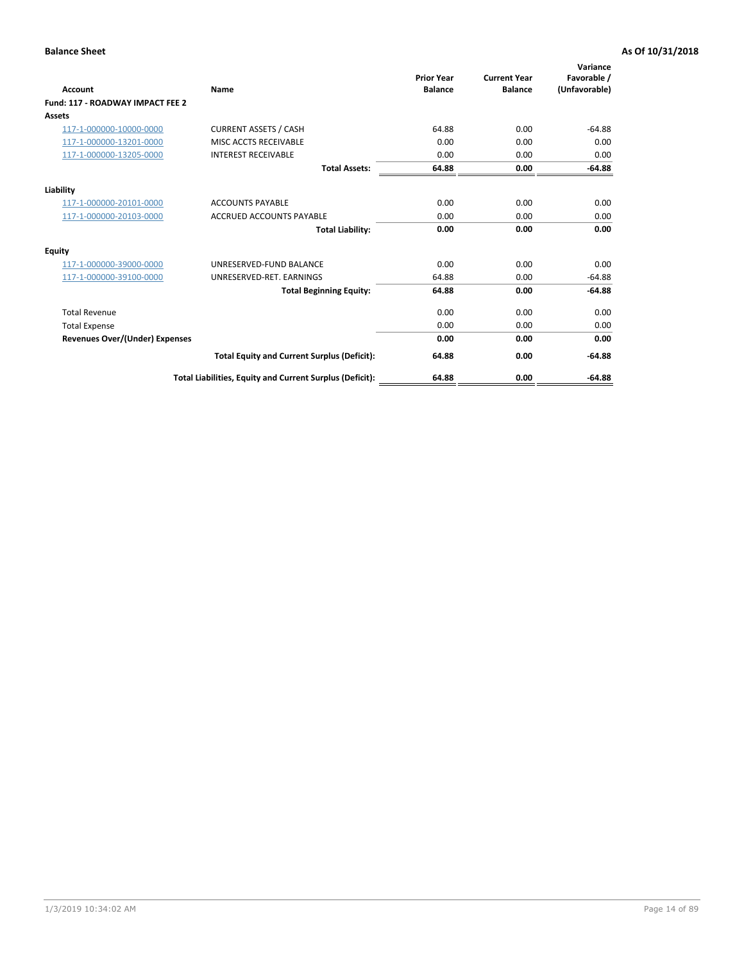| <b>Account</b>                        | Name                                                     | <b>Prior Year</b><br><b>Balance</b> | <b>Current Year</b><br><b>Balance</b> | Variance<br>Favorable /<br>(Unfavorable) |
|---------------------------------------|----------------------------------------------------------|-------------------------------------|---------------------------------------|------------------------------------------|
| Fund: 117 - ROADWAY IMPACT FEE 2      |                                                          |                                     |                                       |                                          |
| <b>Assets</b>                         |                                                          |                                     |                                       |                                          |
| 117-1-000000-10000-0000               | <b>CURRENT ASSETS / CASH</b>                             | 64.88                               | 0.00                                  | $-64.88$                                 |
| 117-1-000000-13201-0000               | MISC ACCTS RECEIVABLE                                    | 0.00                                | 0.00                                  | 0.00                                     |
| 117-1-000000-13205-0000               | <b>INTEREST RECEIVABLE</b>                               | 0.00                                | 0.00                                  | 0.00                                     |
|                                       | <b>Total Assets:</b>                                     | 64.88                               | 0.00                                  | $-64.88$                                 |
| Liability                             |                                                          |                                     |                                       |                                          |
| 117-1-000000-20101-0000               | <b>ACCOUNTS PAYABLE</b>                                  | 0.00                                | 0.00                                  | 0.00                                     |
| 117-1-000000-20103-0000               | <b>ACCRUED ACCOUNTS PAYABLE</b>                          | 0.00                                | 0.00                                  | 0.00                                     |
|                                       | <b>Total Liability:</b>                                  | 0.00                                | 0.00                                  | 0.00                                     |
| Equity                                |                                                          |                                     |                                       |                                          |
| 117-1-000000-39000-0000               | UNRESERVED-FUND BALANCE                                  | 0.00                                | 0.00                                  | 0.00                                     |
| 117-1-000000-39100-0000               | UNRESERVED-RET. EARNINGS                                 | 64.88                               | 0.00                                  | $-64.88$                                 |
|                                       | <b>Total Beginning Equity:</b>                           | 64.88                               | 0.00                                  | $-64.88$                                 |
| <b>Total Revenue</b>                  |                                                          | 0.00                                | 0.00                                  | 0.00                                     |
| <b>Total Expense</b>                  |                                                          | 0.00                                | 0.00                                  | 0.00                                     |
| <b>Revenues Over/(Under) Expenses</b> |                                                          | 0.00                                | 0.00                                  | 0.00                                     |
|                                       | <b>Total Equity and Current Surplus (Deficit):</b>       | 64.88                               | 0.00                                  | $-64.88$                                 |
|                                       | Total Liabilities, Equity and Current Surplus (Deficit): | 64.88                               | 0.00                                  | $-64.88$                                 |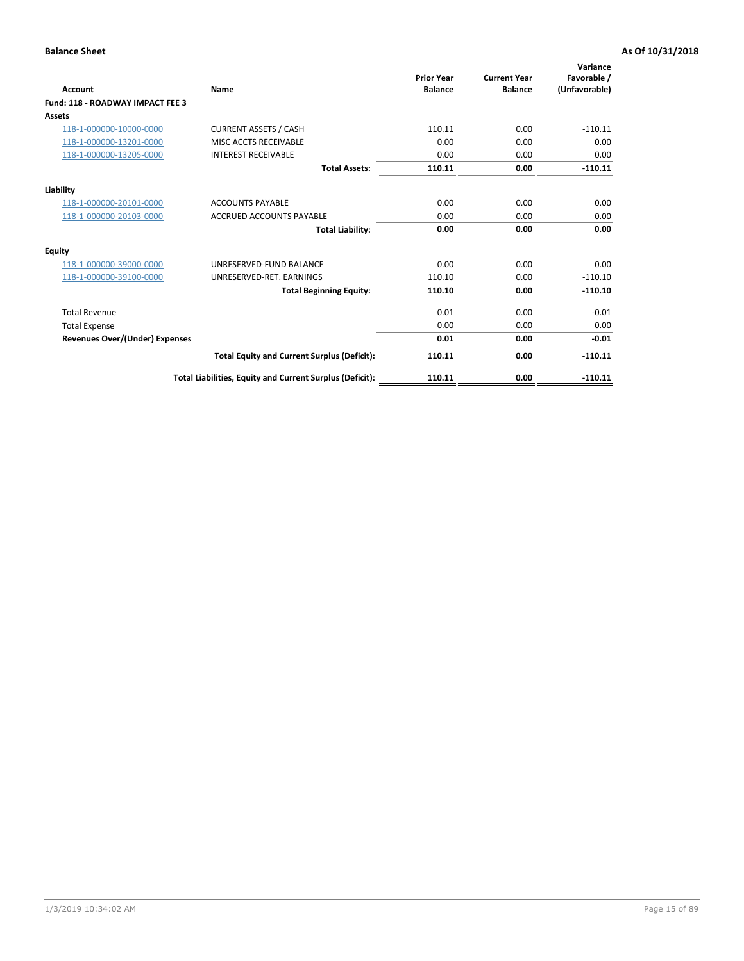| <b>Account</b>                        | Name                                                     | <b>Prior Year</b><br><b>Balance</b> | <b>Current Year</b><br><b>Balance</b> | Variance<br>Favorable /<br>(Unfavorable) |
|---------------------------------------|----------------------------------------------------------|-------------------------------------|---------------------------------------|------------------------------------------|
| Fund: 118 - ROADWAY IMPACT FEE 3      |                                                          |                                     |                                       |                                          |
| <b>Assets</b>                         |                                                          |                                     |                                       |                                          |
| 118-1-000000-10000-0000               | <b>CURRENT ASSETS / CASH</b>                             | 110.11                              | 0.00                                  | $-110.11$                                |
| 118-1-000000-13201-0000               | MISC ACCTS RECEIVABLE                                    | 0.00                                | 0.00                                  | 0.00                                     |
| 118-1-000000-13205-0000               | <b>INTEREST RECEIVABLE</b>                               | 0.00                                | 0.00                                  | 0.00                                     |
|                                       | <b>Total Assets:</b>                                     | 110.11                              | 0.00                                  | $-110.11$                                |
| Liability                             |                                                          |                                     |                                       |                                          |
| 118-1-000000-20101-0000               | <b>ACCOUNTS PAYABLE</b>                                  | 0.00                                | 0.00                                  | 0.00                                     |
| 118-1-000000-20103-0000               | <b>ACCRUED ACCOUNTS PAYABLE</b>                          | 0.00                                | 0.00                                  | 0.00                                     |
|                                       | <b>Total Liability:</b>                                  | 0.00                                | 0.00                                  | 0.00                                     |
| <b>Equity</b>                         |                                                          |                                     |                                       |                                          |
| 118-1-000000-39000-0000               | UNRESERVED-FUND BALANCE                                  | 0.00                                | 0.00                                  | 0.00                                     |
| 118-1-000000-39100-0000               | UNRESERVED-RET. EARNINGS                                 | 110.10                              | 0.00                                  | $-110.10$                                |
|                                       | <b>Total Beginning Equity:</b>                           | 110.10                              | 0.00                                  | $-110.10$                                |
| <b>Total Revenue</b>                  |                                                          | 0.01                                | 0.00                                  | $-0.01$                                  |
| <b>Total Expense</b>                  |                                                          | 0.00                                | 0.00                                  | 0.00                                     |
| <b>Revenues Over/(Under) Expenses</b> |                                                          | 0.01                                | 0.00                                  | $-0.01$                                  |
|                                       | <b>Total Equity and Current Surplus (Deficit):</b>       | 110.11                              | 0.00                                  | $-110.11$                                |
|                                       | Total Liabilities, Equity and Current Surplus (Deficit): | 110.11                              | 0.00                                  | $-110.11$                                |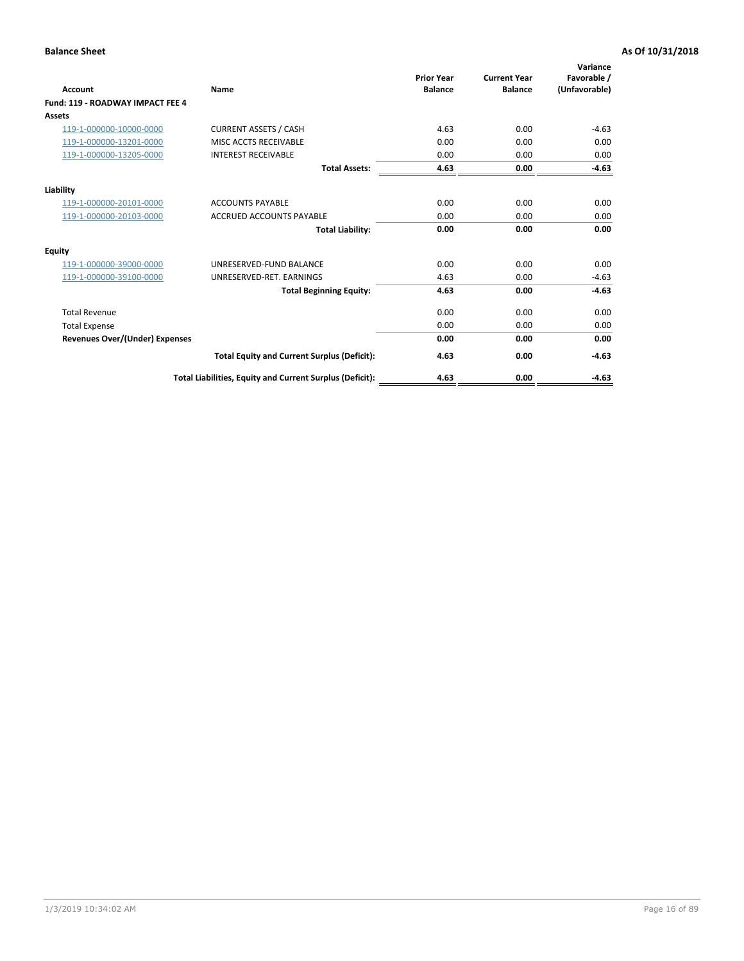| <b>Account</b>                        | Name                                                     | <b>Prior Year</b><br><b>Balance</b> | <b>Current Year</b><br><b>Balance</b> | Variance<br>Favorable /<br>(Unfavorable) |
|---------------------------------------|----------------------------------------------------------|-------------------------------------|---------------------------------------|------------------------------------------|
| Fund: 119 - ROADWAY IMPACT FEE 4      |                                                          |                                     |                                       |                                          |
| Assets                                |                                                          |                                     |                                       |                                          |
| 119-1-000000-10000-0000               | <b>CURRENT ASSETS / CASH</b>                             | 4.63                                | 0.00                                  | $-4.63$                                  |
| 119-1-000000-13201-0000               | MISC ACCTS RECEIVABLE                                    | 0.00                                | 0.00                                  | 0.00                                     |
| 119-1-000000-13205-0000               | <b>INTEREST RECEIVABLE</b>                               | 0.00                                | 0.00                                  | 0.00                                     |
|                                       | <b>Total Assets:</b>                                     | 4.63                                | 0.00                                  | $-4.63$                                  |
| Liability                             |                                                          |                                     |                                       |                                          |
| 119-1-000000-20101-0000               | <b>ACCOUNTS PAYABLE</b>                                  | 0.00                                | 0.00                                  | 0.00                                     |
| 119-1-000000-20103-0000               | <b>ACCRUED ACCOUNTS PAYABLE</b>                          | 0.00                                | 0.00                                  | 0.00                                     |
|                                       | <b>Total Liability:</b>                                  | 0.00                                | 0.00                                  | 0.00                                     |
| Equity                                |                                                          |                                     |                                       |                                          |
| 119-1-000000-39000-0000               | UNRESERVED-FUND BALANCE                                  | 0.00                                | 0.00                                  | 0.00                                     |
| 119-1-000000-39100-0000               | UNRESERVED-RET, EARNINGS                                 | 4.63                                | 0.00                                  | $-4.63$                                  |
|                                       | <b>Total Beginning Equity:</b>                           | 4.63                                | 0.00                                  | $-4.63$                                  |
| <b>Total Revenue</b>                  |                                                          | 0.00                                | 0.00                                  | 0.00                                     |
| <b>Total Expense</b>                  |                                                          | 0.00                                | 0.00                                  | 0.00                                     |
| <b>Revenues Over/(Under) Expenses</b> |                                                          | 0.00                                | 0.00                                  | 0.00                                     |
|                                       | <b>Total Equity and Current Surplus (Deficit):</b>       | 4.63                                | 0.00                                  | $-4.63$                                  |
|                                       | Total Liabilities, Equity and Current Surplus (Deficit): | 4.63                                | 0.00                                  | $-4.63$                                  |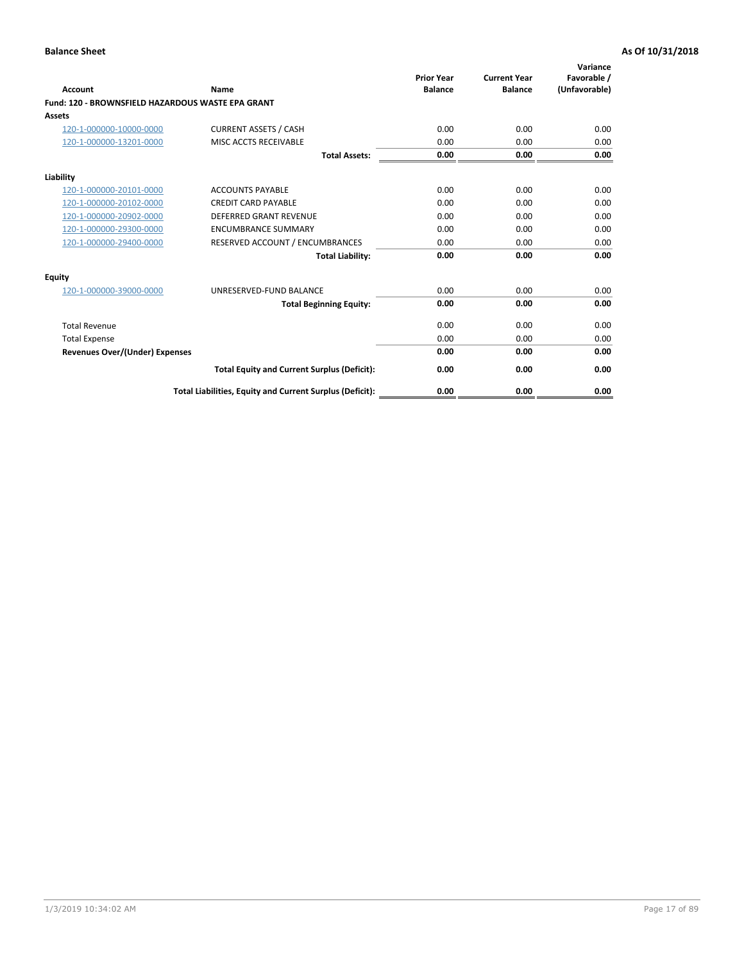| <b>Account</b>                                    | Name                                                     | <b>Prior Year</b><br><b>Balance</b> | <b>Current Year</b><br><b>Balance</b> | Variance<br>Favorable /<br>(Unfavorable) |
|---------------------------------------------------|----------------------------------------------------------|-------------------------------------|---------------------------------------|------------------------------------------|
| Fund: 120 - BROWNSFIELD HAZARDOUS WASTE EPA GRANT |                                                          |                                     |                                       |                                          |
| <b>Assets</b>                                     |                                                          |                                     |                                       |                                          |
| 120-1-000000-10000-0000                           | <b>CURRENT ASSETS / CASH</b>                             | 0.00                                | 0.00                                  | 0.00                                     |
| 120-1-000000-13201-0000                           | <b>MISC ACCTS RECEIVABLE</b>                             | 0.00                                | 0.00                                  | 0.00                                     |
|                                                   | <b>Total Assets:</b>                                     | 0.00                                | 0.00                                  | 0.00                                     |
| Liability                                         |                                                          |                                     |                                       |                                          |
| 120-1-000000-20101-0000                           | <b>ACCOUNTS PAYABLE</b>                                  | 0.00                                | 0.00                                  | 0.00                                     |
| 120-1-000000-20102-0000                           | <b>CREDIT CARD PAYABLE</b>                               | 0.00                                | 0.00                                  | 0.00                                     |
| 120-1-000000-20902-0000                           | <b>DEFERRED GRANT REVENUE</b>                            | 0.00                                | 0.00                                  | 0.00                                     |
| 120-1-000000-29300-0000                           | <b>ENCUMBRANCE SUMMARY</b>                               | 0.00                                | 0.00                                  | 0.00                                     |
| 120-1-000000-29400-0000                           | RESERVED ACCOUNT / ENCUMBRANCES                          | 0.00                                | 0.00                                  | 0.00                                     |
|                                                   | <b>Total Liability:</b>                                  | 0.00                                | 0.00                                  | 0.00                                     |
| Equity                                            |                                                          |                                     |                                       |                                          |
| 120-1-000000-39000-0000                           | UNRESERVED-FUND BALANCE                                  | 0.00                                | 0.00                                  | 0.00                                     |
|                                                   | <b>Total Beginning Equity:</b>                           | 0.00                                | 0.00                                  | 0.00                                     |
| <b>Total Revenue</b>                              |                                                          | 0.00                                | 0.00                                  | 0.00                                     |
| <b>Total Expense</b>                              |                                                          | 0.00                                | 0.00                                  | 0.00                                     |
| <b>Revenues Over/(Under) Expenses</b>             |                                                          | 0.00                                | 0.00                                  | 0.00                                     |
|                                                   | <b>Total Equity and Current Surplus (Deficit):</b>       | 0.00                                | 0.00                                  | 0.00                                     |
|                                                   | Total Liabilities, Equity and Current Surplus (Deficit): | 0.00                                | 0.00                                  | 0.00                                     |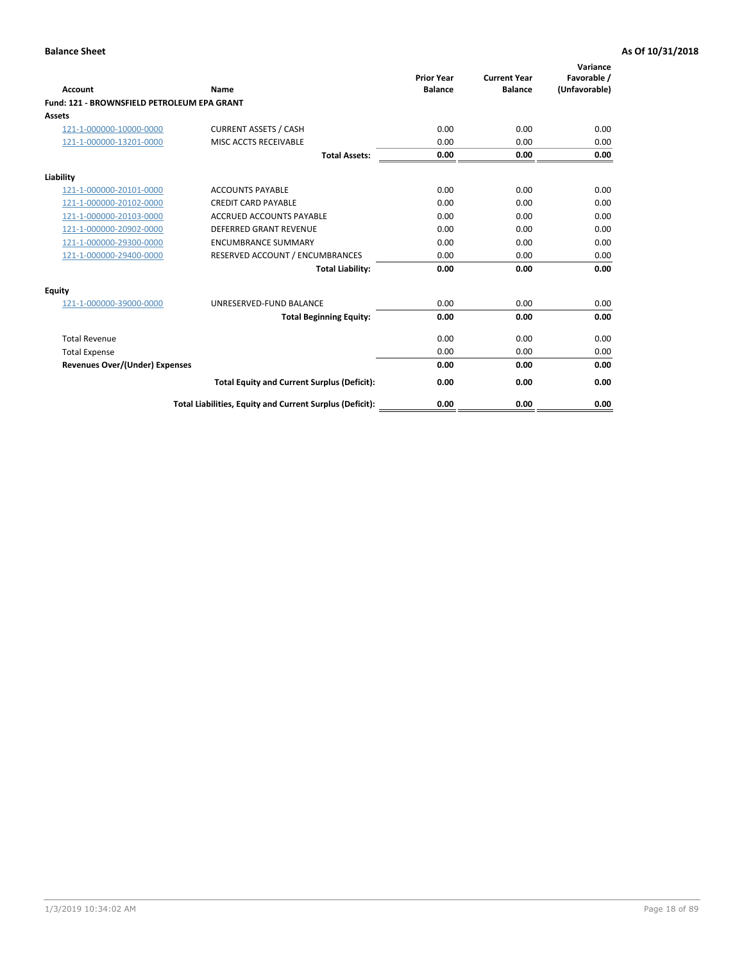| Account                                     | Name                                                     | <b>Prior Year</b><br><b>Balance</b> | <b>Current Year</b><br><b>Balance</b> | Variance<br>Favorable /<br>(Unfavorable) |
|---------------------------------------------|----------------------------------------------------------|-------------------------------------|---------------------------------------|------------------------------------------|
| Fund: 121 - BROWNSFIELD PETROLEUM EPA GRANT |                                                          |                                     |                                       |                                          |
| <b>Assets</b>                               |                                                          |                                     |                                       |                                          |
| 121-1-000000-10000-0000                     | <b>CURRENT ASSETS / CASH</b>                             | 0.00                                | 0.00                                  | 0.00                                     |
| 121-1-000000-13201-0000                     | MISC ACCTS RECEIVABLE                                    | 0.00                                | 0.00                                  | 0.00                                     |
|                                             | <b>Total Assets:</b>                                     | 0.00                                | 0.00                                  | 0.00                                     |
| Liability                                   |                                                          |                                     |                                       |                                          |
| 121-1-000000-20101-0000                     | <b>ACCOUNTS PAYABLE</b>                                  | 0.00                                | 0.00                                  | 0.00                                     |
| 121-1-000000-20102-0000                     | <b>CREDIT CARD PAYABLE</b>                               | 0.00                                | 0.00                                  | 0.00                                     |
| 121-1-000000-20103-0000                     | <b>ACCRUED ACCOUNTS PAYABLE</b>                          | 0.00                                | 0.00                                  | 0.00                                     |
| 121-1-000000-20902-0000                     | DEFERRED GRANT REVENUE                                   | 0.00                                | 0.00                                  | 0.00                                     |
| 121-1-000000-29300-0000                     | <b>ENCUMBRANCE SUMMARY</b>                               | 0.00                                | 0.00                                  | 0.00                                     |
| 121-1-000000-29400-0000                     | RESERVED ACCOUNT / ENCUMBRANCES                          | 0.00                                | 0.00                                  | 0.00                                     |
|                                             | <b>Total Liability:</b>                                  | 0.00                                | 0.00                                  | 0.00                                     |
| <b>Equity</b>                               |                                                          |                                     |                                       |                                          |
| 121-1-000000-39000-0000                     | UNRESERVED-FUND BALANCE                                  | 0.00                                | 0.00                                  | 0.00                                     |
|                                             | <b>Total Beginning Equity:</b>                           | 0.00                                | 0.00                                  | 0.00                                     |
| <b>Total Revenue</b>                        |                                                          | 0.00                                | 0.00                                  | 0.00                                     |
| <b>Total Expense</b>                        |                                                          | 0.00                                | 0.00                                  | 0.00                                     |
| <b>Revenues Over/(Under) Expenses</b>       |                                                          | 0.00                                | 0.00                                  | 0.00                                     |
|                                             | <b>Total Equity and Current Surplus (Deficit):</b>       | 0.00                                | 0.00                                  | 0.00                                     |
|                                             | Total Liabilities, Equity and Current Surplus (Deficit): | 0.00                                | 0.00                                  | 0.00                                     |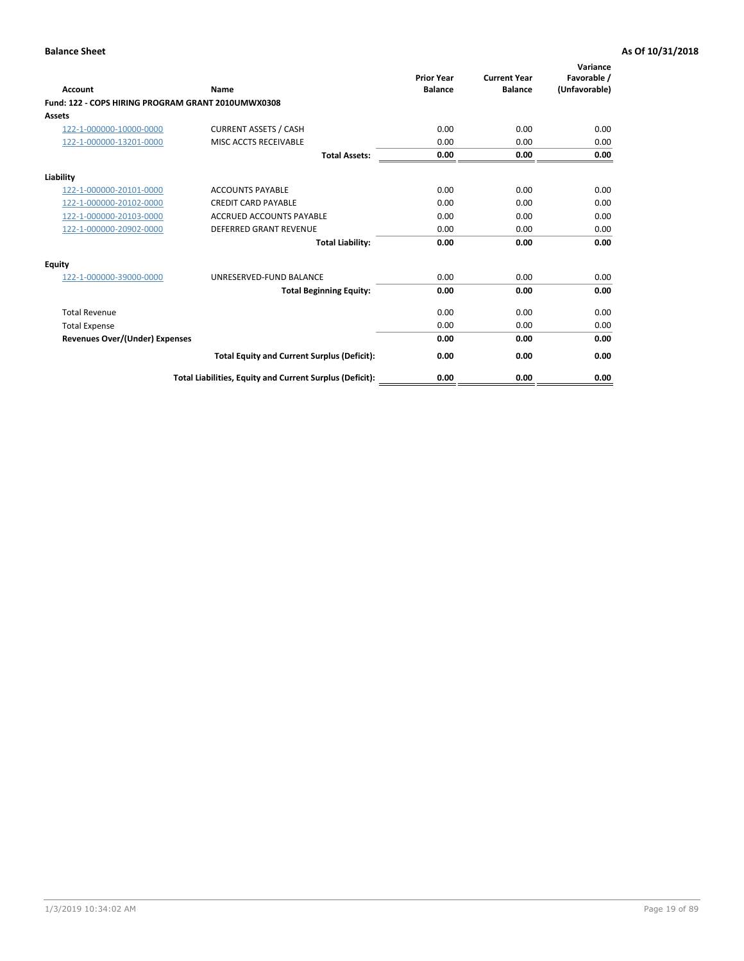| <b>Account</b>                                     | Name                                                     | <b>Prior Year</b><br><b>Balance</b> | <b>Current Year</b><br><b>Balance</b> | Variance<br>Favorable /<br>(Unfavorable) |
|----------------------------------------------------|----------------------------------------------------------|-------------------------------------|---------------------------------------|------------------------------------------|
| Fund: 122 - COPS HIRING PROGRAM GRANT 2010UMWX0308 |                                                          |                                     |                                       |                                          |
| Assets                                             |                                                          |                                     |                                       |                                          |
| 122-1-000000-10000-0000                            | <b>CURRENT ASSETS / CASH</b>                             | 0.00                                | 0.00                                  | 0.00                                     |
| 122-1-000000-13201-0000                            | MISC ACCTS RECEIVABLE                                    | 0.00                                | 0.00                                  | 0.00                                     |
|                                                    | <b>Total Assets:</b>                                     | 0.00                                | 0.00                                  | 0.00                                     |
| Liability                                          |                                                          |                                     |                                       |                                          |
| 122-1-000000-20101-0000                            | <b>ACCOUNTS PAYABLE</b>                                  | 0.00                                | 0.00                                  | 0.00                                     |
| 122-1-000000-20102-0000                            | <b>CREDIT CARD PAYABLE</b>                               | 0.00                                | 0.00                                  | 0.00                                     |
| 122-1-000000-20103-0000                            | <b>ACCRUED ACCOUNTS PAYABLE</b>                          | 0.00                                | 0.00                                  | 0.00                                     |
| 122-1-000000-20902-0000                            | <b>DEFERRED GRANT REVENUE</b>                            | 0.00                                | 0.00                                  | 0.00                                     |
|                                                    | <b>Total Liability:</b>                                  | 0.00                                | 0.00                                  | 0.00                                     |
| Equity                                             |                                                          |                                     |                                       |                                          |
| 122-1-000000-39000-0000                            | UNRESERVED-FUND BALANCE                                  | 0.00                                | 0.00                                  | 0.00                                     |
|                                                    | <b>Total Beginning Equity:</b>                           | 0.00                                | 0.00                                  | 0.00                                     |
| <b>Total Revenue</b>                               |                                                          | 0.00                                | 0.00                                  | 0.00                                     |
| <b>Total Expense</b>                               |                                                          | 0.00                                | 0.00                                  | 0.00                                     |
| <b>Revenues Over/(Under) Expenses</b>              |                                                          | 0.00                                | 0.00                                  | 0.00                                     |
|                                                    | <b>Total Equity and Current Surplus (Deficit):</b>       | 0.00                                | 0.00                                  | 0.00                                     |
|                                                    | Total Liabilities, Equity and Current Surplus (Deficit): | 0.00                                | 0.00                                  | 0.00                                     |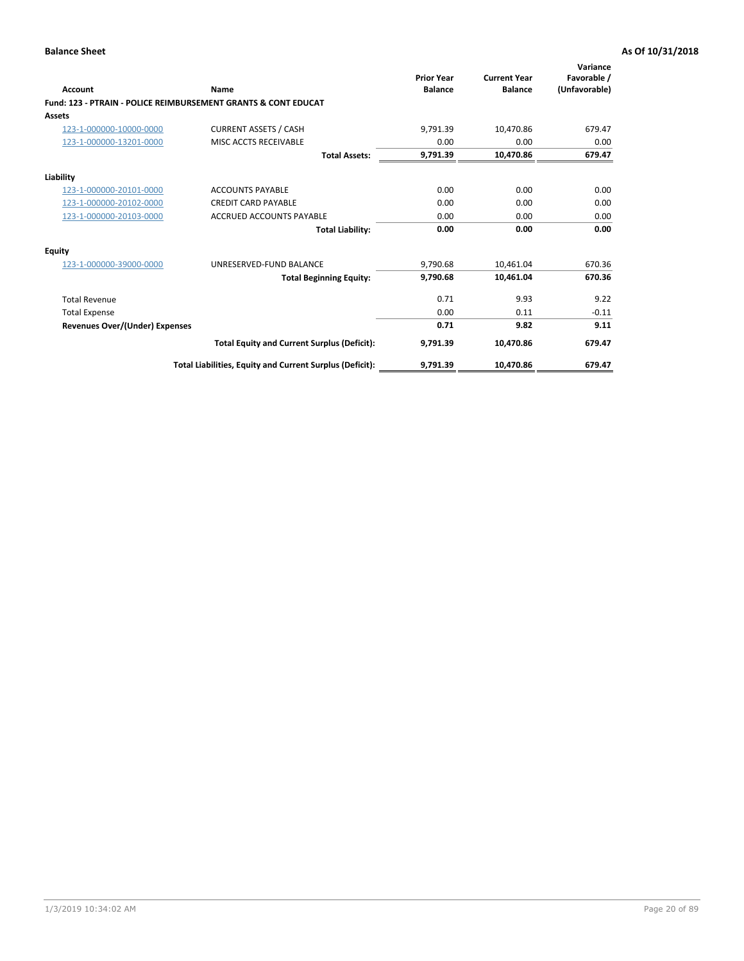| Account                        | Name                                                           | <b>Prior Year</b><br><b>Balance</b> | <b>Current Year</b><br><b>Balance</b> | Variance<br>Favorable /<br>(Unfavorable) |
|--------------------------------|----------------------------------------------------------------|-------------------------------------|---------------------------------------|------------------------------------------|
|                                | Fund: 123 - PTRAIN - POLICE REIMBURSEMENT GRANTS & CONT EDUCAT |                                     |                                       |                                          |
| Assets                         |                                                                |                                     |                                       |                                          |
| 123-1-000000-10000-0000        | <b>CURRENT ASSETS / CASH</b>                                   | 9,791.39                            | 10,470.86                             | 679.47                                   |
| 123-1-000000-13201-0000        | MISC ACCTS RECEIVABLE                                          | 0.00                                | 0.00                                  | 0.00                                     |
|                                | <b>Total Assets:</b>                                           | 9,791.39                            | 10,470.86                             | 679.47                                   |
| Liability                      |                                                                |                                     |                                       |                                          |
| 123-1-000000-20101-0000        | <b>ACCOUNTS PAYABLE</b>                                        | 0.00                                | 0.00                                  | 0.00                                     |
| 123-1-000000-20102-0000        | <b>CREDIT CARD PAYABLE</b>                                     | 0.00                                | 0.00                                  | 0.00                                     |
| 123-1-000000-20103-0000        | <b>ACCRUED ACCOUNTS PAYABLE</b>                                | 0.00                                | 0.00                                  | 0.00                                     |
|                                | <b>Total Liability:</b>                                        | 0.00                                | 0.00                                  | 0.00                                     |
| Equity                         |                                                                |                                     |                                       |                                          |
| 123-1-000000-39000-0000        | UNRESERVED-FUND BALANCE                                        | 9,790.68                            | 10,461.04                             | 670.36                                   |
|                                | <b>Total Beginning Equity:</b>                                 | 9,790.68                            | 10,461.04                             | 670.36                                   |
| <b>Total Revenue</b>           |                                                                | 0.71                                | 9.93                                  | 9.22                                     |
| <b>Total Expense</b>           |                                                                | 0.00                                | 0.11                                  | $-0.11$                                  |
| Revenues Over/(Under) Expenses |                                                                | 0.71                                | 9.82                                  | 9.11                                     |
|                                | <b>Total Equity and Current Surplus (Deficit):</b>             | 9,791.39                            | 10,470.86                             | 679.47                                   |
|                                | Total Liabilities, Equity and Current Surplus (Deficit):       | 9,791.39                            | 10,470.86                             | 679.47                                   |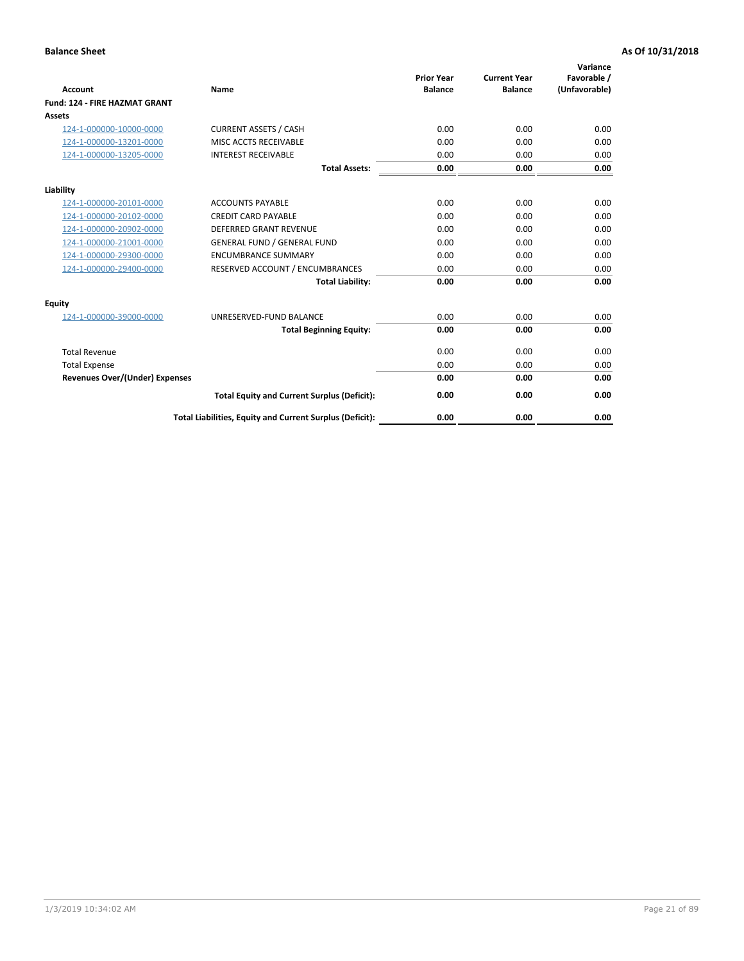| <b>Account</b>                        | Name                                                     | <b>Prior Year</b><br><b>Balance</b> | <b>Current Year</b><br><b>Balance</b> | Variance<br>Favorable /<br>(Unfavorable) |
|---------------------------------------|----------------------------------------------------------|-------------------------------------|---------------------------------------|------------------------------------------|
| <b>Fund: 124 - FIRE HAZMAT GRANT</b>  |                                                          |                                     |                                       |                                          |
| Assets                                |                                                          |                                     |                                       |                                          |
| 124-1-000000-10000-0000               | <b>CURRENT ASSETS / CASH</b>                             | 0.00                                | 0.00                                  | 0.00                                     |
| 124-1-000000-13201-0000               | MISC ACCTS RECEIVABLE                                    | 0.00                                | 0.00                                  | 0.00                                     |
| 124-1-000000-13205-0000               | <b>INTEREST RECEIVABLE</b>                               | 0.00                                | 0.00                                  | 0.00                                     |
|                                       | <b>Total Assets:</b>                                     | 0.00                                | 0.00                                  | 0.00                                     |
| Liability                             |                                                          |                                     |                                       |                                          |
| 124-1-000000-20101-0000               | <b>ACCOUNTS PAYABLE</b>                                  | 0.00                                | 0.00                                  | 0.00                                     |
| 124-1-000000-20102-0000               | <b>CREDIT CARD PAYABLE</b>                               | 0.00                                | 0.00                                  | 0.00                                     |
| 124-1-000000-20902-0000               | <b>DEFERRED GRANT REVENUE</b>                            | 0.00                                | 0.00                                  | 0.00                                     |
| 124-1-000000-21001-0000               | <b>GENERAL FUND / GENERAL FUND</b>                       | 0.00                                | 0.00                                  | 0.00                                     |
| 124-1-000000-29300-0000               | <b>ENCUMBRANCE SUMMARY</b>                               | 0.00                                | 0.00                                  | 0.00                                     |
| 124-1-000000-29400-0000               | RESERVED ACCOUNT / ENCUMBRANCES                          | 0.00                                | 0.00                                  | 0.00                                     |
|                                       | <b>Total Liability:</b>                                  | 0.00                                | 0.00                                  | 0.00                                     |
| <b>Equity</b>                         |                                                          |                                     |                                       |                                          |
| 124-1-000000-39000-0000               | UNRESERVED-FUND BALANCE                                  | 0.00                                | 0.00                                  | 0.00                                     |
|                                       | <b>Total Beginning Equity:</b>                           | 0.00                                | 0.00                                  | 0.00                                     |
| <b>Total Revenue</b>                  |                                                          | 0.00                                | 0.00                                  | 0.00                                     |
| <b>Total Expense</b>                  |                                                          | 0.00                                | 0.00                                  | 0.00                                     |
| <b>Revenues Over/(Under) Expenses</b> |                                                          | 0.00                                | 0.00                                  | 0.00                                     |
|                                       | <b>Total Equity and Current Surplus (Deficit):</b>       | 0.00                                | 0.00                                  | 0.00                                     |
|                                       | Total Liabilities, Equity and Current Surplus (Deficit): | 0.00                                | 0.00                                  | 0.00                                     |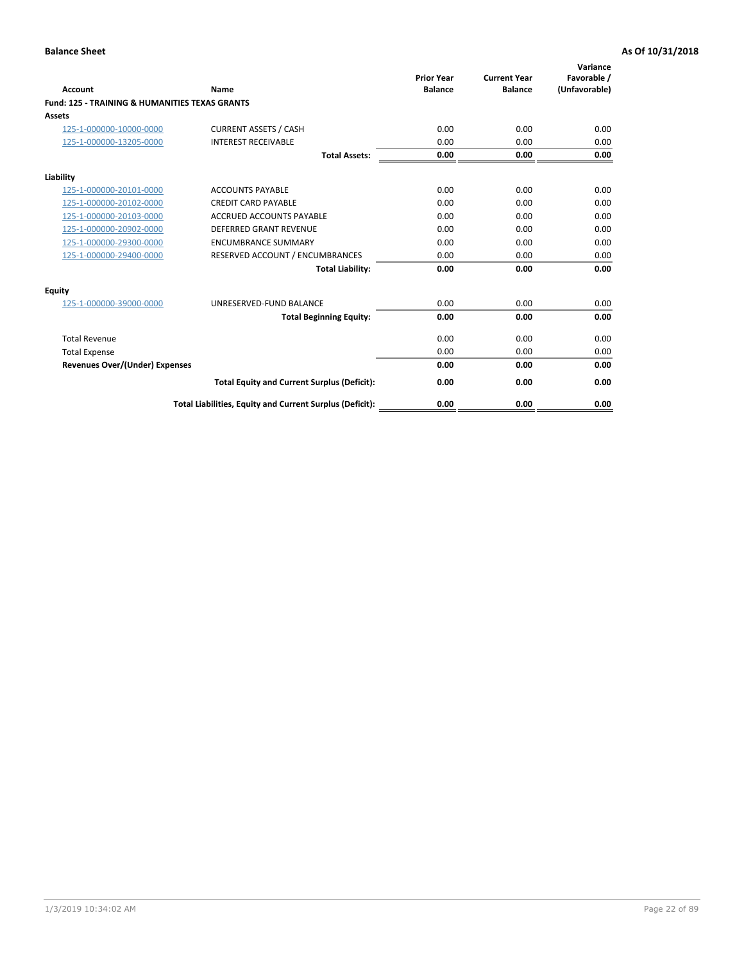| Account                                                   | Name                                                     | <b>Prior Year</b><br><b>Balance</b> | <b>Current Year</b><br><b>Balance</b> | Variance<br>Favorable /<br>(Unfavorable) |
|-----------------------------------------------------------|----------------------------------------------------------|-------------------------------------|---------------------------------------|------------------------------------------|
| <b>Fund: 125 - TRAINING &amp; HUMANITIES TEXAS GRANTS</b> |                                                          |                                     |                                       |                                          |
| <b>Assets</b>                                             |                                                          |                                     |                                       |                                          |
| 125-1-000000-10000-0000                                   | <b>CURRENT ASSETS / CASH</b>                             | 0.00                                | 0.00                                  | 0.00                                     |
| 125-1-000000-13205-0000                                   | <b>INTEREST RECEIVABLE</b>                               | 0.00                                | 0.00                                  | 0.00                                     |
|                                                           | <b>Total Assets:</b>                                     | 0.00                                | 0.00                                  | 0.00                                     |
| Liability                                                 |                                                          |                                     |                                       |                                          |
| 125-1-000000-20101-0000                                   | <b>ACCOUNTS PAYABLE</b>                                  | 0.00                                | 0.00                                  | 0.00                                     |
| 125-1-000000-20102-0000                                   | <b>CREDIT CARD PAYABLE</b>                               | 0.00                                | 0.00                                  | 0.00                                     |
| 125-1-000000-20103-0000                                   | <b>ACCRUED ACCOUNTS PAYABLE</b>                          | 0.00                                | 0.00                                  | 0.00                                     |
| 125-1-000000-20902-0000                                   | <b>DEFERRED GRANT REVENUE</b>                            | 0.00                                | 0.00                                  | 0.00                                     |
| 125-1-000000-29300-0000                                   | <b>ENCUMBRANCE SUMMARY</b>                               | 0.00                                | 0.00                                  | 0.00                                     |
| 125-1-000000-29400-0000                                   | RESERVED ACCOUNT / ENCUMBRANCES                          | 0.00                                | 0.00                                  | 0.00                                     |
|                                                           | <b>Total Liability:</b>                                  | 0.00                                | 0.00                                  | 0.00                                     |
| <b>Equity</b>                                             |                                                          |                                     |                                       |                                          |
| 125-1-000000-39000-0000                                   | UNRESERVED-FUND BALANCE                                  | 0.00                                | 0.00                                  | 0.00                                     |
|                                                           | <b>Total Beginning Equity:</b>                           | 0.00                                | 0.00                                  | 0.00                                     |
| <b>Total Revenue</b>                                      |                                                          | 0.00                                | 0.00                                  | 0.00                                     |
| <b>Total Expense</b>                                      |                                                          | 0.00                                | 0.00                                  | 0.00                                     |
| <b>Revenues Over/(Under) Expenses</b>                     |                                                          | 0.00                                | 0.00                                  | 0.00                                     |
|                                                           | <b>Total Equity and Current Surplus (Deficit):</b>       | 0.00                                | 0.00                                  | 0.00                                     |
|                                                           | Total Liabilities, Equity and Current Surplus (Deficit): | 0.00                                | 0.00                                  | 0.00                                     |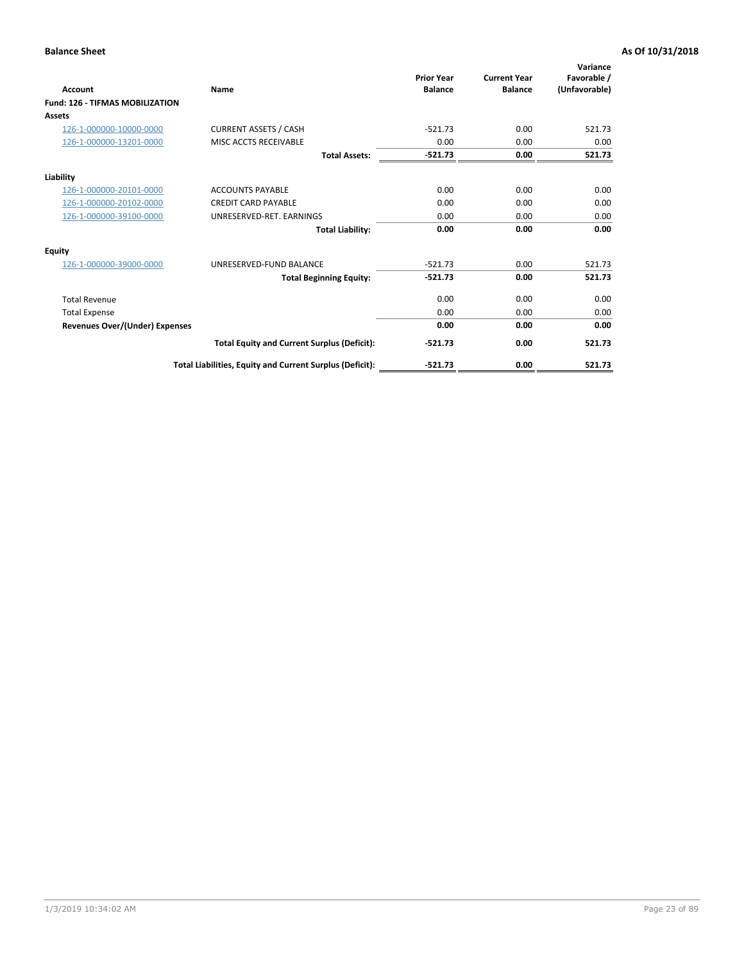| Account                                | Name                                                     | <b>Prior Year</b><br><b>Balance</b> | <b>Current Year</b><br><b>Balance</b> | Variance<br>Favorable /<br>(Unfavorable) |
|----------------------------------------|----------------------------------------------------------|-------------------------------------|---------------------------------------|------------------------------------------|
| <b>Fund: 126 - TIFMAS MOBILIZATION</b> |                                                          |                                     |                                       |                                          |
| Assets                                 |                                                          |                                     |                                       |                                          |
| 126-1-000000-10000-0000                | <b>CURRENT ASSETS / CASH</b>                             | $-521.73$                           | 0.00                                  | 521.73                                   |
| 126-1-000000-13201-0000                | MISC ACCTS RECEIVABLE                                    | 0.00                                | 0.00                                  | 0.00                                     |
|                                        | <b>Total Assets:</b>                                     | $-521.73$                           | 0.00                                  | 521.73                                   |
| Liability                              |                                                          |                                     |                                       |                                          |
| 126-1-000000-20101-0000                | <b>ACCOUNTS PAYABLE</b>                                  | 0.00                                | 0.00                                  | 0.00                                     |
| 126-1-000000-20102-0000                | <b>CREDIT CARD PAYABLE</b>                               | 0.00                                | 0.00                                  | 0.00                                     |
| 126-1-000000-39100-0000                | UNRESERVED-RET. EARNINGS                                 | 0.00                                | 0.00                                  | 0.00                                     |
|                                        | <b>Total Liability:</b>                                  | 0.00                                | 0.00                                  | 0.00                                     |
| Equity                                 |                                                          |                                     |                                       |                                          |
| 126-1-000000-39000-0000                | UNRESERVED-FUND BALANCE                                  | $-521.73$                           | 0.00                                  | 521.73                                   |
|                                        | <b>Total Beginning Equity:</b>                           | $-521.73$                           | 0.00                                  | 521.73                                   |
| <b>Total Revenue</b>                   |                                                          | 0.00                                | 0.00                                  | 0.00                                     |
| <b>Total Expense</b>                   |                                                          | 0.00                                | 0.00                                  | 0.00                                     |
| <b>Revenues Over/(Under) Expenses</b>  |                                                          | 0.00                                | 0.00                                  | 0.00                                     |
|                                        | <b>Total Equity and Current Surplus (Deficit):</b>       | $-521.73$                           | 0.00                                  | 521.73                                   |
|                                        | Total Liabilities, Equity and Current Surplus (Deficit): | $-521.73$                           | 0.00                                  | 521.73                                   |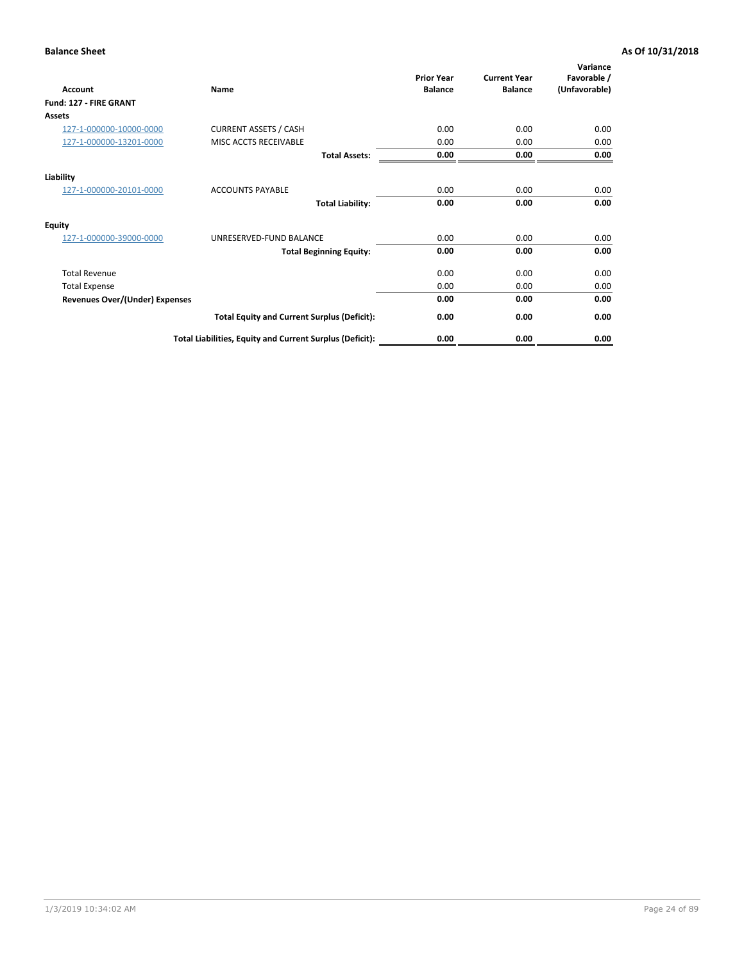| <b>Account</b>                        | Name                                                     | <b>Prior Year</b><br><b>Balance</b> | <b>Current Year</b><br><b>Balance</b> | Variance<br>Favorable /<br>(Unfavorable) |
|---------------------------------------|----------------------------------------------------------|-------------------------------------|---------------------------------------|------------------------------------------|
| Fund: 127 - FIRE GRANT                |                                                          |                                     |                                       |                                          |
| Assets                                |                                                          |                                     |                                       |                                          |
| 127-1-000000-10000-0000               | <b>CURRENT ASSETS / CASH</b>                             | 0.00                                | 0.00                                  | 0.00                                     |
| 127-1-000000-13201-0000               | MISC ACCTS RECEIVABLE                                    | 0.00                                | 0.00                                  | 0.00                                     |
|                                       | <b>Total Assets:</b>                                     | 0.00                                | 0.00                                  | 0.00                                     |
| Liability                             |                                                          |                                     |                                       |                                          |
| 127-1-000000-20101-0000               | <b>ACCOUNTS PAYABLE</b>                                  | 0.00                                | 0.00                                  | 0.00                                     |
|                                       | <b>Total Liability:</b>                                  | 0.00                                | 0.00                                  | 0.00                                     |
| Equity                                |                                                          |                                     |                                       |                                          |
| 127-1-000000-39000-0000               | UNRESERVED-FUND BALANCE                                  | 0.00                                | 0.00                                  | 0.00                                     |
|                                       | <b>Total Beginning Equity:</b>                           | 0.00                                | 0.00                                  | 0.00                                     |
| <b>Total Revenue</b>                  |                                                          | 0.00                                | 0.00                                  | 0.00                                     |
| <b>Total Expense</b>                  |                                                          | 0.00                                | 0.00                                  | 0.00                                     |
| <b>Revenues Over/(Under) Expenses</b> |                                                          | 0.00                                | 0.00                                  | 0.00                                     |
|                                       | <b>Total Equity and Current Surplus (Deficit):</b>       | 0.00                                | 0.00                                  | 0.00                                     |
|                                       | Total Liabilities, Equity and Current Surplus (Deficit): | 0.00                                | 0.00                                  | 0.00                                     |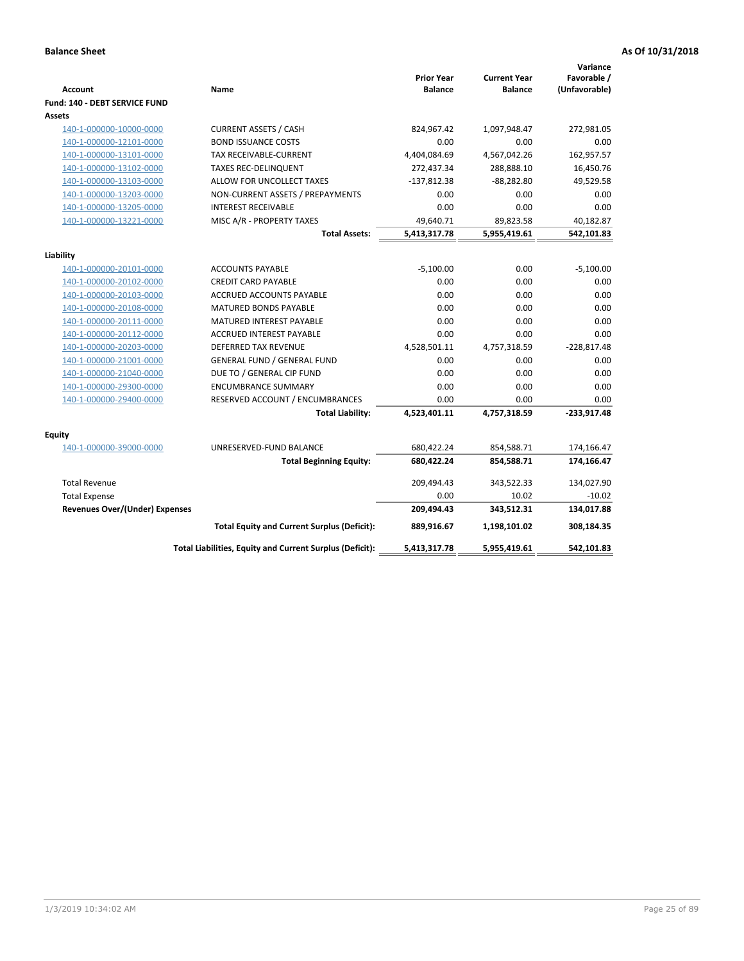| <b>Account</b>                        | Name                                                     | <b>Prior Year</b><br><b>Balance</b> | <b>Current Year</b><br><b>Balance</b> | Variance<br>Favorable /<br>(Unfavorable) |
|---------------------------------------|----------------------------------------------------------|-------------------------------------|---------------------------------------|------------------------------------------|
| Fund: 140 - DEBT SERVICE FUND         |                                                          |                                     |                                       |                                          |
| Assets                                |                                                          |                                     |                                       |                                          |
| 140-1-000000-10000-0000               | <b>CURRENT ASSETS / CASH</b>                             | 824,967.42                          | 1,097,948.47                          | 272,981.05                               |
| 140-1-000000-12101-0000               | <b>BOND ISSUANCE COSTS</b>                               | 0.00                                | 0.00                                  | 0.00                                     |
| 140-1-000000-13101-0000               | <b>TAX RECEIVABLE-CURRENT</b>                            | 4,404,084.69                        | 4,567,042.26                          | 162,957.57                               |
| 140-1-000000-13102-0000               | <b>TAXES REC-DELINQUENT</b>                              | 272,437.34                          | 288,888.10                            | 16,450.76                                |
| 140-1-000000-13103-0000               | ALLOW FOR UNCOLLECT TAXES                                | $-137,812.38$                       | $-88,282.80$                          | 49,529.58                                |
| 140-1-000000-13203-0000               | NON-CURRENT ASSETS / PREPAYMENTS                         | 0.00                                | 0.00                                  | 0.00                                     |
| 140-1-000000-13205-0000               | <b>INTEREST RECEIVABLE</b>                               | 0.00                                | 0.00                                  | 0.00                                     |
| 140-1-000000-13221-0000               | MISC A/R - PROPERTY TAXES                                | 49,640.71                           | 89,823.58                             | 40,182.87                                |
|                                       | <b>Total Assets:</b>                                     | 5,413,317.78                        | 5,955,419.61                          | 542,101.83                               |
| Liability                             |                                                          |                                     |                                       |                                          |
| 140-1-000000-20101-0000               | <b>ACCOUNTS PAYABLE</b>                                  | $-5,100.00$                         | 0.00                                  | $-5,100.00$                              |
| 140-1-000000-20102-0000               | <b>CREDIT CARD PAYABLE</b>                               | 0.00                                | 0.00                                  | 0.00                                     |
| 140-1-000000-20103-0000               | ACCRUED ACCOUNTS PAYABLE                                 | 0.00                                | 0.00                                  | 0.00                                     |
| 140-1-000000-20108-0000               | <b>MATURED BONDS PAYABLE</b>                             | 0.00                                | 0.00                                  | 0.00                                     |
| 140-1-000000-20111-0000               | MATURED INTEREST PAYABLE                                 | 0.00                                | 0.00                                  | 0.00                                     |
| 140-1-000000-20112-0000               | <b>ACCRUED INTEREST PAYABLE</b>                          | 0.00                                | 0.00                                  | 0.00                                     |
| 140-1-000000-20203-0000               | <b>DEFERRED TAX REVENUE</b>                              | 4,528,501.11                        | 4,757,318.59                          | $-228,817.48$                            |
| 140-1-000000-21001-0000               | <b>GENERAL FUND / GENERAL FUND</b>                       | 0.00                                | 0.00                                  | 0.00                                     |
| 140-1-000000-21040-0000               | DUE TO / GENERAL CIP FUND                                | 0.00                                | 0.00                                  | 0.00                                     |
| 140-1-000000-29300-0000               | <b>ENCUMBRANCE SUMMARY</b>                               | 0.00                                | 0.00                                  | 0.00                                     |
| 140-1-000000-29400-0000               | RESERVED ACCOUNT / ENCUMBRANCES                          | 0.00                                | 0.00                                  | 0.00                                     |
|                                       | <b>Total Liability:</b>                                  | 4,523,401.11                        | 4,757,318.59                          | $-233,917.48$                            |
| Equity                                |                                                          |                                     |                                       |                                          |
| 140-1-000000-39000-0000               | UNRESERVED-FUND BALANCE                                  | 680,422.24                          | 854,588.71                            | 174,166.47                               |
|                                       | <b>Total Beginning Equity:</b>                           | 680,422.24                          | 854,588.71                            | 174,166.47                               |
| <b>Total Revenue</b>                  |                                                          | 209,494.43                          | 343,522.33                            | 134,027.90                               |
| <b>Total Expense</b>                  |                                                          | 0.00                                | 10.02                                 | $-10.02$                                 |
| <b>Revenues Over/(Under) Expenses</b> |                                                          | 209,494.43                          | 343,512.31                            | 134,017.88                               |
|                                       | <b>Total Equity and Current Surplus (Deficit):</b>       | 889,916.67                          | 1,198,101.02                          | 308,184.35                               |
|                                       | Total Liabilities, Equity and Current Surplus (Deficit): | 5,413,317.78                        | 5,955,419.61                          | 542,101.83                               |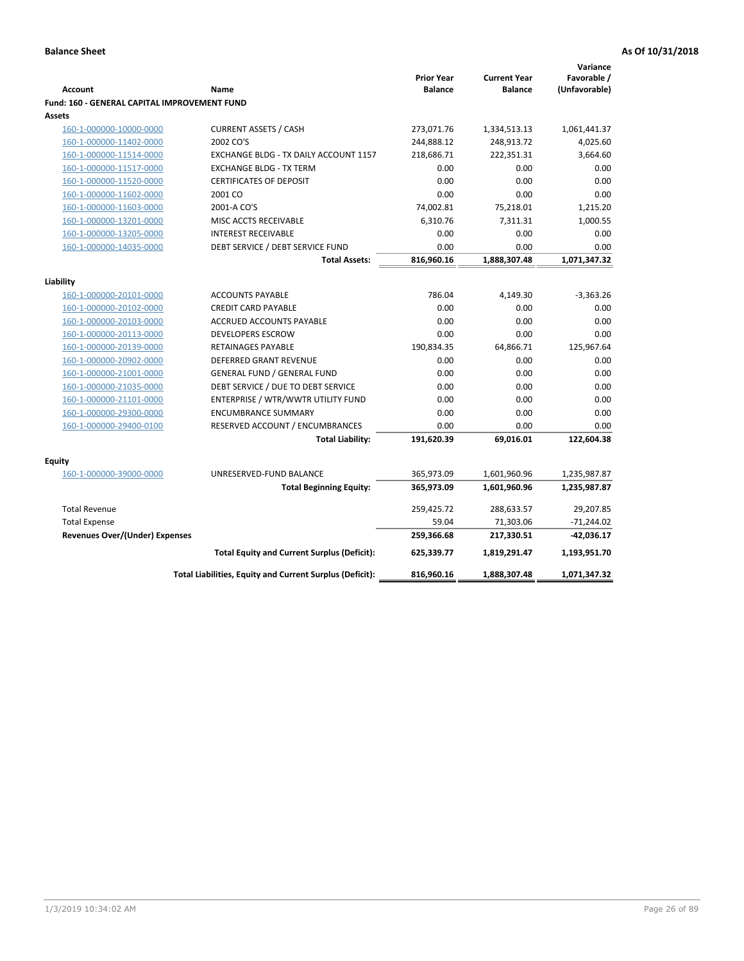|                                                     |                                                          |                                     |                                       | Variance      |
|-----------------------------------------------------|----------------------------------------------------------|-------------------------------------|---------------------------------------|---------------|
| <b>Account</b>                                      |                                                          | <b>Prior Year</b><br><b>Balance</b> | <b>Current Year</b><br><b>Balance</b> | Favorable /   |
|                                                     | Name                                                     |                                     |                                       | (Unfavorable) |
| <b>Fund: 160 - GENERAL CAPITAL IMPROVEMENT FUND</b> |                                                          |                                     |                                       |               |
| Assets                                              |                                                          |                                     |                                       |               |
| 160-1-000000-10000-0000                             | <b>CURRENT ASSETS / CASH</b><br>2002 CO'S                | 273,071.76                          | 1,334,513.13                          | 1,061,441.37  |
| 160-1-000000-11402-0000                             |                                                          | 244,888.12                          | 248,913.72                            | 4,025.60      |
| 160-1-000000-11514-0000                             | EXCHANGE BLDG - TX DAILY ACCOUNT 1157                    | 218,686.71                          | 222,351.31                            | 3,664.60      |
| 160-1-000000-11517-0000                             | <b>EXCHANGE BLDG - TX TERM</b>                           | 0.00<br>0.00                        | 0.00<br>0.00                          | 0.00          |
| 160-1-000000-11520-0000                             | <b>CERTIFICATES OF DEPOSIT</b>                           |                                     |                                       | 0.00<br>0.00  |
| 160-1-000000-11602-0000                             | 2001 CO                                                  | 0.00                                | 0.00                                  |               |
| 160-1-000000-11603-0000                             | 2001-A CO'S                                              | 74,002.81                           | 75,218.01                             | 1,215.20      |
| 160-1-000000-13201-0000                             | MISC ACCTS RECEIVABLE                                    | 6,310.76                            | 7,311.31                              | 1,000.55      |
| 160-1-000000-13205-0000                             | <b>INTEREST RECEIVABLE</b>                               | 0.00                                | 0.00                                  | 0.00          |
| 160-1-000000-14035-0000                             | DEBT SERVICE / DEBT SERVICE FUND                         | 0.00                                | 0.00                                  | 0.00          |
|                                                     | <b>Total Assets:</b>                                     | 816,960.16                          | 1,888,307.48                          | 1,071,347.32  |
| Liability                                           |                                                          |                                     |                                       |               |
| 160-1-000000-20101-0000                             | <b>ACCOUNTS PAYABLE</b>                                  | 786.04                              | 4,149.30                              | $-3,363.26$   |
| 160-1-000000-20102-0000                             | <b>CREDIT CARD PAYABLE</b>                               | 0.00                                | 0.00                                  | 0.00          |
| 160-1-000000-20103-0000                             | ACCRUED ACCOUNTS PAYABLE                                 | 0.00                                | 0.00                                  | 0.00          |
| 160-1-000000-20113-0000                             | <b>DEVELOPERS ESCROW</b>                                 | 0.00                                | 0.00                                  | 0.00          |
| 160-1-000000-20139-0000                             | <b>RETAINAGES PAYABLE</b>                                | 190,834.35                          | 64,866.71                             | 125,967.64    |
| 160-1-000000-20902-0000                             | <b>DEFERRED GRANT REVENUE</b>                            | 0.00                                | 0.00                                  | 0.00          |
| 160-1-000000-21001-0000                             | <b>GENERAL FUND / GENERAL FUND</b>                       | 0.00                                | 0.00                                  | 0.00          |
| 160-1-000000-21035-0000                             | DEBT SERVICE / DUE TO DEBT SERVICE                       | 0.00                                | 0.00                                  | 0.00          |
| 160-1-000000-21101-0000                             | ENTERPRISE / WTR/WWTR UTILITY FUND                       | 0.00                                | 0.00                                  | 0.00          |
| 160-1-000000-29300-0000                             | <b>ENCUMBRANCE SUMMARY</b>                               | 0.00                                | 0.00                                  | 0.00          |
| 160-1-000000-29400-0100                             | RESERVED ACCOUNT / ENCUMBRANCES                          | 0.00                                | 0.00                                  | 0.00          |
|                                                     | <b>Total Liability:</b>                                  | 191,620.39                          | 69,016.01                             | 122,604.38    |
|                                                     |                                                          |                                     |                                       |               |
| <b>Equity</b>                                       |                                                          |                                     |                                       |               |
| 160-1-000000-39000-0000                             | UNRESERVED-FUND BALANCE                                  | 365,973.09                          | 1,601,960.96                          | 1,235,987.87  |
|                                                     | <b>Total Beginning Equity:</b>                           | 365,973.09                          | 1,601,960.96                          | 1,235,987.87  |
| <b>Total Revenue</b>                                |                                                          | 259,425.72                          | 288,633.57                            | 29,207.85     |
| <b>Total Expense</b>                                |                                                          | 59.04                               | 71,303.06                             | $-71,244.02$  |
| <b>Revenues Over/(Under) Expenses</b>               |                                                          | 259,366.68                          | 217,330.51                            | -42,036.17    |
|                                                     | <b>Total Equity and Current Surplus (Deficit):</b>       | 625,339.77                          | 1,819,291.47                          | 1,193,951.70  |
|                                                     | Total Liabilities, Equity and Current Surplus (Deficit): | 816,960.16                          | 1,888,307.48                          | 1,071,347.32  |
|                                                     |                                                          |                                     |                                       |               |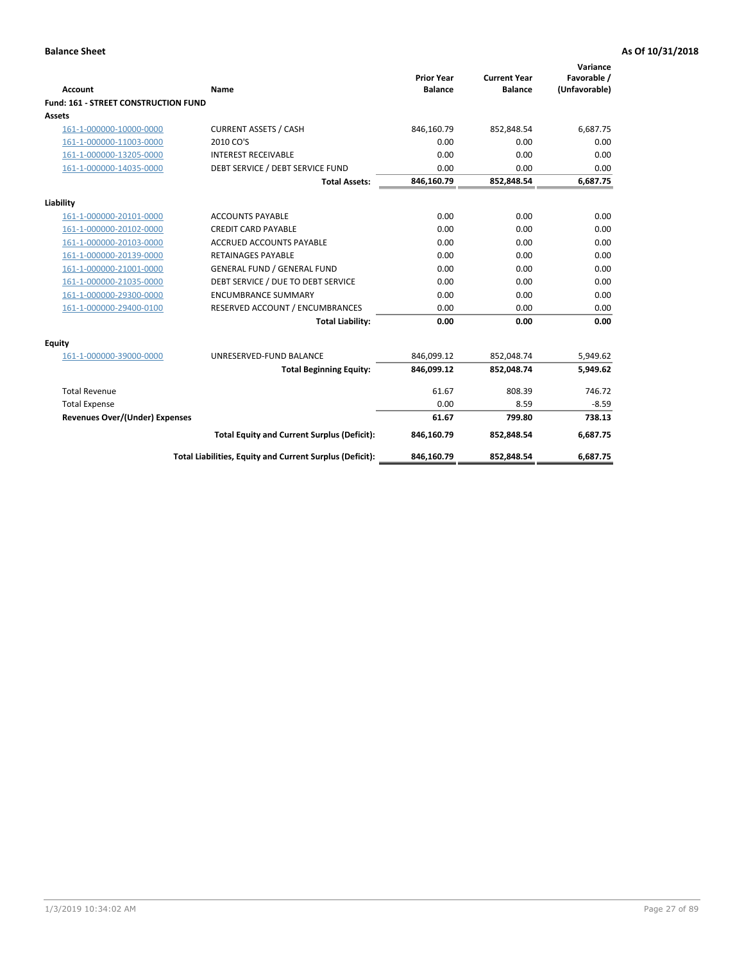| <b>Account</b>                       | <b>Name</b>                                              | <b>Prior Year</b><br><b>Balance</b> | <b>Current Year</b><br><b>Balance</b> | Variance<br>Favorable /<br>(Unfavorable) |
|--------------------------------------|----------------------------------------------------------|-------------------------------------|---------------------------------------|------------------------------------------|
| Fund: 161 - STREET CONSTRUCTION FUND |                                                          |                                     |                                       |                                          |
| <b>Assets</b>                        |                                                          |                                     |                                       |                                          |
| 161-1-000000-10000-0000              | <b>CURRENT ASSETS / CASH</b>                             | 846,160.79                          | 852,848.54                            | 6.687.75                                 |
| 161-1-000000-11003-0000              | 2010 CO'S                                                | 0.00                                | 0.00                                  | 0.00                                     |
| 161-1-000000-13205-0000              | <b>INTEREST RECEIVABLE</b>                               | 0.00                                | 0.00                                  | 0.00                                     |
| 161-1-000000-14035-0000              | DEBT SERVICE / DEBT SERVICE FUND                         | 0.00                                | 0.00                                  | 0.00                                     |
|                                      | <b>Total Assets:</b>                                     | 846,160.79                          | 852,848.54                            | 6,687.75                                 |
| Liability                            |                                                          |                                     |                                       |                                          |
| 161-1-000000-20101-0000              | <b>ACCOUNTS PAYABLE</b>                                  | 0.00                                | 0.00                                  | 0.00                                     |
| 161-1-000000-20102-0000              | <b>CREDIT CARD PAYABLE</b>                               | 0.00                                | 0.00                                  | 0.00                                     |
| 161-1-000000-20103-0000              | <b>ACCRUED ACCOUNTS PAYABLE</b>                          | 0.00                                | 0.00                                  | 0.00                                     |
| 161-1-000000-20139-0000              | <b>RETAINAGES PAYABLE</b>                                | 0.00                                | 0.00                                  | 0.00                                     |
| 161-1-000000-21001-0000              | <b>GENERAL FUND / GENERAL FUND</b>                       | 0.00                                | 0.00                                  | 0.00                                     |
| 161-1-000000-21035-0000              | DEBT SERVICE / DUE TO DEBT SERVICE                       | 0.00                                | 0.00                                  | 0.00                                     |
| 161-1-000000-29300-0000              | <b>ENCUMBRANCE SUMMARY</b>                               | 0.00                                | 0.00                                  | 0.00                                     |
| 161-1-000000-29400-0100              | RESERVED ACCOUNT / ENCUMBRANCES                          | 0.00                                | 0.00                                  | 0.00                                     |
|                                      | <b>Total Liability:</b>                                  | 0.00                                | 0.00                                  | 0.00                                     |
| <b>Equity</b>                        |                                                          |                                     |                                       |                                          |
| 161-1-000000-39000-0000              | UNRESERVED-FUND BALANCE                                  | 846,099.12                          | 852,048.74                            | 5,949.62                                 |
|                                      | <b>Total Beginning Equity:</b>                           | 846,099.12                          | 852,048.74                            | 5,949.62                                 |
| <b>Total Revenue</b>                 |                                                          | 61.67                               | 808.39                                | 746.72                                   |
| <b>Total Expense</b>                 |                                                          | 0.00                                | 8.59                                  | $-8.59$                                  |
| Revenues Over/(Under) Expenses       |                                                          | 61.67                               | 799.80                                | 738.13                                   |
|                                      | <b>Total Equity and Current Surplus (Deficit):</b>       | 846,160.79                          | 852,848.54                            | 6,687.75                                 |
|                                      | Total Liabilities, Equity and Current Surplus (Deficit): | 846,160.79                          | 852,848.54                            | 6.687.75                                 |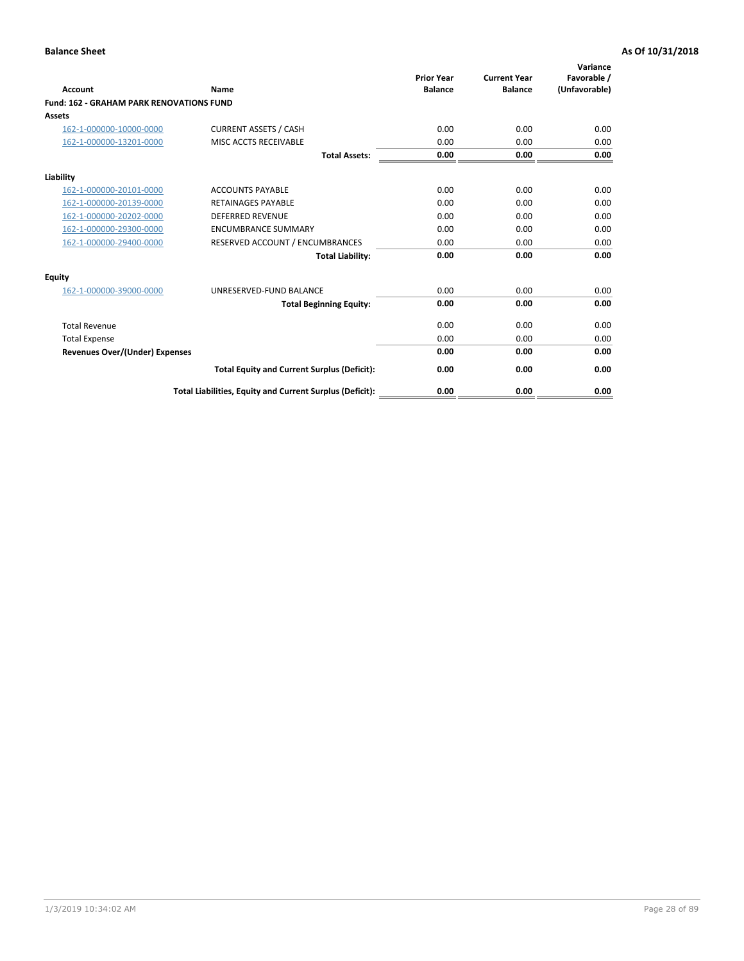|                                                 |                                                          | <b>Prior Year</b><br><b>Balance</b> | <b>Current Year</b> | Variance<br>Favorable / |
|-------------------------------------------------|----------------------------------------------------------|-------------------------------------|---------------------|-------------------------|
| <b>Account</b>                                  | Name                                                     |                                     | <b>Balance</b>      | (Unfavorable)           |
| <b>Fund: 162 - GRAHAM PARK RENOVATIONS FUND</b> |                                                          |                                     |                     |                         |
| <b>Assets</b>                                   |                                                          |                                     |                     |                         |
| 162-1-000000-10000-0000                         | <b>CURRENT ASSETS / CASH</b>                             | 0.00                                | 0.00                | 0.00                    |
| 162-1-000000-13201-0000                         | MISC ACCTS RECEIVABLE                                    | 0.00                                | 0.00                | 0.00                    |
|                                                 | <b>Total Assets:</b>                                     | 0.00                                | 0.00                | 0.00                    |
| Liability                                       |                                                          |                                     |                     |                         |
| 162-1-000000-20101-0000                         | <b>ACCOUNTS PAYABLE</b>                                  | 0.00                                | 0.00                | 0.00                    |
| 162-1-000000-20139-0000                         | <b>RETAINAGES PAYABLE</b>                                | 0.00                                | 0.00                | 0.00                    |
| 162-1-000000-20202-0000                         | <b>DEFERRED REVENUE</b>                                  | 0.00                                | 0.00                | 0.00                    |
| 162-1-000000-29300-0000                         | <b>ENCUMBRANCE SUMMARY</b>                               | 0.00                                | 0.00                | 0.00                    |
| 162-1-000000-29400-0000                         | RESERVED ACCOUNT / ENCUMBRANCES                          | 0.00                                | 0.00                | 0.00                    |
|                                                 | <b>Total Liability:</b>                                  | 0.00                                | 0.00                | 0.00                    |
| Equity                                          |                                                          |                                     |                     |                         |
| 162-1-000000-39000-0000                         | UNRESERVED-FUND BALANCE                                  | 0.00                                | 0.00                | 0.00                    |
|                                                 | <b>Total Beginning Equity:</b>                           | 0.00                                | 0.00                | 0.00                    |
| <b>Total Revenue</b>                            |                                                          | 0.00                                | 0.00                | 0.00                    |
| <b>Total Expense</b>                            |                                                          | 0.00                                | 0.00                | 0.00                    |
| Revenues Over/(Under) Expenses                  |                                                          | 0.00                                | 0.00                | 0.00                    |
|                                                 | <b>Total Equity and Current Surplus (Deficit):</b>       | 0.00                                | 0.00                | 0.00                    |
|                                                 | Total Liabilities, Equity and Current Surplus (Deficit): | 0.00                                | 0.00                | 0.00                    |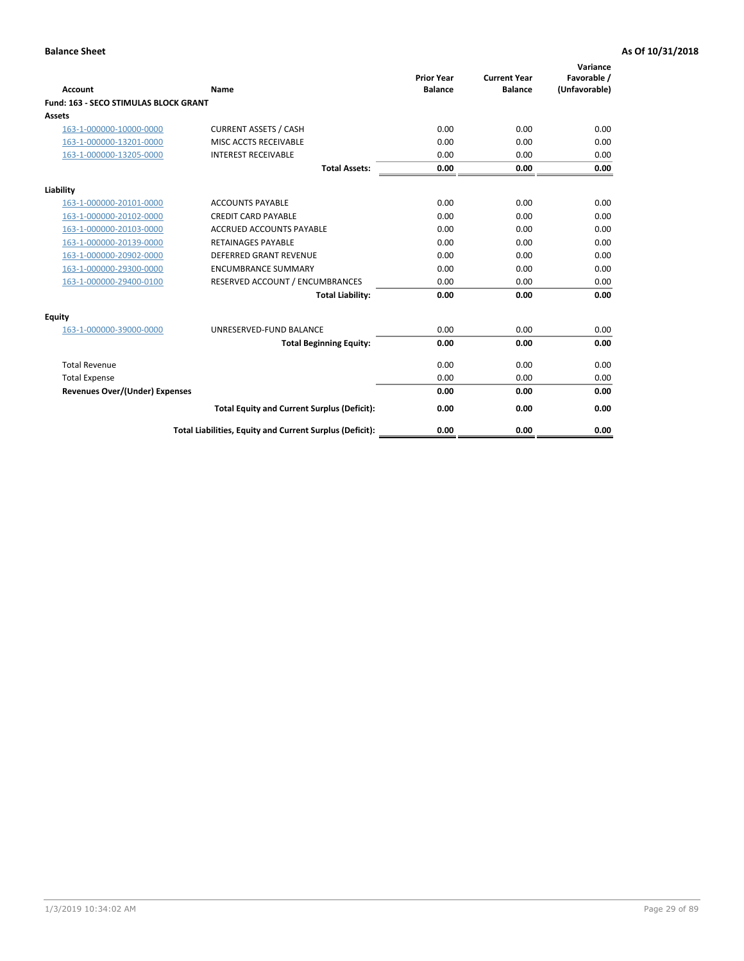|                                              |                                                          | <b>Prior Year</b> | <b>Current Year</b> | Variance<br>Favorable / |
|----------------------------------------------|----------------------------------------------------------|-------------------|---------------------|-------------------------|
| <b>Account</b>                               | Name                                                     | <b>Balance</b>    | <b>Balance</b>      | (Unfavorable)           |
| <b>Fund: 163 - SECO STIMULAS BLOCK GRANT</b> |                                                          |                   |                     |                         |
| Assets                                       |                                                          |                   |                     |                         |
| 163-1-000000-10000-0000                      | <b>CURRENT ASSETS / CASH</b>                             | 0.00              | 0.00                | 0.00                    |
| 163-1-000000-13201-0000                      | MISC ACCTS RECEIVABLE                                    | 0.00              | 0.00                | 0.00                    |
| 163-1-000000-13205-0000                      | <b>INTEREST RECEIVABLE</b>                               | 0.00              | 0.00                | 0.00                    |
|                                              | <b>Total Assets:</b>                                     | 0.00              | 0.00                | 0.00                    |
| Liability                                    |                                                          |                   |                     |                         |
| 163-1-000000-20101-0000                      | <b>ACCOUNTS PAYABLE</b>                                  | 0.00              | 0.00                | 0.00                    |
| 163-1-000000-20102-0000                      | <b>CREDIT CARD PAYABLE</b>                               | 0.00              | 0.00                | 0.00                    |
| 163-1-000000-20103-0000                      | <b>ACCRUED ACCOUNTS PAYABLE</b>                          | 0.00              | 0.00                | 0.00                    |
| 163-1-000000-20139-0000                      | <b>RETAINAGES PAYABLE</b>                                | 0.00              | 0.00                | 0.00                    |
| 163-1-000000-20902-0000                      | <b>DEFERRED GRANT REVENUE</b>                            | 0.00              | 0.00                | 0.00                    |
| 163-1-000000-29300-0000                      | <b>ENCUMBRANCE SUMMARY</b>                               | 0.00              | 0.00                | 0.00                    |
| 163-1-000000-29400-0100                      | RESERVED ACCOUNT / ENCUMBRANCES                          | 0.00              | 0.00                | 0.00                    |
|                                              | <b>Total Liability:</b>                                  | 0.00              | 0.00                | 0.00                    |
| <b>Equity</b>                                |                                                          |                   |                     |                         |
| 163-1-000000-39000-0000                      | UNRESERVED-FUND BALANCE                                  | 0.00              | 0.00                | 0.00                    |
|                                              | <b>Total Beginning Equity:</b>                           | 0.00              | 0.00                | 0.00                    |
| <b>Total Revenue</b>                         |                                                          | 0.00              | 0.00                | 0.00                    |
| <b>Total Expense</b>                         |                                                          | 0.00              | 0.00                | 0.00                    |
| Revenues Over/(Under) Expenses               |                                                          | 0.00              | 0.00                | 0.00                    |
|                                              | <b>Total Equity and Current Surplus (Deficit):</b>       | 0.00              | 0.00                | 0.00                    |
|                                              | Total Liabilities, Equity and Current Surplus (Deficit): | 0.00              | 0.00                | 0.00                    |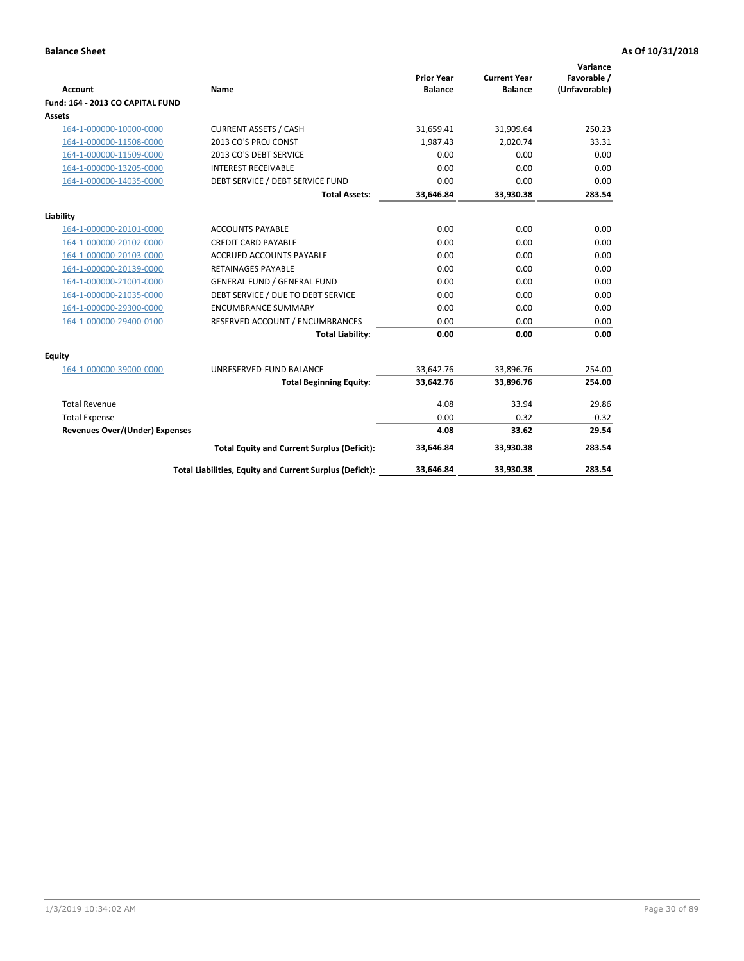| <b>Account</b>                        | <b>Name</b>                                              | <b>Prior Year</b><br><b>Balance</b> | <b>Current Year</b><br><b>Balance</b> | Variance<br>Favorable /<br>(Unfavorable) |
|---------------------------------------|----------------------------------------------------------|-------------------------------------|---------------------------------------|------------------------------------------|
| Fund: 164 - 2013 CO CAPITAL FUND      |                                                          |                                     |                                       |                                          |
| Assets                                |                                                          |                                     |                                       |                                          |
| 164-1-000000-10000-0000               | <b>CURRENT ASSETS / CASH</b>                             | 31,659.41                           | 31,909.64                             | 250.23                                   |
| 164-1-000000-11508-0000               | 2013 CO'S PROJ CONST                                     | 1,987.43                            | 2,020.74                              | 33.31                                    |
| 164-1-000000-11509-0000               | 2013 CO'S DEBT SERVICE                                   | 0.00                                | 0.00                                  | 0.00                                     |
| 164-1-000000-13205-0000               | <b>INTEREST RECEIVABLE</b>                               | 0.00                                | 0.00                                  | 0.00                                     |
| 164-1-000000-14035-0000               | DEBT SERVICE / DEBT SERVICE FUND                         | 0.00                                | 0.00                                  | 0.00                                     |
|                                       | <b>Total Assets:</b>                                     | 33,646.84                           | 33,930.38                             | 283.54                                   |
| Liability                             |                                                          |                                     |                                       |                                          |
| 164-1-000000-20101-0000               | <b>ACCOUNTS PAYABLE</b>                                  | 0.00                                | 0.00                                  | 0.00                                     |
| 164-1-000000-20102-0000               | <b>CREDIT CARD PAYABLE</b>                               | 0.00                                | 0.00                                  | 0.00                                     |
| 164-1-000000-20103-0000               | <b>ACCRUED ACCOUNTS PAYABLE</b>                          | 0.00                                | 0.00                                  | 0.00                                     |
| 164-1-000000-20139-0000               | RETAINAGES PAYABLE                                       | 0.00                                | 0.00                                  | 0.00                                     |
| 164-1-000000-21001-0000               | <b>GENERAL FUND / GENERAL FUND</b>                       | 0.00                                | 0.00                                  | 0.00                                     |
| 164-1-000000-21035-0000               | DEBT SERVICE / DUE TO DEBT SERVICE                       | 0.00                                | 0.00                                  | 0.00                                     |
| 164-1-000000-29300-0000               | <b>ENCUMBRANCE SUMMARY</b>                               | 0.00                                | 0.00                                  | 0.00                                     |
| 164-1-000000-29400-0100               | RESERVED ACCOUNT / ENCUMBRANCES                          | 0.00                                | 0.00                                  | 0.00                                     |
|                                       | <b>Total Liability:</b>                                  | 0.00                                | 0.00                                  | 0.00                                     |
| Equity                                |                                                          |                                     |                                       |                                          |
| 164-1-000000-39000-0000               | UNRESERVED-FUND BALANCE                                  | 33,642.76                           | 33,896.76                             | 254.00                                   |
|                                       | <b>Total Beginning Equity:</b>                           | 33,642.76                           | 33,896.76                             | 254.00                                   |
| <b>Total Revenue</b>                  |                                                          | 4.08                                | 33.94                                 | 29.86                                    |
| <b>Total Expense</b>                  |                                                          | 0.00                                | 0.32                                  | $-0.32$                                  |
| <b>Revenues Over/(Under) Expenses</b> |                                                          | 4.08                                | 33.62                                 | 29.54                                    |
|                                       | <b>Total Equity and Current Surplus (Deficit):</b>       | 33,646.84                           | 33,930.38                             | 283.54                                   |
|                                       | Total Liabilities, Equity and Current Surplus (Deficit): | 33,646.84                           | 33,930.38                             | 283.54                                   |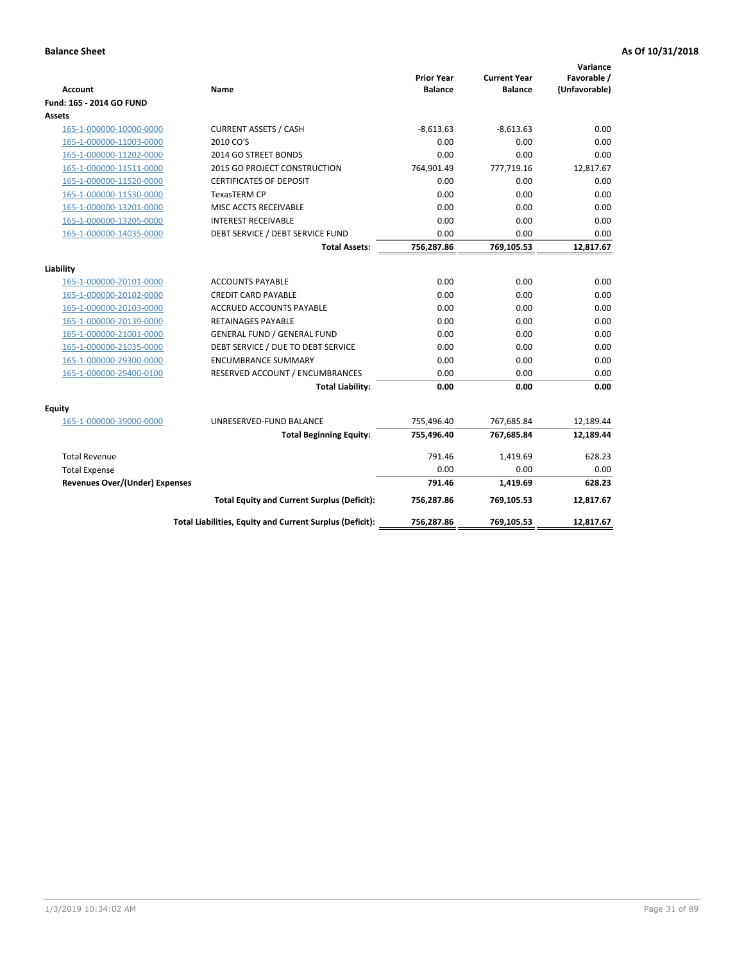| <b>Account</b>                        | Name                                                     | <b>Prior Year</b><br><b>Balance</b> | <b>Current Year</b><br><b>Balance</b> | Variance<br>Favorable /<br>(Unfavorable) |
|---------------------------------------|----------------------------------------------------------|-------------------------------------|---------------------------------------|------------------------------------------|
| Fund: 165 - 2014 GO FUND              |                                                          |                                     |                                       |                                          |
| Assets                                |                                                          |                                     |                                       |                                          |
| 165-1-000000-10000-0000               | <b>CURRENT ASSETS / CASH</b>                             | $-8,613.63$                         | $-8,613.63$                           | 0.00                                     |
| 165-1-000000-11003-0000               | 2010 CO'S                                                | 0.00                                | 0.00                                  | 0.00                                     |
| 165-1-000000-11202-0000               | 2014 GO STREET BONDS                                     | 0.00                                | 0.00                                  | 0.00                                     |
| 165-1-000000-11511-0000               | 2015 GO PROJECT CONSTRUCTION                             | 764,901.49                          | 777,719.16                            | 12,817.67                                |
| 165-1-000000-11520-0000               | <b>CERTIFICATES OF DEPOSIT</b>                           | 0.00                                | 0.00                                  | 0.00                                     |
| 165-1-000000-11530-0000               | <b>TexasTERM CP</b>                                      | 0.00                                | 0.00                                  | 0.00                                     |
| 165-1-000000-13201-0000               | MISC ACCTS RECEIVABLE                                    | 0.00                                | 0.00                                  | 0.00                                     |
| 165-1-000000-13205-0000               | <b>INTEREST RECEIVABLE</b>                               | 0.00                                | 0.00                                  | 0.00                                     |
| 165-1-000000-14035-0000               | DEBT SERVICE / DEBT SERVICE FUND                         | 0.00                                | 0.00                                  | 0.00                                     |
|                                       | <b>Total Assets:</b>                                     | 756,287.86                          | 769,105.53                            | 12,817.67                                |
| Liability                             |                                                          |                                     |                                       |                                          |
| 165-1-000000-20101-0000               | <b>ACCOUNTS PAYABLE</b>                                  | 0.00                                | 0.00                                  | 0.00                                     |
| 165-1-000000-20102-0000               | <b>CREDIT CARD PAYABLE</b>                               | 0.00                                | 0.00                                  | 0.00                                     |
| 165-1-000000-20103-0000               | <b>ACCRUED ACCOUNTS PAYABLE</b>                          | 0.00                                | 0.00                                  | 0.00                                     |
| 165-1-000000-20139-0000               | <b>RETAINAGES PAYABLE</b>                                | 0.00                                | 0.00                                  | 0.00                                     |
| 165-1-000000-21001-0000               | <b>GENERAL FUND / GENERAL FUND</b>                       | 0.00                                | 0.00                                  | 0.00                                     |
| 165-1-000000-21035-0000               | DEBT SERVICE / DUE TO DEBT SERVICE                       | 0.00                                | 0.00                                  | 0.00                                     |
| 165-1-000000-29300-0000               | <b>ENCUMBRANCE SUMMARY</b>                               | 0.00                                | 0.00                                  | 0.00                                     |
| 165-1-000000-29400-0100               | RESERVED ACCOUNT / ENCUMBRANCES                          | 0.00                                | 0.00                                  | 0.00                                     |
|                                       | <b>Total Liability:</b>                                  | 0.00                                | 0.00                                  | 0.00                                     |
| Equity                                |                                                          |                                     |                                       |                                          |
| 165-1-000000-39000-0000               | UNRESERVED-FUND BALANCE                                  | 755,496.40                          | 767,685.84                            | 12,189.44                                |
|                                       | <b>Total Beginning Equity:</b>                           | 755,496.40                          | 767,685.84                            | 12,189.44                                |
| <b>Total Revenue</b>                  |                                                          | 791.46                              | 1,419.69                              | 628.23                                   |
| <b>Total Expense</b>                  |                                                          | 0.00                                | 0.00                                  | 0.00                                     |
| <b>Revenues Over/(Under) Expenses</b> |                                                          | 791.46                              | 1,419.69                              | 628.23                                   |
|                                       | <b>Total Equity and Current Surplus (Deficit):</b>       | 756,287.86                          | 769,105.53                            | 12,817.67                                |
|                                       | Total Liabilities, Equity and Current Surplus (Deficit): | 756,287.86                          | 769,105.53                            | 12.817.67                                |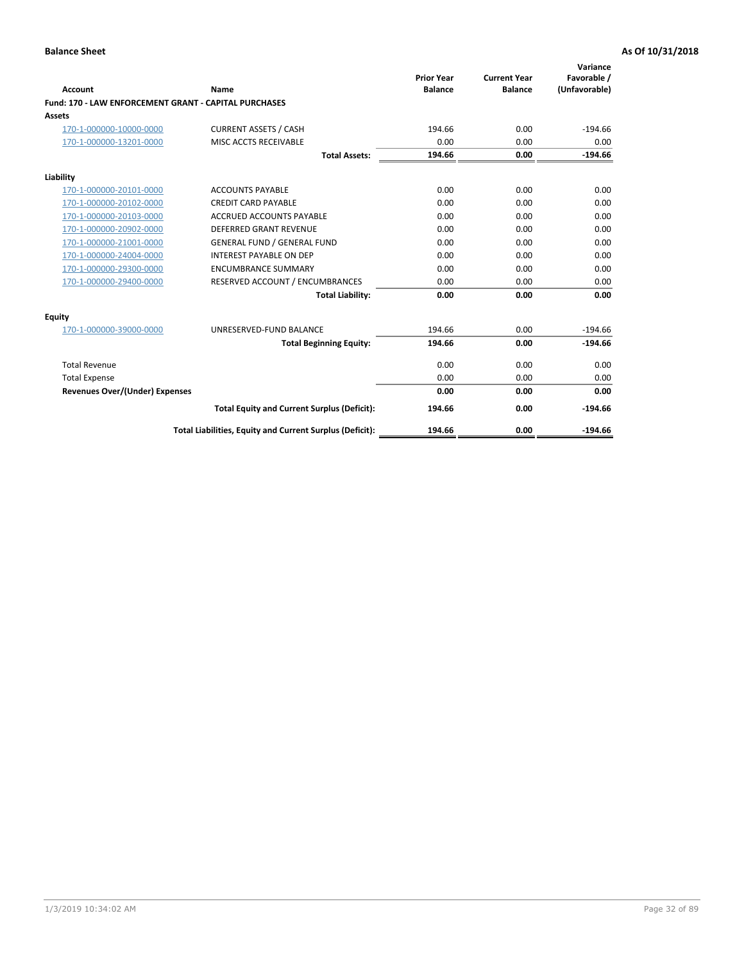|                                                       |                                                          | <b>Prior Year</b> | <b>Current Year</b> | Variance<br>Favorable / |
|-------------------------------------------------------|----------------------------------------------------------|-------------------|---------------------|-------------------------|
| Account                                               | Name                                                     | <b>Balance</b>    | <b>Balance</b>      | (Unfavorable)           |
| Fund: 170 - LAW ENFORCEMENT GRANT - CAPITAL PURCHASES |                                                          |                   |                     |                         |
| <b>Assets</b>                                         |                                                          |                   |                     |                         |
| 170-1-000000-10000-0000                               | <b>CURRENT ASSETS / CASH</b>                             | 194.66            | 0.00                | $-194.66$               |
| 170-1-000000-13201-0000                               | MISC ACCTS RECEIVABLE                                    | 0.00              | 0.00                | 0.00                    |
|                                                       | <b>Total Assets:</b>                                     | 194.66            | 0.00                | $-194.66$               |
| Liability                                             |                                                          |                   |                     |                         |
| 170-1-000000-20101-0000                               | <b>ACCOUNTS PAYABLE</b>                                  | 0.00              | 0.00                | 0.00                    |
| 170-1-000000-20102-0000                               | <b>CREDIT CARD PAYABLE</b>                               | 0.00              | 0.00                | 0.00                    |
| 170-1-000000-20103-0000                               | <b>ACCRUED ACCOUNTS PAYABLE</b>                          | 0.00              | 0.00                | 0.00                    |
| 170-1-000000-20902-0000                               | <b>DEFERRED GRANT REVENUE</b>                            | 0.00              | 0.00                | 0.00                    |
| 170-1-000000-21001-0000                               | <b>GENERAL FUND / GENERAL FUND</b>                       | 0.00              | 0.00                | 0.00                    |
| 170-1-000000-24004-0000                               | <b>INTEREST PAYABLE ON DEP</b>                           | 0.00              | 0.00                | 0.00                    |
| 170-1-000000-29300-0000                               | <b>ENCUMBRANCE SUMMARY</b>                               | 0.00              | 0.00                | 0.00                    |
| 170-1-000000-29400-0000                               | RESERVED ACCOUNT / ENCUMBRANCES                          | 0.00              | 0.00                | 0.00                    |
|                                                       | <b>Total Liability:</b>                                  | 0.00              | 0.00                | 0.00                    |
| <b>Equity</b>                                         |                                                          |                   |                     |                         |
| 170-1-000000-39000-0000                               | UNRESERVED-FUND BALANCE                                  | 194.66            | 0.00                | $-194.66$               |
|                                                       | <b>Total Beginning Equity:</b>                           | 194.66            | 0.00                | $-194.66$               |
| <b>Total Revenue</b>                                  |                                                          | 0.00              | 0.00                | 0.00                    |
| <b>Total Expense</b>                                  |                                                          | 0.00              | 0.00                | 0.00                    |
| <b>Revenues Over/(Under) Expenses</b>                 |                                                          | 0.00              | 0.00                | 0.00                    |
|                                                       | <b>Total Equity and Current Surplus (Deficit):</b>       | 194.66            | 0.00                | $-194.66$               |
|                                                       | Total Liabilities, Equity and Current Surplus (Deficit): | 194.66            | 0.00                | $-194.66$               |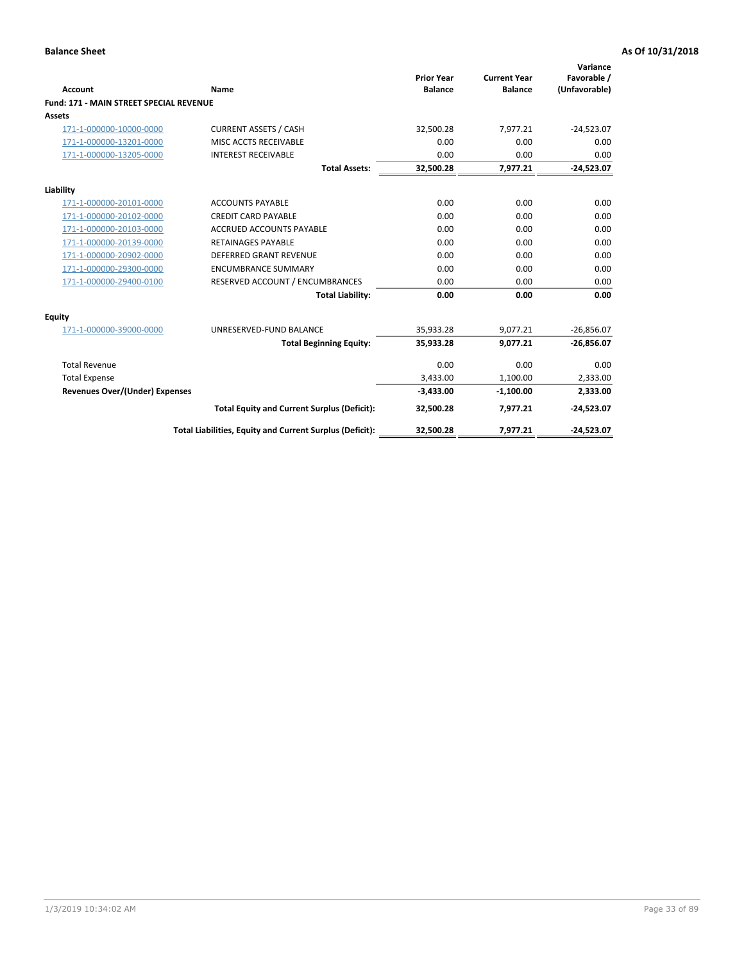|                                                |                                                          | <b>Prior Year</b> | <b>Current Year</b> | Variance<br>Favorable / |
|------------------------------------------------|----------------------------------------------------------|-------------------|---------------------|-------------------------|
| <b>Account</b>                                 | Name                                                     | <b>Balance</b>    | <b>Balance</b>      | (Unfavorable)           |
| <b>Fund: 171 - MAIN STREET SPECIAL REVENUE</b> |                                                          |                   |                     |                         |
| <b>Assets</b>                                  |                                                          |                   |                     |                         |
| 171-1-000000-10000-0000                        | <b>CURRENT ASSETS / CASH</b>                             | 32,500.28         | 7,977.21            | $-24,523.07$            |
| 171-1-000000-13201-0000                        | MISC ACCTS RECEIVABLE                                    | 0.00              | 0.00                | 0.00                    |
| 171-1-000000-13205-0000                        | <b>INTEREST RECEIVABLE</b>                               | 0.00              | 0.00                | 0.00                    |
|                                                | <b>Total Assets:</b>                                     | 32.500.28         | 7,977.21            | $-24.523.07$            |
| Liability                                      |                                                          |                   |                     |                         |
| 171-1-000000-20101-0000                        | <b>ACCOUNTS PAYABLE</b>                                  | 0.00              | 0.00                | 0.00                    |
| 171-1-000000-20102-0000                        | <b>CREDIT CARD PAYABLE</b>                               | 0.00              | 0.00                | 0.00                    |
| 171-1-000000-20103-0000                        | <b>ACCRUED ACCOUNTS PAYABLE</b>                          | 0.00              | 0.00                | 0.00                    |
| 171-1-000000-20139-0000                        | <b>RETAINAGES PAYABLE</b>                                | 0.00              | 0.00                | 0.00                    |
| 171-1-000000-20902-0000                        | DEFERRED GRANT REVENUE                                   | 0.00              | 0.00                | 0.00                    |
| 171-1-000000-29300-0000                        | <b>ENCUMBRANCE SUMMARY</b>                               | 0.00              | 0.00                | 0.00                    |
| 171-1-000000-29400-0100                        | RESERVED ACCOUNT / ENCUMBRANCES                          | 0.00              | 0.00                | 0.00                    |
|                                                | <b>Total Liability:</b>                                  | 0.00              | 0.00                | 0.00                    |
| <b>Equity</b>                                  |                                                          |                   |                     |                         |
| 171-1-000000-39000-0000                        | UNRESERVED-FUND BALANCE                                  | 35,933.28         | 9,077.21            | $-26,856.07$            |
|                                                | <b>Total Beginning Equity:</b>                           | 35,933.28         | 9.077.21            | $-26,856.07$            |
| <b>Total Revenue</b>                           |                                                          | 0.00              | 0.00                | 0.00                    |
| <b>Total Expense</b>                           |                                                          | 3,433.00          | 1,100.00            | 2,333.00                |
| <b>Revenues Over/(Under) Expenses</b>          |                                                          | $-3,433.00$       | $-1,100.00$         | 2,333.00                |
|                                                | <b>Total Equity and Current Surplus (Deficit):</b>       | 32,500.28         | 7,977.21            | $-24,523.07$            |
|                                                | Total Liabilities, Equity and Current Surplus (Deficit): | 32,500.28         | 7,977.21            | $-24,523.07$            |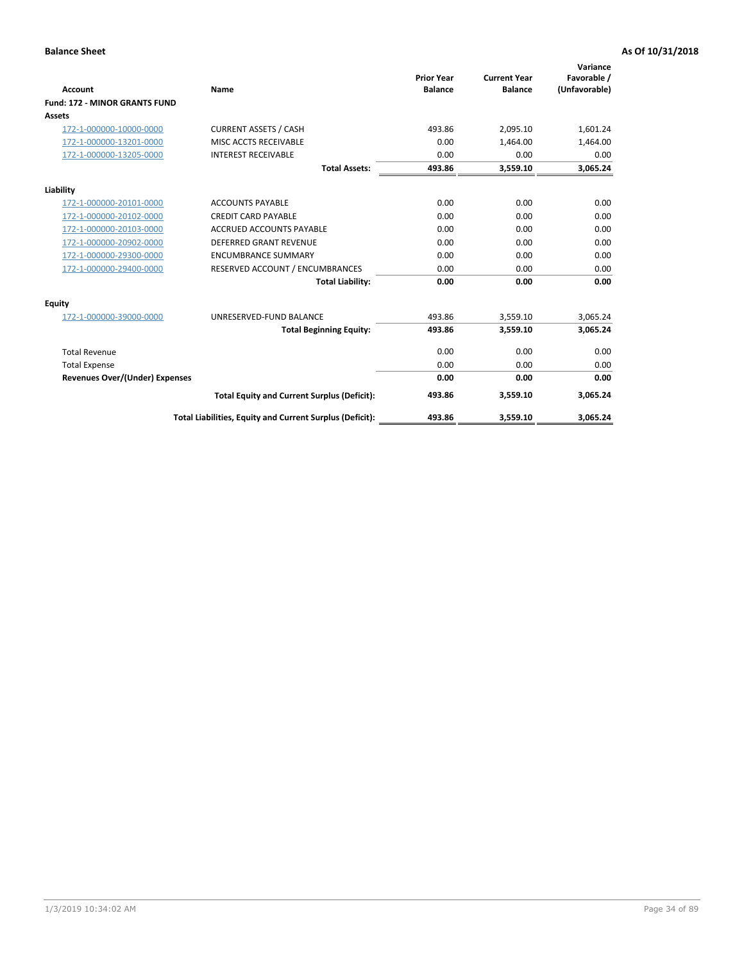|                                      |                                                          | <b>Prior Year</b> | <b>Current Year</b> | Variance<br>Favorable / |
|--------------------------------------|----------------------------------------------------------|-------------------|---------------------|-------------------------|
| <b>Account</b>                       | Name                                                     | <b>Balance</b>    | <b>Balance</b>      | (Unfavorable)           |
| <b>Fund: 172 - MINOR GRANTS FUND</b> |                                                          |                   |                     |                         |
| <b>Assets</b>                        |                                                          |                   |                     |                         |
| 172-1-000000-10000-0000              | <b>CURRENT ASSETS / CASH</b>                             | 493.86            | 2,095.10            | 1,601.24                |
| 172-1-000000-13201-0000              | MISC ACCTS RECEIVABLE                                    | 0.00              | 1.464.00            | 1,464.00                |
| 172-1-000000-13205-0000              | <b>INTEREST RECEIVABLE</b>                               | 0.00              | 0.00                | 0.00                    |
|                                      | <b>Total Assets:</b>                                     | 493.86            | 3,559.10            | 3,065.24                |
| Liability                            |                                                          |                   |                     |                         |
| 172-1-000000-20101-0000              | <b>ACCOUNTS PAYABLE</b>                                  | 0.00              | 0.00                | 0.00                    |
| 172-1-000000-20102-0000              | <b>CREDIT CARD PAYABLE</b>                               | 0.00              | 0.00                | 0.00                    |
| 172-1-000000-20103-0000              | <b>ACCRUED ACCOUNTS PAYABLE</b>                          | 0.00              | 0.00                | 0.00                    |
| 172-1-000000-20902-0000              | DEFERRED GRANT REVENUE                                   | 0.00              | 0.00                | 0.00                    |
| 172-1-000000-29300-0000              | <b>ENCUMBRANCE SUMMARY</b>                               | 0.00              | 0.00                | 0.00                    |
| 172-1-000000-29400-0000              | RESERVED ACCOUNT / ENCUMBRANCES                          | 0.00              | 0.00                | 0.00                    |
|                                      | <b>Total Liability:</b>                                  | 0.00              | 0.00                | 0.00                    |
| Equity                               |                                                          |                   |                     |                         |
| 172-1-000000-39000-0000              | UNRESERVED-FUND BALANCE                                  | 493.86            | 3,559.10            | 3,065.24                |
|                                      | <b>Total Beginning Equity:</b>                           | 493.86            | 3,559.10            | 3,065.24                |
| <b>Total Revenue</b>                 |                                                          | 0.00              | 0.00                | 0.00                    |
| <b>Total Expense</b>                 |                                                          | 0.00              | 0.00                | 0.00                    |
| Revenues Over/(Under) Expenses       |                                                          | 0.00              | 0.00                | 0.00                    |
|                                      | <b>Total Equity and Current Surplus (Deficit):</b>       | 493.86            | 3,559.10            | 3,065.24                |
|                                      | Total Liabilities, Equity and Current Surplus (Deficit): | 493.86            | 3,559.10            | 3,065.24                |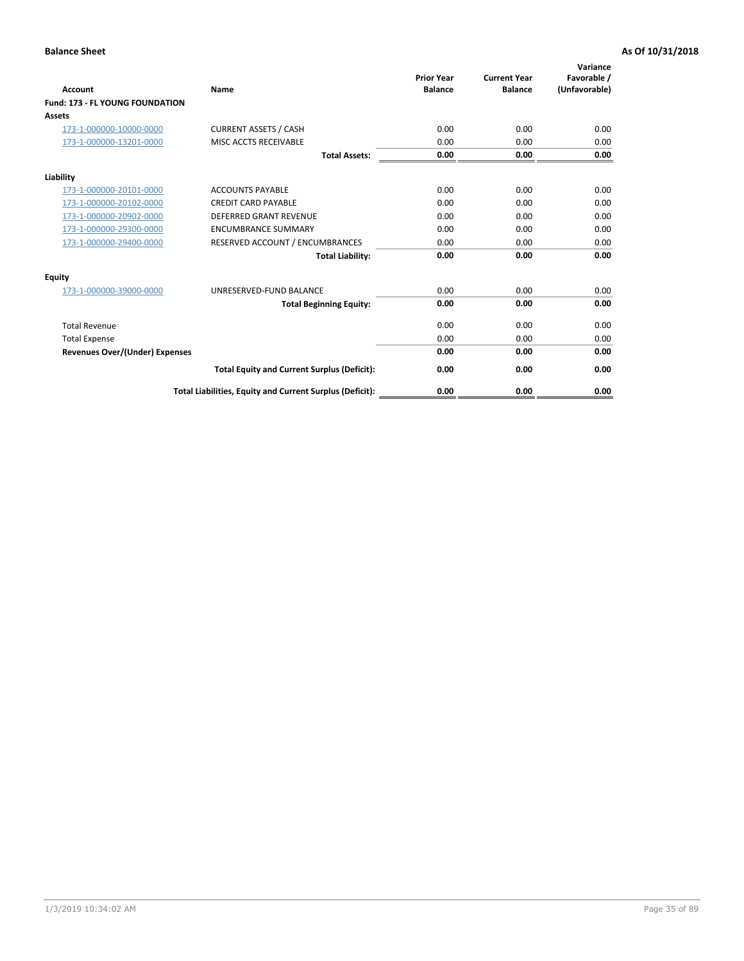| <b>Account</b>                         | <b>Name</b>                                              | <b>Prior Year</b><br><b>Balance</b> | <b>Current Year</b><br><b>Balance</b> | Variance<br>Favorable /<br>(Unfavorable) |
|----------------------------------------|----------------------------------------------------------|-------------------------------------|---------------------------------------|------------------------------------------|
| <b>Fund: 173 - FL YOUNG FOUNDATION</b> |                                                          |                                     |                                       |                                          |
| Assets                                 |                                                          |                                     |                                       |                                          |
| 173-1-000000-10000-0000                | <b>CURRENT ASSETS / CASH</b>                             | 0.00                                | 0.00                                  | 0.00                                     |
| 173-1-000000-13201-0000                | MISC ACCTS RECEIVABLE                                    | 0.00                                | 0.00                                  | 0.00                                     |
|                                        | <b>Total Assets:</b>                                     | 0.00                                | 0.00                                  | 0.00                                     |
| Liability                              |                                                          |                                     |                                       |                                          |
| 173-1-000000-20101-0000                | <b>ACCOUNTS PAYABLE</b>                                  | 0.00                                | 0.00                                  | 0.00                                     |
| 173-1-000000-20102-0000                | <b>CREDIT CARD PAYABLE</b>                               | 0.00                                | 0.00                                  | 0.00                                     |
| 173-1-000000-20902-0000                | <b>DEFERRED GRANT REVENUE</b>                            | 0.00                                | 0.00                                  | 0.00                                     |
| 173-1-000000-29300-0000                | <b>ENCUMBRANCE SUMMARY</b>                               | 0.00                                | 0.00                                  | 0.00                                     |
| 173-1-000000-29400-0000                | RESERVED ACCOUNT / ENCUMBRANCES                          | 0.00                                | 0.00                                  | 0.00                                     |
|                                        | <b>Total Liability:</b>                                  | 0.00                                | 0.00                                  | 0.00                                     |
| Equity                                 |                                                          |                                     |                                       |                                          |
| 173-1-000000-39000-0000                | UNRESERVED-FUND BALANCE                                  | 0.00                                | 0.00                                  | 0.00                                     |
|                                        | <b>Total Beginning Equity:</b>                           | 0.00                                | 0.00                                  | 0.00                                     |
| <b>Total Revenue</b>                   |                                                          | 0.00                                | 0.00                                  | 0.00                                     |
| <b>Total Expense</b>                   |                                                          | 0.00                                | 0.00                                  | 0.00                                     |
| <b>Revenues Over/(Under) Expenses</b>  |                                                          | 0.00                                | 0.00                                  | 0.00                                     |
|                                        | <b>Total Equity and Current Surplus (Deficit):</b>       | 0.00                                | 0.00                                  | 0.00                                     |
|                                        | Total Liabilities, Equity and Current Surplus (Deficit): | 0.00                                | 0.00                                  | 0.00                                     |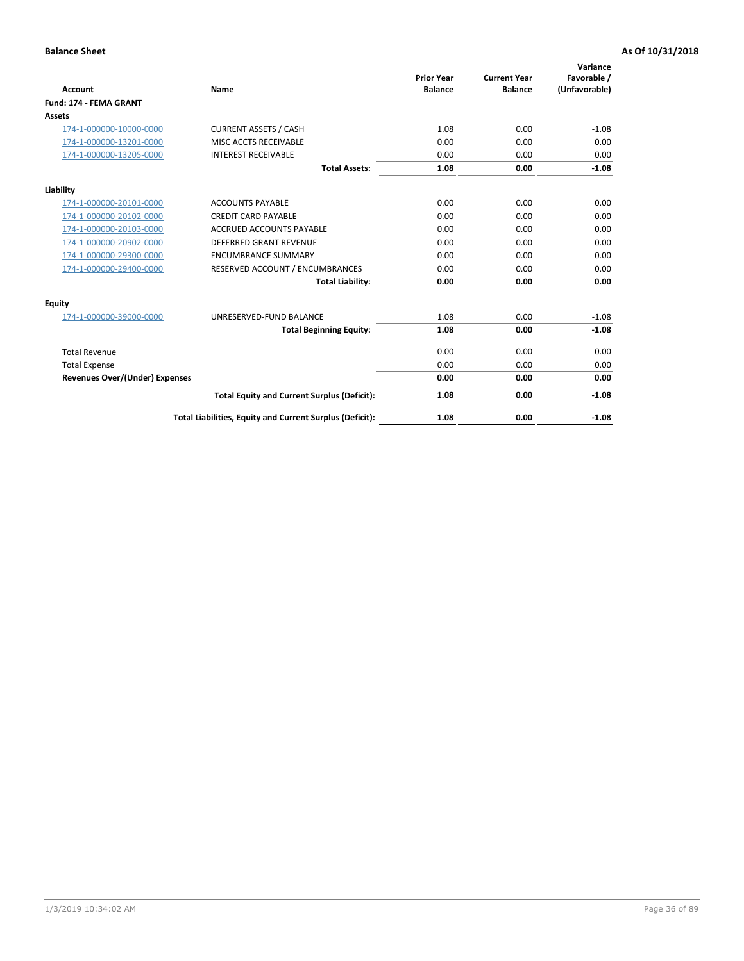|                                |                                                          |                                     |                                       | Variance                     |
|--------------------------------|----------------------------------------------------------|-------------------------------------|---------------------------------------|------------------------------|
| <b>Account</b>                 | <b>Name</b>                                              | <b>Prior Year</b><br><b>Balance</b> | <b>Current Year</b><br><b>Balance</b> | Favorable /<br>(Unfavorable) |
| <b>Fund: 174 - FEMA GRANT</b>  |                                                          |                                     |                                       |                              |
| <b>Assets</b>                  |                                                          |                                     |                                       |                              |
| 174-1-000000-10000-0000        | <b>CURRENT ASSETS / CASH</b>                             | 1.08                                | 0.00                                  | $-1.08$                      |
| 174-1-000000-13201-0000        | MISC ACCTS RECEIVABLE                                    | 0.00                                | 0.00                                  | 0.00                         |
| 174-1-000000-13205-0000        | <b>INTEREST RECEIVABLE</b>                               | 0.00                                | 0.00                                  | 0.00                         |
|                                | <b>Total Assets:</b>                                     | 1.08                                | 0.00                                  | $-1.08$                      |
| Liability                      |                                                          |                                     |                                       |                              |
| 174-1-000000-20101-0000        | <b>ACCOUNTS PAYABLE</b>                                  | 0.00                                | 0.00                                  | 0.00                         |
| 174-1-000000-20102-0000        | <b>CREDIT CARD PAYABLE</b>                               | 0.00                                | 0.00                                  | 0.00                         |
| 174-1-000000-20103-0000        | <b>ACCRUED ACCOUNTS PAYABLE</b>                          | 0.00                                | 0.00                                  | 0.00                         |
| 174-1-000000-20902-0000        | DEFERRED GRANT REVENUE                                   | 0.00                                | 0.00                                  | 0.00                         |
| 174-1-000000-29300-0000        | <b>ENCUMBRANCE SUMMARY</b>                               | 0.00                                | 0.00                                  | 0.00                         |
| 174-1-000000-29400-0000        | RESERVED ACCOUNT / ENCUMBRANCES                          | 0.00                                | 0.00                                  | 0.00                         |
|                                | <b>Total Liability:</b>                                  | 0.00                                | 0.00                                  | 0.00                         |
| Equity                         |                                                          |                                     |                                       |                              |
| 174-1-000000-39000-0000        | UNRESERVED-FUND BALANCE                                  | 1.08                                | 0.00                                  | $-1.08$                      |
|                                | <b>Total Beginning Equity:</b>                           | 1.08                                | 0.00                                  | $-1.08$                      |
| <b>Total Revenue</b>           |                                                          | 0.00                                | 0.00                                  | 0.00                         |
| <b>Total Expense</b>           |                                                          | 0.00                                | 0.00                                  | 0.00                         |
| Revenues Over/(Under) Expenses |                                                          | 0.00                                | 0.00                                  | 0.00                         |
|                                | <b>Total Equity and Current Surplus (Deficit):</b>       | 1.08                                | 0.00                                  | $-1.08$                      |
|                                | Total Liabilities, Equity and Current Surplus (Deficit): | 1.08                                | 0.00                                  | $-1.08$                      |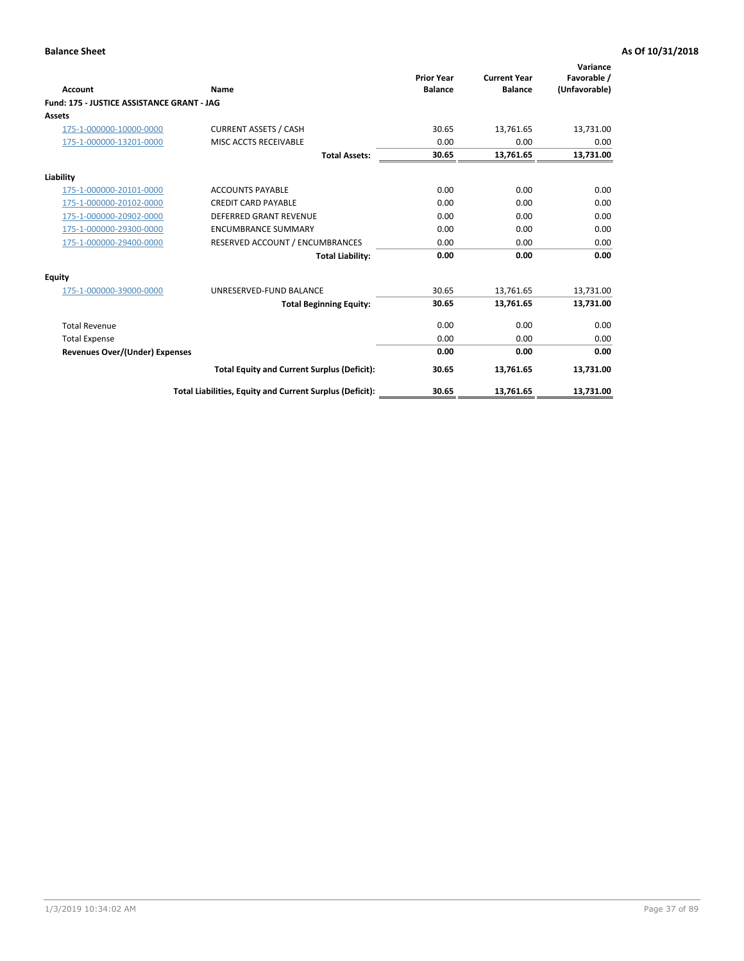|                                            |                                                          | <b>Prior Year</b> | <b>Current Year</b> | Variance<br>Favorable / |
|--------------------------------------------|----------------------------------------------------------|-------------------|---------------------|-------------------------|
| <b>Account</b>                             | Name                                                     | <b>Balance</b>    | <b>Balance</b>      | (Unfavorable)           |
| Fund: 175 - JUSTICE ASSISTANCE GRANT - JAG |                                                          |                   |                     |                         |
| <b>Assets</b>                              |                                                          |                   |                     |                         |
| 175-1-000000-10000-0000                    | <b>CURRENT ASSETS / CASH</b>                             | 30.65             | 13,761.65           | 13,731.00               |
| 175-1-000000-13201-0000                    | MISC ACCTS RECEIVABLE                                    | 0.00              | 0.00                | 0.00                    |
|                                            | <b>Total Assets:</b>                                     | 30.65             | 13,761.65           | 13,731.00               |
| Liability                                  |                                                          |                   |                     |                         |
| 175-1-000000-20101-0000                    | <b>ACCOUNTS PAYABLE</b>                                  | 0.00              | 0.00                | 0.00                    |
| 175-1-000000-20102-0000                    | <b>CREDIT CARD PAYABLE</b>                               | 0.00              | 0.00                | 0.00                    |
| 175-1-000000-20902-0000                    | <b>DEFERRED GRANT REVENUE</b>                            | 0.00              | 0.00                | 0.00                    |
| 175-1-000000-29300-0000                    | <b>ENCUMBRANCE SUMMARY</b>                               | 0.00              | 0.00                | 0.00                    |
| 175-1-000000-29400-0000                    | RESERVED ACCOUNT / ENCUMBRANCES                          | 0.00              | 0.00                | 0.00                    |
|                                            | <b>Total Liability:</b>                                  | 0.00              | 0.00                | 0.00                    |
| Equity                                     |                                                          |                   |                     |                         |
| 175-1-000000-39000-0000                    | UNRESERVED-FUND BALANCE                                  | 30.65             | 13,761.65           | 13,731.00               |
|                                            | <b>Total Beginning Equity:</b>                           | 30.65             | 13,761.65           | 13,731.00               |
| <b>Total Revenue</b>                       |                                                          | 0.00              | 0.00                | 0.00                    |
| <b>Total Expense</b>                       |                                                          | 0.00              | 0.00                | 0.00                    |
| Revenues Over/(Under) Expenses             |                                                          | 0.00              | 0.00                | 0.00                    |
|                                            | <b>Total Equity and Current Surplus (Deficit):</b>       | 30.65             | 13,761.65           | 13,731.00               |
|                                            | Total Liabilities, Equity and Current Surplus (Deficit): | 30.65             | 13,761.65           | 13,731.00               |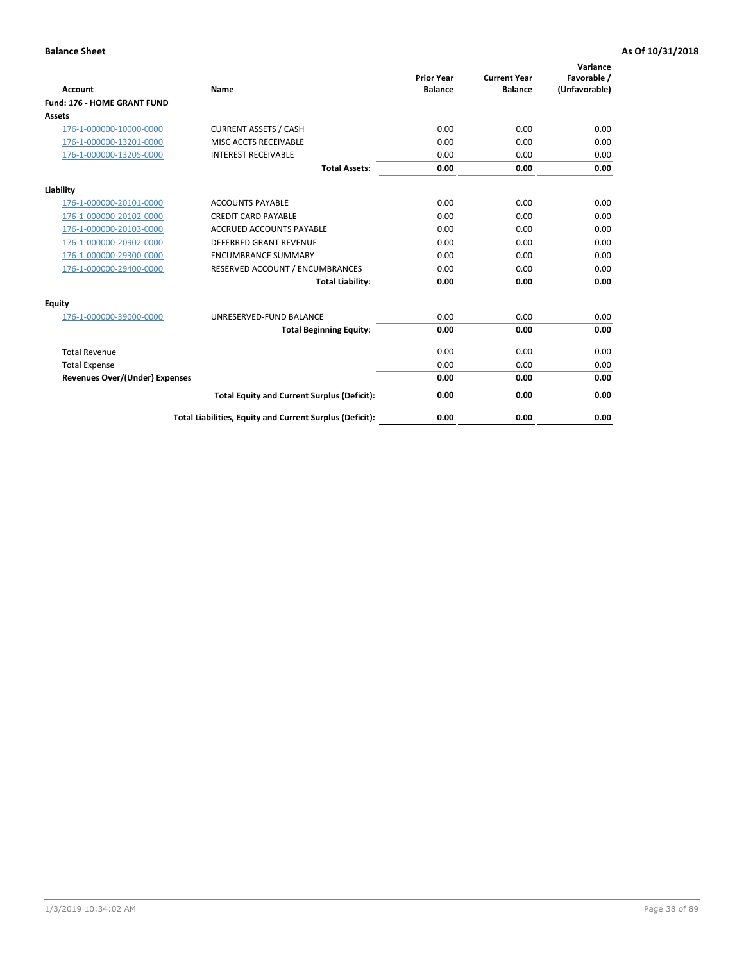| <b>Account</b>                        | Name                                                     | <b>Prior Year</b><br><b>Balance</b> | <b>Current Year</b><br><b>Balance</b> | Variance<br>Favorable /<br>(Unfavorable) |
|---------------------------------------|----------------------------------------------------------|-------------------------------------|---------------------------------------|------------------------------------------|
| Fund: 176 - HOME GRANT FUND           |                                                          |                                     |                                       |                                          |
| Assets                                |                                                          |                                     |                                       |                                          |
| 176-1-000000-10000-0000               | <b>CURRENT ASSETS / CASH</b>                             | 0.00                                | 0.00                                  | 0.00                                     |
| 176-1-000000-13201-0000               | MISC ACCTS RECEIVABLE                                    | 0.00                                | 0.00                                  | 0.00                                     |
| 176-1-000000-13205-0000               | <b>INTEREST RECEIVABLE</b>                               | 0.00                                | 0.00                                  | 0.00                                     |
|                                       | <b>Total Assets:</b>                                     | 0.00                                | 0.00                                  | 0.00                                     |
| Liability                             |                                                          |                                     |                                       |                                          |
| 176-1-000000-20101-0000               | <b>ACCOUNTS PAYABLE</b>                                  | 0.00                                | 0.00                                  | 0.00                                     |
| 176-1-000000-20102-0000               | <b>CREDIT CARD PAYABLE</b>                               | 0.00                                | 0.00                                  | 0.00                                     |
| 176-1-000000-20103-0000               | <b>ACCRUED ACCOUNTS PAYABLE</b>                          | 0.00                                | 0.00                                  | 0.00                                     |
| 176-1-000000-20902-0000               | <b>DEFERRED GRANT REVENUE</b>                            | 0.00                                | 0.00                                  | 0.00                                     |
| 176-1-000000-29300-0000               | <b>ENCUMBRANCE SUMMARY</b>                               | 0.00                                | 0.00                                  | 0.00                                     |
| 176-1-000000-29400-0000               | RESERVED ACCOUNT / ENCUMBRANCES                          | 0.00                                | 0.00                                  | 0.00                                     |
|                                       | <b>Total Liability:</b>                                  | 0.00                                | 0.00                                  | 0.00                                     |
| <b>Equity</b>                         |                                                          |                                     |                                       |                                          |
| 176-1-000000-39000-0000               | UNRESERVED-FUND BALANCE                                  | 0.00                                | 0.00                                  | 0.00                                     |
|                                       | <b>Total Beginning Equity:</b>                           | 0.00                                | 0.00                                  | 0.00                                     |
| <b>Total Revenue</b>                  |                                                          | 0.00                                | 0.00                                  | 0.00                                     |
| <b>Total Expense</b>                  |                                                          | 0.00                                | 0.00                                  | 0.00                                     |
| <b>Revenues Over/(Under) Expenses</b> |                                                          | 0.00                                | 0.00                                  | 0.00                                     |
|                                       | <b>Total Equity and Current Surplus (Deficit):</b>       | 0.00                                | 0.00                                  | 0.00                                     |
|                                       | Total Liabilities, Equity and Current Surplus (Deficit): | 0.00                                | 0.00                                  | 0.00                                     |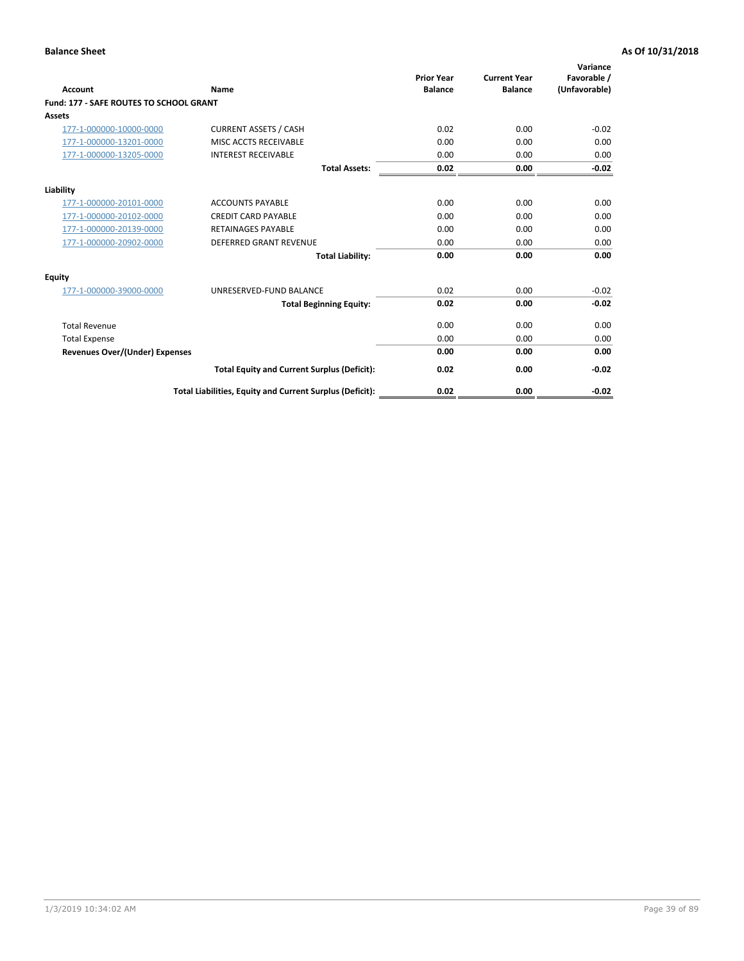| Account                                        | Name                                                     | <b>Prior Year</b><br><b>Balance</b> | <b>Current Year</b><br><b>Balance</b> | Variance<br>Favorable /<br>(Unfavorable) |
|------------------------------------------------|----------------------------------------------------------|-------------------------------------|---------------------------------------|------------------------------------------|
| <b>Fund: 177 - SAFE ROUTES TO SCHOOL GRANT</b> |                                                          |                                     |                                       |                                          |
| <b>Assets</b>                                  |                                                          |                                     |                                       |                                          |
| 177-1-000000-10000-0000                        | <b>CURRENT ASSETS / CASH</b>                             | 0.02                                | 0.00                                  | $-0.02$                                  |
| 177-1-000000-13201-0000                        | MISC ACCTS RECEIVABLE                                    | 0.00                                | 0.00                                  | 0.00                                     |
| 177-1-000000-13205-0000                        | <b>INTEREST RECEIVABLE</b>                               | 0.00                                | 0.00                                  | 0.00                                     |
|                                                | <b>Total Assets:</b>                                     | 0.02                                | 0.00                                  | $-0.02$                                  |
| Liability                                      |                                                          |                                     |                                       |                                          |
| 177-1-000000-20101-0000                        | <b>ACCOUNTS PAYABLE</b>                                  | 0.00                                | 0.00                                  | 0.00                                     |
| 177-1-000000-20102-0000                        | <b>CREDIT CARD PAYABLE</b>                               | 0.00                                | 0.00                                  | 0.00                                     |
| 177-1-000000-20139-0000                        | <b>RETAINAGES PAYABLE</b>                                | 0.00                                | 0.00                                  | 0.00                                     |
| 177-1-000000-20902-0000                        | <b>DEFERRED GRANT REVENUE</b>                            | 0.00                                | 0.00                                  | 0.00                                     |
|                                                | <b>Total Liability:</b>                                  | 0.00                                | 0.00                                  | 0.00                                     |
| Equity                                         |                                                          |                                     |                                       |                                          |
| 177-1-000000-39000-0000                        | UNRESERVED-FUND BALANCE                                  | 0.02                                | 0.00                                  | $-0.02$                                  |
|                                                | <b>Total Beginning Equity:</b>                           | 0.02                                | 0.00                                  | $-0.02$                                  |
| <b>Total Revenue</b>                           |                                                          | 0.00                                | 0.00                                  | 0.00                                     |
| <b>Total Expense</b>                           |                                                          | 0.00                                | 0.00                                  | 0.00                                     |
| Revenues Over/(Under) Expenses                 |                                                          | 0.00                                | 0.00                                  | 0.00                                     |
|                                                | <b>Total Equity and Current Surplus (Deficit):</b>       | 0.02                                | 0.00                                  | $-0.02$                                  |
|                                                | Total Liabilities, Equity and Current Surplus (Deficit): | 0.02                                | 0.00                                  | $-0.02$                                  |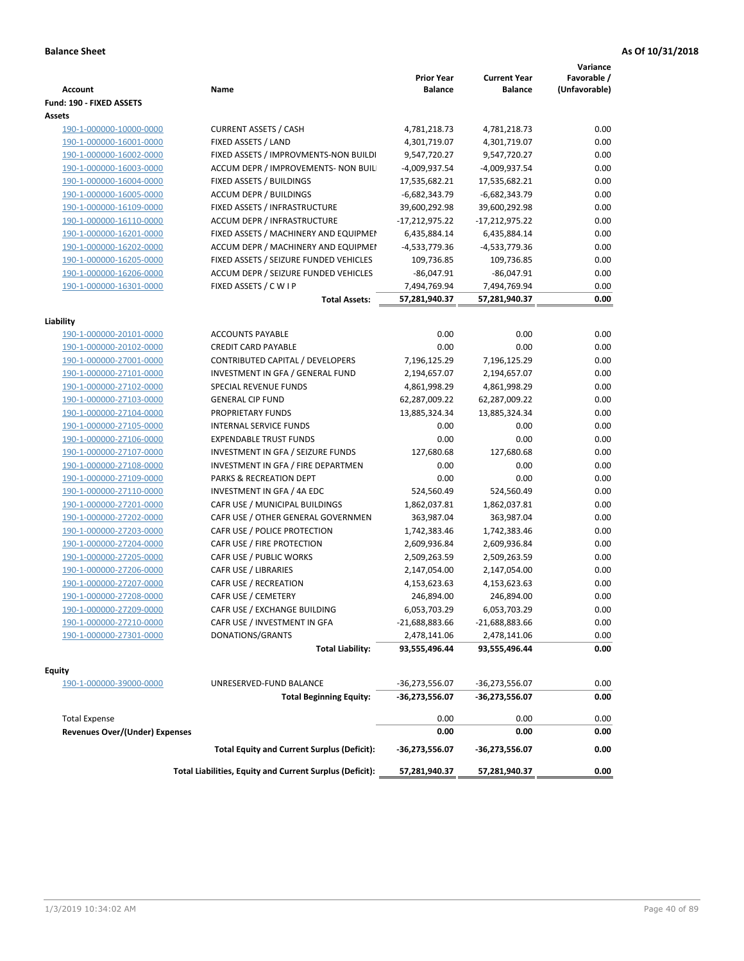| Fund: 190 - FIXED ASSETS<br>Assets<br><b>CURRENT ASSETS / CASH</b><br>4,781,218.73<br>0.00<br>190-1-000000-10000-0000<br>4,781,218.73<br>190-1-000000-16001-0000<br>FIXED ASSETS / LAND<br>4,301,719.07<br>4,301,719.07<br>0.00<br>0.00<br>190-1-000000-16002-0000<br>FIXED ASSETS / IMPROVMENTS-NON BUILDI<br>9,547,720.27<br>9,547,720.27<br>0.00<br>190-1-000000-16003-0000<br>ACCUM DEPR / IMPROVEMENTS- NON BUIL<br>-4,009,937.54<br>-4,009,937.54<br>0.00<br>FIXED ASSETS / BUILDINGS<br>17,535,682.21<br>190-1-000000-16004-0000<br>17,535,682.21<br><b>ACCUM DEPR / BUILDINGS</b><br>$-6,682,343.79$<br>$-6,682,343.79$<br>0.00<br>190-1-000000-16005-0000<br>190-1-000000-16109-0000<br>FIXED ASSETS / INFRASTRUCTURE<br>39,600,292.98<br>39,600,292.98<br>0.00<br>0.00<br>190-1-000000-16110-0000<br><b>ACCUM DEPR / INFRASTRUCTURE</b><br>$-17,212,975.22$<br>-17,212,975.22<br>0.00<br>190-1-000000-16201-0000<br>FIXED ASSETS / MACHINERY AND EQUIPMEN<br>6,435,884.14<br>6,435,884.14<br>ACCUM DEPR / MACHINERY AND EQUIPMEI<br>-4,533,779.36<br>-4,533,779.36<br>0.00<br>190-1-000000-16202-0000<br>FIXED ASSETS / SEIZURE FUNDED VEHICLES<br>109,736.85<br>0.00<br>190-1-000000-16205-0000<br>109,736.85<br>190-1-000000-16206-0000<br>ACCUM DEPR / SEIZURE FUNDED VEHICLES<br>$-86,047.91$<br>$-86,047.91$<br>0.00<br>190-1-000000-16301-0000<br>0.00<br>FIXED ASSETS / C W I P<br>7,494,769.94<br>7,494,769.94<br>0.00<br><b>Total Assets:</b><br>57,281,940.37<br>57,281,940.37<br>Liability<br><b>ACCOUNTS PAYABLE</b><br>0.00<br>0.00<br>0.00<br>190-1-000000-20101-0000<br><b>CREDIT CARD PAYABLE</b><br>0.00<br>0.00<br>0.00<br>190-1-000000-20102-0000<br>190-1-000000-27001-0000<br>CONTRIBUTED CAPITAL / DEVELOPERS<br>7,196,125.29<br>7,196,125.29<br>0.00<br>2,194,657.07<br>0.00<br>190-1-000000-27101-0000<br>INVESTMENT IN GFA / GENERAL FUND<br>2,194,657.07<br>0.00<br>190-1-000000-27102-0000<br><b>SPECIAL REVENUE FUNDS</b><br>4,861,998.29<br>4,861,998.29<br>0.00<br><b>GENERAL CIP FUND</b><br>190-1-000000-27103-0000<br>62,287,009.22<br>62,287,009.22<br>190-1-000000-27104-0000<br>PROPRIETARY FUNDS<br>13,885,324.34<br>13,885,324.34<br>0.00<br>190-1-000000-27105-0000<br><b>INTERNAL SERVICE FUNDS</b><br>0.00<br>0.00<br>0.00<br>0.00<br>190-1-000000-27106-0000<br><b>EXPENDABLE TRUST FUNDS</b><br>0.00<br>0.00<br>0.00<br>190-1-000000-27107-0000<br>INVESTMENT IN GFA / SEIZURE FUNDS<br>127,680.68<br>127,680.68<br>INVESTMENT IN GFA / FIRE DEPARTMEN<br>0.00<br>0.00<br>0.00<br>190-1-000000-27108-0000<br>PARKS & RECREATION DEPT<br>0.00<br>0.00<br>0.00<br>190-1-000000-27109-0000<br>190-1-000000-27110-0000<br>INVESTMENT IN GFA / 4A EDC<br>524,560.49<br>524,560.49<br>0.00<br>0.00<br>190-1-000000-27201-0000<br>CAFR USE / MUNICIPAL BUILDINGS<br>1,862,037.81<br>1,862,037.81<br>CAFR USE / OTHER GENERAL GOVERNMEN<br>0.00<br>190-1-000000-27202-0000<br>363,987.04<br>363,987.04<br>0.00<br>CAFR USE / POLICE PROTECTION<br>190-1-000000-27203-0000<br>1,742,383.46<br>1,742,383.46<br>190-1-000000-27204-0000<br>CAFR USE / FIRE PROTECTION<br>2,609,936.84<br>0.00<br>2,609,936.84<br>190-1-000000-27205-0000<br>CAFR USE / PUBLIC WORKS<br>2,509,263.59<br>0.00<br>2,509,263.59<br>0.00<br>190-1-000000-27206-0000<br>CAFR USE / LIBRARIES<br>2,147,054.00<br>2,147,054.00<br>0.00<br>190-1-000000-27207-0000<br>CAFR USE / RECREATION<br>4,153,623.63<br>4,153,623.63<br>CAFR USE / CEMETERY<br>0.00<br>190-1-000000-27208-0000<br>246,894.00<br>246,894.00<br>6,053,703.29<br>6,053,703.29<br>0.00<br>190-1-000000-27209-0000<br>CAFR USE / EXCHANGE BUILDING<br>190-1-000000-27210-0000<br>CAFR USE / INVESTMENT IN GFA<br>$-21,688,883.66$<br>-21,688,883.66<br>0.00<br>190-1-000000-27301-0000<br>DONATIONS/GRANTS<br>2,478,141.06<br>2,478,141.06<br>0.00<br>0.00<br><b>Total Liability:</b><br>93,555,496.44<br>93,555,496.44<br><b>Equity</b><br>UNRESERVED-FUND BALANCE<br>$-36,273,556.07$<br>0.00<br>190-1-000000-39000-0000<br>-36,273,556.07<br><b>Total Beginning Equity:</b><br>-36,273,556.07<br>-36,273,556.07<br>0.00<br><b>Total Expense</b><br>0.00<br>0.00<br>0.00<br><b>Revenues Over/(Under) Expenses</b><br>0.00<br>0.00<br>0.00<br>0.00<br><b>Total Equity and Current Surplus (Deficit):</b><br>-36,273,556.07<br>-36,273,556.07<br>Total Liabilities, Equity and Current Surplus (Deficit):<br>0.00<br>57,281,940.37<br>57,281,940.37 | <b>Account</b> | Name | <b>Prior Year</b><br><b>Balance</b> | <b>Current Year</b><br><b>Balance</b> | Variance<br>Favorable /<br>(Unfavorable) |
|----------------------------------------------------------------------------------------------------------------------------------------------------------------------------------------------------------------------------------------------------------------------------------------------------------------------------------------------------------------------------------------------------------------------------------------------------------------------------------------------------------------------------------------------------------------------------------------------------------------------------------------------------------------------------------------------------------------------------------------------------------------------------------------------------------------------------------------------------------------------------------------------------------------------------------------------------------------------------------------------------------------------------------------------------------------------------------------------------------------------------------------------------------------------------------------------------------------------------------------------------------------------------------------------------------------------------------------------------------------------------------------------------------------------------------------------------------------------------------------------------------------------------------------------------------------------------------------------------------------------------------------------------------------------------------------------------------------------------------------------------------------------------------------------------------------------------------------------------------------------------------------------------------------------------------------------------------------------------------------------------------------------------------------------------------------------------------------------------------------------------------------------------------------------------------------------------------------------------------------------------------------------------------------------------------------------------------------------------------------------------------------------------------------------------------------------------------------------------------------------------------------------------------------------------------------------------------------------------------------------------------------------------------------------------------------------------------------------------------------------------------------------------------------------------------------------------------------------------------------------------------------------------------------------------------------------------------------------------------------------------------------------------------------------------------------------------------------------------------------------------------------------------------------------------------------------------------------------------------------------------------------------------------------------------------------------------------------------------------------------------------------------------------------------------------------------------------------------------------------------------------------------------------------------------------------------------------------------------------------------------------------------------------------------------------------------------------------------------------------------------------------------------------------------------------------------------------------------------------------------------------------------------------------------------------------------------------------------------------------------------------------------------------------------------------------------------------------------------------------------------------------------------------------------------------------------------------------------------------------------------------------------------------------------------------------------------------------------------------------------------------------------------------------------------------------|----------------|------|-------------------------------------|---------------------------------------|------------------------------------------|
|                                                                                                                                                                                                                                                                                                                                                                                                                                                                                                                                                                                                                                                                                                                                                                                                                                                                                                                                                                                                                                                                                                                                                                                                                                                                                                                                                                                                                                                                                                                                                                                                                                                                                                                                                                                                                                                                                                                                                                                                                                                                                                                                                                                                                                                                                                                                                                                                                                                                                                                                                                                                                                                                                                                                                                                                                                                                                                                                                                                                                                                                                                                                                                                                                                                                                                                                                                                                                                                                                                                                                                                                                                                                                                                                                                                                                                                                                                                                                                                                                                                                                                                                                                                                                                                                                                                                                                                                                                        |                |      |                                     |                                       |                                          |
|                                                                                                                                                                                                                                                                                                                                                                                                                                                                                                                                                                                                                                                                                                                                                                                                                                                                                                                                                                                                                                                                                                                                                                                                                                                                                                                                                                                                                                                                                                                                                                                                                                                                                                                                                                                                                                                                                                                                                                                                                                                                                                                                                                                                                                                                                                                                                                                                                                                                                                                                                                                                                                                                                                                                                                                                                                                                                                                                                                                                                                                                                                                                                                                                                                                                                                                                                                                                                                                                                                                                                                                                                                                                                                                                                                                                                                                                                                                                                                                                                                                                                                                                                                                                                                                                                                                                                                                                                                        |                |      |                                     |                                       |                                          |
|                                                                                                                                                                                                                                                                                                                                                                                                                                                                                                                                                                                                                                                                                                                                                                                                                                                                                                                                                                                                                                                                                                                                                                                                                                                                                                                                                                                                                                                                                                                                                                                                                                                                                                                                                                                                                                                                                                                                                                                                                                                                                                                                                                                                                                                                                                                                                                                                                                                                                                                                                                                                                                                                                                                                                                                                                                                                                                                                                                                                                                                                                                                                                                                                                                                                                                                                                                                                                                                                                                                                                                                                                                                                                                                                                                                                                                                                                                                                                                                                                                                                                                                                                                                                                                                                                                                                                                                                                                        |                |      |                                     |                                       |                                          |
|                                                                                                                                                                                                                                                                                                                                                                                                                                                                                                                                                                                                                                                                                                                                                                                                                                                                                                                                                                                                                                                                                                                                                                                                                                                                                                                                                                                                                                                                                                                                                                                                                                                                                                                                                                                                                                                                                                                                                                                                                                                                                                                                                                                                                                                                                                                                                                                                                                                                                                                                                                                                                                                                                                                                                                                                                                                                                                                                                                                                                                                                                                                                                                                                                                                                                                                                                                                                                                                                                                                                                                                                                                                                                                                                                                                                                                                                                                                                                                                                                                                                                                                                                                                                                                                                                                                                                                                                                                        |                |      |                                     |                                       |                                          |
|                                                                                                                                                                                                                                                                                                                                                                                                                                                                                                                                                                                                                                                                                                                                                                                                                                                                                                                                                                                                                                                                                                                                                                                                                                                                                                                                                                                                                                                                                                                                                                                                                                                                                                                                                                                                                                                                                                                                                                                                                                                                                                                                                                                                                                                                                                                                                                                                                                                                                                                                                                                                                                                                                                                                                                                                                                                                                                                                                                                                                                                                                                                                                                                                                                                                                                                                                                                                                                                                                                                                                                                                                                                                                                                                                                                                                                                                                                                                                                                                                                                                                                                                                                                                                                                                                                                                                                                                                                        |                |      |                                     |                                       |                                          |
|                                                                                                                                                                                                                                                                                                                                                                                                                                                                                                                                                                                                                                                                                                                                                                                                                                                                                                                                                                                                                                                                                                                                                                                                                                                                                                                                                                                                                                                                                                                                                                                                                                                                                                                                                                                                                                                                                                                                                                                                                                                                                                                                                                                                                                                                                                                                                                                                                                                                                                                                                                                                                                                                                                                                                                                                                                                                                                                                                                                                                                                                                                                                                                                                                                                                                                                                                                                                                                                                                                                                                                                                                                                                                                                                                                                                                                                                                                                                                                                                                                                                                                                                                                                                                                                                                                                                                                                                                                        |                |      |                                     |                                       |                                          |
|                                                                                                                                                                                                                                                                                                                                                                                                                                                                                                                                                                                                                                                                                                                                                                                                                                                                                                                                                                                                                                                                                                                                                                                                                                                                                                                                                                                                                                                                                                                                                                                                                                                                                                                                                                                                                                                                                                                                                                                                                                                                                                                                                                                                                                                                                                                                                                                                                                                                                                                                                                                                                                                                                                                                                                                                                                                                                                                                                                                                                                                                                                                                                                                                                                                                                                                                                                                                                                                                                                                                                                                                                                                                                                                                                                                                                                                                                                                                                                                                                                                                                                                                                                                                                                                                                                                                                                                                                                        |                |      |                                     |                                       |                                          |
|                                                                                                                                                                                                                                                                                                                                                                                                                                                                                                                                                                                                                                                                                                                                                                                                                                                                                                                                                                                                                                                                                                                                                                                                                                                                                                                                                                                                                                                                                                                                                                                                                                                                                                                                                                                                                                                                                                                                                                                                                                                                                                                                                                                                                                                                                                                                                                                                                                                                                                                                                                                                                                                                                                                                                                                                                                                                                                                                                                                                                                                                                                                                                                                                                                                                                                                                                                                                                                                                                                                                                                                                                                                                                                                                                                                                                                                                                                                                                                                                                                                                                                                                                                                                                                                                                                                                                                                                                                        |                |      |                                     |                                       |                                          |
|                                                                                                                                                                                                                                                                                                                                                                                                                                                                                                                                                                                                                                                                                                                                                                                                                                                                                                                                                                                                                                                                                                                                                                                                                                                                                                                                                                                                                                                                                                                                                                                                                                                                                                                                                                                                                                                                                                                                                                                                                                                                                                                                                                                                                                                                                                                                                                                                                                                                                                                                                                                                                                                                                                                                                                                                                                                                                                                                                                                                                                                                                                                                                                                                                                                                                                                                                                                                                                                                                                                                                                                                                                                                                                                                                                                                                                                                                                                                                                                                                                                                                                                                                                                                                                                                                                                                                                                                                                        |                |      |                                     |                                       |                                          |
|                                                                                                                                                                                                                                                                                                                                                                                                                                                                                                                                                                                                                                                                                                                                                                                                                                                                                                                                                                                                                                                                                                                                                                                                                                                                                                                                                                                                                                                                                                                                                                                                                                                                                                                                                                                                                                                                                                                                                                                                                                                                                                                                                                                                                                                                                                                                                                                                                                                                                                                                                                                                                                                                                                                                                                                                                                                                                                                                                                                                                                                                                                                                                                                                                                                                                                                                                                                                                                                                                                                                                                                                                                                                                                                                                                                                                                                                                                                                                                                                                                                                                                                                                                                                                                                                                                                                                                                                                                        |                |      |                                     |                                       |                                          |
|                                                                                                                                                                                                                                                                                                                                                                                                                                                                                                                                                                                                                                                                                                                                                                                                                                                                                                                                                                                                                                                                                                                                                                                                                                                                                                                                                                                                                                                                                                                                                                                                                                                                                                                                                                                                                                                                                                                                                                                                                                                                                                                                                                                                                                                                                                                                                                                                                                                                                                                                                                                                                                                                                                                                                                                                                                                                                                                                                                                                                                                                                                                                                                                                                                                                                                                                                                                                                                                                                                                                                                                                                                                                                                                                                                                                                                                                                                                                                                                                                                                                                                                                                                                                                                                                                                                                                                                                                                        |                |      |                                     |                                       |                                          |
|                                                                                                                                                                                                                                                                                                                                                                                                                                                                                                                                                                                                                                                                                                                                                                                                                                                                                                                                                                                                                                                                                                                                                                                                                                                                                                                                                                                                                                                                                                                                                                                                                                                                                                                                                                                                                                                                                                                                                                                                                                                                                                                                                                                                                                                                                                                                                                                                                                                                                                                                                                                                                                                                                                                                                                                                                                                                                                                                                                                                                                                                                                                                                                                                                                                                                                                                                                                                                                                                                                                                                                                                                                                                                                                                                                                                                                                                                                                                                                                                                                                                                                                                                                                                                                                                                                                                                                                                                                        |                |      |                                     |                                       |                                          |
|                                                                                                                                                                                                                                                                                                                                                                                                                                                                                                                                                                                                                                                                                                                                                                                                                                                                                                                                                                                                                                                                                                                                                                                                                                                                                                                                                                                                                                                                                                                                                                                                                                                                                                                                                                                                                                                                                                                                                                                                                                                                                                                                                                                                                                                                                                                                                                                                                                                                                                                                                                                                                                                                                                                                                                                                                                                                                                                                                                                                                                                                                                                                                                                                                                                                                                                                                                                                                                                                                                                                                                                                                                                                                                                                                                                                                                                                                                                                                                                                                                                                                                                                                                                                                                                                                                                                                                                                                                        |                |      |                                     |                                       |                                          |
|                                                                                                                                                                                                                                                                                                                                                                                                                                                                                                                                                                                                                                                                                                                                                                                                                                                                                                                                                                                                                                                                                                                                                                                                                                                                                                                                                                                                                                                                                                                                                                                                                                                                                                                                                                                                                                                                                                                                                                                                                                                                                                                                                                                                                                                                                                                                                                                                                                                                                                                                                                                                                                                                                                                                                                                                                                                                                                                                                                                                                                                                                                                                                                                                                                                                                                                                                                                                                                                                                                                                                                                                                                                                                                                                                                                                                                                                                                                                                                                                                                                                                                                                                                                                                                                                                                                                                                                                                                        |                |      |                                     |                                       |                                          |
|                                                                                                                                                                                                                                                                                                                                                                                                                                                                                                                                                                                                                                                                                                                                                                                                                                                                                                                                                                                                                                                                                                                                                                                                                                                                                                                                                                                                                                                                                                                                                                                                                                                                                                                                                                                                                                                                                                                                                                                                                                                                                                                                                                                                                                                                                                                                                                                                                                                                                                                                                                                                                                                                                                                                                                                                                                                                                                                                                                                                                                                                                                                                                                                                                                                                                                                                                                                                                                                                                                                                                                                                                                                                                                                                                                                                                                                                                                                                                                                                                                                                                                                                                                                                                                                                                                                                                                                                                                        |                |      |                                     |                                       |                                          |
|                                                                                                                                                                                                                                                                                                                                                                                                                                                                                                                                                                                                                                                                                                                                                                                                                                                                                                                                                                                                                                                                                                                                                                                                                                                                                                                                                                                                                                                                                                                                                                                                                                                                                                                                                                                                                                                                                                                                                                                                                                                                                                                                                                                                                                                                                                                                                                                                                                                                                                                                                                                                                                                                                                                                                                                                                                                                                                                                                                                                                                                                                                                                                                                                                                                                                                                                                                                                                                                                                                                                                                                                                                                                                                                                                                                                                                                                                                                                                                                                                                                                                                                                                                                                                                                                                                                                                                                                                                        |                |      |                                     |                                       |                                          |
|                                                                                                                                                                                                                                                                                                                                                                                                                                                                                                                                                                                                                                                                                                                                                                                                                                                                                                                                                                                                                                                                                                                                                                                                                                                                                                                                                                                                                                                                                                                                                                                                                                                                                                                                                                                                                                                                                                                                                                                                                                                                                                                                                                                                                                                                                                                                                                                                                                                                                                                                                                                                                                                                                                                                                                                                                                                                                                                                                                                                                                                                                                                                                                                                                                                                                                                                                                                                                                                                                                                                                                                                                                                                                                                                                                                                                                                                                                                                                                                                                                                                                                                                                                                                                                                                                                                                                                                                                                        |                |      |                                     |                                       |                                          |
|                                                                                                                                                                                                                                                                                                                                                                                                                                                                                                                                                                                                                                                                                                                                                                                                                                                                                                                                                                                                                                                                                                                                                                                                                                                                                                                                                                                                                                                                                                                                                                                                                                                                                                                                                                                                                                                                                                                                                                                                                                                                                                                                                                                                                                                                                                                                                                                                                                                                                                                                                                                                                                                                                                                                                                                                                                                                                                                                                                                                                                                                                                                                                                                                                                                                                                                                                                                                                                                                                                                                                                                                                                                                                                                                                                                                                                                                                                                                                                                                                                                                                                                                                                                                                                                                                                                                                                                                                                        |                |      |                                     |                                       |                                          |
|                                                                                                                                                                                                                                                                                                                                                                                                                                                                                                                                                                                                                                                                                                                                                                                                                                                                                                                                                                                                                                                                                                                                                                                                                                                                                                                                                                                                                                                                                                                                                                                                                                                                                                                                                                                                                                                                                                                                                                                                                                                                                                                                                                                                                                                                                                                                                                                                                                                                                                                                                                                                                                                                                                                                                                                                                                                                                                                                                                                                                                                                                                                                                                                                                                                                                                                                                                                                                                                                                                                                                                                                                                                                                                                                                                                                                                                                                                                                                                                                                                                                                                                                                                                                                                                                                                                                                                                                                                        |                |      |                                     |                                       |                                          |
|                                                                                                                                                                                                                                                                                                                                                                                                                                                                                                                                                                                                                                                                                                                                                                                                                                                                                                                                                                                                                                                                                                                                                                                                                                                                                                                                                                                                                                                                                                                                                                                                                                                                                                                                                                                                                                                                                                                                                                                                                                                                                                                                                                                                                                                                                                                                                                                                                                                                                                                                                                                                                                                                                                                                                                                                                                                                                                                                                                                                                                                                                                                                                                                                                                                                                                                                                                                                                                                                                                                                                                                                                                                                                                                                                                                                                                                                                                                                                                                                                                                                                                                                                                                                                                                                                                                                                                                                                                        |                |      |                                     |                                       |                                          |
|                                                                                                                                                                                                                                                                                                                                                                                                                                                                                                                                                                                                                                                                                                                                                                                                                                                                                                                                                                                                                                                                                                                                                                                                                                                                                                                                                                                                                                                                                                                                                                                                                                                                                                                                                                                                                                                                                                                                                                                                                                                                                                                                                                                                                                                                                                                                                                                                                                                                                                                                                                                                                                                                                                                                                                                                                                                                                                                                                                                                                                                                                                                                                                                                                                                                                                                                                                                                                                                                                                                                                                                                                                                                                                                                                                                                                                                                                                                                                                                                                                                                                                                                                                                                                                                                                                                                                                                                                                        |                |      |                                     |                                       |                                          |
|                                                                                                                                                                                                                                                                                                                                                                                                                                                                                                                                                                                                                                                                                                                                                                                                                                                                                                                                                                                                                                                                                                                                                                                                                                                                                                                                                                                                                                                                                                                                                                                                                                                                                                                                                                                                                                                                                                                                                                                                                                                                                                                                                                                                                                                                                                                                                                                                                                                                                                                                                                                                                                                                                                                                                                                                                                                                                                                                                                                                                                                                                                                                                                                                                                                                                                                                                                                                                                                                                                                                                                                                                                                                                                                                                                                                                                                                                                                                                                                                                                                                                                                                                                                                                                                                                                                                                                                                                                        |                |      |                                     |                                       |                                          |
|                                                                                                                                                                                                                                                                                                                                                                                                                                                                                                                                                                                                                                                                                                                                                                                                                                                                                                                                                                                                                                                                                                                                                                                                                                                                                                                                                                                                                                                                                                                                                                                                                                                                                                                                                                                                                                                                                                                                                                                                                                                                                                                                                                                                                                                                                                                                                                                                                                                                                                                                                                                                                                                                                                                                                                                                                                                                                                                                                                                                                                                                                                                                                                                                                                                                                                                                                                                                                                                                                                                                                                                                                                                                                                                                                                                                                                                                                                                                                                                                                                                                                                                                                                                                                                                                                                                                                                                                                                        |                |      |                                     |                                       |                                          |
|                                                                                                                                                                                                                                                                                                                                                                                                                                                                                                                                                                                                                                                                                                                                                                                                                                                                                                                                                                                                                                                                                                                                                                                                                                                                                                                                                                                                                                                                                                                                                                                                                                                                                                                                                                                                                                                                                                                                                                                                                                                                                                                                                                                                                                                                                                                                                                                                                                                                                                                                                                                                                                                                                                                                                                                                                                                                                                                                                                                                                                                                                                                                                                                                                                                                                                                                                                                                                                                                                                                                                                                                                                                                                                                                                                                                                                                                                                                                                                                                                                                                                                                                                                                                                                                                                                                                                                                                                                        |                |      |                                     |                                       |                                          |
|                                                                                                                                                                                                                                                                                                                                                                                                                                                                                                                                                                                                                                                                                                                                                                                                                                                                                                                                                                                                                                                                                                                                                                                                                                                                                                                                                                                                                                                                                                                                                                                                                                                                                                                                                                                                                                                                                                                                                                                                                                                                                                                                                                                                                                                                                                                                                                                                                                                                                                                                                                                                                                                                                                                                                                                                                                                                                                                                                                                                                                                                                                                                                                                                                                                                                                                                                                                                                                                                                                                                                                                                                                                                                                                                                                                                                                                                                                                                                                                                                                                                                                                                                                                                                                                                                                                                                                                                                                        |                |      |                                     |                                       |                                          |
|                                                                                                                                                                                                                                                                                                                                                                                                                                                                                                                                                                                                                                                                                                                                                                                                                                                                                                                                                                                                                                                                                                                                                                                                                                                                                                                                                                                                                                                                                                                                                                                                                                                                                                                                                                                                                                                                                                                                                                                                                                                                                                                                                                                                                                                                                                                                                                                                                                                                                                                                                                                                                                                                                                                                                                                                                                                                                                                                                                                                                                                                                                                                                                                                                                                                                                                                                                                                                                                                                                                                                                                                                                                                                                                                                                                                                                                                                                                                                                                                                                                                                                                                                                                                                                                                                                                                                                                                                                        |                |      |                                     |                                       |                                          |
|                                                                                                                                                                                                                                                                                                                                                                                                                                                                                                                                                                                                                                                                                                                                                                                                                                                                                                                                                                                                                                                                                                                                                                                                                                                                                                                                                                                                                                                                                                                                                                                                                                                                                                                                                                                                                                                                                                                                                                                                                                                                                                                                                                                                                                                                                                                                                                                                                                                                                                                                                                                                                                                                                                                                                                                                                                                                                                                                                                                                                                                                                                                                                                                                                                                                                                                                                                                                                                                                                                                                                                                                                                                                                                                                                                                                                                                                                                                                                                                                                                                                                                                                                                                                                                                                                                                                                                                                                                        |                |      |                                     |                                       |                                          |
|                                                                                                                                                                                                                                                                                                                                                                                                                                                                                                                                                                                                                                                                                                                                                                                                                                                                                                                                                                                                                                                                                                                                                                                                                                                                                                                                                                                                                                                                                                                                                                                                                                                                                                                                                                                                                                                                                                                                                                                                                                                                                                                                                                                                                                                                                                                                                                                                                                                                                                                                                                                                                                                                                                                                                                                                                                                                                                                                                                                                                                                                                                                                                                                                                                                                                                                                                                                                                                                                                                                                                                                                                                                                                                                                                                                                                                                                                                                                                                                                                                                                                                                                                                                                                                                                                                                                                                                                                                        |                |      |                                     |                                       |                                          |
|                                                                                                                                                                                                                                                                                                                                                                                                                                                                                                                                                                                                                                                                                                                                                                                                                                                                                                                                                                                                                                                                                                                                                                                                                                                                                                                                                                                                                                                                                                                                                                                                                                                                                                                                                                                                                                                                                                                                                                                                                                                                                                                                                                                                                                                                                                                                                                                                                                                                                                                                                                                                                                                                                                                                                                                                                                                                                                                                                                                                                                                                                                                                                                                                                                                                                                                                                                                                                                                                                                                                                                                                                                                                                                                                                                                                                                                                                                                                                                                                                                                                                                                                                                                                                                                                                                                                                                                                                                        |                |      |                                     |                                       |                                          |
|                                                                                                                                                                                                                                                                                                                                                                                                                                                                                                                                                                                                                                                                                                                                                                                                                                                                                                                                                                                                                                                                                                                                                                                                                                                                                                                                                                                                                                                                                                                                                                                                                                                                                                                                                                                                                                                                                                                                                                                                                                                                                                                                                                                                                                                                                                                                                                                                                                                                                                                                                                                                                                                                                                                                                                                                                                                                                                                                                                                                                                                                                                                                                                                                                                                                                                                                                                                                                                                                                                                                                                                                                                                                                                                                                                                                                                                                                                                                                                                                                                                                                                                                                                                                                                                                                                                                                                                                                                        |                |      |                                     |                                       |                                          |
|                                                                                                                                                                                                                                                                                                                                                                                                                                                                                                                                                                                                                                                                                                                                                                                                                                                                                                                                                                                                                                                                                                                                                                                                                                                                                                                                                                                                                                                                                                                                                                                                                                                                                                                                                                                                                                                                                                                                                                                                                                                                                                                                                                                                                                                                                                                                                                                                                                                                                                                                                                                                                                                                                                                                                                                                                                                                                                                                                                                                                                                                                                                                                                                                                                                                                                                                                                                                                                                                                                                                                                                                                                                                                                                                                                                                                                                                                                                                                                                                                                                                                                                                                                                                                                                                                                                                                                                                                                        |                |      |                                     |                                       |                                          |
|                                                                                                                                                                                                                                                                                                                                                                                                                                                                                                                                                                                                                                                                                                                                                                                                                                                                                                                                                                                                                                                                                                                                                                                                                                                                                                                                                                                                                                                                                                                                                                                                                                                                                                                                                                                                                                                                                                                                                                                                                                                                                                                                                                                                                                                                                                                                                                                                                                                                                                                                                                                                                                                                                                                                                                                                                                                                                                                                                                                                                                                                                                                                                                                                                                                                                                                                                                                                                                                                                                                                                                                                                                                                                                                                                                                                                                                                                                                                                                                                                                                                                                                                                                                                                                                                                                                                                                                                                                        |                |      |                                     |                                       |                                          |
|                                                                                                                                                                                                                                                                                                                                                                                                                                                                                                                                                                                                                                                                                                                                                                                                                                                                                                                                                                                                                                                                                                                                                                                                                                                                                                                                                                                                                                                                                                                                                                                                                                                                                                                                                                                                                                                                                                                                                                                                                                                                                                                                                                                                                                                                                                                                                                                                                                                                                                                                                                                                                                                                                                                                                                                                                                                                                                                                                                                                                                                                                                                                                                                                                                                                                                                                                                                                                                                                                                                                                                                                                                                                                                                                                                                                                                                                                                                                                                                                                                                                                                                                                                                                                                                                                                                                                                                                                                        |                |      |                                     |                                       |                                          |
|                                                                                                                                                                                                                                                                                                                                                                                                                                                                                                                                                                                                                                                                                                                                                                                                                                                                                                                                                                                                                                                                                                                                                                                                                                                                                                                                                                                                                                                                                                                                                                                                                                                                                                                                                                                                                                                                                                                                                                                                                                                                                                                                                                                                                                                                                                                                                                                                                                                                                                                                                                                                                                                                                                                                                                                                                                                                                                                                                                                                                                                                                                                                                                                                                                                                                                                                                                                                                                                                                                                                                                                                                                                                                                                                                                                                                                                                                                                                                                                                                                                                                                                                                                                                                                                                                                                                                                                                                                        |                |      |                                     |                                       |                                          |
|                                                                                                                                                                                                                                                                                                                                                                                                                                                                                                                                                                                                                                                                                                                                                                                                                                                                                                                                                                                                                                                                                                                                                                                                                                                                                                                                                                                                                                                                                                                                                                                                                                                                                                                                                                                                                                                                                                                                                                                                                                                                                                                                                                                                                                                                                                                                                                                                                                                                                                                                                                                                                                                                                                                                                                                                                                                                                                                                                                                                                                                                                                                                                                                                                                                                                                                                                                                                                                                                                                                                                                                                                                                                                                                                                                                                                                                                                                                                                                                                                                                                                                                                                                                                                                                                                                                                                                                                                                        |                |      |                                     |                                       |                                          |
|                                                                                                                                                                                                                                                                                                                                                                                                                                                                                                                                                                                                                                                                                                                                                                                                                                                                                                                                                                                                                                                                                                                                                                                                                                                                                                                                                                                                                                                                                                                                                                                                                                                                                                                                                                                                                                                                                                                                                                                                                                                                                                                                                                                                                                                                                                                                                                                                                                                                                                                                                                                                                                                                                                                                                                                                                                                                                                                                                                                                                                                                                                                                                                                                                                                                                                                                                                                                                                                                                                                                                                                                                                                                                                                                                                                                                                                                                                                                                                                                                                                                                                                                                                                                                                                                                                                                                                                                                                        |                |      |                                     |                                       |                                          |
|                                                                                                                                                                                                                                                                                                                                                                                                                                                                                                                                                                                                                                                                                                                                                                                                                                                                                                                                                                                                                                                                                                                                                                                                                                                                                                                                                                                                                                                                                                                                                                                                                                                                                                                                                                                                                                                                                                                                                                                                                                                                                                                                                                                                                                                                                                                                                                                                                                                                                                                                                                                                                                                                                                                                                                                                                                                                                                                                                                                                                                                                                                                                                                                                                                                                                                                                                                                                                                                                                                                                                                                                                                                                                                                                                                                                                                                                                                                                                                                                                                                                                                                                                                                                                                                                                                                                                                                                                                        |                |      |                                     |                                       |                                          |
|                                                                                                                                                                                                                                                                                                                                                                                                                                                                                                                                                                                                                                                                                                                                                                                                                                                                                                                                                                                                                                                                                                                                                                                                                                                                                                                                                                                                                                                                                                                                                                                                                                                                                                                                                                                                                                                                                                                                                                                                                                                                                                                                                                                                                                                                                                                                                                                                                                                                                                                                                                                                                                                                                                                                                                                                                                                                                                                                                                                                                                                                                                                                                                                                                                                                                                                                                                                                                                                                                                                                                                                                                                                                                                                                                                                                                                                                                                                                                                                                                                                                                                                                                                                                                                                                                                                                                                                                                                        |                |      |                                     |                                       |                                          |
|                                                                                                                                                                                                                                                                                                                                                                                                                                                                                                                                                                                                                                                                                                                                                                                                                                                                                                                                                                                                                                                                                                                                                                                                                                                                                                                                                                                                                                                                                                                                                                                                                                                                                                                                                                                                                                                                                                                                                                                                                                                                                                                                                                                                                                                                                                                                                                                                                                                                                                                                                                                                                                                                                                                                                                                                                                                                                                                                                                                                                                                                                                                                                                                                                                                                                                                                                                                                                                                                                                                                                                                                                                                                                                                                                                                                                                                                                                                                                                                                                                                                                                                                                                                                                                                                                                                                                                                                                                        |                |      |                                     |                                       |                                          |
|                                                                                                                                                                                                                                                                                                                                                                                                                                                                                                                                                                                                                                                                                                                                                                                                                                                                                                                                                                                                                                                                                                                                                                                                                                                                                                                                                                                                                                                                                                                                                                                                                                                                                                                                                                                                                                                                                                                                                                                                                                                                                                                                                                                                                                                                                                                                                                                                                                                                                                                                                                                                                                                                                                                                                                                                                                                                                                                                                                                                                                                                                                                                                                                                                                                                                                                                                                                                                                                                                                                                                                                                                                                                                                                                                                                                                                                                                                                                                                                                                                                                                                                                                                                                                                                                                                                                                                                                                                        |                |      |                                     |                                       |                                          |
|                                                                                                                                                                                                                                                                                                                                                                                                                                                                                                                                                                                                                                                                                                                                                                                                                                                                                                                                                                                                                                                                                                                                                                                                                                                                                                                                                                                                                                                                                                                                                                                                                                                                                                                                                                                                                                                                                                                                                                                                                                                                                                                                                                                                                                                                                                                                                                                                                                                                                                                                                                                                                                                                                                                                                                                                                                                                                                                                                                                                                                                                                                                                                                                                                                                                                                                                                                                                                                                                                                                                                                                                                                                                                                                                                                                                                                                                                                                                                                                                                                                                                                                                                                                                                                                                                                                                                                                                                                        |                |      |                                     |                                       |                                          |
|                                                                                                                                                                                                                                                                                                                                                                                                                                                                                                                                                                                                                                                                                                                                                                                                                                                                                                                                                                                                                                                                                                                                                                                                                                                                                                                                                                                                                                                                                                                                                                                                                                                                                                                                                                                                                                                                                                                                                                                                                                                                                                                                                                                                                                                                                                                                                                                                                                                                                                                                                                                                                                                                                                                                                                                                                                                                                                                                                                                                                                                                                                                                                                                                                                                                                                                                                                                                                                                                                                                                                                                                                                                                                                                                                                                                                                                                                                                                                                                                                                                                                                                                                                                                                                                                                                                                                                                                                                        |                |      |                                     |                                       |                                          |
|                                                                                                                                                                                                                                                                                                                                                                                                                                                                                                                                                                                                                                                                                                                                                                                                                                                                                                                                                                                                                                                                                                                                                                                                                                                                                                                                                                                                                                                                                                                                                                                                                                                                                                                                                                                                                                                                                                                                                                                                                                                                                                                                                                                                                                                                                                                                                                                                                                                                                                                                                                                                                                                                                                                                                                                                                                                                                                                                                                                                                                                                                                                                                                                                                                                                                                                                                                                                                                                                                                                                                                                                                                                                                                                                                                                                                                                                                                                                                                                                                                                                                                                                                                                                                                                                                                                                                                                                                                        |                |      |                                     |                                       |                                          |
|                                                                                                                                                                                                                                                                                                                                                                                                                                                                                                                                                                                                                                                                                                                                                                                                                                                                                                                                                                                                                                                                                                                                                                                                                                                                                                                                                                                                                                                                                                                                                                                                                                                                                                                                                                                                                                                                                                                                                                                                                                                                                                                                                                                                                                                                                                                                                                                                                                                                                                                                                                                                                                                                                                                                                                                                                                                                                                                                                                                                                                                                                                                                                                                                                                                                                                                                                                                                                                                                                                                                                                                                                                                                                                                                                                                                                                                                                                                                                                                                                                                                                                                                                                                                                                                                                                                                                                                                                                        |                |      |                                     |                                       |                                          |
|                                                                                                                                                                                                                                                                                                                                                                                                                                                                                                                                                                                                                                                                                                                                                                                                                                                                                                                                                                                                                                                                                                                                                                                                                                                                                                                                                                                                                                                                                                                                                                                                                                                                                                                                                                                                                                                                                                                                                                                                                                                                                                                                                                                                                                                                                                                                                                                                                                                                                                                                                                                                                                                                                                                                                                                                                                                                                                                                                                                                                                                                                                                                                                                                                                                                                                                                                                                                                                                                                                                                                                                                                                                                                                                                                                                                                                                                                                                                                                                                                                                                                                                                                                                                                                                                                                                                                                                                                                        |                |      |                                     |                                       |                                          |
|                                                                                                                                                                                                                                                                                                                                                                                                                                                                                                                                                                                                                                                                                                                                                                                                                                                                                                                                                                                                                                                                                                                                                                                                                                                                                                                                                                                                                                                                                                                                                                                                                                                                                                                                                                                                                                                                                                                                                                                                                                                                                                                                                                                                                                                                                                                                                                                                                                                                                                                                                                                                                                                                                                                                                                                                                                                                                                                                                                                                                                                                                                                                                                                                                                                                                                                                                                                                                                                                                                                                                                                                                                                                                                                                                                                                                                                                                                                                                                                                                                                                                                                                                                                                                                                                                                                                                                                                                                        |                |      |                                     |                                       |                                          |
|                                                                                                                                                                                                                                                                                                                                                                                                                                                                                                                                                                                                                                                                                                                                                                                                                                                                                                                                                                                                                                                                                                                                                                                                                                                                                                                                                                                                                                                                                                                                                                                                                                                                                                                                                                                                                                                                                                                                                                                                                                                                                                                                                                                                                                                                                                                                                                                                                                                                                                                                                                                                                                                                                                                                                                                                                                                                                                                                                                                                                                                                                                                                                                                                                                                                                                                                                                                                                                                                                                                                                                                                                                                                                                                                                                                                                                                                                                                                                                                                                                                                                                                                                                                                                                                                                                                                                                                                                                        |                |      |                                     |                                       |                                          |
|                                                                                                                                                                                                                                                                                                                                                                                                                                                                                                                                                                                                                                                                                                                                                                                                                                                                                                                                                                                                                                                                                                                                                                                                                                                                                                                                                                                                                                                                                                                                                                                                                                                                                                                                                                                                                                                                                                                                                                                                                                                                                                                                                                                                                                                                                                                                                                                                                                                                                                                                                                                                                                                                                                                                                                                                                                                                                                                                                                                                                                                                                                                                                                                                                                                                                                                                                                                                                                                                                                                                                                                                                                                                                                                                                                                                                                                                                                                                                                                                                                                                                                                                                                                                                                                                                                                                                                                                                                        |                |      |                                     |                                       |                                          |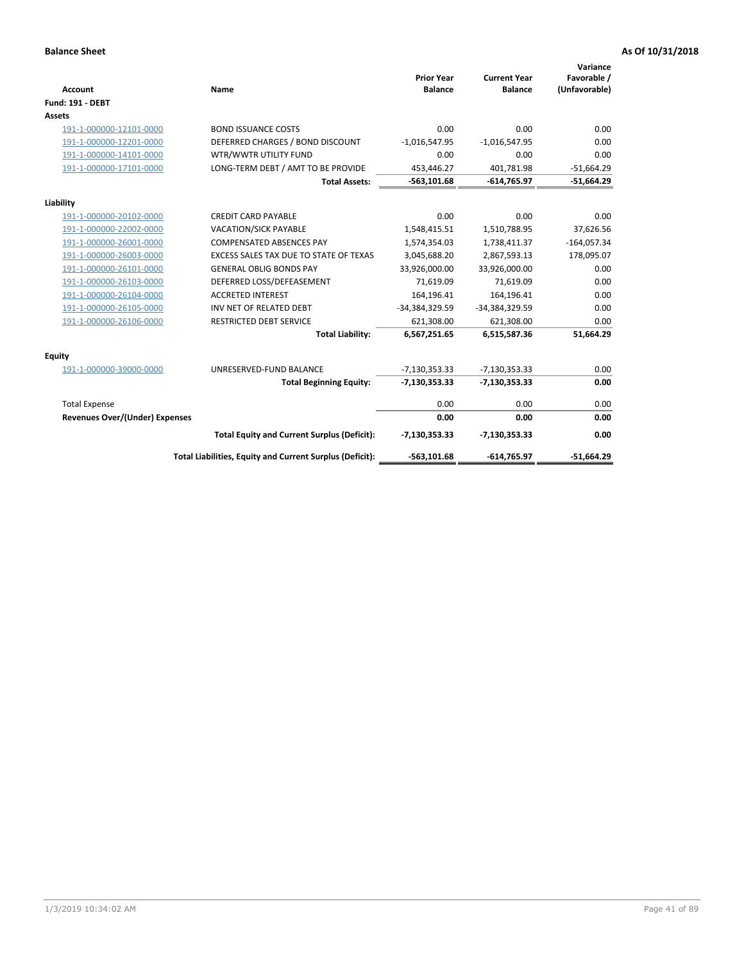| <b>Account</b>                        | Name                                                     | <b>Prior Year</b><br><b>Balance</b> | <b>Current Year</b><br><b>Balance</b> | Variance<br>Favorable /<br>(Unfavorable) |
|---------------------------------------|----------------------------------------------------------|-------------------------------------|---------------------------------------|------------------------------------------|
| <b>Fund: 191 - DEBT</b>               |                                                          |                                     |                                       |                                          |
| Assets                                |                                                          |                                     |                                       |                                          |
| 191-1-000000-12101-0000               | <b>BOND ISSUANCE COSTS</b>                               | 0.00                                | 0.00                                  | 0.00                                     |
| 191-1-000000-12201-0000               | DEFERRED CHARGES / BOND DISCOUNT                         | $-1,016,547.95$                     | $-1,016,547.95$                       | 0.00                                     |
| 191-1-000000-14101-0000               | WTR/WWTR UTILITY FUND                                    | 0.00                                | 0.00                                  | 0.00                                     |
| 191-1-000000-17101-0000               | LONG-TERM DEBT / AMT TO BE PROVIDE                       | 453,446.27                          | 401.781.98                            | $-51,664.29$                             |
|                                       | <b>Total Assets:</b>                                     | $-563, 101.68$                      | $-614,765.97$                         | $-51,664.29$                             |
| Liability                             |                                                          |                                     |                                       |                                          |
| 191-1-000000-20102-0000               | <b>CREDIT CARD PAYABLE</b>                               | 0.00                                | 0.00                                  | 0.00                                     |
| 191-1-000000-22002-0000               | <b>VACATION/SICK PAYABLE</b>                             | 1,548,415.51                        | 1,510,788.95                          | 37,626.56                                |
| 191-1-000000-26001-0000               | <b>COMPENSATED ABSENCES PAY</b>                          | 1,574,354.03                        | 1,738,411.37                          | $-164,057.34$                            |
| 191-1-000000-26003-0000               | EXCESS SALES TAX DUE TO STATE OF TEXAS                   | 3,045,688.20                        | 2,867,593.13                          | 178,095.07                               |
| 191-1-000000-26101-0000               | <b>GENERAL OBLIG BONDS PAY</b>                           | 33,926,000.00                       | 33,926,000.00                         | 0.00                                     |
| 191-1-000000-26103-0000               | DEFERRED LOSS/DEFEASEMENT                                | 71,619.09                           | 71,619.09                             | 0.00                                     |
| 191-1-000000-26104-0000               | <b>ACCRETED INTEREST</b>                                 | 164,196.41                          | 164,196.41                            | 0.00                                     |
| 191-1-000000-26105-0000               | INV NET OF RELATED DEBT                                  | -34,384,329.59                      | -34,384,329.59                        | 0.00                                     |
| 191-1-000000-26106-0000               | <b>RESTRICTED DEBT SERVICE</b>                           | 621,308.00                          | 621,308.00                            | 0.00                                     |
|                                       | <b>Total Liability:</b>                                  | 6,567,251.65                        | 6,515,587.36                          | 51,664.29                                |
| Equity                                |                                                          |                                     |                                       |                                          |
| 191-1-000000-39000-0000               | UNRESERVED-FUND BALANCE                                  | $-7,130,353.33$                     | $-7,130,353.33$                       | 0.00                                     |
|                                       | <b>Total Beginning Equity:</b>                           | $-7,130,353.33$                     | $-7,130,353.33$                       | 0.00                                     |
| <b>Total Expense</b>                  |                                                          | 0.00                                | 0.00                                  | 0.00                                     |
| <b>Revenues Over/(Under) Expenses</b> |                                                          | 0.00                                | 0.00                                  | 0.00                                     |
|                                       | <b>Total Equity and Current Surplus (Deficit):</b>       | $-7,130,353.33$                     | $-7,130,353.33$                       | 0.00                                     |
|                                       | Total Liabilities, Equity and Current Surplus (Deficit): | $-563,101.68$                       | $-614,765.97$                         | $-51,664.29$                             |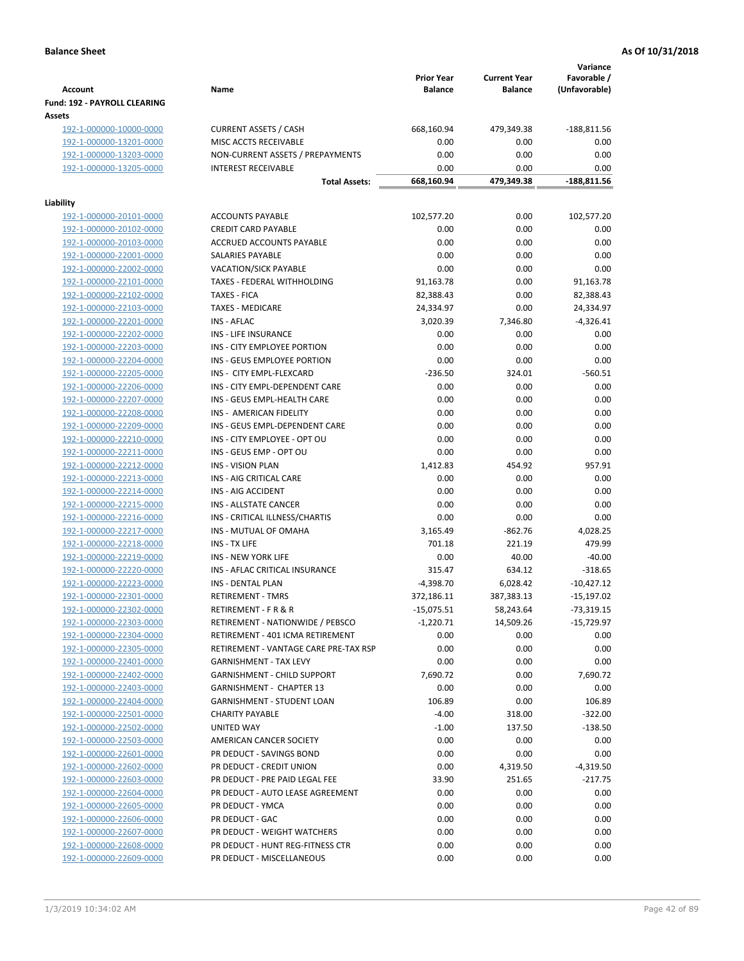|                                                    |                                                              | <b>Prior Year</b>       | <b>Current Year</b>    | Variance<br>Favorable / |
|----------------------------------------------------|--------------------------------------------------------------|-------------------------|------------------------|-------------------------|
| <b>Account</b>                                     | Name                                                         | <b>Balance</b>          | <b>Balance</b>         | (Unfavorable)           |
| Fund: 192 - PAYROLL CLEARING                       |                                                              |                         |                        |                         |
| Assets                                             |                                                              |                         |                        |                         |
| 192-1-000000-10000-0000                            | <b>CURRENT ASSETS / CASH</b>                                 | 668,160.94              | 479,349.38             | $-188,811.56$           |
| 192-1-000000-13201-0000                            | MISC ACCTS RECEIVABLE                                        | 0.00                    | 0.00                   | 0.00                    |
| 192-1-000000-13203-0000                            | NON-CURRENT ASSETS / PREPAYMENTS                             | 0.00                    | 0.00                   | 0.00                    |
| 192-1-000000-13205-0000                            | <b>INTEREST RECEIVABLE</b>                                   | 0.00                    | 0.00                   | 0.00                    |
|                                                    | <b>Total Assets:</b>                                         | 668,160.94              | 479,349.38             | -188,811.56             |
| Liability                                          |                                                              |                         |                        |                         |
| 192-1-000000-20101-0000                            | <b>ACCOUNTS PAYABLE</b>                                      | 102,577.20              | 0.00                   | 102,577.20              |
| 192-1-000000-20102-0000                            | <b>CREDIT CARD PAYABLE</b>                                   | 0.00                    | 0.00                   | 0.00                    |
| 192-1-000000-20103-0000                            | ACCRUED ACCOUNTS PAYABLE                                     | 0.00                    | 0.00                   | 0.00                    |
| 192-1-000000-22001-0000                            | SALARIES PAYABLE                                             | 0.00                    | 0.00                   | 0.00                    |
| 192-1-000000-22002-0000                            | VACATION/SICK PAYABLE                                        | 0.00                    | 0.00                   | 0.00                    |
| 192-1-000000-22101-0000                            | TAXES - FEDERAL WITHHOLDING                                  | 91,163.78               | 0.00                   | 91,163.78               |
| 192-1-000000-22102-0000                            | <b>TAXES - FICA</b>                                          | 82,388.43               | 0.00                   | 82,388.43               |
| 192-1-000000-22103-0000                            | <b>TAXES - MEDICARE</b>                                      | 24,334.97               | 0.00                   | 24,334.97               |
| 192-1-000000-22201-0000                            | <b>INS - AFLAC</b>                                           | 3,020.39                | 7,346.80               | $-4,326.41$             |
| 192-1-000000-22202-0000                            | <b>INS - LIFE INSURANCE</b>                                  | 0.00                    | 0.00                   | 0.00                    |
| 192-1-000000-22203-0000                            | INS - CITY EMPLOYEE PORTION                                  | 0.00                    | 0.00                   | 0.00                    |
| 192-1-000000-22204-0000                            | INS - GEUS EMPLOYEE PORTION                                  | 0.00                    | 0.00                   | 0.00                    |
| 192-1-000000-22205-0000                            | INS - CITY EMPL-FLEXCARD                                     | $-236.50$               | 324.01                 | $-560.51$               |
| 192-1-000000-22206-0000                            | INS - CITY EMPL-DEPENDENT CARE                               | 0.00                    | 0.00                   | 0.00                    |
| 192-1-000000-22207-0000                            | INS - GEUS EMPL-HEALTH CARE                                  | 0.00                    | 0.00                   | 0.00                    |
| 192-1-000000-22208-0000                            | INS - AMERICAN FIDELITY                                      | 0.00                    | 0.00                   | 0.00                    |
| 192-1-000000-22209-0000                            | INS - GEUS EMPL-DEPENDENT CARE                               | 0.00                    | 0.00                   | 0.00                    |
| 192-1-000000-22210-0000                            | INS - CITY EMPLOYEE - OPT OU                                 | 0.00                    | 0.00                   | 0.00                    |
| 192-1-000000-22211-0000                            | INS - GEUS EMP - OPT OU                                      | 0.00                    | 0.00                   | 0.00                    |
| 192-1-000000-22212-0000                            | <b>INS - VISION PLAN</b>                                     | 1,412.83                | 454.92                 | 957.91                  |
| 192-1-000000-22213-0000                            | INS - AIG CRITICAL CARE                                      | 0.00                    | 0.00                   | 0.00                    |
| 192-1-000000-22214-0000                            | INS - AIG ACCIDENT                                           | 0.00                    | 0.00                   | 0.00                    |
| 192-1-000000-22215-0000                            | INS - ALLSTATE CANCER                                        | 0.00                    | 0.00                   | 0.00                    |
| 192-1-000000-22216-0000                            | INS - CRITICAL ILLNESS/CHARTIS                               | 0.00                    | 0.00                   | 0.00                    |
| 192-1-000000-22217-0000                            | INS - MUTUAL OF OMAHA                                        | 3,165.49                | $-862.76$<br>221.19    | 4,028.25                |
| 192-1-000000-22218-0000                            | INS - TX LIFE                                                | 701.18                  |                        | 479.99                  |
| 192-1-000000-22219-0000                            | <b>INS - NEW YORK LIFE</b><br>INS - AFLAC CRITICAL INSURANCE | 0.00<br>315.47          | 40.00<br>634.12        | $-40.00$<br>$-318.65$   |
| 192-1-000000-22220-0000                            | <b>INS - DENTAL PLAN</b>                                     |                         |                        | $-10,427.12$            |
| 192-1-000000-22223-0000<br>192-1-000000-22301-0000 | <b>RETIREMENT - TMRS</b>                                     | -4,398.70<br>372,186.11 | 6,028.42<br>387,383.13 | $-15,197.02$            |
| 192-1-000000-22302-0000                            | RETIREMENT - F R & R                                         | $-15,075.51$            | 58,243.64              | $-73,319.15$            |
| 192-1-000000-22303-0000                            | RETIREMENT - NATIONWIDE / PEBSCO                             | $-1,220.71$             | 14,509.26              | $-15,729.97$            |
| 192-1-000000-22304-0000                            | RETIREMENT - 401 ICMA RETIREMENT                             | 0.00                    | 0.00                   | 0.00                    |
| 192-1-000000-22305-0000                            | RETIREMENT - VANTAGE CARE PRE-TAX RSP                        | 0.00                    | 0.00                   | 0.00                    |
| 192-1-000000-22401-0000                            | <b>GARNISHMENT - TAX LEVY</b>                                | 0.00                    | 0.00                   | 0.00                    |
| 192-1-000000-22402-0000                            | <b>GARNISHMENT - CHILD SUPPORT</b>                           | 7,690.72                | 0.00                   | 7,690.72                |
| 192-1-000000-22403-0000                            | <b>GARNISHMENT - CHAPTER 13</b>                              | 0.00                    | 0.00                   | 0.00                    |
| 192-1-000000-22404-0000                            | <b>GARNISHMENT - STUDENT LOAN</b>                            | 106.89                  | 0.00                   | 106.89                  |
| 192-1-000000-22501-0000                            | <b>CHARITY PAYABLE</b>                                       | $-4.00$                 | 318.00                 | $-322.00$               |
| 192-1-000000-22502-0000                            | UNITED WAY                                                   | $-1.00$                 | 137.50                 | $-138.50$               |
| 192-1-000000-22503-0000                            | AMERICAN CANCER SOCIETY                                      | 0.00                    | 0.00                   | 0.00                    |
| 192-1-000000-22601-0000                            | PR DEDUCT - SAVINGS BOND                                     | 0.00                    | 0.00                   | 0.00                    |
| 192-1-000000-22602-0000                            | PR DEDUCT - CREDIT UNION                                     | 0.00                    | 4,319.50               | -4,319.50               |
| 192-1-000000-22603-0000                            | PR DEDUCT - PRE PAID LEGAL FEE                               | 33.90                   | 251.65                 | $-217.75$               |
| 192-1-000000-22604-0000                            | PR DEDUCT - AUTO LEASE AGREEMENT                             | 0.00                    | 0.00                   | 0.00                    |
| 192-1-000000-22605-0000                            | PR DEDUCT - YMCA                                             | 0.00                    | 0.00                   | 0.00                    |
| 192-1-000000-22606-0000                            | PR DEDUCT - GAC                                              | 0.00                    | 0.00                   | 0.00                    |
| 192-1-000000-22607-0000                            | PR DEDUCT - WEIGHT WATCHERS                                  | 0.00                    | 0.00                   | 0.00                    |
| 192-1-000000-22608-0000                            | PR DEDUCT - HUNT REG-FITNESS CTR                             | 0.00                    | 0.00                   | 0.00                    |
| 192-1-000000-22609-0000                            | PR DEDUCT - MISCELLANEOUS                                    | 0.00                    | 0.00                   | 0.00                    |
|                                                    |                                                              |                         |                        |                         |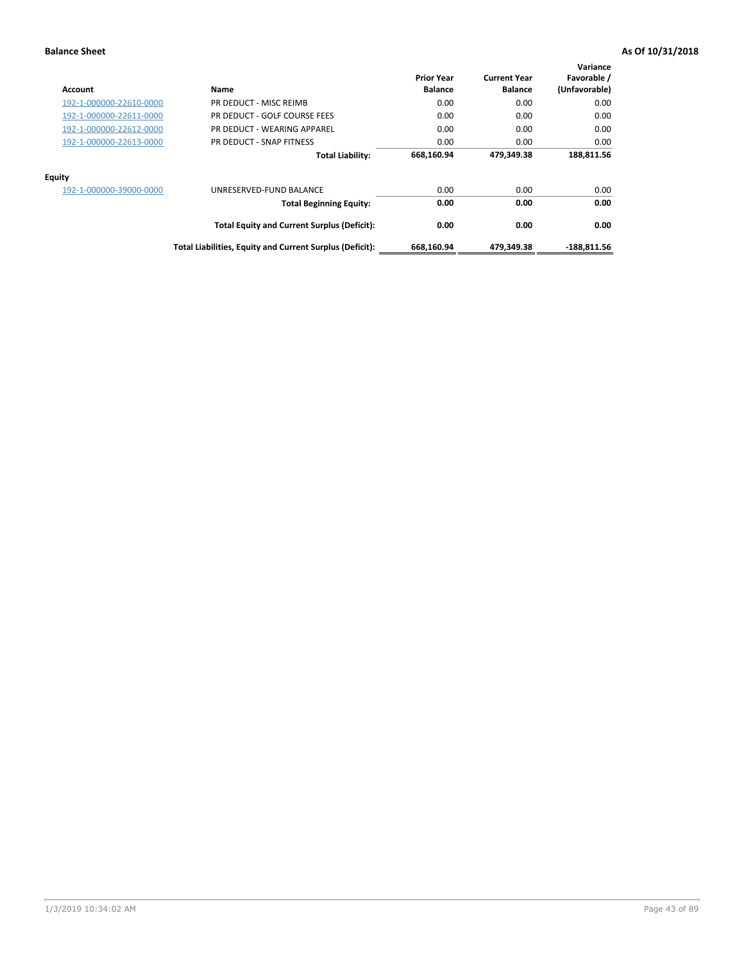| Account                 | Name                                                     | <b>Prior Year</b><br><b>Balance</b> | <b>Current Year</b><br><b>Balance</b> | Variance<br>Favorable /<br>(Unfavorable) |
|-------------------------|----------------------------------------------------------|-------------------------------------|---------------------------------------|------------------------------------------|
| 192-1-000000-22610-0000 | PR DEDUCT - MISC REIMB                                   | 0.00                                | 0.00                                  | 0.00                                     |
| 192-1-000000-22611-0000 | PR DEDUCT - GOLF COURSE FEES                             | 0.00                                | 0.00                                  | 0.00                                     |
| 192-1-000000-22612-0000 | PR DEDUCT - WEARING APPAREL                              | 0.00                                | 0.00                                  | 0.00                                     |
| 192-1-000000-22613-0000 | PR DEDUCT - SNAP FITNESS                                 | 0.00                                | 0.00                                  | 0.00                                     |
|                         | <b>Total Liability:</b>                                  | 668,160.94                          | 479.349.38                            | 188,811.56                               |
| <b>Equity</b>           |                                                          |                                     |                                       |                                          |
| 192-1-000000-39000-0000 | UNRESERVED-FUND BALANCE                                  | 0.00                                | 0.00                                  | 0.00                                     |
|                         | <b>Total Beginning Equity:</b>                           | 0.00                                | 0.00                                  | 0.00                                     |
|                         | <b>Total Equity and Current Surplus (Deficit):</b>       | 0.00                                | 0.00                                  | 0.00                                     |
|                         | Total Liabilities, Equity and Current Surplus (Deficit): | 668,160.94                          | 479,349.38                            | $-188,811.56$                            |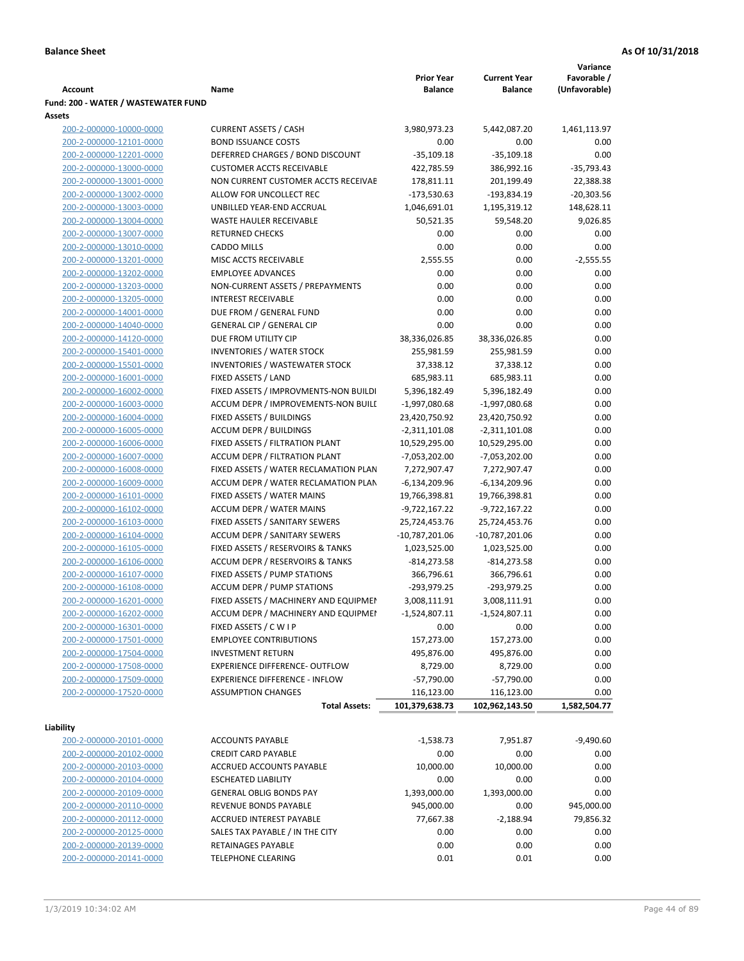|                                     |                                       |                   |                     | Variance      |
|-------------------------------------|---------------------------------------|-------------------|---------------------|---------------|
|                                     |                                       | <b>Prior Year</b> | <b>Current Year</b> | Favorable /   |
| <b>Account</b>                      | Name                                  | <b>Balance</b>    | <b>Balance</b>      | (Unfavorable) |
| Fund: 200 - WATER / WASTEWATER FUND |                                       |                   |                     |               |
| Assets                              |                                       |                   |                     |               |
| 200-2-000000-10000-0000             | <b>CURRENT ASSETS / CASH</b>          | 3,980,973.23      | 5,442,087.20        | 1,461,113.97  |
| 200-2-000000-12101-0000             | <b>BOND ISSUANCE COSTS</b>            | 0.00              | 0.00                | 0.00          |
| 200-2-000000-12201-0000             | DEFERRED CHARGES / BOND DISCOUNT      | $-35,109.18$      | $-35,109.18$        | 0.00          |
| 200-2-000000-13000-0000             | <b>CUSTOMER ACCTS RECEIVABLE</b>      | 422,785.59        | 386,992.16          | $-35,793.43$  |
| 200-2-000000-13001-0000             | NON CURRENT CUSTOMER ACCTS RECEIVAE   | 178,811.11        | 201,199.49          | 22,388.38     |
| 200-2-000000-13002-0000             | ALLOW FOR UNCOLLECT REC               | $-173,530.63$     | -193,834.19         | $-20,303.56$  |
| 200-2-000000-13003-0000             | UNBILLED YEAR-END ACCRUAL             | 1,046,691.01      | 1,195,319.12        | 148,628.11    |
| 200-2-000000-13004-0000             | <b>WASTE HAULER RECEIVABLE</b>        | 50,521.35         | 59,548.20           | 9,026.85      |
| 200-2-000000-13007-0000             | <b>RETURNED CHECKS</b>                | 0.00              | 0.00                | 0.00          |
| 200-2-000000-13010-0000             | <b>CADDO MILLS</b>                    | 0.00              | 0.00                | 0.00          |
| 200-2-000000-13201-0000             | MISC ACCTS RECEIVABLE                 | 2,555.55          | 0.00                | $-2,555.55$   |
| 200-2-000000-13202-0000             | <b>EMPLOYEE ADVANCES</b>              | 0.00              | 0.00                | 0.00          |
| 200-2-000000-13203-0000             | NON-CURRENT ASSETS / PREPAYMENTS      | 0.00              | 0.00                | 0.00          |
| 200-2-000000-13205-0000             | <b>INTEREST RECEIVABLE</b>            | 0.00              | 0.00                | 0.00          |
| 200-2-000000-14001-0000             | DUE FROM / GENERAL FUND               | 0.00              | 0.00                | 0.00          |
| 200-2-000000-14040-0000             | <b>GENERAL CIP / GENERAL CIP</b>      | 0.00              | 0.00                | 0.00          |
| 200-2-000000-14120-0000             | DUE FROM UTILITY CIP                  | 38,336,026.85     | 38,336,026.85       | 0.00          |
| 200-2-000000-15401-0000             | <b>INVENTORIES / WATER STOCK</b>      | 255,981.59        | 255,981.59          | 0.00          |
| 200-2-000000-15501-0000             | <b>INVENTORIES / WASTEWATER STOCK</b> | 37,338.12         | 37,338.12           | 0.00          |
| 200-2-000000-16001-0000             | FIXED ASSETS / LAND                   | 685,983.11        | 685,983.11          | 0.00          |
| 200-2-000000-16002-0000             | FIXED ASSETS / IMPROVMENTS-NON BUILDI | 5,396,182.49      | 5,396,182.49        | 0.00          |
| 200-2-000000-16003-0000             | ACCUM DEPR / IMPROVEMENTS-NON BUILL   | $-1,997,080.68$   | -1,997,080.68       | 0.00          |
| 200-2-000000-16004-0000             | FIXED ASSETS / BUILDINGS              | 23,420,750.92     | 23,420,750.92       | 0.00          |
| 200-2-000000-16005-0000             | <b>ACCUM DEPR / BUILDINGS</b>         | $-2,311,101.08$   | $-2,311,101.08$     | 0.00          |
| 200-2-000000-16006-0000             | FIXED ASSETS / FILTRATION PLANT       | 10,529,295.00     | 10,529,295.00       | 0.00          |
| 200-2-000000-16007-0000             | ACCUM DEPR / FILTRATION PLANT         | -7,053,202.00     | $-7,053,202.00$     | 0.00          |
| 200-2-000000-16008-0000             | FIXED ASSETS / WATER RECLAMATION PLAN | 7,272,907.47      | 7,272,907.47        | 0.00          |
| 200-2-000000-16009-0000             | ACCUM DEPR / WATER RECLAMATION PLAN   | $-6,134,209.96$   | $-6,134,209.96$     | 0.00          |
| 200-2-000000-16101-0000             | FIXED ASSETS / WATER MAINS            | 19,766,398.81     | 19,766,398.81       | 0.00          |
| 200-2-000000-16102-0000             | <b>ACCUM DEPR / WATER MAINS</b>       | -9,722,167.22     | -9,722,167.22       | 0.00          |
| 200-2-000000-16103-0000             | FIXED ASSETS / SANITARY SEWERS        | 25,724,453.76     | 25,724,453.76       | 0.00          |
| 200-2-000000-16104-0000             | <b>ACCUM DEPR / SANITARY SEWERS</b>   | $-10,787,201.06$  | $-10,787,201.06$    | 0.00          |
| 200-2-000000-16105-0000             | FIXED ASSETS / RESERVOIRS & TANKS     | 1,023,525.00      | 1,023,525.00        | 0.00          |
| 200-2-000000-16106-0000             | ACCUM DEPR / RESERVOIRS & TANKS       | $-814, 273.58$    | $-814,273.58$       | 0.00          |
| 200-2-000000-16107-0000             | FIXED ASSETS / PUMP STATIONS          | 366,796.61        | 366,796.61          | 0.00          |
| 200-2-000000-16108-0000             | <b>ACCUM DEPR / PUMP STATIONS</b>     | -293,979.25       | $-293,979.25$       | 0.00          |
| 200-2-000000-16201-0000             | FIXED ASSETS / MACHINERY AND EQUIPMEN | 3,008,111.91      | 3,008,111.91        | 0.00          |
| 200-2-000000-16202-0000             | ACCUM DEPR / MACHINERY AND EQUIPMEI   | $-1,524,807.11$   | $-1,524,807.11$     | 0.00          |
| 200-2-000000-16301-0000             | FIXED ASSETS / C W I P                | 0.00              | 0.00                | 0.00          |
| 200-2-000000-17501-0000             | <b>EMPLOYEE CONTRIBUTIONS</b>         | 157,273.00        | 157,273.00          | 0.00          |
| 200-2-000000-17504-0000             | <b>INVESTMENT RETURN</b>              | 495,876.00        | 495,876.00          | 0.00          |
| 200-2-000000-17508-0000             | EXPERIENCE DIFFERENCE- OUTFLOW        | 8,729.00          | 8,729.00            | 0.00          |
| 200-2-000000-17509-0000             | <b>EXPERIENCE DIFFERENCE - INFLOW</b> | $-57,790.00$      | $-57,790.00$        | 0.00          |
| 200-2-000000-17520-0000             | <b>ASSUMPTION CHANGES</b>             | 116,123.00        | 116,123.00          | 0.00          |
|                                     | <b>Total Assets:</b>                  | 101,379,638.73    | 102,962,143.50      | 1,582,504.77  |
|                                     |                                       |                   |                     |               |
| Liability                           |                                       |                   |                     |               |
| 200-2-000000-20101-0000             | <b>ACCOUNTS PAYABLE</b>               | $-1,538.73$       | 7,951.87            | $-9,490.60$   |
| 200-2-000000-20102-0000             | <b>CREDIT CARD PAYABLE</b>            | 0.00              | 0.00                | 0.00          |
| 200-2-000000-20103-0000             | ACCRUED ACCOUNTS PAYABLE              | 10,000.00         | 10,000.00           | 0.00          |
| 200-2-000000-20104-0000             | <b>ESCHEATED LIABILITY</b>            | 0.00              | 0.00                | 0.00          |
| 200-2-000000-20109-0000             | <b>GENERAL OBLIG BONDS PAY</b>        | 1,393,000.00      | 1,393,000.00        | 0.00          |
| 200-2-000000-20110-0000             | REVENUE BONDS PAYABLE                 | 945,000.00        | 0.00                | 945,000.00    |
| 200-2-000000-20112-0000             | ACCRUED INTEREST PAYABLE              | 77,667.38         | $-2,188.94$         | 79,856.32     |
| 200-2-000000-20125-0000             | SALES TAX PAYABLE / IN THE CITY       | 0.00              | 0.00                | 0.00          |
| 200-2-000000-20139-0000             | RETAINAGES PAYABLE                    | 0.00              | 0.00                | 0.00          |
| 200-2-000000-20141-0000             | <b>TELEPHONE CLEARING</b>             | 0.01              | 0.01                | 0.00          |
|                                     |                                       |                   |                     |               |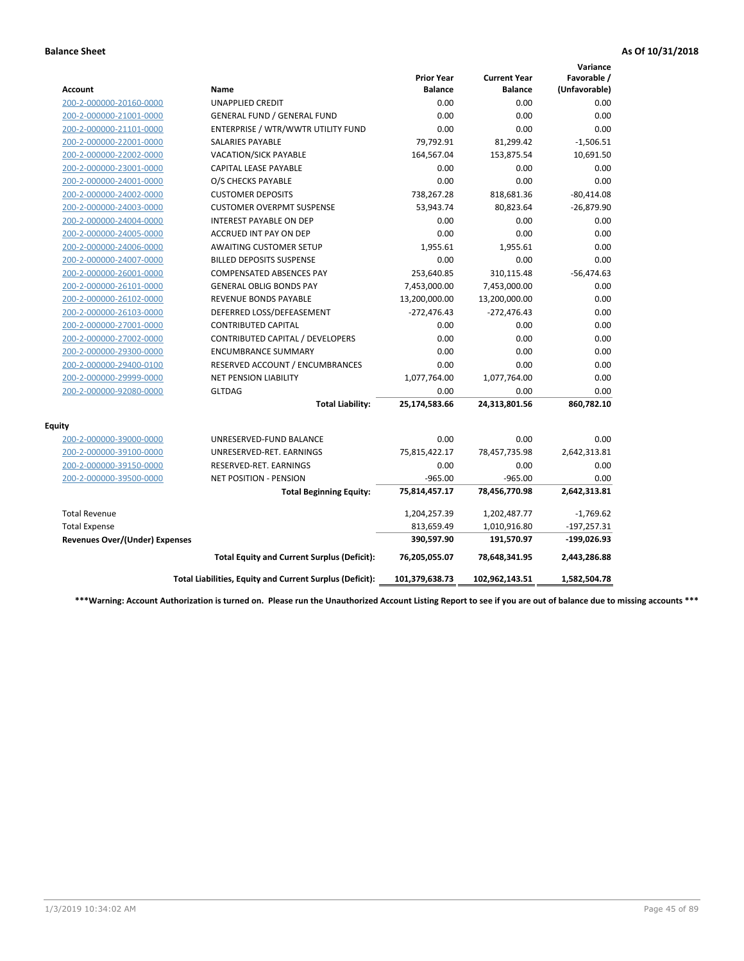|                                       |                                                          |                                     |                                       | Variance                     |
|---------------------------------------|----------------------------------------------------------|-------------------------------------|---------------------------------------|------------------------------|
| <b>Account</b>                        | Name                                                     | <b>Prior Year</b><br><b>Balance</b> | <b>Current Year</b><br><b>Balance</b> | Favorable /<br>(Unfavorable) |
| 200-2-000000-20160-0000               | <b>UNAPPLIED CREDIT</b>                                  | 0.00                                | 0.00                                  | 0.00                         |
| 200-2-000000-21001-0000               | <b>GENERAL FUND / GENERAL FUND</b>                       | 0.00                                | 0.00                                  | 0.00                         |
| 200-2-000000-21101-0000               | ENTERPRISE / WTR/WWTR UTILITY FUND                       | 0.00                                | 0.00                                  | 0.00                         |
| 200-2-000000-22001-0000               | <b>SALARIES PAYABLE</b>                                  | 79,792.91                           | 81,299.42                             | $-1,506.51$                  |
| 200-2-000000-22002-0000               | VACATION/SICK PAYABLE                                    | 164,567.04                          | 153,875.54                            | 10,691.50                    |
| 200-2-000000-23001-0000               | <b>CAPITAL LEASE PAYABLE</b>                             | 0.00                                | 0.00                                  | 0.00                         |
| 200-2-000000-24001-0000               | O/S CHECKS PAYABLE                                       | 0.00                                | 0.00                                  | 0.00                         |
| 200-2-000000-24002-0000               | <b>CUSTOMER DEPOSITS</b>                                 | 738,267.28                          | 818,681.36                            | $-80,414.08$                 |
| 200-2-000000-24003-0000               | <b>CUSTOMER OVERPMT SUSPENSE</b>                         | 53,943.74                           | 80,823.64                             | $-26,879.90$                 |
| 200-2-000000-24004-0000               | <b>INTEREST PAYABLE ON DEP</b>                           | 0.00                                | 0.00                                  | 0.00                         |
| 200-2-000000-24005-0000               | ACCRUED INT PAY ON DEP                                   | 0.00                                | 0.00                                  | 0.00                         |
| 200-2-000000-24006-0000               | <b>AWAITING CUSTOMER SETUP</b>                           | 1,955.61                            | 1,955.61                              | 0.00                         |
| 200-2-000000-24007-0000               | <b>BILLED DEPOSITS SUSPENSE</b>                          | 0.00                                | 0.00                                  | 0.00                         |
| 200-2-000000-26001-0000               | <b>COMPENSATED ABSENCES PAY</b>                          | 253,640.85                          | 310,115.48                            | $-56,474.63$                 |
| 200-2-000000-26101-0000               | <b>GENERAL OBLIG BONDS PAY</b>                           | 7,453,000.00                        | 7,453,000.00                          | 0.00                         |
| 200-2-000000-26102-0000               | <b>REVENUE BONDS PAYABLE</b>                             | 13,200,000.00                       | 13,200,000.00                         | 0.00                         |
| 200-2-000000-26103-0000               | DEFERRED LOSS/DEFEASEMENT                                | $-272,476.43$                       | $-272,476.43$                         | 0.00                         |
| 200-2-000000-27001-0000               | <b>CONTRIBUTED CAPITAL</b>                               | 0.00                                | 0.00                                  | 0.00                         |
| 200-2-000000-27002-0000               | CONTRIBUTED CAPITAL / DEVELOPERS                         | 0.00                                | 0.00                                  | 0.00                         |
| 200-2-000000-29300-0000               | <b>ENCUMBRANCE SUMMARY</b>                               | 0.00                                | 0.00                                  | 0.00                         |
| 200-2-000000-29400-0100               | RESERVED ACCOUNT / ENCUMBRANCES                          | 0.00                                | 0.00                                  | 0.00                         |
| 200-2-000000-29999-0000               | NET PENSION LIABILITY                                    | 1,077,764.00                        | 1,077,764.00                          | 0.00                         |
| 200-2-000000-92080-0000               | <b>GLTDAG</b>                                            | 0.00                                | 0.00                                  | 0.00                         |
|                                       | <b>Total Liability:</b>                                  | 25,174,583.66                       | 24,313,801.56                         | 860,782.10                   |
| <b>Equity</b>                         |                                                          |                                     |                                       |                              |
| 200-2-000000-39000-0000               | UNRESERVED-FUND BALANCE                                  | 0.00                                | 0.00                                  | 0.00                         |
| 200-2-000000-39100-0000               | UNRESERVED-RET. EARNINGS                                 | 75,815,422.17                       | 78,457,735.98                         | 2,642,313.81                 |
| 200-2-000000-39150-0000               | RESERVED-RET. EARNINGS                                   | 0.00                                | 0.00                                  | 0.00                         |
| 200-2-000000-39500-0000               | <b>NET POSITION - PENSION</b>                            | $-965.00$                           | $-965.00$                             | 0.00                         |
|                                       | <b>Total Beginning Equity:</b>                           | 75,814,457.17                       | 78,456,770.98                         | 2,642,313.81                 |
| <b>Total Revenue</b>                  |                                                          | 1,204,257.39                        | 1,202,487.77                          | $-1,769.62$                  |
| <b>Total Expense</b>                  |                                                          | 813,659.49                          | 1,010,916.80                          | $-197,257.31$                |
| <b>Revenues Over/(Under) Expenses</b> |                                                          | 390,597.90                          | 191,570.97                            | -199,026.93                  |
|                                       | <b>Total Equity and Current Surplus (Deficit):</b>       | 76,205,055.07                       | 78,648,341.95                         | 2,443,286.88                 |
|                                       | Total Liabilities, Equity and Current Surplus (Deficit): | 101,379,638.73                      | 102,962,143.51                        | 1,582,504.78                 |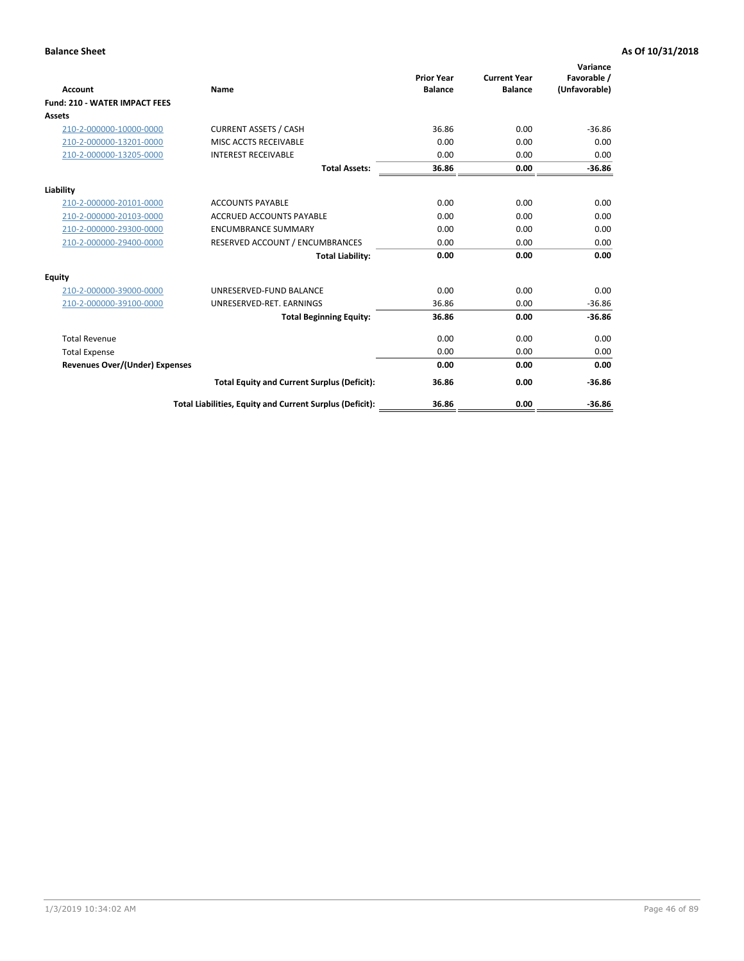| <b>Account</b>                        | Name                                                     | <b>Prior Year</b><br><b>Balance</b> | <b>Current Year</b><br><b>Balance</b> | Variance<br>Favorable /<br>(Unfavorable) |
|---------------------------------------|----------------------------------------------------------|-------------------------------------|---------------------------------------|------------------------------------------|
| <b>Fund: 210 - WATER IMPACT FEES</b>  |                                                          |                                     |                                       |                                          |
| <b>Assets</b>                         |                                                          |                                     |                                       |                                          |
| 210-2-000000-10000-0000               | <b>CURRENT ASSETS / CASH</b>                             | 36.86                               | 0.00                                  | $-36.86$                                 |
| 210-2-000000-13201-0000               | MISC ACCTS RECEIVABLE                                    | 0.00                                | 0.00                                  | 0.00                                     |
| 210-2-000000-13205-0000               | <b>INTEREST RECEIVABLE</b>                               | 0.00                                | 0.00                                  | 0.00                                     |
|                                       | <b>Total Assets:</b>                                     | 36.86                               | 0.00                                  | $-36.86$                                 |
| Liability                             |                                                          |                                     |                                       |                                          |
| 210-2-000000-20101-0000               | <b>ACCOUNTS PAYABLE</b>                                  | 0.00                                | 0.00                                  | 0.00                                     |
| 210-2-000000-20103-0000               | <b>ACCRUED ACCOUNTS PAYABLE</b>                          | 0.00                                | 0.00                                  | 0.00                                     |
| 210-2-000000-29300-0000               | <b>ENCUMBRANCE SUMMARY</b>                               | 0.00                                | 0.00                                  | 0.00                                     |
| 210-2-000000-29400-0000               | RESERVED ACCOUNT / ENCUMBRANCES                          | 0.00                                | 0.00                                  | 0.00                                     |
|                                       | <b>Total Liability:</b>                                  | 0.00                                | 0.00                                  | 0.00                                     |
| <b>Equity</b>                         |                                                          |                                     |                                       |                                          |
| 210-2-000000-39000-0000               | UNRESERVED-FUND BALANCE                                  | 0.00                                | 0.00                                  | 0.00                                     |
| 210-2-000000-39100-0000               | UNRESERVED-RET. EARNINGS                                 | 36.86                               | 0.00                                  | $-36.86$                                 |
|                                       | <b>Total Beginning Equity:</b>                           | 36.86                               | 0.00                                  | $-36.86$                                 |
| <b>Total Revenue</b>                  |                                                          | 0.00                                | 0.00                                  | 0.00                                     |
| <b>Total Expense</b>                  |                                                          | 0.00                                | 0.00                                  | 0.00                                     |
| <b>Revenues Over/(Under) Expenses</b> |                                                          | 0.00                                | 0.00                                  | 0.00                                     |
|                                       | <b>Total Equity and Current Surplus (Deficit):</b>       | 36.86                               | 0.00                                  | $-36.86$                                 |
|                                       | Total Liabilities, Equity and Current Surplus (Deficit): | 36.86                               | 0.00                                  | $-36.86$                                 |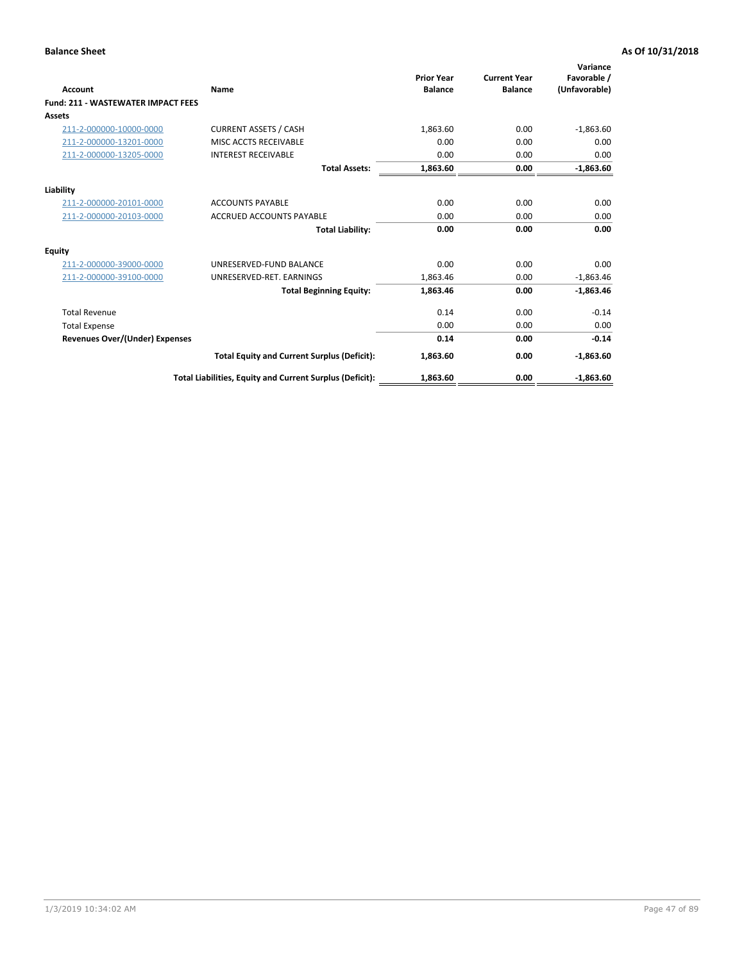| Account                                   | Name                                                     | <b>Prior Year</b><br><b>Balance</b> | <b>Current Year</b><br><b>Balance</b> | Variance<br>Favorable /<br>(Unfavorable) |
|-------------------------------------------|----------------------------------------------------------|-------------------------------------|---------------------------------------|------------------------------------------|
| <b>Fund: 211 - WASTEWATER IMPACT FEES</b> |                                                          |                                     |                                       |                                          |
| <b>Assets</b>                             |                                                          |                                     |                                       |                                          |
| 211-2-000000-10000-0000                   | <b>CURRENT ASSETS / CASH</b>                             | 1,863.60                            | 0.00                                  | $-1,863.60$                              |
| 211-2-000000-13201-0000                   | MISC ACCTS RECEIVABLE                                    | 0.00                                | 0.00                                  | 0.00                                     |
| 211-2-000000-13205-0000                   | <b>INTEREST RECEIVABLE</b>                               | 0.00                                | 0.00                                  | 0.00                                     |
|                                           | <b>Total Assets:</b>                                     | 1,863.60                            | 0.00                                  | $-1,863.60$                              |
| Liability                                 |                                                          |                                     |                                       |                                          |
| 211-2-000000-20101-0000                   | <b>ACCOUNTS PAYABLE</b>                                  | 0.00                                | 0.00                                  | 0.00                                     |
| 211-2-000000-20103-0000                   | <b>ACCRUED ACCOUNTS PAYABLE</b>                          | 0.00                                | 0.00                                  | 0.00                                     |
|                                           | <b>Total Liability:</b>                                  | 0.00                                | 0.00                                  | 0.00                                     |
| Equity                                    |                                                          |                                     |                                       |                                          |
| 211-2-000000-39000-0000                   | UNRESERVED-FUND BALANCE                                  | 0.00                                | 0.00                                  | 0.00                                     |
| 211-2-000000-39100-0000                   | UNRESERVED-RET. EARNINGS                                 | 1,863.46                            | 0.00                                  | $-1,863.46$                              |
|                                           | <b>Total Beginning Equity:</b>                           | 1,863.46                            | 0.00                                  | $-1,863.46$                              |
| <b>Total Revenue</b>                      |                                                          | 0.14                                | 0.00                                  | $-0.14$                                  |
| <b>Total Expense</b>                      |                                                          | 0.00                                | 0.00                                  | 0.00                                     |
| <b>Revenues Over/(Under) Expenses</b>     |                                                          | 0.14                                | 0.00                                  | $-0.14$                                  |
|                                           | <b>Total Equity and Current Surplus (Deficit):</b>       | 1,863.60                            | 0.00                                  | $-1,863.60$                              |
|                                           | Total Liabilities, Equity and Current Surplus (Deficit): | 1,863.60                            | 0.00                                  | $-1.863.60$                              |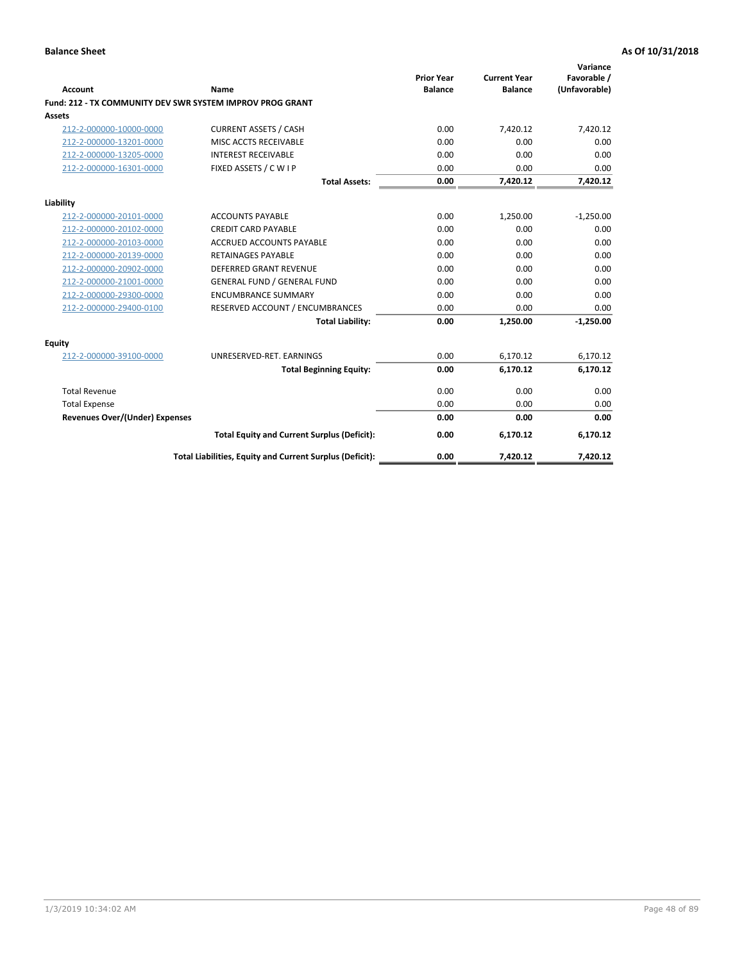| <b>Account</b>                        | Name                                                      | <b>Prior Year</b><br><b>Balance</b> | <b>Current Year</b><br><b>Balance</b> | Variance<br>Favorable /<br>(Unfavorable) |
|---------------------------------------|-----------------------------------------------------------|-------------------------------------|---------------------------------------|------------------------------------------|
|                                       | Fund: 212 - TX COMMUNITY DEV SWR SYSTEM IMPROV PROG GRANT |                                     |                                       |                                          |
| Assets                                |                                                           |                                     |                                       |                                          |
| 212-2-000000-10000-0000               | <b>CURRENT ASSETS / CASH</b>                              | 0.00                                | 7,420.12                              | 7,420.12                                 |
| 212-2-000000-13201-0000               | MISC ACCTS RECEIVABLE                                     | 0.00                                | 0.00                                  | 0.00                                     |
| 212-2-000000-13205-0000               | <b>INTEREST RECEIVABLE</b>                                | 0.00                                | 0.00                                  | 0.00                                     |
| 212-2-000000-16301-0000               | FIXED ASSETS / C W I P                                    | 0.00                                | 0.00                                  | 0.00                                     |
|                                       | <b>Total Assets:</b>                                      | 0.00                                | 7,420.12                              | 7,420.12                                 |
| Liability                             |                                                           |                                     |                                       |                                          |
| 212-2-000000-20101-0000               | <b>ACCOUNTS PAYABLE</b>                                   | 0.00                                | 1,250.00                              | $-1,250.00$                              |
| 212-2-000000-20102-0000               | <b>CREDIT CARD PAYABLE</b>                                | 0.00                                | 0.00                                  | 0.00                                     |
| 212-2-000000-20103-0000               | <b>ACCRUED ACCOUNTS PAYABLE</b>                           | 0.00                                | 0.00                                  | 0.00                                     |
| 212-2-000000-20139-0000               | <b>RETAINAGES PAYABLE</b>                                 | 0.00                                | 0.00                                  | 0.00                                     |
| 212-2-000000-20902-0000               | <b>DEFERRED GRANT REVENUE</b>                             | 0.00                                | 0.00                                  | 0.00                                     |
| 212-2-000000-21001-0000               | <b>GENERAL FUND / GENERAL FUND</b>                        | 0.00                                | 0.00                                  | 0.00                                     |
| 212-2-000000-29300-0000               | <b>ENCUMBRANCE SUMMARY</b>                                | 0.00                                | 0.00                                  | 0.00                                     |
| 212-2-000000-29400-0100               | RESERVED ACCOUNT / ENCUMBRANCES                           | 0.00                                | 0.00                                  | 0.00                                     |
|                                       | <b>Total Liability:</b>                                   | 0.00                                | 1,250.00                              | $-1,250.00$                              |
| <b>Equity</b>                         |                                                           |                                     |                                       |                                          |
| 212-2-000000-39100-0000               | UNRESERVED-RET. EARNINGS                                  | 0.00                                | 6,170.12                              | 6,170.12                                 |
|                                       | <b>Total Beginning Equity:</b>                            | 0.00                                | 6,170.12                              | 6,170.12                                 |
| <b>Total Revenue</b>                  |                                                           | 0.00                                | 0.00                                  | 0.00                                     |
| <b>Total Expense</b>                  |                                                           | 0.00                                | 0.00                                  | 0.00                                     |
| <b>Revenues Over/(Under) Expenses</b> |                                                           | 0.00                                | 0.00                                  | 0.00                                     |
|                                       | <b>Total Equity and Current Surplus (Deficit):</b>        | 0.00                                | 6,170.12                              | 6,170.12                                 |
|                                       | Total Liabilities, Equity and Current Surplus (Deficit):  | 0.00                                | 7.420.12                              | 7,420.12                                 |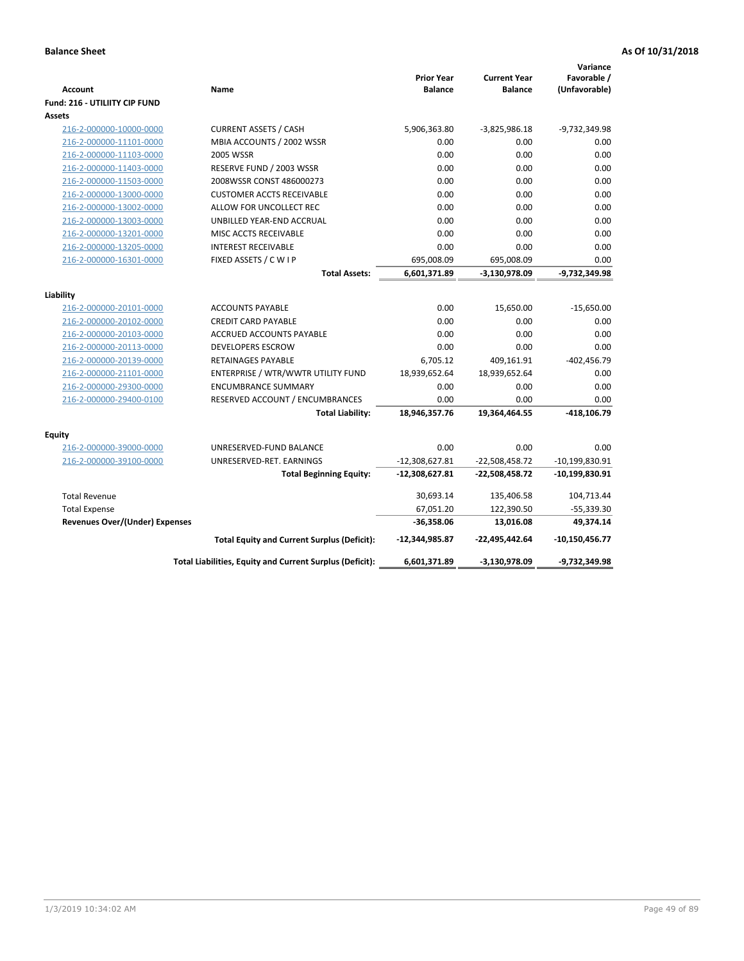| Favorable /<br><b>Prior Year</b><br><b>Current Year</b><br><b>Account</b><br>Name<br><b>Balance</b><br><b>Balance</b><br>(Unfavorable)<br><b>Fund: 216 - UTILIITY CIP FUND</b><br>Assets<br><b>CURRENT ASSETS / CASH</b><br>5,906,363.80<br>$-3,825,986.18$<br>-9,732,349.98<br>216-2-000000-10000-0000<br>MBIA ACCOUNTS / 2002 WSSR<br>0.00<br>0.00<br>0.00<br>216-2-000000-11101-0000<br>216-2-000000-11103-0000<br>2005 WSSR<br>0.00<br>0.00<br>0.00<br>216-2-000000-11403-0000<br>RESERVE FUND / 2003 WSSR<br>0.00<br>0.00<br>0.00<br>2008WSSR CONST 486000273<br>0.00<br>0.00<br>0.00<br>216-2-000000-11503-0000<br>0.00<br>0.00<br>216-2-000000-13000-0000<br><b>CUSTOMER ACCTS RECEIVABLE</b><br>0.00<br>0.00<br>0.00<br>216-2-000000-13002-0000<br>ALLOW FOR UNCOLLECT REC<br>0.00<br>0.00<br>0.00<br>216-2-000000-13003-0000<br>UNBILLED YEAR-END ACCRUAL<br>0.00<br>216-2-000000-13201-0000<br>MISC ACCTS RECEIVABLE<br>0.00<br>0.00<br>0.00<br>0.00<br>0.00<br>216-2-000000-13205-0000<br><b>INTEREST RECEIVABLE</b><br>0.00<br>FIXED ASSETS / C W I P<br>0.00<br>216-2-000000-16301-0000<br>695,008.09<br>695,008.09<br>$-9,732,349.98$<br><b>Total Assets:</b><br>6,601,371.89<br>-3,130,978.09<br>Liability<br>0.00<br>15,650.00<br>$-15,650.00$<br>216-2-000000-20101-0000<br><b>ACCOUNTS PAYABLE</b><br>216-2-000000-20102-0000<br><b>CREDIT CARD PAYABLE</b><br>0.00<br>0.00<br>0.00<br>0.00<br>0.00<br>216-2-000000-20103-0000<br>ACCRUED ACCOUNTS PAYABLE<br>0.00<br>0.00<br>0.00<br>0.00<br>216-2-000000-20113-0000<br><b>DEVELOPERS ESCROW</b><br>6,705.12<br>$-402,456.79$<br>216-2-000000-20139-0000<br><b>RETAINAGES PAYABLE</b><br>409,161.91<br>18,939,652.64<br>18,939,652.64<br>0.00<br>216-2-000000-21101-0000<br>ENTERPRISE / WTR/WWTR UTILITY FUND<br>0.00<br>0.00<br>0.00<br>216-2-000000-29300-0000<br><b>ENCUMBRANCE SUMMARY</b><br>216-2-000000-29400-0100<br>RESERVED ACCOUNT / ENCUMBRANCES<br>0.00<br>0.00<br>0.00<br>$-418, 106.79$<br><b>Total Liability:</b><br>18,946,357.76<br>19,364,464.55<br><b>Equity</b><br>216-2-000000-39000-0000<br>UNRESERVED-FUND BALANCE<br>0.00<br>0.00<br>0.00<br>216-2-000000-39100-0000<br>UNRESERVED-RET. EARNINGS<br>$-12,308,627.81$<br>$-22,508,458.72$<br>$-10,199,830.91$<br><b>Total Beginning Equity:</b><br>$-12,308,627.81$<br>$-22,508,458.72$<br>-10,199,830.91<br><b>Total Revenue</b><br>30,693.14<br>135,406.58<br>104,713.44<br>67,051.20<br>122,390.50<br>$-55,339.30$<br><b>Total Expense</b><br>49,374.14<br><b>Revenues Over/(Under) Expenses</b><br>$-36,358.06$<br>13,016.08<br><b>Total Equity and Current Surplus (Deficit):</b><br>-12,344,985.87<br>-22,495,442.64<br>$-10,150,456.77$<br>Total Liabilities, Equity and Current Surplus (Deficit):<br>6,601,371.89<br>-3,130,978.09<br>-9,732,349.98 |  |  | Variance |
|----------------------------------------------------------------------------------------------------------------------------------------------------------------------------------------------------------------------------------------------------------------------------------------------------------------------------------------------------------------------------------------------------------------------------------------------------------------------------------------------------------------------------------------------------------------------------------------------------------------------------------------------------------------------------------------------------------------------------------------------------------------------------------------------------------------------------------------------------------------------------------------------------------------------------------------------------------------------------------------------------------------------------------------------------------------------------------------------------------------------------------------------------------------------------------------------------------------------------------------------------------------------------------------------------------------------------------------------------------------------------------------------------------------------------------------------------------------------------------------------------------------------------------------------------------------------------------------------------------------------------------------------------------------------------------------------------------------------------------------------------------------------------------------------------------------------------------------------------------------------------------------------------------------------------------------------------------------------------------------------------------------------------------------------------------------------------------------------------------------------------------------------------------------------------------------------------------------------------------------------------------------------------------------------------------------------------------------------------------------------------------------------------------------------------------------------------------------------------------------------------------------------------------------------------------------------------------------------------------------------------------------------------------------------------------------------------------------------------------------------------------------------------------------------------------|--|--|----------|
|                                                                                                                                                                                                                                                                                                                                                                                                                                                                                                                                                                                                                                                                                                                                                                                                                                                                                                                                                                                                                                                                                                                                                                                                                                                                                                                                                                                                                                                                                                                                                                                                                                                                                                                                                                                                                                                                                                                                                                                                                                                                                                                                                                                                                                                                                                                                                                                                                                                                                                                                                                                                                                                                                                                                                                                                          |  |  |          |
|                                                                                                                                                                                                                                                                                                                                                                                                                                                                                                                                                                                                                                                                                                                                                                                                                                                                                                                                                                                                                                                                                                                                                                                                                                                                                                                                                                                                                                                                                                                                                                                                                                                                                                                                                                                                                                                                                                                                                                                                                                                                                                                                                                                                                                                                                                                                                                                                                                                                                                                                                                                                                                                                                                                                                                                                          |  |  |          |
|                                                                                                                                                                                                                                                                                                                                                                                                                                                                                                                                                                                                                                                                                                                                                                                                                                                                                                                                                                                                                                                                                                                                                                                                                                                                                                                                                                                                                                                                                                                                                                                                                                                                                                                                                                                                                                                                                                                                                                                                                                                                                                                                                                                                                                                                                                                                                                                                                                                                                                                                                                                                                                                                                                                                                                                                          |  |  |          |
|                                                                                                                                                                                                                                                                                                                                                                                                                                                                                                                                                                                                                                                                                                                                                                                                                                                                                                                                                                                                                                                                                                                                                                                                                                                                                                                                                                                                                                                                                                                                                                                                                                                                                                                                                                                                                                                                                                                                                                                                                                                                                                                                                                                                                                                                                                                                                                                                                                                                                                                                                                                                                                                                                                                                                                                                          |  |  |          |
|                                                                                                                                                                                                                                                                                                                                                                                                                                                                                                                                                                                                                                                                                                                                                                                                                                                                                                                                                                                                                                                                                                                                                                                                                                                                                                                                                                                                                                                                                                                                                                                                                                                                                                                                                                                                                                                                                                                                                                                                                                                                                                                                                                                                                                                                                                                                                                                                                                                                                                                                                                                                                                                                                                                                                                                                          |  |  |          |
|                                                                                                                                                                                                                                                                                                                                                                                                                                                                                                                                                                                                                                                                                                                                                                                                                                                                                                                                                                                                                                                                                                                                                                                                                                                                                                                                                                                                                                                                                                                                                                                                                                                                                                                                                                                                                                                                                                                                                                                                                                                                                                                                                                                                                                                                                                                                                                                                                                                                                                                                                                                                                                                                                                                                                                                                          |  |  |          |
|                                                                                                                                                                                                                                                                                                                                                                                                                                                                                                                                                                                                                                                                                                                                                                                                                                                                                                                                                                                                                                                                                                                                                                                                                                                                                                                                                                                                                                                                                                                                                                                                                                                                                                                                                                                                                                                                                                                                                                                                                                                                                                                                                                                                                                                                                                                                                                                                                                                                                                                                                                                                                                                                                                                                                                                                          |  |  |          |
|                                                                                                                                                                                                                                                                                                                                                                                                                                                                                                                                                                                                                                                                                                                                                                                                                                                                                                                                                                                                                                                                                                                                                                                                                                                                                                                                                                                                                                                                                                                                                                                                                                                                                                                                                                                                                                                                                                                                                                                                                                                                                                                                                                                                                                                                                                                                                                                                                                                                                                                                                                                                                                                                                                                                                                                                          |  |  |          |
|                                                                                                                                                                                                                                                                                                                                                                                                                                                                                                                                                                                                                                                                                                                                                                                                                                                                                                                                                                                                                                                                                                                                                                                                                                                                                                                                                                                                                                                                                                                                                                                                                                                                                                                                                                                                                                                                                                                                                                                                                                                                                                                                                                                                                                                                                                                                                                                                                                                                                                                                                                                                                                                                                                                                                                                                          |  |  |          |
|                                                                                                                                                                                                                                                                                                                                                                                                                                                                                                                                                                                                                                                                                                                                                                                                                                                                                                                                                                                                                                                                                                                                                                                                                                                                                                                                                                                                                                                                                                                                                                                                                                                                                                                                                                                                                                                                                                                                                                                                                                                                                                                                                                                                                                                                                                                                                                                                                                                                                                                                                                                                                                                                                                                                                                                                          |  |  |          |
|                                                                                                                                                                                                                                                                                                                                                                                                                                                                                                                                                                                                                                                                                                                                                                                                                                                                                                                                                                                                                                                                                                                                                                                                                                                                                                                                                                                                                                                                                                                                                                                                                                                                                                                                                                                                                                                                                                                                                                                                                                                                                                                                                                                                                                                                                                                                                                                                                                                                                                                                                                                                                                                                                                                                                                                                          |  |  |          |
|                                                                                                                                                                                                                                                                                                                                                                                                                                                                                                                                                                                                                                                                                                                                                                                                                                                                                                                                                                                                                                                                                                                                                                                                                                                                                                                                                                                                                                                                                                                                                                                                                                                                                                                                                                                                                                                                                                                                                                                                                                                                                                                                                                                                                                                                                                                                                                                                                                                                                                                                                                                                                                                                                                                                                                                                          |  |  |          |
|                                                                                                                                                                                                                                                                                                                                                                                                                                                                                                                                                                                                                                                                                                                                                                                                                                                                                                                                                                                                                                                                                                                                                                                                                                                                                                                                                                                                                                                                                                                                                                                                                                                                                                                                                                                                                                                                                                                                                                                                                                                                                                                                                                                                                                                                                                                                                                                                                                                                                                                                                                                                                                                                                                                                                                                                          |  |  |          |
|                                                                                                                                                                                                                                                                                                                                                                                                                                                                                                                                                                                                                                                                                                                                                                                                                                                                                                                                                                                                                                                                                                                                                                                                                                                                                                                                                                                                                                                                                                                                                                                                                                                                                                                                                                                                                                                                                                                                                                                                                                                                                                                                                                                                                                                                                                                                                                                                                                                                                                                                                                                                                                                                                                                                                                                                          |  |  |          |
|                                                                                                                                                                                                                                                                                                                                                                                                                                                                                                                                                                                                                                                                                                                                                                                                                                                                                                                                                                                                                                                                                                                                                                                                                                                                                                                                                                                                                                                                                                                                                                                                                                                                                                                                                                                                                                                                                                                                                                                                                                                                                                                                                                                                                                                                                                                                                                                                                                                                                                                                                                                                                                                                                                                                                                                                          |  |  |          |
|                                                                                                                                                                                                                                                                                                                                                                                                                                                                                                                                                                                                                                                                                                                                                                                                                                                                                                                                                                                                                                                                                                                                                                                                                                                                                                                                                                                                                                                                                                                                                                                                                                                                                                                                                                                                                                                                                                                                                                                                                                                                                                                                                                                                                                                                                                                                                                                                                                                                                                                                                                                                                                                                                                                                                                                                          |  |  |          |
|                                                                                                                                                                                                                                                                                                                                                                                                                                                                                                                                                                                                                                                                                                                                                                                                                                                                                                                                                                                                                                                                                                                                                                                                                                                                                                                                                                                                                                                                                                                                                                                                                                                                                                                                                                                                                                                                                                                                                                                                                                                                                                                                                                                                                                                                                                                                                                                                                                                                                                                                                                                                                                                                                                                                                                                                          |  |  |          |
|                                                                                                                                                                                                                                                                                                                                                                                                                                                                                                                                                                                                                                                                                                                                                                                                                                                                                                                                                                                                                                                                                                                                                                                                                                                                                                                                                                                                                                                                                                                                                                                                                                                                                                                                                                                                                                                                                                                                                                                                                                                                                                                                                                                                                                                                                                                                                                                                                                                                                                                                                                                                                                                                                                                                                                                                          |  |  |          |
|                                                                                                                                                                                                                                                                                                                                                                                                                                                                                                                                                                                                                                                                                                                                                                                                                                                                                                                                                                                                                                                                                                                                                                                                                                                                                                                                                                                                                                                                                                                                                                                                                                                                                                                                                                                                                                                                                                                                                                                                                                                                                                                                                                                                                                                                                                                                                                                                                                                                                                                                                                                                                                                                                                                                                                                                          |  |  |          |
|                                                                                                                                                                                                                                                                                                                                                                                                                                                                                                                                                                                                                                                                                                                                                                                                                                                                                                                                                                                                                                                                                                                                                                                                                                                                                                                                                                                                                                                                                                                                                                                                                                                                                                                                                                                                                                                                                                                                                                                                                                                                                                                                                                                                                                                                                                                                                                                                                                                                                                                                                                                                                                                                                                                                                                                                          |  |  |          |
|                                                                                                                                                                                                                                                                                                                                                                                                                                                                                                                                                                                                                                                                                                                                                                                                                                                                                                                                                                                                                                                                                                                                                                                                                                                                                                                                                                                                                                                                                                                                                                                                                                                                                                                                                                                                                                                                                                                                                                                                                                                                                                                                                                                                                                                                                                                                                                                                                                                                                                                                                                                                                                                                                                                                                                                                          |  |  |          |
|                                                                                                                                                                                                                                                                                                                                                                                                                                                                                                                                                                                                                                                                                                                                                                                                                                                                                                                                                                                                                                                                                                                                                                                                                                                                                                                                                                                                                                                                                                                                                                                                                                                                                                                                                                                                                                                                                                                                                                                                                                                                                                                                                                                                                                                                                                                                                                                                                                                                                                                                                                                                                                                                                                                                                                                                          |  |  |          |
|                                                                                                                                                                                                                                                                                                                                                                                                                                                                                                                                                                                                                                                                                                                                                                                                                                                                                                                                                                                                                                                                                                                                                                                                                                                                                                                                                                                                                                                                                                                                                                                                                                                                                                                                                                                                                                                                                                                                                                                                                                                                                                                                                                                                                                                                                                                                                                                                                                                                                                                                                                                                                                                                                                                                                                                                          |  |  |          |
|                                                                                                                                                                                                                                                                                                                                                                                                                                                                                                                                                                                                                                                                                                                                                                                                                                                                                                                                                                                                                                                                                                                                                                                                                                                                                                                                                                                                                                                                                                                                                                                                                                                                                                                                                                                                                                                                                                                                                                                                                                                                                                                                                                                                                                                                                                                                                                                                                                                                                                                                                                                                                                                                                                                                                                                                          |  |  |          |
|                                                                                                                                                                                                                                                                                                                                                                                                                                                                                                                                                                                                                                                                                                                                                                                                                                                                                                                                                                                                                                                                                                                                                                                                                                                                                                                                                                                                                                                                                                                                                                                                                                                                                                                                                                                                                                                                                                                                                                                                                                                                                                                                                                                                                                                                                                                                                                                                                                                                                                                                                                                                                                                                                                                                                                                                          |  |  |          |
|                                                                                                                                                                                                                                                                                                                                                                                                                                                                                                                                                                                                                                                                                                                                                                                                                                                                                                                                                                                                                                                                                                                                                                                                                                                                                                                                                                                                                                                                                                                                                                                                                                                                                                                                                                                                                                                                                                                                                                                                                                                                                                                                                                                                                                                                                                                                                                                                                                                                                                                                                                                                                                                                                                                                                                                                          |  |  |          |
|                                                                                                                                                                                                                                                                                                                                                                                                                                                                                                                                                                                                                                                                                                                                                                                                                                                                                                                                                                                                                                                                                                                                                                                                                                                                                                                                                                                                                                                                                                                                                                                                                                                                                                                                                                                                                                                                                                                                                                                                                                                                                                                                                                                                                                                                                                                                                                                                                                                                                                                                                                                                                                                                                                                                                                                                          |  |  |          |
|                                                                                                                                                                                                                                                                                                                                                                                                                                                                                                                                                                                                                                                                                                                                                                                                                                                                                                                                                                                                                                                                                                                                                                                                                                                                                                                                                                                                                                                                                                                                                                                                                                                                                                                                                                                                                                                                                                                                                                                                                                                                                                                                                                                                                                                                                                                                                                                                                                                                                                                                                                                                                                                                                                                                                                                                          |  |  |          |
|                                                                                                                                                                                                                                                                                                                                                                                                                                                                                                                                                                                                                                                                                                                                                                                                                                                                                                                                                                                                                                                                                                                                                                                                                                                                                                                                                                                                                                                                                                                                                                                                                                                                                                                                                                                                                                                                                                                                                                                                                                                                                                                                                                                                                                                                                                                                                                                                                                                                                                                                                                                                                                                                                                                                                                                                          |  |  |          |
|                                                                                                                                                                                                                                                                                                                                                                                                                                                                                                                                                                                                                                                                                                                                                                                                                                                                                                                                                                                                                                                                                                                                                                                                                                                                                                                                                                                                                                                                                                                                                                                                                                                                                                                                                                                                                                                                                                                                                                                                                                                                                                                                                                                                                                                                                                                                                                                                                                                                                                                                                                                                                                                                                                                                                                                                          |  |  |          |
|                                                                                                                                                                                                                                                                                                                                                                                                                                                                                                                                                                                                                                                                                                                                                                                                                                                                                                                                                                                                                                                                                                                                                                                                                                                                                                                                                                                                                                                                                                                                                                                                                                                                                                                                                                                                                                                                                                                                                                                                                                                                                                                                                                                                                                                                                                                                                                                                                                                                                                                                                                                                                                                                                                                                                                                                          |  |  |          |
|                                                                                                                                                                                                                                                                                                                                                                                                                                                                                                                                                                                                                                                                                                                                                                                                                                                                                                                                                                                                                                                                                                                                                                                                                                                                                                                                                                                                                                                                                                                                                                                                                                                                                                                                                                                                                                                                                                                                                                                                                                                                                                                                                                                                                                                                                                                                                                                                                                                                                                                                                                                                                                                                                                                                                                                                          |  |  |          |
|                                                                                                                                                                                                                                                                                                                                                                                                                                                                                                                                                                                                                                                                                                                                                                                                                                                                                                                                                                                                                                                                                                                                                                                                                                                                                                                                                                                                                                                                                                                                                                                                                                                                                                                                                                                                                                                                                                                                                                                                                                                                                                                                                                                                                                                                                                                                                                                                                                                                                                                                                                                                                                                                                                                                                                                                          |  |  |          |
|                                                                                                                                                                                                                                                                                                                                                                                                                                                                                                                                                                                                                                                                                                                                                                                                                                                                                                                                                                                                                                                                                                                                                                                                                                                                                                                                                                                                                                                                                                                                                                                                                                                                                                                                                                                                                                                                                                                                                                                                                                                                                                                                                                                                                                                                                                                                                                                                                                                                                                                                                                                                                                                                                                                                                                                                          |  |  |          |
|                                                                                                                                                                                                                                                                                                                                                                                                                                                                                                                                                                                                                                                                                                                                                                                                                                                                                                                                                                                                                                                                                                                                                                                                                                                                                                                                                                                                                                                                                                                                                                                                                                                                                                                                                                                                                                                                                                                                                                                                                                                                                                                                                                                                                                                                                                                                                                                                                                                                                                                                                                                                                                                                                                                                                                                                          |  |  |          |
|                                                                                                                                                                                                                                                                                                                                                                                                                                                                                                                                                                                                                                                                                                                                                                                                                                                                                                                                                                                                                                                                                                                                                                                                                                                                                                                                                                                                                                                                                                                                                                                                                                                                                                                                                                                                                                                                                                                                                                                                                                                                                                                                                                                                                                                                                                                                                                                                                                                                                                                                                                                                                                                                                                                                                                                                          |  |  |          |
|                                                                                                                                                                                                                                                                                                                                                                                                                                                                                                                                                                                                                                                                                                                                                                                                                                                                                                                                                                                                                                                                                                                                                                                                                                                                                                                                                                                                                                                                                                                                                                                                                                                                                                                                                                                                                                                                                                                                                                                                                                                                                                                                                                                                                                                                                                                                                                                                                                                                                                                                                                                                                                                                                                                                                                                                          |  |  |          |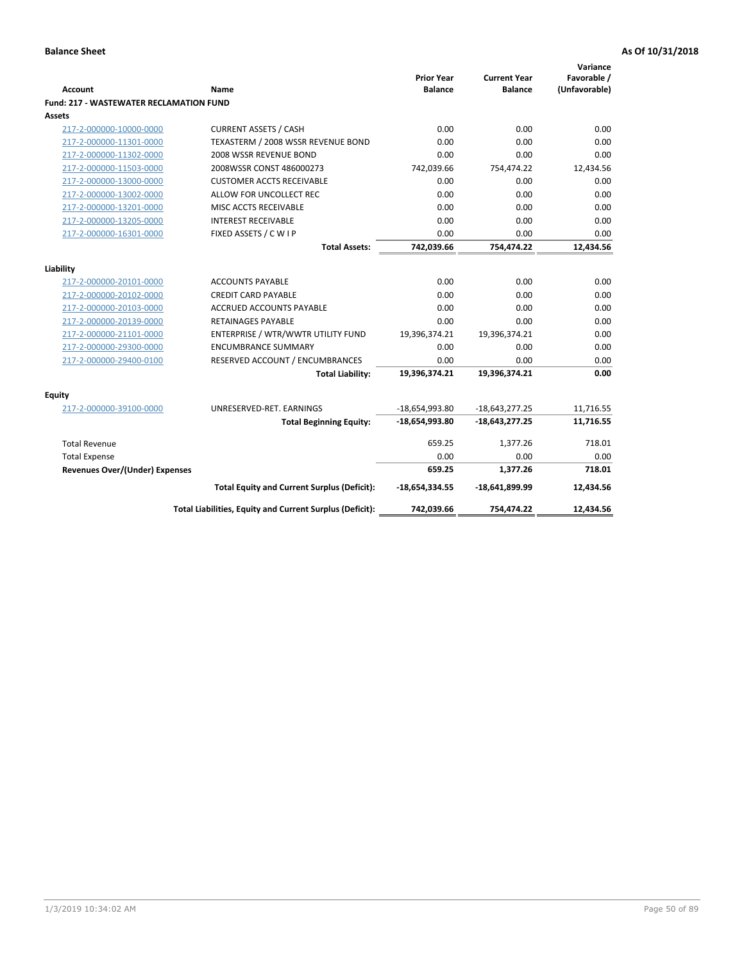| <b>Account</b>                                 | <b>Name</b>                                              | <b>Prior Year</b><br><b>Balance</b> | <b>Current Year</b><br><b>Balance</b> | Variance<br>Favorable /<br>(Unfavorable) |
|------------------------------------------------|----------------------------------------------------------|-------------------------------------|---------------------------------------|------------------------------------------|
| <b>Fund: 217 - WASTEWATER RECLAMATION FUND</b> |                                                          |                                     |                                       |                                          |
| Assets                                         |                                                          |                                     |                                       |                                          |
| 217-2-000000-10000-0000                        | <b>CURRENT ASSETS / CASH</b>                             | 0.00                                | 0.00                                  | 0.00                                     |
| 217-2-000000-11301-0000                        | TEXASTERM / 2008 WSSR REVENUE BOND                       | 0.00                                | 0.00                                  | 0.00                                     |
| 217-2-000000-11302-0000                        | 2008 WSSR REVENUE BOND                                   | 0.00                                | 0.00                                  | 0.00                                     |
| 217-2-000000-11503-0000                        | 2008WSSR CONST 486000273                                 | 742,039.66                          | 754,474.22                            | 12,434.56                                |
| 217-2-000000-13000-0000                        | <b>CUSTOMER ACCTS RECEIVABLE</b>                         | 0.00                                | 0.00                                  | 0.00                                     |
| 217-2-000000-13002-0000                        | ALLOW FOR UNCOLLECT REC                                  | 0.00                                | 0.00                                  | 0.00                                     |
| 217-2-000000-13201-0000                        | MISC ACCTS RECEIVABLE                                    | 0.00                                | 0.00                                  | 0.00                                     |
| 217-2-000000-13205-0000                        | <b>INTEREST RECEIVABLE</b>                               | 0.00                                | 0.00                                  | 0.00                                     |
| 217-2-000000-16301-0000                        | FIXED ASSETS / C W I P                                   | 0.00                                | 0.00                                  | 0.00                                     |
|                                                | <b>Total Assets:</b>                                     | 742,039.66                          | 754,474.22                            | 12,434.56                                |
|                                                |                                                          |                                     |                                       |                                          |
| Liability                                      |                                                          |                                     |                                       |                                          |
| 217-2-000000-20101-0000                        | <b>ACCOUNTS PAYABLE</b>                                  | 0.00                                | 0.00                                  | 0.00                                     |
| 217-2-000000-20102-0000                        | <b>CREDIT CARD PAYABLE</b>                               | 0.00                                | 0.00                                  | 0.00                                     |
| 217-2-000000-20103-0000                        | <b>ACCRUED ACCOUNTS PAYABLE</b>                          | 0.00                                | 0.00                                  | 0.00                                     |
| 217-2-000000-20139-0000                        | <b>RETAINAGES PAYABLE</b>                                | 0.00                                | 0.00                                  | 0.00                                     |
| 217-2-000000-21101-0000                        | ENTERPRISE / WTR/WWTR UTILITY FUND                       | 19,396,374.21                       | 19,396,374.21                         | 0.00                                     |
| 217-2-000000-29300-0000                        | <b>ENCUMBRANCE SUMMARY</b>                               | 0.00                                | 0.00                                  | 0.00                                     |
| 217-2-000000-29400-0100                        | RESERVED ACCOUNT / ENCUMBRANCES                          | 0.00                                | 0.00                                  | 0.00                                     |
|                                                | <b>Total Liability:</b>                                  | 19,396,374.21                       | 19,396,374.21                         | 0.00                                     |
| <b>Equity</b>                                  |                                                          |                                     |                                       |                                          |
| 217-2-000000-39100-0000                        | UNRESERVED-RET. EARNINGS                                 | $-18,654,993.80$                    | $-18,643,277.25$                      | 11,716.55                                |
|                                                | <b>Total Beginning Equity:</b>                           | $-18,654,993.80$                    | $-18,643,277.25$                      | 11,716.55                                |
| <b>Total Revenue</b>                           |                                                          | 659.25                              | 1,377.26                              | 718.01                                   |
| <b>Total Expense</b>                           |                                                          | 0.00                                | 0.00                                  | 0.00                                     |
| Revenues Over/(Under) Expenses                 |                                                          | 659.25                              | 1,377.26                              | 718.01                                   |
|                                                | <b>Total Equity and Current Surplus (Deficit):</b>       | $-18,654,334.55$                    | -18,641,899.99                        | 12,434.56                                |
|                                                | Total Liabilities, Equity and Current Surplus (Deficit): | 742,039.66                          | 754,474.22                            | 12.434.56                                |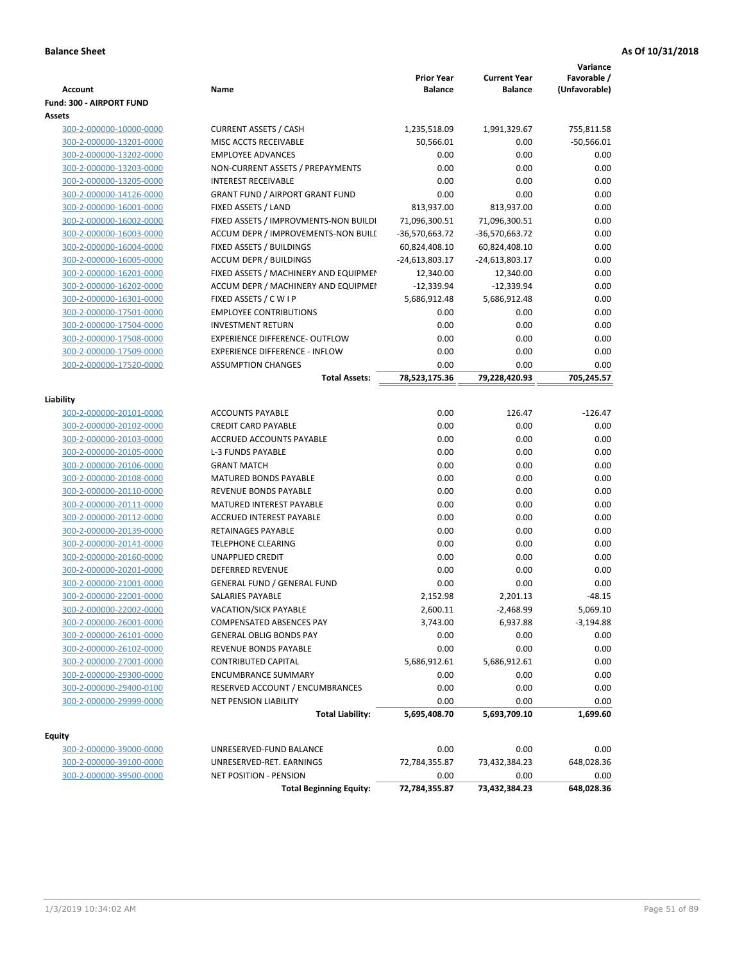| <b>Account</b>           | Name                                   | <b>Prior Year</b><br><b>Balance</b> | <b>Current Year</b><br><b>Balance</b> | Variance<br>Favorable /<br>(Unfavorable) |
|--------------------------|----------------------------------------|-------------------------------------|---------------------------------------|------------------------------------------|
| Fund: 300 - AIRPORT FUND |                                        |                                     |                                       |                                          |
| Assets                   |                                        |                                     |                                       |                                          |
| 300-2-000000-10000-0000  | <b>CURRENT ASSETS / CASH</b>           | 1,235,518.09                        | 1,991,329.67                          | 755,811.58                               |
| 300-2-000000-13201-0000  | MISC ACCTS RECEIVABLE                  | 50,566.01                           | 0.00                                  | $-50,566.01$                             |
| 300-2-000000-13202-0000  | <b>EMPLOYEE ADVANCES</b>               | 0.00                                | 0.00                                  | 0.00                                     |
| 300-2-000000-13203-0000  | NON-CURRENT ASSETS / PREPAYMENTS       | 0.00                                | 0.00                                  | 0.00                                     |
| 300-2-000000-13205-0000  | <b>INTEREST RECEIVABLE</b>             | 0.00                                | 0.00                                  | 0.00                                     |
| 300-2-000000-14126-0000  | <b>GRANT FUND / AIRPORT GRANT FUND</b> | 0.00                                | 0.00                                  | 0.00                                     |
| 300-2-000000-16001-0000  | FIXED ASSETS / LAND                    | 813,937.00                          | 813,937.00                            | 0.00                                     |
| 300-2-000000-16002-0000  | FIXED ASSETS / IMPROVMENTS-NON BUILDI  | 71,096,300.51                       | 71,096,300.51                         | 0.00                                     |
| 300-2-000000-16003-0000  | ACCUM DEPR / IMPROVEMENTS-NON BUILI    | $-36,570,663.72$                    | -36,570,663.72                        | 0.00                                     |
| 300-2-000000-16004-0000  | FIXED ASSETS / BUILDINGS               | 60,824,408.10                       | 60,824,408.10                         | 0.00                                     |
| 300-2-000000-16005-0000  | <b>ACCUM DEPR / BUILDINGS</b>          | -24,613,803.17                      | $-24,613,803.17$                      | 0.00                                     |
| 300-2-000000-16201-0000  | FIXED ASSETS / MACHINERY AND EQUIPMEN  | 12,340.00                           | 12,340.00                             | 0.00                                     |
| 300-2-000000-16202-0000  | ACCUM DEPR / MACHINERY AND EQUIPMEI    | $-12,339.94$                        | $-12,339.94$                          | 0.00                                     |
| 300-2-000000-16301-0000  | FIXED ASSETS / C W I P                 | 5,686,912.48                        | 5,686,912.48                          | 0.00                                     |
| 300-2-000000-17501-0000  | <b>EMPLOYEE CONTRIBUTIONS</b>          | 0.00                                | 0.00                                  | 0.00                                     |
| 300-2-000000-17504-0000  | <b>INVESTMENT RETURN</b>               | 0.00                                | 0.00                                  | 0.00                                     |
| 300-2-000000-17508-0000  | <b>EXPERIENCE DIFFERENCE- OUTFLOW</b>  | 0.00                                | 0.00                                  | 0.00                                     |
| 300-2-000000-17509-0000  | <b>EXPERIENCE DIFFERENCE - INFLOW</b>  | 0.00                                | 0.00                                  | 0.00                                     |
| 300-2-000000-17520-0000  | <b>ASSUMPTION CHANGES</b>              | 0.00                                | 0.00                                  | 0.00                                     |
|                          | <b>Total Assets:</b>                   | 78,523,175.36                       | 79,228,420.93                         | 705,245.57                               |
| Liability                |                                        |                                     |                                       |                                          |
| 300-2-000000-20101-0000  | <b>ACCOUNTS PAYABLE</b>                | 0.00                                | 126.47                                | $-126.47$                                |
| 300-2-000000-20102-0000  | <b>CREDIT CARD PAYABLE</b>             | 0.00                                | 0.00                                  | 0.00                                     |
| 300-2-000000-20103-0000  | ACCRUED ACCOUNTS PAYABLE               | 0.00                                | 0.00                                  | 0.00                                     |
| 300-2-000000-20105-0000  | <b>L-3 FUNDS PAYABLE</b>               | 0.00                                | 0.00                                  | 0.00                                     |
| 300-2-000000-20106-0000  | <b>GRANT MATCH</b>                     | 0.00                                | 0.00                                  | 0.00                                     |
| 300-2-000000-20108-0000  | MATURED BONDS PAYABLE                  | 0.00                                | 0.00                                  | 0.00                                     |
| 300-2-000000-20110-0000  | REVENUE BONDS PAYABLE                  | 0.00                                | 0.00                                  | 0.00                                     |
| 300-2-000000-20111-0000  | MATURED INTEREST PAYABLE               | 0.00                                | 0.00                                  | 0.00                                     |
| 300-2-000000-20112-0000  | ACCRUED INTEREST PAYABLE               | 0.00                                | 0.00                                  | 0.00                                     |
| 300-2-000000-20139-0000  | RETAINAGES PAYABLE                     | 0.00                                | 0.00                                  | 0.00                                     |
| 300-2-000000-20141-0000  | <b>TELEPHONE CLEARING</b>              | 0.00                                | 0.00                                  | 0.00                                     |
| 300-2-000000-20160-0000  | <b>UNAPPLIED CREDIT</b>                | 0.00                                | 0.00                                  | 0.00                                     |
| 300-2-000000-20201-0000  | <b>DEFERRED REVENUE</b>                | 0.00                                | 0.00                                  | 0.00                                     |
| 300-2-000000-21001-0000  | <b>GENERAL FUND / GENERAL FUND</b>     | 0.00                                | 0.00                                  | 0.00                                     |
| 300-2-000000-22001-0000  | SALARIES PAYABLE                       | 2,152.98                            | 2,201.13                              | $-48.15$                                 |
| 300-2-000000-22002-0000  | VACATION/SICK PAYABLE                  | 2,600.11                            | $-2,468.99$                           | 5,069.10                                 |
| 300-2-000000-26001-0000  | COMPENSATED ABSENCES PAY               | 3,743.00                            | 6,937.88                              | $-3,194.88$                              |
| 300-2-000000-26101-0000  | <b>GENERAL OBLIG BONDS PAY</b>         | 0.00                                | 0.00                                  | 0.00                                     |
| 300-2-000000-26102-0000  | REVENUE BONDS PAYABLE                  | 0.00                                | 0.00                                  | 0.00                                     |
| 300-2-000000-27001-0000  | CONTRIBUTED CAPITAL                    | 5,686,912.61                        | 5,686,912.61                          | 0.00                                     |
| 300-2-000000-29300-0000  | <b>ENCUMBRANCE SUMMARY</b>             | 0.00                                | 0.00                                  | 0.00                                     |
| 300-2-000000-29400-0100  | RESERVED ACCOUNT / ENCUMBRANCES        | 0.00                                | 0.00                                  | 0.00                                     |
| 300-2-000000-29999-0000  | <b>NET PENSION LIABILITY</b>           | 0.00                                | 0.00                                  | 0.00                                     |
|                          | <b>Total Liability:</b>                | 5,695,408.70                        | 5,693,709.10                          | 1,699.60                                 |
|                          |                                        |                                     |                                       |                                          |
| Equity                   |                                        |                                     |                                       |                                          |
| 300-2-000000-39000-0000  | UNRESERVED-FUND BALANCE                | 0.00                                | 0.00                                  | 0.00                                     |
| 300-2-000000-39100-0000  | UNRESERVED-RET. EARNINGS               | 72,784,355.87                       | 73,432,384.23                         | 648,028.36                               |
| 300-2-000000-39500-0000  | <b>NET POSITION - PENSION</b>          | 0.00                                | 0.00                                  | 0.00                                     |
|                          | <b>Total Beginning Equity:</b>         | 72,784,355.87                       | 73,432,384.23                         | 648,028.36                               |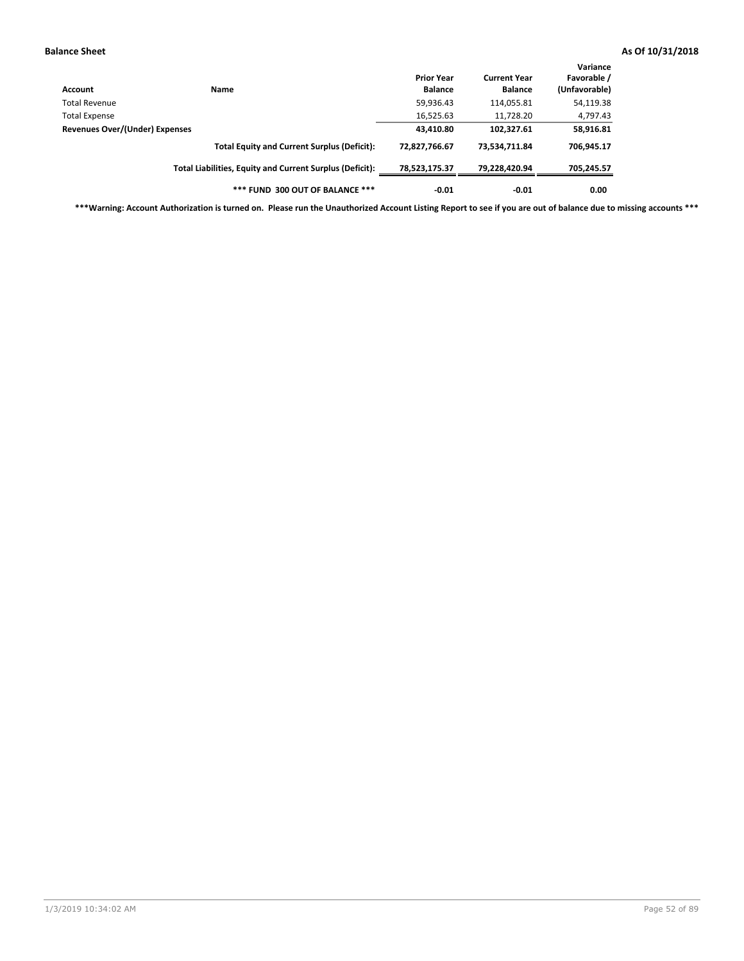| Account                        | <b>Name</b>                                              | <b>Prior Year</b><br><b>Balance</b> | <b>Current Year</b><br><b>Balance</b> | Variance<br>Favorable /<br>(Unfavorable) |
|--------------------------------|----------------------------------------------------------|-------------------------------------|---------------------------------------|------------------------------------------|
| Total Revenue                  |                                                          | 59,936.43                           | 114,055.81                            | 54,119.38                                |
| Total Expense                  |                                                          | 16,525.63                           | 11,728.20                             | 4,797.43                                 |
| Revenues Over/(Under) Expenses |                                                          | 43,410.80                           | 102,327.61                            | 58,916.81                                |
|                                | <b>Total Equity and Current Surplus (Deficit):</b>       | 72.827.766.67                       | 73.534.711.84                         | 706,945.17                               |
|                                | Total Liabilities, Equity and Current Surplus (Deficit): | 78,523,175.37                       | 79,228,420.94                         | 705,245.57                               |
|                                | *** FUND 300 OUT OF BALANCE ***                          | $-0.01$                             | $-0.01$                               | 0.00                                     |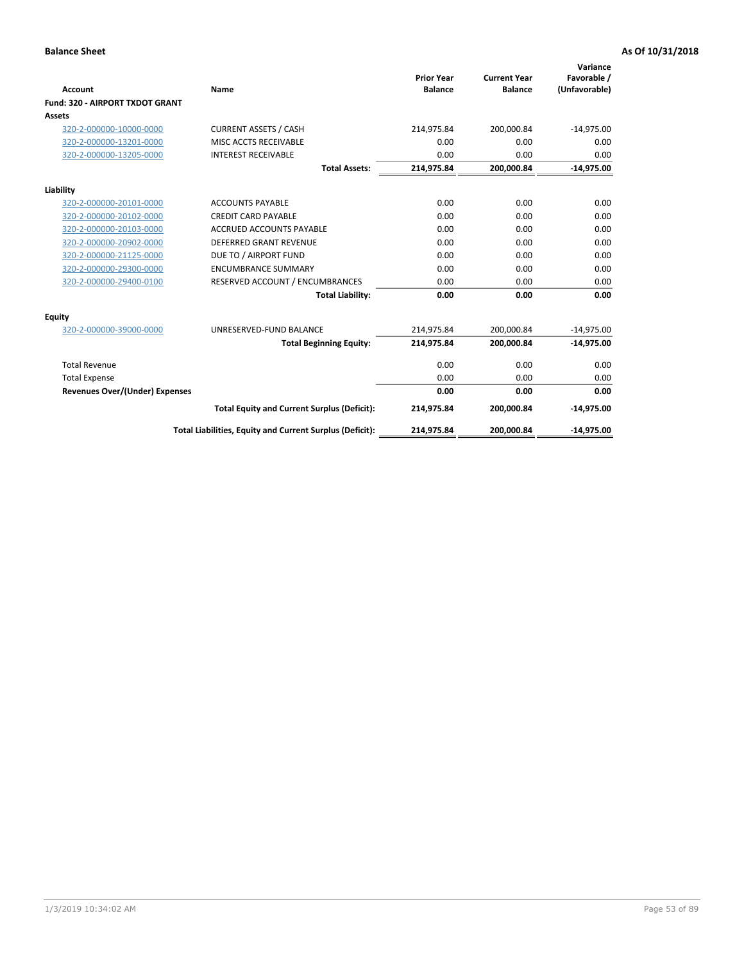|                                       |                                                          |                                     |                                       | Variance                     |
|---------------------------------------|----------------------------------------------------------|-------------------------------------|---------------------------------------|------------------------------|
| Account                               | Name                                                     | <b>Prior Year</b><br><b>Balance</b> | <b>Current Year</b><br><b>Balance</b> | Favorable /<br>(Unfavorable) |
| Fund: 320 - AIRPORT TXDOT GRANT       |                                                          |                                     |                                       |                              |
| Assets                                |                                                          |                                     |                                       |                              |
| 320-2-000000-10000-0000               | <b>CURRENT ASSETS / CASH</b>                             | 214,975.84                          | 200,000.84                            | $-14,975.00$                 |
| 320-2-000000-13201-0000               | MISC ACCTS RECEIVABLE                                    | 0.00                                | 0.00                                  | 0.00                         |
| 320-2-000000-13205-0000               | <b>INTEREST RECEIVABLE</b>                               | 0.00                                | 0.00                                  | 0.00                         |
|                                       | <b>Total Assets:</b>                                     | 214,975.84                          | 200,000.84                            | $-14,975.00$                 |
| Liability                             |                                                          |                                     |                                       |                              |
| 320-2-000000-20101-0000               | <b>ACCOUNTS PAYABLE</b>                                  | 0.00                                | 0.00                                  | 0.00                         |
| 320-2-000000-20102-0000               | <b>CREDIT CARD PAYABLE</b>                               | 0.00                                | 0.00                                  | 0.00                         |
| 320-2-000000-20103-0000               | <b>ACCRUED ACCOUNTS PAYABLE</b>                          | 0.00                                | 0.00                                  | 0.00                         |
| 320-2-000000-20902-0000               | <b>DEFERRED GRANT REVENUE</b>                            | 0.00                                | 0.00                                  | 0.00                         |
| 320-2-000000-21125-0000               | DUE TO / AIRPORT FUND                                    | 0.00                                | 0.00                                  | 0.00                         |
| 320-2-000000-29300-0000               | <b>ENCUMBRANCE SUMMARY</b>                               | 0.00                                | 0.00                                  | 0.00                         |
| 320-2-000000-29400-0100               | RESERVED ACCOUNT / ENCUMBRANCES                          | 0.00                                | 0.00                                  | 0.00                         |
|                                       | <b>Total Liability:</b>                                  | 0.00                                | 0.00                                  | 0.00                         |
| <b>Equity</b>                         |                                                          |                                     |                                       |                              |
| 320-2-000000-39000-0000               | UNRESERVED-FUND BALANCE                                  | 214,975.84                          | 200,000.84                            | $-14,975.00$                 |
|                                       | <b>Total Beginning Equity:</b>                           | 214,975.84                          | 200,000.84                            | $-14,975.00$                 |
| <b>Total Revenue</b>                  |                                                          | 0.00                                | 0.00                                  | 0.00                         |
| <b>Total Expense</b>                  |                                                          | 0.00                                | 0.00                                  | 0.00                         |
| <b>Revenues Over/(Under) Expenses</b> |                                                          | 0.00                                | 0.00                                  | 0.00                         |
|                                       | <b>Total Equity and Current Surplus (Deficit):</b>       | 214,975.84                          | 200,000.84                            | $-14,975.00$                 |
|                                       | Total Liabilities, Equity and Current Surplus (Deficit): | 214,975.84                          | 200,000.84                            | $-14,975.00$                 |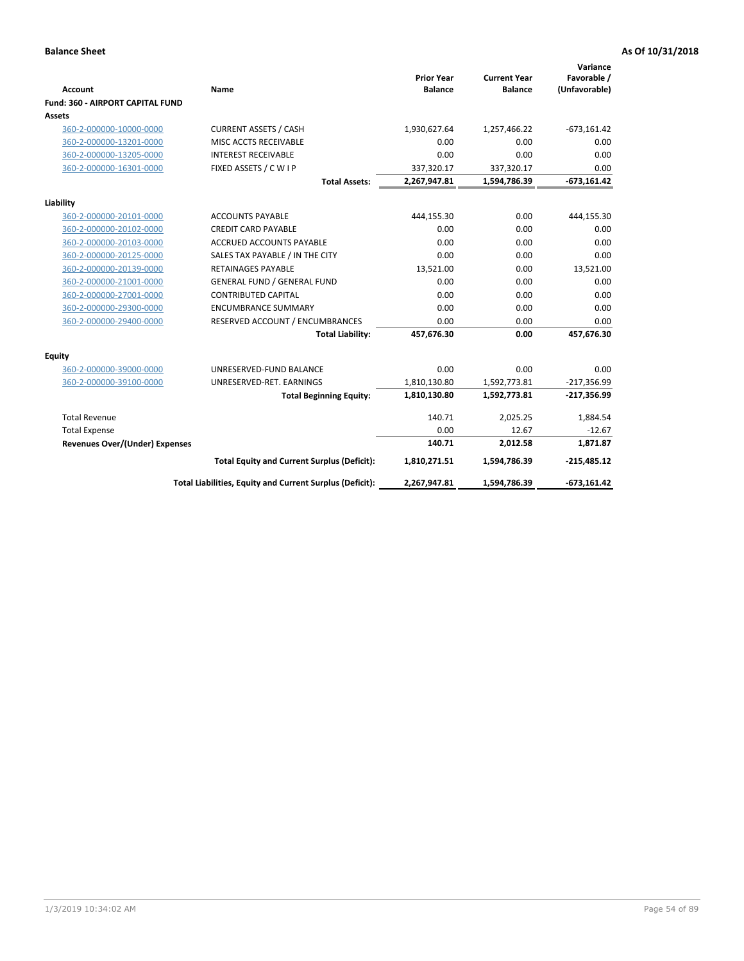| Account                                 | Name                                                     | <b>Prior Year</b><br><b>Balance</b> | <b>Current Year</b><br><b>Balance</b> | Variance<br>Favorable /<br>(Unfavorable) |
|-----------------------------------------|----------------------------------------------------------|-------------------------------------|---------------------------------------|------------------------------------------|
| <b>Fund: 360 - AIRPORT CAPITAL FUND</b> |                                                          |                                     |                                       |                                          |
| <b>Assets</b>                           |                                                          |                                     |                                       |                                          |
| 360-2-000000-10000-0000                 | <b>CURRENT ASSETS / CASH</b>                             | 1,930,627.64                        | 1,257,466.22                          | $-673,161.42$                            |
| 360-2-000000-13201-0000                 | MISC ACCTS RECEIVABLE                                    | 0.00                                | 0.00                                  | 0.00                                     |
| 360-2-000000-13205-0000                 | <b>INTEREST RECEIVABLE</b>                               | 0.00                                | 0.00                                  | 0.00                                     |
| 360-2-000000-16301-0000                 | FIXED ASSETS / C W I P                                   | 337,320.17                          | 337,320.17                            | 0.00                                     |
|                                         | <b>Total Assets:</b>                                     | 2,267,947.81                        | 1,594,786.39                          | $-673,161.42$                            |
| Liability                               |                                                          |                                     |                                       |                                          |
| 360-2-000000-20101-0000                 | <b>ACCOUNTS PAYABLE</b>                                  | 444,155.30                          | 0.00                                  | 444,155.30                               |
| 360-2-000000-20102-0000                 | <b>CREDIT CARD PAYABLE</b>                               | 0.00                                | 0.00                                  | 0.00                                     |
| 360-2-000000-20103-0000                 | <b>ACCRUED ACCOUNTS PAYABLE</b>                          | 0.00                                | 0.00                                  | 0.00                                     |
| 360-2-000000-20125-0000                 | SALES TAX PAYABLE / IN THE CITY                          | 0.00                                | 0.00                                  | 0.00                                     |
| 360-2-000000-20139-0000                 | <b>RETAINAGES PAYABLE</b>                                | 13,521.00                           | 0.00                                  | 13,521.00                                |
| 360-2-000000-21001-0000                 | <b>GENERAL FUND / GENERAL FUND</b>                       | 0.00                                | 0.00                                  | 0.00                                     |
| 360-2-000000-27001-0000                 | <b>CONTRIBUTED CAPITAL</b>                               | 0.00                                | 0.00                                  | 0.00                                     |
| 360-2-000000-29300-0000                 | <b>ENCUMBRANCE SUMMARY</b>                               | 0.00                                | 0.00                                  | 0.00                                     |
| 360-2-000000-29400-0000                 | RESERVED ACCOUNT / ENCUMBRANCES                          | 0.00                                | 0.00                                  | 0.00                                     |
|                                         | <b>Total Liability:</b>                                  | 457,676.30                          | 0.00                                  | 457,676.30                               |
| <b>Equity</b>                           |                                                          |                                     |                                       |                                          |
| 360-2-000000-39000-0000                 | UNRESERVED-FUND BALANCE                                  | 0.00                                | 0.00                                  | 0.00                                     |
| 360-2-000000-39100-0000                 | UNRESERVED-RET. EARNINGS                                 | 1,810,130.80                        | 1,592,773.81                          | $-217,356.99$                            |
|                                         | <b>Total Beginning Equity:</b>                           | 1,810,130.80                        | 1,592,773.81                          | $-217,356.99$                            |
| <b>Total Revenue</b>                    |                                                          | 140.71                              | 2,025.25                              | 1,884.54                                 |
| <b>Total Expense</b>                    |                                                          | 0.00                                | 12.67                                 | $-12.67$                                 |
| <b>Revenues Over/(Under) Expenses</b>   |                                                          | 140.71                              | 2,012.58                              | 1,871.87                                 |
|                                         | <b>Total Equity and Current Surplus (Deficit):</b>       | 1,810,271.51                        | 1,594,786.39                          | $-215,485.12$                            |
|                                         | Total Liabilities, Equity and Current Surplus (Deficit): | 2,267,947.81                        | 1,594,786.39                          | $-673,161.42$                            |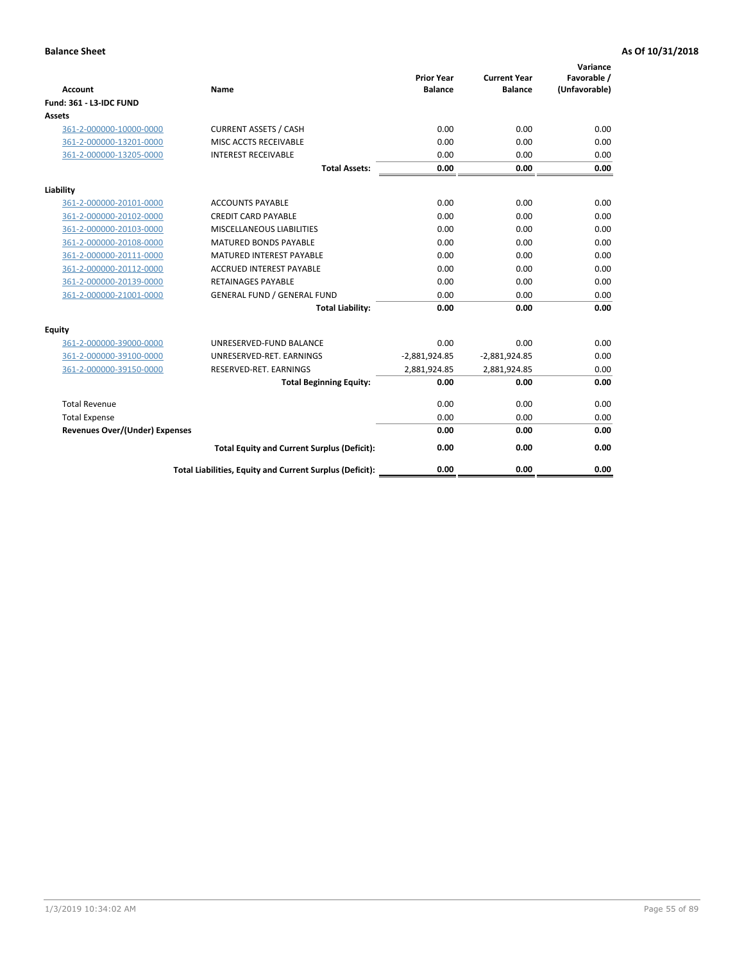| <b>Account</b>                        | <b>Name</b>                                              | <b>Prior Year</b><br><b>Balance</b> | <b>Current Year</b><br><b>Balance</b> | Variance<br>Favorable /<br>(Unfavorable) |
|---------------------------------------|----------------------------------------------------------|-------------------------------------|---------------------------------------|------------------------------------------|
| <b>Fund: 361 - L3-IDC FUND</b>        |                                                          |                                     |                                       |                                          |
| Assets                                |                                                          |                                     |                                       |                                          |
| 361-2-000000-10000-0000               | <b>CURRENT ASSETS / CASH</b>                             | 0.00                                | 0.00                                  | 0.00                                     |
| 361-2-000000-13201-0000               | MISC ACCTS RECEIVABLE                                    | 0.00                                | 0.00                                  | 0.00                                     |
| 361-2-000000-13205-0000               | <b>INTEREST RECEIVABLE</b>                               | 0.00                                | 0.00                                  | 0.00                                     |
|                                       | <b>Total Assets:</b>                                     | 0.00                                | 0.00                                  | 0.00                                     |
| Liability                             |                                                          |                                     |                                       |                                          |
| 361-2-000000-20101-0000               | <b>ACCOUNTS PAYABLE</b>                                  | 0.00                                | 0.00                                  | 0.00                                     |
| 361-2-000000-20102-0000               | <b>CREDIT CARD PAYABLE</b>                               | 0.00                                | 0.00                                  | 0.00                                     |
| 361-2-000000-20103-0000               | MISCELLANEOUS LIABILITIES                                | 0.00                                | 0.00                                  | 0.00                                     |
| 361-2-000000-20108-0000               | <b>MATURED BONDS PAYABLE</b>                             | 0.00                                | 0.00                                  | 0.00                                     |
| 361-2-000000-20111-0000               | <b>MATURED INTEREST PAYABLE</b>                          | 0.00                                | 0.00                                  | 0.00                                     |
| 361-2-000000-20112-0000               | <b>ACCRUED INTEREST PAYABLE</b>                          | 0.00                                | 0.00                                  | 0.00                                     |
| 361-2-000000-20139-0000               | <b>RETAINAGES PAYABLE</b>                                | 0.00                                | 0.00                                  | 0.00                                     |
| 361-2-000000-21001-0000               | <b>GENERAL FUND / GENERAL FUND</b>                       | 0.00                                | 0.00                                  | 0.00                                     |
|                                       | <b>Total Liability:</b>                                  | 0.00                                | 0.00                                  | 0.00                                     |
| Equity                                |                                                          |                                     |                                       |                                          |
| 361-2-000000-39000-0000               | UNRESERVED-FUND BALANCE                                  | 0.00                                | 0.00                                  | 0.00                                     |
| 361-2-000000-39100-0000               | UNRESERVED-RET. EARNINGS                                 | $-2,881,924.85$                     | $-2,881,924.85$                       | 0.00                                     |
| 361-2-000000-39150-0000               | RESERVED-RET. EARNINGS                                   | 2,881,924.85                        | 2,881,924.85                          | 0.00                                     |
|                                       | <b>Total Beginning Equity:</b>                           | 0.00                                | 0.00                                  | 0.00                                     |
| <b>Total Revenue</b>                  |                                                          | 0.00                                | 0.00                                  | 0.00                                     |
| <b>Total Expense</b>                  |                                                          | 0.00                                | 0.00                                  | 0.00                                     |
| <b>Revenues Over/(Under) Expenses</b> |                                                          | 0.00                                | 0.00                                  | 0.00                                     |
|                                       | <b>Total Equity and Current Surplus (Deficit):</b>       | 0.00                                | 0.00                                  | 0.00                                     |
|                                       | Total Liabilities, Equity and Current Surplus (Deficit): | 0.00                                | 0.00                                  | 0.00                                     |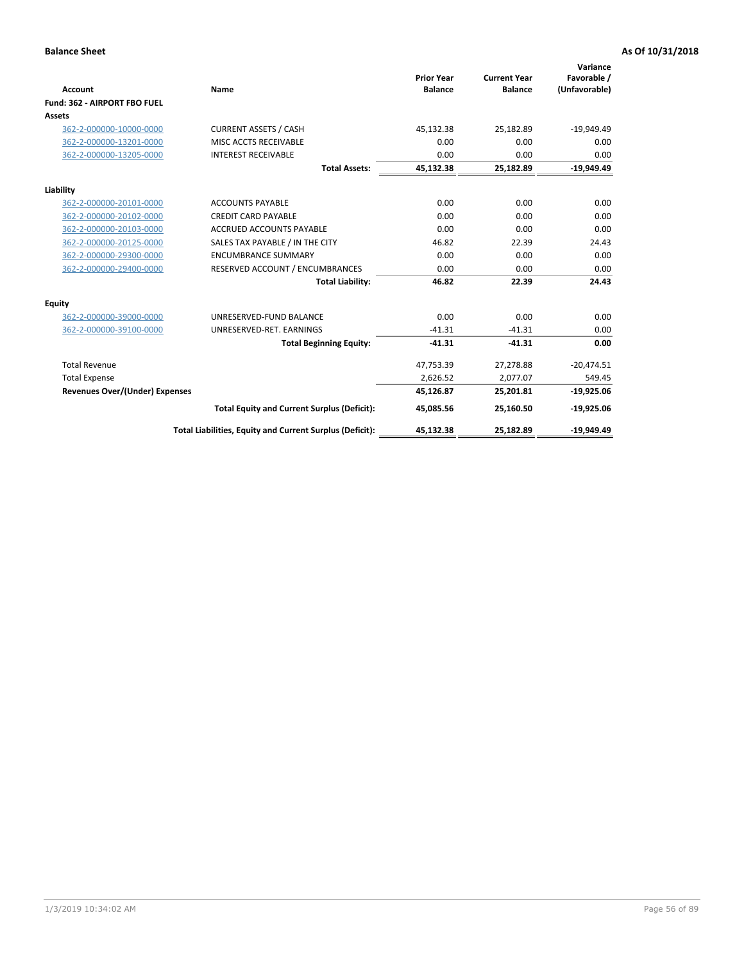|                                |                                                          |                                     |                                       | Variance                     |
|--------------------------------|----------------------------------------------------------|-------------------------------------|---------------------------------------|------------------------------|
| Account                        | Name                                                     | <b>Prior Year</b><br><b>Balance</b> | <b>Current Year</b><br><b>Balance</b> | Favorable /<br>(Unfavorable) |
| Fund: 362 - AIRPORT FBO FUEL   |                                                          |                                     |                                       |                              |
| <b>Assets</b>                  |                                                          |                                     |                                       |                              |
| 362-2-000000-10000-0000        | <b>CURRENT ASSETS / CASH</b>                             | 45,132.38                           | 25,182.89                             | $-19,949.49$                 |
| 362-2-000000-13201-0000        | MISC ACCTS RECEIVABLE                                    | 0.00                                | 0.00                                  | 0.00                         |
| 362-2-000000-13205-0000        | <b>INTEREST RECEIVABLE</b>                               | 0.00                                | 0.00                                  | 0.00                         |
|                                | <b>Total Assets:</b>                                     | 45,132.38                           | 25,182.89                             | $-19,949.49$                 |
| Liability                      |                                                          |                                     |                                       |                              |
| 362-2-000000-20101-0000        | <b>ACCOUNTS PAYABLE</b>                                  | 0.00                                | 0.00                                  | 0.00                         |
| 362-2-000000-20102-0000        | <b>CREDIT CARD PAYABLE</b>                               | 0.00                                | 0.00                                  | 0.00                         |
| 362-2-000000-20103-0000        | <b>ACCRUED ACCOUNTS PAYABLE</b>                          | 0.00                                | 0.00                                  | 0.00                         |
| 362-2-000000-20125-0000        | SALES TAX PAYABLE / IN THE CITY                          | 46.82                               | 22.39                                 | 24.43                        |
| 362-2-000000-29300-0000        | <b>ENCUMBRANCE SUMMARY</b>                               | 0.00                                | 0.00                                  | 0.00                         |
| 362-2-000000-29400-0000        | RESERVED ACCOUNT / ENCUMBRANCES                          | 0.00                                | 0.00                                  | 0.00                         |
|                                | <b>Total Liability:</b>                                  | 46.82                               | 22.39                                 | 24.43                        |
| Equity                         |                                                          |                                     |                                       |                              |
| 362-2-000000-39000-0000        | UNRESERVED-FUND BALANCE                                  | 0.00                                | 0.00                                  | 0.00                         |
| 362-2-000000-39100-0000        | UNRESERVED-RET. EARNINGS                                 | $-41.31$                            | $-41.31$                              | 0.00                         |
|                                | <b>Total Beginning Equity:</b>                           | $-41.31$                            | $-41.31$                              | 0.00                         |
| <b>Total Revenue</b>           |                                                          | 47,753.39                           | 27,278.88                             | $-20,474.51$                 |
| <b>Total Expense</b>           |                                                          | 2,626.52                            | 2,077.07                              | 549.45                       |
| Revenues Over/(Under) Expenses |                                                          | 45,126.87                           | 25,201.81                             | $-19,925.06$                 |
|                                | <b>Total Equity and Current Surplus (Deficit):</b>       | 45,085.56                           | 25,160.50                             | $-19,925.06$                 |
|                                | Total Liabilities, Equity and Current Surplus (Deficit): | 45,132.38                           | 25,182.89                             | $-19,949.49$                 |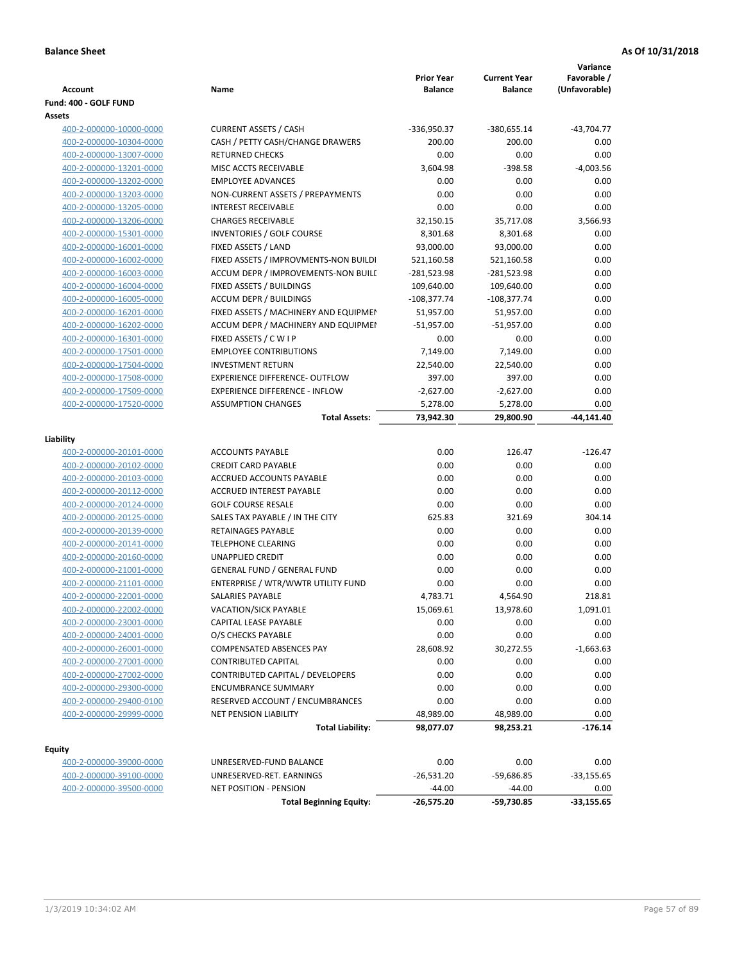| Account                 | Name                                  | <b>Prior Year</b><br><b>Balance</b> | <b>Current Year</b><br><b>Balance</b> | Variance<br>Favorable /<br>(Unfavorable) |
|-------------------------|---------------------------------------|-------------------------------------|---------------------------------------|------------------------------------------|
| Fund: 400 - GOLF FUND   |                                       |                                     |                                       |                                          |
| Assets                  |                                       |                                     |                                       |                                          |
| 400-2-000000-10000-0000 | <b>CURRENT ASSETS / CASH</b>          | -336,950.37                         | -380,655.14                           | $-43,704.77$                             |
| 400-2-000000-10304-0000 | CASH / PETTY CASH/CHANGE DRAWERS      | 200.00                              | 200.00                                | 0.00                                     |
| 400-2-000000-13007-0000 | <b>RETURNED CHECKS</b>                | 0.00                                | 0.00                                  | 0.00                                     |
| 400-2-000000-13201-0000 | MISC ACCTS RECEIVABLE                 | 3,604.98                            | $-398.58$                             | $-4,003.56$                              |
| 400-2-000000-13202-0000 | <b>EMPLOYEE ADVANCES</b>              | 0.00                                | 0.00                                  | 0.00                                     |
| 400-2-000000-13203-0000 | NON-CURRENT ASSETS / PREPAYMENTS      | 0.00                                | 0.00                                  | 0.00                                     |
| 400-2-000000-13205-0000 | <b>INTEREST RECEIVABLE</b>            | 0.00                                | 0.00                                  | 0.00                                     |
| 400-2-000000-13206-0000 | <b>CHARGES RECEIVABLE</b>             | 32,150.15                           | 35,717.08                             | 3,566.93                                 |
| 400-2-000000-15301-0000 | <b>INVENTORIES / GOLF COURSE</b>      | 8,301.68                            | 8,301.68                              | 0.00                                     |
| 400-2-000000-16001-0000 | FIXED ASSETS / LAND                   | 93,000.00                           | 93,000.00                             | 0.00                                     |
| 400-2-000000-16002-0000 | FIXED ASSETS / IMPROVMENTS-NON BUILDI | 521,160.58                          | 521,160.58                            | 0.00                                     |
| 400-2-000000-16003-0000 | ACCUM DEPR / IMPROVEMENTS-NON BUILI   | -281,523.98                         | -281,523.98                           | 0.00                                     |
| 400-2-000000-16004-0000 | FIXED ASSETS / BUILDINGS              | 109,640.00                          | 109,640.00                            | 0.00                                     |
| 400-2-000000-16005-0000 | <b>ACCUM DEPR / BUILDINGS</b>         | $-108,377.74$                       | $-108,377.74$                         | 0.00                                     |
| 400-2-000000-16201-0000 | FIXED ASSETS / MACHINERY AND EQUIPMEN | 51,957.00                           | 51,957.00                             | 0.00                                     |
| 400-2-000000-16202-0000 | ACCUM DEPR / MACHINERY AND EQUIPMEI   | $-51,957.00$                        | $-51,957.00$                          | 0.00                                     |
| 400-2-000000-16301-0000 | FIXED ASSETS / C W I P                | 0.00                                | 0.00                                  | 0.00                                     |
| 400-2-000000-17501-0000 | <b>EMPLOYEE CONTRIBUTIONS</b>         | 7,149.00                            | 7,149.00                              | 0.00                                     |
| 400-2-000000-17504-0000 | <b>INVESTMENT RETURN</b>              | 22,540.00                           | 22,540.00                             | 0.00                                     |
| 400-2-000000-17508-0000 | <b>EXPERIENCE DIFFERENCE- OUTFLOW</b> | 397.00                              | 397.00                                | 0.00                                     |
| 400-2-000000-17509-0000 | <b>EXPERIENCE DIFFERENCE - INFLOW</b> | $-2,627.00$                         | $-2,627.00$                           | 0.00                                     |
| 400-2-000000-17520-0000 | <b>ASSUMPTION CHANGES</b>             | 5,278.00                            | 5,278.00                              | 0.00                                     |
|                         | <b>Total Assets:</b>                  | 73,942.30                           | 29,800.90                             | -44,141.40                               |
|                         |                                       |                                     |                                       |                                          |
| Liability               |                                       |                                     |                                       |                                          |
| 400-2-000000-20101-0000 | <b>ACCOUNTS PAYABLE</b>               | 0.00                                | 126.47                                | $-126.47$                                |
| 400-2-000000-20102-0000 | <b>CREDIT CARD PAYABLE</b>            | 0.00                                | 0.00                                  | 0.00                                     |
| 400-2-000000-20103-0000 | ACCRUED ACCOUNTS PAYABLE              | 0.00                                | 0.00                                  | 0.00                                     |
| 400-2-000000-20112-0000 | <b>ACCRUED INTEREST PAYABLE</b>       | 0.00                                | 0.00                                  | 0.00                                     |
| 400-2-000000-20124-0000 | <b>GOLF COURSE RESALE</b>             | 0.00                                | 0.00                                  | 0.00                                     |
| 400-2-000000-20125-0000 | SALES TAX PAYABLE / IN THE CITY       | 625.83                              | 321.69                                | 304.14                                   |
| 400-2-000000-20139-0000 | RETAINAGES PAYABLE                    | 0.00                                | 0.00                                  | 0.00                                     |
| 400-2-000000-20141-0000 | <b>TELEPHONE CLEARING</b>             | 0.00                                | 0.00                                  | 0.00                                     |
| 400-2-000000-20160-0000 | <b>UNAPPLIED CREDIT</b>               | 0.00                                | 0.00                                  | 0.00                                     |
| 400-2-000000-21001-0000 | <b>GENERAL FUND / GENERAL FUND</b>    | 0.00                                | 0.00                                  | 0.00                                     |
| 400-2-000000-21101-0000 | ENTERPRISE / WTR/WWTR UTILITY FUND    | 0.00                                | 0.00                                  | 0.00                                     |
| 400-2-000000-22001-0000 | SALARIES PAYABLE                      | 4,783.71                            | 4,564.90                              | 218.81                                   |
| 400-2-000000-22002-0000 | VACATION/SICK PAYABLE                 | 15,069.61                           | 13,978.60                             | 1,091.01                                 |
| 400-2-000000-23001-0000 | CAPITAL LEASE PAYABLE                 | 0.00                                | 0.00                                  | 0.00                                     |
| 400-2-000000-24001-0000 | O/S CHECKS PAYABLE                    | 0.00                                | 0.00                                  | 0.00                                     |
| 400-2-000000-26001-0000 | COMPENSATED ABSENCES PAY              | 28,608.92                           | 30,272.55                             | $-1,663.63$                              |
| 400-2-000000-27001-0000 | <b>CONTRIBUTED CAPITAL</b>            | 0.00                                | 0.00                                  | 0.00                                     |
| 400-2-000000-27002-0000 | CONTRIBUTED CAPITAL / DEVELOPERS      | 0.00                                | 0.00                                  | 0.00                                     |
| 400-2-000000-29300-0000 | <b>ENCUMBRANCE SUMMARY</b>            | 0.00                                | 0.00                                  | 0.00                                     |
| 400-2-000000-29400-0100 | RESERVED ACCOUNT / ENCUMBRANCES       | 0.00                                | 0.00                                  | 0.00                                     |
| 400-2-000000-29999-0000 | <b>NET PENSION LIABILITY</b>          | 48,989.00                           | 48,989.00                             | 0.00<br>$-176.14$                        |
|                         | <b>Total Liability:</b>               | 98,077.07                           | 98,253.21                             |                                          |
| <b>Equity</b>           |                                       |                                     |                                       |                                          |
| 400-2-000000-39000-0000 | UNRESERVED-FUND BALANCE               | 0.00                                | 0.00                                  | 0.00                                     |
| 400-2-000000-39100-0000 | UNRESERVED-RET. EARNINGS              | $-26,531.20$                        | $-59,686.85$                          | $-33,155.65$                             |
| 400-2-000000-39500-0000 | <b>NET POSITION - PENSION</b>         | $-44.00$                            | $-44.00$                              | 0.00                                     |
|                         | <b>Total Beginning Equity:</b>        | $-26,575.20$                        | -59,730.85                            | $-33,155.65$                             |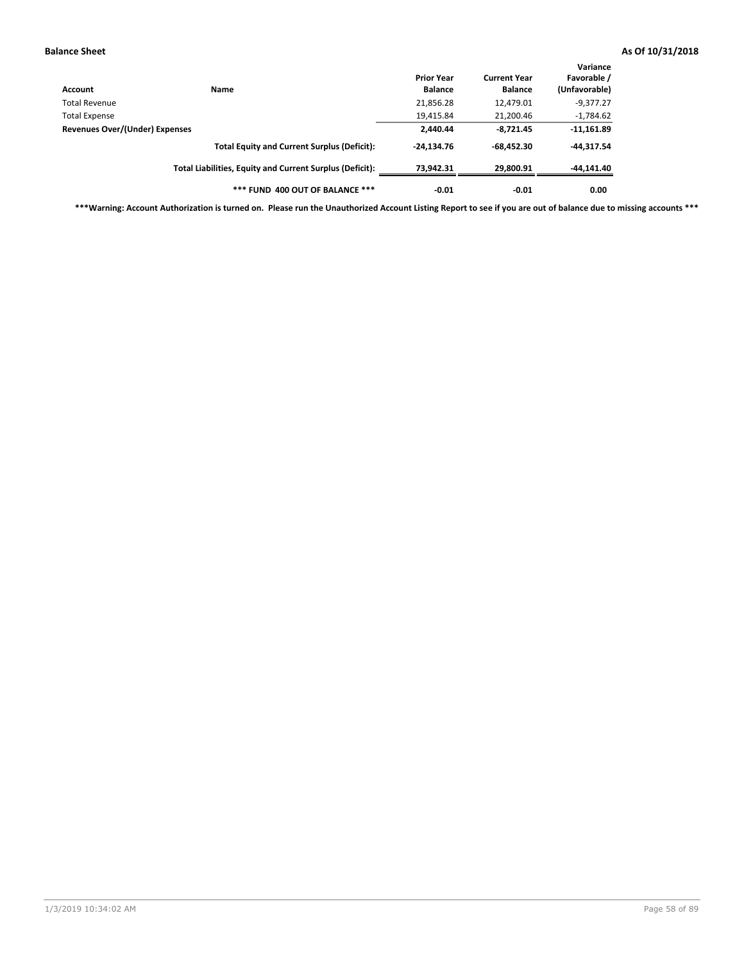| Account                        | Name                                                     | <b>Prior Year</b><br><b>Balance</b> | <b>Current Year</b><br><b>Balance</b> | Variance<br>Favorable /<br>(Unfavorable) |
|--------------------------------|----------------------------------------------------------|-------------------------------------|---------------------------------------|------------------------------------------|
| Total Revenue                  |                                                          | 21,856.28                           | 12,479.01                             | $-9,377.27$                              |
| <b>Total Expense</b>           |                                                          | 19,415.84                           | 21,200.46                             | $-1,784.62$                              |
| Revenues Over/(Under) Expenses |                                                          | 2,440.44                            | $-8,721.45$                           | $-11,161.89$                             |
|                                | <b>Total Equity and Current Surplus (Deficit):</b>       | $-24.134.76$                        | $-68.452.30$                          | $-44.317.54$                             |
|                                | Total Liabilities, Equity and Current Surplus (Deficit): | 73,942.31                           | 29,800.91                             | -44,141.40                               |
|                                | *** FUND 400 OUT OF BALANCE ***                          | $-0.01$                             | $-0.01$                               | 0.00                                     |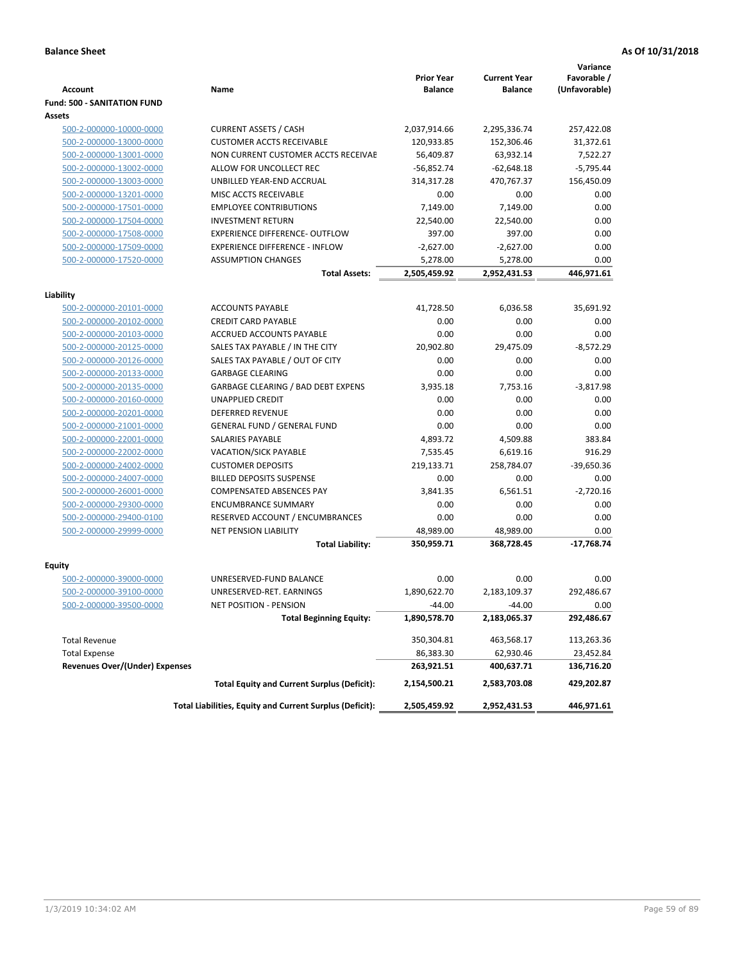|                                       |                                                          | <b>Prior Year</b> | <b>Current Year</b> | Variance<br>Favorable / |
|---------------------------------------|----------------------------------------------------------|-------------------|---------------------|-------------------------|
| <b>Account</b>                        | Name                                                     | <b>Balance</b>    | <b>Balance</b>      | (Unfavorable)           |
| <b>Fund: 500 - SANITATION FUND</b>    |                                                          |                   |                     |                         |
| Assets                                |                                                          |                   |                     |                         |
| 500-2-000000-10000-0000               | <b>CURRENT ASSETS / CASH</b>                             | 2,037,914.66      | 2,295,336.74        | 257,422.08              |
| 500-2-000000-13000-0000               | <b>CUSTOMER ACCTS RECEIVABLE</b>                         | 120,933.85        | 152,306.46          | 31,372.61               |
| 500-2-000000-13001-0000               | NON CURRENT CUSTOMER ACCTS RECEIVAE                      | 56,409.87         | 63,932.14           | 7,522.27                |
| 500-2-000000-13002-0000               | ALLOW FOR UNCOLLECT REC                                  | $-56,852.74$      | $-62,648.18$        | $-5,795.44$             |
| 500-2-000000-13003-0000               | UNBILLED YEAR-END ACCRUAL                                | 314,317.28        | 470.767.37          | 156,450.09              |
| 500-2-000000-13201-0000               | MISC ACCTS RECEIVABLE                                    | 0.00              | 0.00                | 0.00                    |
| 500-2-000000-17501-0000               | <b>EMPLOYEE CONTRIBUTIONS</b>                            | 7,149.00          | 7,149.00            | 0.00                    |
| 500-2-000000-17504-0000               | <b>INVESTMENT RETURN</b>                                 | 22,540.00         | 22,540.00           | 0.00                    |
| 500-2-000000-17508-0000               | <b>EXPERIENCE DIFFERENCE- OUTFLOW</b>                    | 397.00            | 397.00              | 0.00                    |
| 500-2-000000-17509-0000               | <b>EXPERIENCE DIFFERENCE - INFLOW</b>                    | $-2,627.00$       | $-2,627.00$         | 0.00                    |
| 500-2-000000-17520-0000               | <b>ASSUMPTION CHANGES</b>                                | 5,278.00          | 5,278.00            | 0.00                    |
|                                       | <b>Total Assets:</b>                                     | 2,505,459.92      | 2,952,431.53        | 446,971.61              |
|                                       |                                                          |                   |                     |                         |
| Liability                             |                                                          |                   |                     |                         |
| 500-2-000000-20101-0000               | <b>ACCOUNTS PAYABLE</b>                                  | 41,728.50         | 6,036.58            | 35,691.92               |
| 500-2-000000-20102-0000               | <b>CREDIT CARD PAYABLE</b>                               | 0.00              | 0.00                | 0.00                    |
| 500-2-000000-20103-0000               | ACCRUED ACCOUNTS PAYABLE                                 | 0.00              | 0.00                | 0.00                    |
| 500-2-000000-20125-0000               | SALES TAX PAYABLE / IN THE CITY                          | 20,902.80         | 29,475.09           | $-8,572.29$             |
| 500-2-000000-20126-0000               | SALES TAX PAYABLE / OUT OF CITY                          | 0.00              | 0.00                | 0.00                    |
| 500-2-000000-20133-0000               | <b>GARBAGE CLEARING</b>                                  | 0.00              | 0.00                | 0.00                    |
| 500-2-000000-20135-0000               | GARBAGE CLEARING / BAD DEBT EXPENS                       | 3,935.18          | 7,753.16            | $-3,817.98$             |
| 500-2-000000-20160-0000               | <b>UNAPPLIED CREDIT</b>                                  | 0.00              | 0.00                | 0.00                    |
| 500-2-000000-20201-0000               | <b>DEFERRED REVENUE</b>                                  | 0.00              | 0.00                | 0.00                    |
| 500-2-000000-21001-0000               | <b>GENERAL FUND / GENERAL FUND</b>                       | 0.00              | 0.00                | 0.00                    |
| 500-2-000000-22001-0000               | <b>SALARIES PAYABLE</b>                                  | 4,893.72          | 4,509.88            | 383.84                  |
| 500-2-000000-22002-0000               | <b>VACATION/SICK PAYABLE</b>                             | 7,535.45          | 6,619.16            | 916.29                  |
| 500-2-000000-24002-0000               | <b>CUSTOMER DEPOSITS</b>                                 | 219,133.71        | 258,784.07          | $-39,650.36$            |
| 500-2-000000-24007-0000               | <b>BILLED DEPOSITS SUSPENSE</b>                          | 0.00              | 0.00                | 0.00                    |
| 500-2-000000-26001-0000               | <b>COMPENSATED ABSENCES PAY</b>                          | 3,841.35          | 6,561.51            | $-2,720.16$             |
| 500-2-000000-29300-0000               | <b>ENCUMBRANCE SUMMARY</b>                               | 0.00              | 0.00                | 0.00                    |
| 500-2-000000-29400-0100               | RESERVED ACCOUNT / ENCUMBRANCES                          | 0.00              | 0.00                | 0.00                    |
| 500-2-000000-29999-0000               | <b>NET PENSION LIABILITY</b>                             | 48,989.00         | 48,989.00           | 0.00                    |
|                                       | <b>Total Liability:</b>                                  | 350,959.71        | 368,728.45          | $-17,768.74$            |
| Equity                                |                                                          |                   |                     |                         |
| 500-2-000000-39000-0000               | UNRESERVED-FUND BALANCE                                  | 0.00              | 0.00                | 0.00                    |
| 500-2-000000-39100-0000               | UNRESERVED-RET. EARNINGS                                 | 1,890,622.70      | 2,183,109.37        | 292,486.67              |
| <u>500-2-000000-39500-0000</u>        | NET POSITION - PENSION                                   | $-44.00$          | $-44.00$            | 0.00                    |
|                                       | <b>Total Beginning Equity:</b>                           | 1,890,578.70      | 2,183,065.37        | 292,486.67              |
| <b>Total Revenue</b>                  |                                                          | 350,304.81        | 463,568.17          | 113,263.36              |
| <b>Total Expense</b>                  |                                                          | 86,383.30         | 62,930.46           | 23,452.84               |
| <b>Revenues Over/(Under) Expenses</b> |                                                          | 263,921.51        | 400,637.71          | 136,716.20              |
|                                       | <b>Total Equity and Current Surplus (Deficit):</b>       | 2,154,500.21      | 2,583,703.08        | 429,202.87              |
|                                       | Total Liabilities, Equity and Current Surplus (Deficit): | 2,505,459.92      | 2,952,431.53        | 446,971.61              |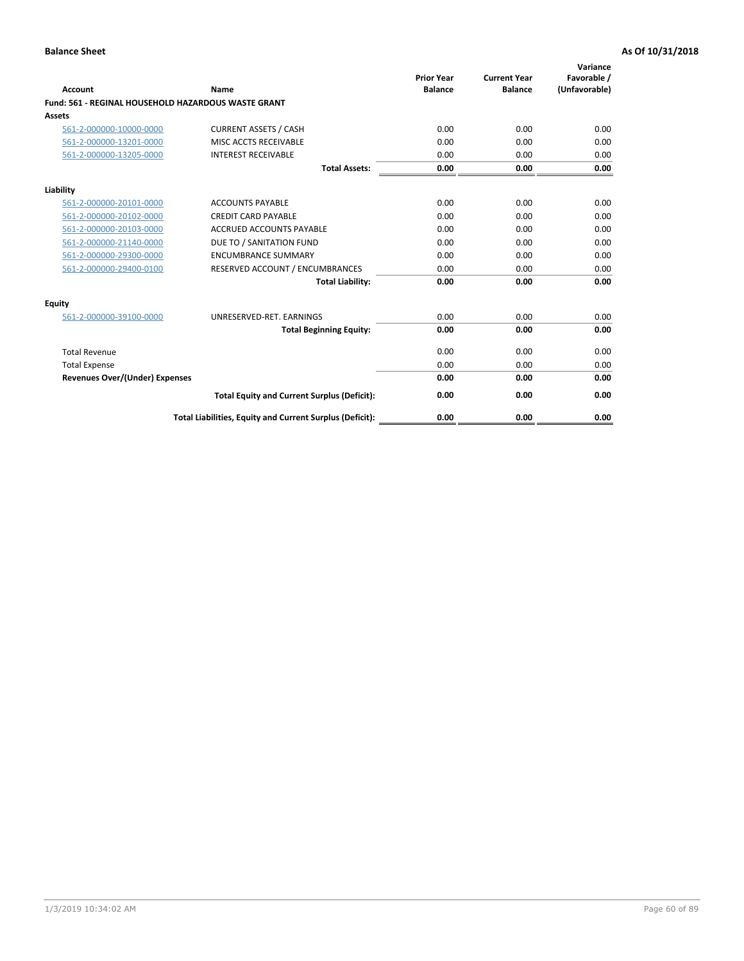| <b>Account</b>                        | Name                                                       | <b>Prior Year</b><br><b>Balance</b> | <b>Current Year</b><br><b>Balance</b> | Variance<br>Favorable /<br>(Unfavorable) |
|---------------------------------------|------------------------------------------------------------|-------------------------------------|---------------------------------------|------------------------------------------|
|                                       | <b>Fund: 561 - REGINAL HOUSEHOLD HAZARDOUS WASTE GRANT</b> |                                     |                                       |                                          |
| <b>Assets</b>                         |                                                            |                                     |                                       |                                          |
| 561-2-000000-10000-0000               | <b>CURRENT ASSETS / CASH</b>                               | 0.00                                | 0.00                                  | 0.00                                     |
| 561-2-000000-13201-0000               | MISC ACCTS RECEIVABLE                                      | 0.00                                | 0.00                                  | 0.00                                     |
| 561-2-000000-13205-0000               | <b>INTEREST RECEIVABLE</b>                                 | 0.00                                | 0.00                                  | 0.00                                     |
|                                       | <b>Total Assets:</b>                                       | 0.00                                | 0.00                                  | 0.00                                     |
| Liability                             |                                                            |                                     |                                       |                                          |
| 561-2-000000-20101-0000               | <b>ACCOUNTS PAYABLE</b>                                    | 0.00                                | 0.00                                  | 0.00                                     |
| 561-2-000000-20102-0000               | <b>CREDIT CARD PAYABLE</b>                                 | 0.00                                | 0.00                                  | 0.00                                     |
| 561-2-000000-20103-0000               | <b>ACCRUED ACCOUNTS PAYABLE</b>                            | 0.00                                | 0.00                                  | 0.00                                     |
| 561-2-000000-21140-0000               | DUE TO / SANITATION FUND                                   | 0.00                                | 0.00                                  | 0.00                                     |
| 561-2-000000-29300-0000               | <b>ENCUMBRANCE SUMMARY</b>                                 | 0.00                                | 0.00                                  | 0.00                                     |
| 561-2-000000-29400-0100               | RESERVED ACCOUNT / ENCUMBRANCES                            | 0.00                                | 0.00                                  | 0.00                                     |
|                                       | <b>Total Liability:</b>                                    | 0.00                                | 0.00                                  | 0.00                                     |
| <b>Equity</b>                         |                                                            |                                     |                                       |                                          |
| 561-2-000000-39100-0000               | UNRESERVED-RET. EARNINGS                                   | 0.00                                | 0.00                                  | 0.00                                     |
|                                       | <b>Total Beginning Equity:</b>                             | 0.00                                | 0.00                                  | 0.00                                     |
| <b>Total Revenue</b>                  |                                                            | 0.00                                | 0.00                                  | 0.00                                     |
| <b>Total Expense</b>                  |                                                            | 0.00                                | 0.00                                  | 0.00                                     |
| <b>Revenues Over/(Under) Expenses</b> |                                                            | 0.00                                | 0.00                                  | 0.00                                     |
|                                       | <b>Total Equity and Current Surplus (Deficit):</b>         | 0.00                                | 0.00                                  | 0.00                                     |
|                                       | Total Liabilities, Equity and Current Surplus (Deficit):   | 0.00                                | 0.00                                  | 0.00                                     |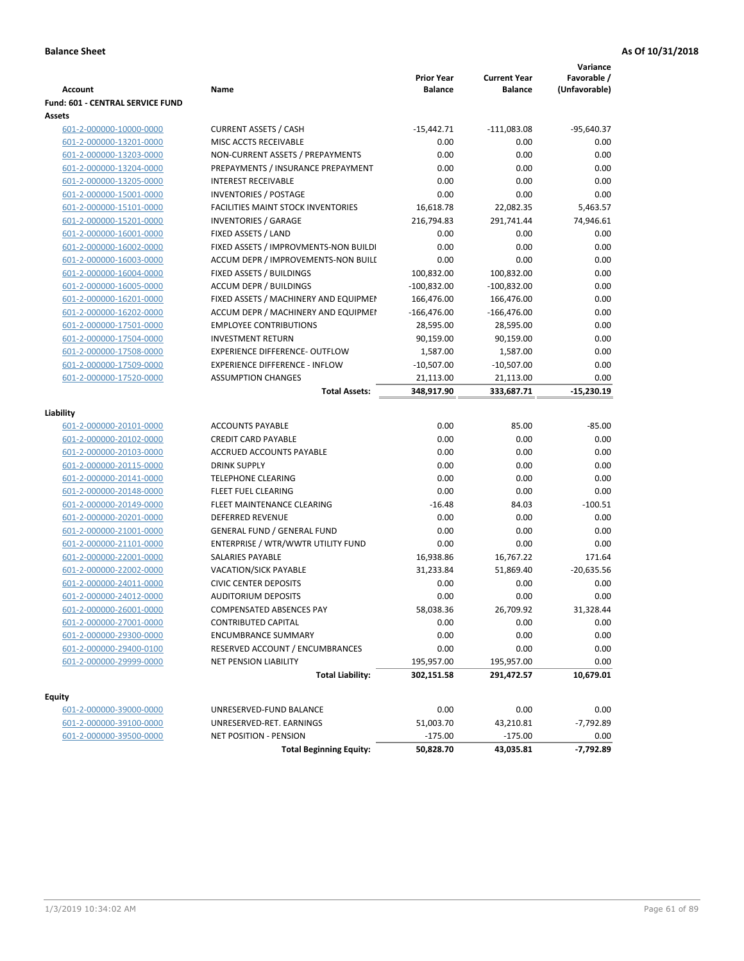|                                  |                                           |                                     |                                       | Variance                     |
|----------------------------------|-------------------------------------------|-------------------------------------|---------------------------------------|------------------------------|
| <b>Account</b>                   | Name                                      | <b>Prior Year</b><br><b>Balance</b> | <b>Current Year</b><br><b>Balance</b> | Favorable /<br>(Unfavorable) |
| Fund: 601 - CENTRAL SERVICE FUND |                                           |                                     |                                       |                              |
| Assets                           |                                           |                                     |                                       |                              |
| 601-2-000000-10000-0000          | <b>CURRENT ASSETS / CASH</b>              | $-15,442.71$                        | $-111,083.08$                         | $-95,640.37$                 |
| 601-2-000000-13201-0000          | MISC ACCTS RECEIVABLE                     | 0.00                                | 0.00                                  | 0.00                         |
| 601-2-000000-13203-0000          | NON-CURRENT ASSETS / PREPAYMENTS          | 0.00                                | 0.00                                  | 0.00                         |
| 601-2-000000-13204-0000          | PREPAYMENTS / INSURANCE PREPAYMENT        | 0.00                                | 0.00                                  | 0.00                         |
| 601-2-000000-13205-0000          | <b>INTEREST RECEIVABLE</b>                | 0.00                                | 0.00                                  | 0.00                         |
| 601-2-000000-15001-0000          | <b>INVENTORIES / POSTAGE</b>              | 0.00                                | 0.00                                  | 0.00                         |
| 601-2-000000-15101-0000          | <b>FACILITIES MAINT STOCK INVENTORIES</b> | 16,618.78                           | 22,082.35                             | 5,463.57                     |
| 601-2-000000-15201-0000          | <b>INVENTORIES / GARAGE</b>               | 216,794.83                          | 291,741.44                            | 74,946.61                    |
| 601-2-000000-16001-0000          | FIXED ASSETS / LAND                       | 0.00                                | 0.00                                  | 0.00                         |
| 601-2-000000-16002-0000          | FIXED ASSETS / IMPROVMENTS-NON BUILDI     | 0.00                                | 0.00                                  | 0.00                         |
| 601-2-000000-16003-0000          | ACCUM DEPR / IMPROVEMENTS-NON BUILI       | 0.00                                | 0.00                                  | 0.00                         |
| 601-2-000000-16004-0000          | FIXED ASSETS / BUILDINGS                  | 100,832.00                          | 100,832.00                            | 0.00                         |
| 601-2-000000-16005-0000          | <b>ACCUM DEPR / BUILDINGS</b>             | $-100,832.00$                       | $-100,832.00$                         | 0.00                         |
| 601-2-000000-16201-0000          | FIXED ASSETS / MACHINERY AND EQUIPMEN     | 166,476.00                          | 166,476.00                            | 0.00                         |
| 601-2-000000-16202-0000          | ACCUM DEPR / MACHINERY AND EQUIPMEI       | $-166,476.00$                       | $-166,476.00$                         | 0.00                         |
| 601-2-000000-17501-0000          | <b>EMPLOYEE CONTRIBUTIONS</b>             | 28,595.00                           | 28,595.00                             | 0.00                         |
| 601-2-000000-17504-0000          | <b>INVESTMENT RETURN</b>                  | 90,159.00                           | 90,159.00                             | 0.00                         |
| 601-2-000000-17508-0000          | <b>EXPERIENCE DIFFERENCE- OUTFLOW</b>     | 1,587.00                            | 1,587.00                              | 0.00                         |
| 601-2-000000-17509-0000          | <b>EXPERIENCE DIFFERENCE - INFLOW</b>     | $-10,507.00$                        | $-10,507.00$                          | 0.00                         |
| 601-2-000000-17520-0000          | <b>ASSUMPTION CHANGES</b>                 | 21,113.00                           | 21,113.00                             | 0.00                         |
|                                  | <b>Total Assets:</b>                      | 348,917.90                          | 333,687.71                            | -15,230.19                   |
|                                  |                                           |                                     |                                       |                              |
| Liability                        |                                           |                                     |                                       |                              |
| 601-2-000000-20101-0000          | <b>ACCOUNTS PAYABLE</b>                   | 0.00                                | 85.00                                 | $-85.00$                     |
| 601-2-000000-20102-0000          | <b>CREDIT CARD PAYABLE</b>                | 0.00                                | 0.00                                  | 0.00                         |
| 601-2-000000-20103-0000          | ACCRUED ACCOUNTS PAYABLE                  | 0.00                                | 0.00                                  | 0.00                         |
| 601-2-000000-20115-0000          | <b>DRINK SUPPLY</b>                       | 0.00                                | 0.00                                  | 0.00                         |
| 601-2-000000-20141-0000          | <b>TELEPHONE CLEARING</b>                 | 0.00                                | 0.00                                  | 0.00                         |
| 601-2-000000-20148-0000          | FLEET FUEL CLEARING                       | 0.00                                | 0.00                                  | 0.00                         |
| 601-2-000000-20149-0000          | FLEET MAINTENANCE CLEARING                | $-16.48$                            | 84.03                                 | $-100.51$                    |
| 601-2-000000-20201-0000          | <b>DEFERRED REVENUE</b>                   | 0.00                                | 0.00                                  | 0.00                         |
| 601-2-000000-21001-0000          | <b>GENERAL FUND / GENERAL FUND</b>        | 0.00                                | 0.00                                  | 0.00                         |
| 601-2-000000-21101-0000          | ENTERPRISE / WTR/WWTR UTILITY FUND        | 0.00                                | 0.00                                  | 0.00                         |
| 601-2-000000-22001-0000          | <b>SALARIES PAYABLE</b>                   | 16,938.86                           | 16,767.22                             | 171.64                       |
| 601-2-000000-22002-0000          | VACATION/SICK PAYABLE                     | 31,233.84                           | 51,869.40                             | $-20,635.56$                 |
| 601-2-000000-24011-0000          | <b>CIVIC CENTER DEPOSITS</b>              | 0.00                                | 0.00                                  | 0.00                         |
| 601-2-000000-24012-0000          | <b>AUDITORIUM DEPOSITS</b>                | 0.00                                | 0.00                                  | 0.00                         |
| 601-2-000000-26001-0000          | COMPENSATED ABSENCES PAY                  | 58,038.36                           | 26,709.92                             | 31,328.44                    |
| 601-2-000000-27001-0000          | <b>CONTRIBUTED CAPITAL</b>                | 0.00                                | 0.00                                  | 0.00                         |
| 601-2-000000-29300-0000          | <b>ENCUMBRANCE SUMMARY</b>                | 0.00                                | 0.00                                  | 0.00                         |
| 601-2-000000-29400-0100          | RESERVED ACCOUNT / ENCUMBRANCES           | 0.00                                | 0.00                                  | 0.00                         |
| 601-2-000000-29999-0000          | NET PENSION LIABILITY                     | 195,957.00                          | 195,957.00                            | 0.00                         |
|                                  | <b>Total Liability:</b>                   | 302,151.58                          | 291,472.57                            | 10,679.01                    |
|                                  |                                           |                                     |                                       |                              |
| Equity                           |                                           |                                     |                                       |                              |
| 601-2-000000-39000-0000          | UNRESERVED-FUND BALANCE                   | 0.00                                | 0.00                                  | 0.00                         |
| 601-2-000000-39100-0000          | UNRESERVED-RET. EARNINGS                  | 51,003.70                           | 43,210.81                             | -7,792.89                    |
| 601-2-000000-39500-0000          | <b>NET POSITION - PENSION</b>             | $-175.00$                           | $-175.00$                             | 0.00                         |
|                                  | <b>Total Beginning Equity:</b>            | 50,828.70                           | 43,035.81                             | $-7,792.89$                  |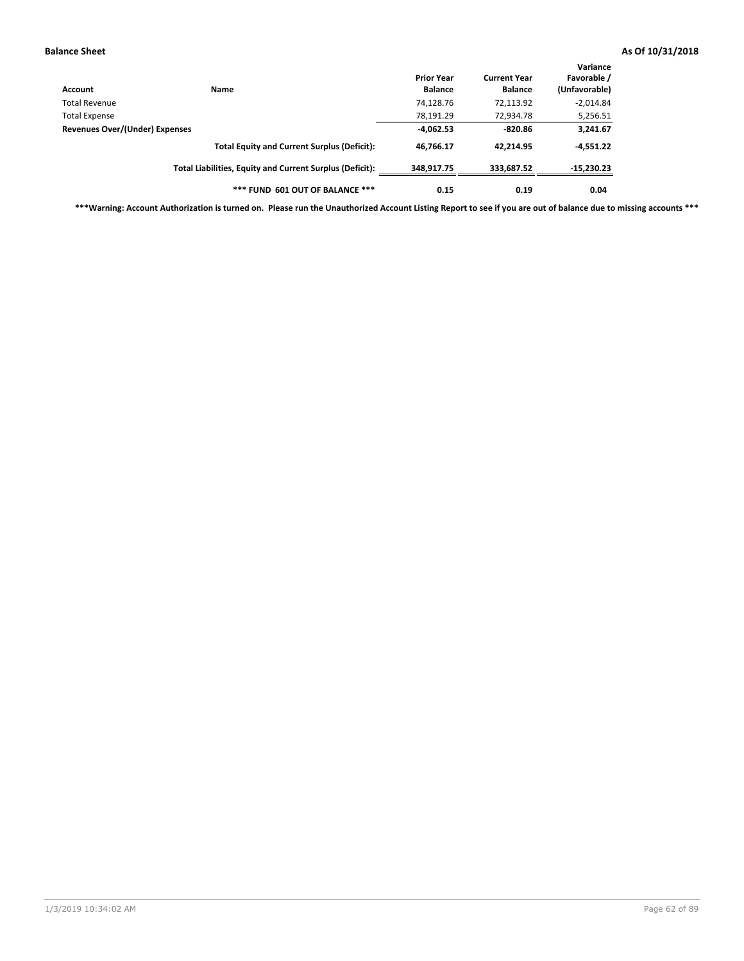| Account                        | Name                                                     | <b>Prior Year</b><br><b>Balance</b> | <b>Current Year</b><br><b>Balance</b> | Variance<br>Favorable /<br>(Unfavorable) |
|--------------------------------|----------------------------------------------------------|-------------------------------------|---------------------------------------|------------------------------------------|
| Total Revenue                  |                                                          | 74,128.76                           | 72,113.92                             | $-2,014.84$                              |
| <b>Total Expense</b>           |                                                          | 78,191.29                           | 72,934.78                             | 5,256.51                                 |
| Revenues Over/(Under) Expenses |                                                          | $-4,062.53$                         | $-820.86$                             | 3,241.67                                 |
|                                | <b>Total Equity and Current Surplus (Deficit):</b>       | 46,766.17                           | 42.214.95                             | $-4,551.22$                              |
|                                | Total Liabilities, Equity and Current Surplus (Deficit): | 348,917.75                          | 333,687.52                            | $-15,230.23$                             |
|                                | *** FUND 601 OUT OF BALANCE ***                          | 0.15                                | 0.19                                  | 0.04                                     |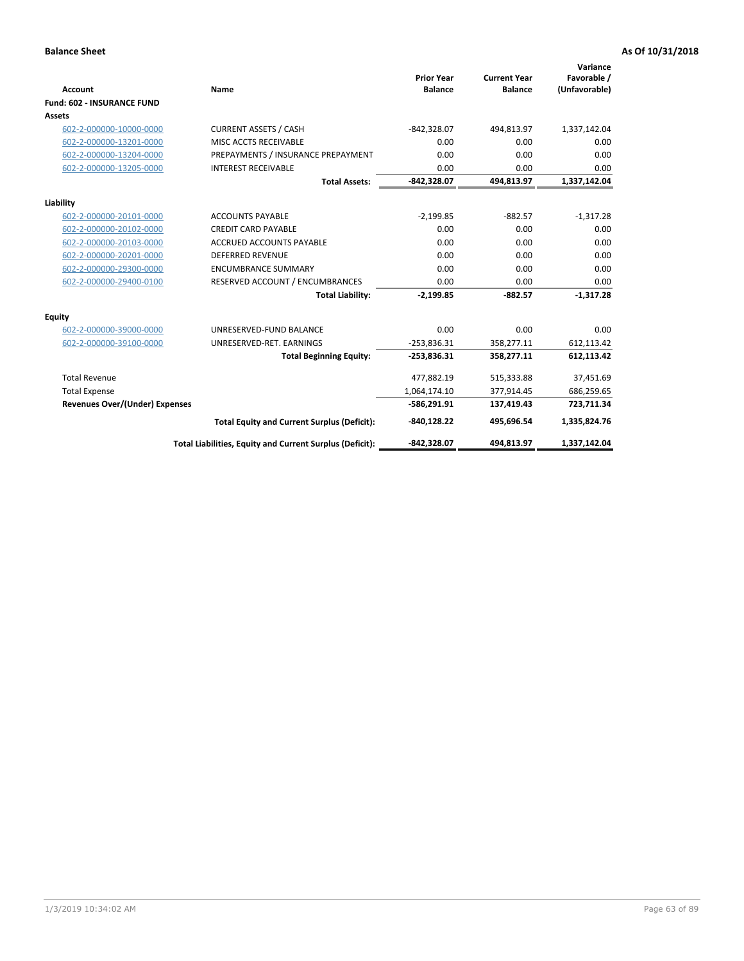| <b>Account</b>                        | Name                                                     | <b>Prior Year</b><br><b>Balance</b> | <b>Current Year</b><br><b>Balance</b> | Variance<br>Favorable /<br>(Unfavorable) |
|---------------------------------------|----------------------------------------------------------|-------------------------------------|---------------------------------------|------------------------------------------|
| <b>Fund: 602 - INSURANCE FUND</b>     |                                                          |                                     |                                       |                                          |
| <b>Assets</b>                         |                                                          |                                     |                                       |                                          |
| 602-2-000000-10000-0000               | <b>CURRENT ASSETS / CASH</b>                             | $-842,328.07$                       | 494,813.97                            | 1,337,142.04                             |
| 602-2-000000-13201-0000               | MISC ACCTS RECEIVABLE                                    | 0.00                                | 0.00                                  | 0.00                                     |
| 602-2-000000-13204-0000               | PREPAYMENTS / INSURANCE PREPAYMENT                       | 0.00                                | 0.00                                  | 0.00                                     |
| 602-2-000000-13205-0000               | <b>INTEREST RECEIVABLE</b>                               | 0.00                                | 0.00                                  | 0.00                                     |
|                                       | <b>Total Assets:</b>                                     | $-842,328.07$                       | 494,813.97                            | 1,337,142.04                             |
| Liability                             |                                                          |                                     |                                       |                                          |
| 602-2-000000-20101-0000               | <b>ACCOUNTS PAYABLE</b>                                  | $-2,199.85$                         | $-882.57$                             | $-1,317.28$                              |
| 602-2-000000-20102-0000               | <b>CREDIT CARD PAYABLE</b>                               | 0.00                                | 0.00                                  | 0.00                                     |
| 602-2-000000-20103-0000               | <b>ACCRUED ACCOUNTS PAYABLE</b>                          | 0.00                                | 0.00                                  | 0.00                                     |
| 602-2-000000-20201-0000               | <b>DEFERRED REVENUE</b>                                  | 0.00                                | 0.00                                  | 0.00                                     |
| 602-2-000000-29300-0000               | <b>ENCUMBRANCE SUMMARY</b>                               | 0.00                                | 0.00                                  | 0.00                                     |
| 602-2-000000-29400-0100               | RESERVED ACCOUNT / ENCUMBRANCES                          | 0.00                                | 0.00                                  | 0.00                                     |
|                                       | <b>Total Liability:</b>                                  | $-2,199.85$                         | $-882.57$                             | $-1,317.28$                              |
| <b>Equity</b>                         |                                                          |                                     |                                       |                                          |
| 602-2-000000-39000-0000               | UNRESERVED-FUND BALANCE                                  | 0.00                                | 0.00                                  | 0.00                                     |
| 602-2-000000-39100-0000               | UNRESERVED-RET. EARNINGS                                 | $-253,836.31$                       | 358,277.11                            | 612,113.42                               |
|                                       | <b>Total Beginning Equity:</b>                           | $-253,836.31$                       | 358,277.11                            | 612,113.42                               |
| <b>Total Revenue</b>                  |                                                          | 477,882.19                          | 515,333.88                            | 37,451.69                                |
| <b>Total Expense</b>                  |                                                          | 1,064,174.10                        | 377,914.45                            | 686,259.65                               |
| <b>Revenues Over/(Under) Expenses</b> |                                                          | $-586,291.91$                       | 137,419.43                            | 723,711.34                               |
|                                       | <b>Total Equity and Current Surplus (Deficit):</b>       | -840,128.22                         | 495,696.54                            | 1,335,824.76                             |
|                                       | Total Liabilities, Equity and Current Surplus (Deficit): | -842,328.07                         | 494,813.97                            | 1,337,142.04                             |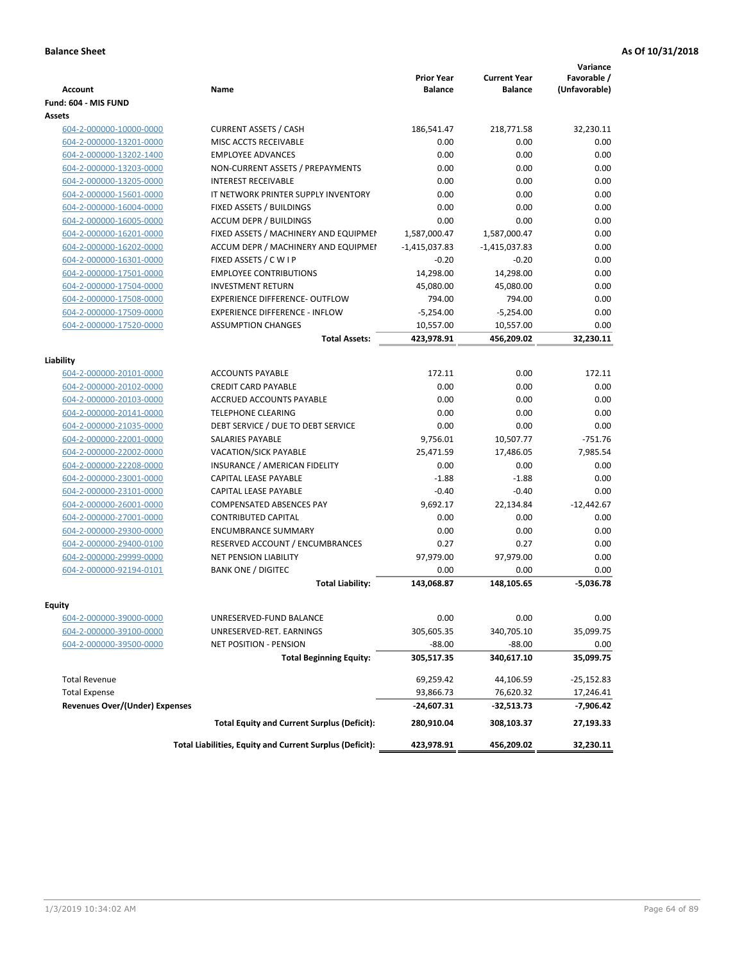| <b>Account</b>                        | Name                                                     | <b>Prior Year</b><br><b>Balance</b> | <b>Current Year</b><br><b>Balance</b> | Variance<br>Favorable /<br>(Unfavorable) |
|---------------------------------------|----------------------------------------------------------|-------------------------------------|---------------------------------------|------------------------------------------|
| Fund: 604 - MIS FUND                  |                                                          |                                     |                                       |                                          |
| Assets                                |                                                          |                                     |                                       |                                          |
| 604-2-000000-10000-0000               | <b>CURRENT ASSETS / CASH</b>                             | 186,541.47                          | 218,771.58                            | 32,230.11                                |
| 604-2-000000-13201-0000               | MISC ACCTS RECEIVABLE                                    | 0.00                                | 0.00                                  | 0.00                                     |
| 604-2-000000-13202-1400               | <b>EMPLOYEE ADVANCES</b>                                 | 0.00                                | 0.00                                  | 0.00                                     |
| 604-2-000000-13203-0000               | NON-CURRENT ASSETS / PREPAYMENTS                         | 0.00                                | 0.00                                  | 0.00                                     |
| 604-2-000000-13205-0000               | <b>INTEREST RECEIVABLE</b>                               | 0.00                                | 0.00                                  | 0.00                                     |
| 604-2-000000-15601-0000               | IT NETWORK PRINTER SUPPLY INVENTORY                      | 0.00                                | 0.00                                  | 0.00                                     |
| 604-2-000000-16004-0000               | FIXED ASSETS / BUILDINGS                                 | 0.00                                | 0.00                                  | 0.00                                     |
| 604-2-000000-16005-0000               | <b>ACCUM DEPR / BUILDINGS</b>                            | 0.00                                | 0.00                                  | 0.00                                     |
| 604-2-000000-16201-0000               | FIXED ASSETS / MACHINERY AND EQUIPMEN                    | 1,587,000.47                        | 1,587,000.47                          | 0.00                                     |
| 604-2-000000-16202-0000               | ACCUM DEPR / MACHINERY AND EQUIPMEI                      | $-1,415,037.83$                     | $-1,415,037.83$                       | 0.00                                     |
| 604-2-000000-16301-0000               | FIXED ASSETS / C W I P                                   | $-0.20$                             | $-0.20$                               | 0.00                                     |
| 604-2-000000-17501-0000               | <b>EMPLOYEE CONTRIBUTIONS</b>                            | 14,298.00                           | 14,298.00                             | 0.00                                     |
| 604-2-000000-17504-0000               | <b>INVESTMENT RETURN</b>                                 | 45,080.00                           | 45,080.00                             | 0.00                                     |
| 604-2-000000-17508-0000               | <b>EXPERIENCE DIFFERENCE- OUTFLOW</b>                    | 794.00                              | 794.00                                | 0.00                                     |
| 604-2-000000-17509-0000               | <b>EXPERIENCE DIFFERENCE - INFLOW</b>                    | $-5,254.00$                         | $-5,254.00$                           | 0.00                                     |
| 604-2-000000-17520-0000               | <b>ASSUMPTION CHANGES</b>                                | 10,557.00                           | 10,557.00                             | 0.00                                     |
|                                       | <b>Total Assets:</b>                                     | 423,978.91                          | 456,209.02                            | 32,230.11                                |
|                                       |                                                          |                                     |                                       |                                          |
| Liability                             |                                                          |                                     |                                       |                                          |
| 604-2-000000-20101-0000               | <b>ACCOUNTS PAYABLE</b>                                  | 172.11                              | 0.00                                  | 172.11                                   |
| 604-2-000000-20102-0000               | <b>CREDIT CARD PAYABLE</b>                               | 0.00                                | 0.00                                  | 0.00                                     |
| 604-2-000000-20103-0000               | ACCRUED ACCOUNTS PAYABLE                                 | 0.00                                | 0.00                                  | 0.00                                     |
| 604-2-000000-20141-0000               | <b>TELEPHONE CLEARING</b>                                | 0.00                                | 0.00                                  | 0.00                                     |
| 604-2-000000-21035-0000               | DEBT SERVICE / DUE TO DEBT SERVICE                       | 0.00                                | 0.00                                  | 0.00                                     |
| 604-2-000000-22001-0000               | <b>SALARIES PAYABLE</b>                                  | 9,756.01                            | 10,507.77                             | $-751.76$                                |
| 604-2-000000-22002-0000               | <b>VACATION/SICK PAYABLE</b>                             | 25,471.59                           | 17,486.05                             | 7,985.54                                 |
| 604-2-000000-22208-0000               | INSURANCE / AMERICAN FIDELITY                            | 0.00                                | 0.00                                  | 0.00                                     |
| 604-2-000000-23001-0000               | CAPITAL LEASE PAYABLE                                    | $-1.88$                             | $-1.88$                               | 0.00                                     |
| 604-2-000000-23101-0000               | CAPITAL LEASE PAYABLE                                    | $-0.40$                             | $-0.40$                               | 0.00                                     |
| 604-2-000000-26001-0000               | <b>COMPENSATED ABSENCES PAY</b>                          | 9,692.17                            | 22,134.84                             | $-12,442.67$                             |
| 604-2-000000-27001-0000               | <b>CONTRIBUTED CAPITAL</b>                               | 0.00                                | 0.00                                  | 0.00                                     |
| 604-2-000000-29300-0000               | <b>ENCUMBRANCE SUMMARY</b>                               | 0.00                                | 0.00                                  | 0.00                                     |
| 604-2-000000-29400-0100               | RESERVED ACCOUNT / ENCUMBRANCES                          | 0.27                                | 0.27                                  | 0.00                                     |
| 604-2-000000-29999-0000               | <b>NET PENSION LIABILITY</b>                             | 97,979.00                           | 97,979.00                             | 0.00                                     |
| 604-2-000000-92194-0101               | <b>BANK ONE / DIGITEC</b>                                | 0.00                                | 0.00                                  | 0.00                                     |
|                                       | <b>Total Liability:</b>                                  | 143,068.87                          | 148.105.65                            | $-5,036.78$                              |
|                                       |                                                          |                                     |                                       |                                          |
| Equity                                |                                                          | 0.00                                | 0.00                                  |                                          |
| 604-2-000000-39000-0000               | UNRESERVED-FUND BALANCE                                  |                                     | 340,705.10                            | 0.00                                     |
| 604-2-000000-39100-0000               | UNRESERVED-RET. EARNINGS                                 | 305,605.35                          |                                       | 35,099.75                                |
| 604-2-000000-39500-0000               | <b>NET POSITION - PENSION</b>                            | $-88.00$                            | $-88.00$                              | 0.00                                     |
|                                       | <b>Total Beginning Equity:</b>                           | 305,517.35                          | 340,617.10                            | 35,099.75                                |
| <b>Total Revenue</b>                  |                                                          | 69,259.42                           | 44,106.59                             | $-25,152.83$                             |
| <b>Total Expense</b>                  |                                                          | 93,866.73                           | 76,620.32                             | 17,246.41                                |
| <b>Revenues Over/(Under) Expenses</b> |                                                          | -24,607.31                          | -32,513.73                            | $-7,906.42$                              |
|                                       | <b>Total Equity and Current Surplus (Deficit):</b>       | 280,910.04                          | 308,103.37                            | 27,193.33                                |
|                                       | Total Liabilities, Equity and Current Surplus (Deficit): | 423,978.91                          | 456,209.02                            | 32,230.11                                |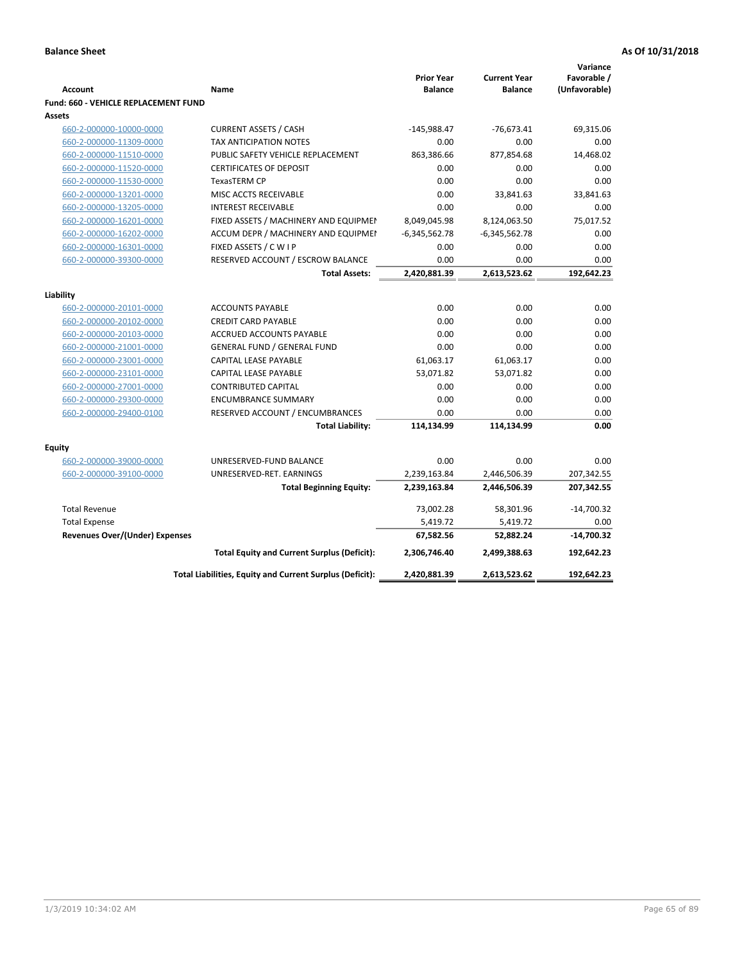| <b>Prior Year</b><br><b>Current Year</b><br><b>Account</b><br>Name<br><b>Balance</b><br><b>Balance</b><br><b>Fund: 660 - VEHICLE REPLACEMENT FUND</b><br>Assets<br><b>CURRENT ASSETS / CASH</b><br>$-145,988.47$<br>$-76,673.41$<br>660-2-000000-10000-0000<br>TAX ANTICIPATION NOTES<br>0.00<br>0.00<br>660-2-000000-11309-0000<br>660-2-000000-11510-0000<br>PUBLIC SAFETY VEHICLE REPLACEMENT<br>863,386.66<br>877,854.68<br>660-2-000000-11520-0000<br><b>CERTIFICATES OF DEPOSIT</b><br>0.00<br>0.00<br>0.00<br>660-2-000000-11530-0000<br><b>TexasTERM CP</b><br>0.00<br>660-2-000000-13201-0000<br>MISC ACCTS RECEIVABLE<br>0.00<br>33,841.63 | Favorable /<br>(Unfavorable)<br>69,315.06<br>0.00<br>14,468.02<br>0.00<br>0.00<br>33,841.63<br>0.00<br>75,017.52<br>0.00<br>0.00<br>0.00<br>192,642.23 |
|------------------------------------------------------------------------------------------------------------------------------------------------------------------------------------------------------------------------------------------------------------------------------------------------------------------------------------------------------------------------------------------------------------------------------------------------------------------------------------------------------------------------------------------------------------------------------------------------------------------------------------------------------|--------------------------------------------------------------------------------------------------------------------------------------------------------|
|                                                                                                                                                                                                                                                                                                                                                                                                                                                                                                                                                                                                                                                      |                                                                                                                                                        |
|                                                                                                                                                                                                                                                                                                                                                                                                                                                                                                                                                                                                                                                      |                                                                                                                                                        |
|                                                                                                                                                                                                                                                                                                                                                                                                                                                                                                                                                                                                                                                      |                                                                                                                                                        |
|                                                                                                                                                                                                                                                                                                                                                                                                                                                                                                                                                                                                                                                      |                                                                                                                                                        |
|                                                                                                                                                                                                                                                                                                                                                                                                                                                                                                                                                                                                                                                      |                                                                                                                                                        |
|                                                                                                                                                                                                                                                                                                                                                                                                                                                                                                                                                                                                                                                      |                                                                                                                                                        |
|                                                                                                                                                                                                                                                                                                                                                                                                                                                                                                                                                                                                                                                      |                                                                                                                                                        |
|                                                                                                                                                                                                                                                                                                                                                                                                                                                                                                                                                                                                                                                      |                                                                                                                                                        |
|                                                                                                                                                                                                                                                                                                                                                                                                                                                                                                                                                                                                                                                      |                                                                                                                                                        |
| 660-2-000000-13205-0000<br><b>INTEREST RECEIVABLE</b><br>0.00<br>0.00                                                                                                                                                                                                                                                                                                                                                                                                                                                                                                                                                                                |                                                                                                                                                        |
| FIXED ASSETS / MACHINERY AND EQUIPMEN<br>8,049,045.98<br>8,124,063.50<br>660-2-000000-16201-0000                                                                                                                                                                                                                                                                                                                                                                                                                                                                                                                                                     |                                                                                                                                                        |
| 660-2-000000-16202-0000<br>ACCUM DEPR / MACHINERY AND EQUIPMEI<br>$-6,345,562.78$<br>$-6,345,562.78$                                                                                                                                                                                                                                                                                                                                                                                                                                                                                                                                                 |                                                                                                                                                        |
| FIXED ASSETS / C W I P<br>0.00<br>0.00<br>660-2-000000-16301-0000                                                                                                                                                                                                                                                                                                                                                                                                                                                                                                                                                                                    |                                                                                                                                                        |
| RESERVED ACCOUNT / ESCROW BALANCE<br>660-2-000000-39300-0000<br>0.00<br>0.00                                                                                                                                                                                                                                                                                                                                                                                                                                                                                                                                                                         |                                                                                                                                                        |
| 2,420,881.39<br>2,613,523.62<br><b>Total Assets:</b>                                                                                                                                                                                                                                                                                                                                                                                                                                                                                                                                                                                                 |                                                                                                                                                        |
|                                                                                                                                                                                                                                                                                                                                                                                                                                                                                                                                                                                                                                                      |                                                                                                                                                        |
| Liability                                                                                                                                                                                                                                                                                                                                                                                                                                                                                                                                                                                                                                            |                                                                                                                                                        |
| 0.00<br><b>ACCOUNTS PAYABLE</b><br>0.00<br>660-2-000000-20101-0000                                                                                                                                                                                                                                                                                                                                                                                                                                                                                                                                                                                   | 0.00                                                                                                                                                   |
| <b>CREDIT CARD PAYABLE</b><br>0.00<br>0.00<br>660-2-000000-20102-0000                                                                                                                                                                                                                                                                                                                                                                                                                                                                                                                                                                                | 0.00                                                                                                                                                   |
| ACCRUED ACCOUNTS PAYABLE<br>0.00<br>0.00<br>660-2-000000-20103-0000                                                                                                                                                                                                                                                                                                                                                                                                                                                                                                                                                                                  | 0.00                                                                                                                                                   |
| 0.00<br>660-2-000000-21001-0000<br><b>GENERAL FUND / GENERAL FUND</b><br>0.00                                                                                                                                                                                                                                                                                                                                                                                                                                                                                                                                                                        | 0.00                                                                                                                                                   |
| 61,063.17<br>61,063.17<br>660-2-000000-23001-0000<br><b>CAPITAL LEASE PAYABLE</b>                                                                                                                                                                                                                                                                                                                                                                                                                                                                                                                                                                    | 0.00                                                                                                                                                   |
| 53,071.82<br>660-2-000000-23101-0000<br><b>CAPITAL LEASE PAYABLE</b><br>53,071.82                                                                                                                                                                                                                                                                                                                                                                                                                                                                                                                                                                    | 0.00                                                                                                                                                   |
| 660-2-000000-27001-0000<br><b>CONTRIBUTED CAPITAL</b><br>0.00<br>0.00                                                                                                                                                                                                                                                                                                                                                                                                                                                                                                                                                                                | 0.00                                                                                                                                                   |
| 0.00<br>0.00<br>660-2-000000-29300-0000<br><b>ENCUMBRANCE SUMMARY</b>                                                                                                                                                                                                                                                                                                                                                                                                                                                                                                                                                                                | 0.00                                                                                                                                                   |
| 660-2-000000-29400-0100<br>RESERVED ACCOUNT / ENCUMBRANCES<br>0.00<br>0.00                                                                                                                                                                                                                                                                                                                                                                                                                                                                                                                                                                           | 0.00                                                                                                                                                   |
| <b>Total Liability:</b><br>114,134.99<br>114,134.99                                                                                                                                                                                                                                                                                                                                                                                                                                                                                                                                                                                                  | 0.00                                                                                                                                                   |
|                                                                                                                                                                                                                                                                                                                                                                                                                                                                                                                                                                                                                                                      |                                                                                                                                                        |
| Equity<br>660-2-000000-39000-0000<br>UNRESERVED-FUND BALANCE<br>0.00<br>0.00                                                                                                                                                                                                                                                                                                                                                                                                                                                                                                                                                                         | 0.00                                                                                                                                                   |
| 2,239,163.84<br>660-2-000000-39100-0000<br>UNRESERVED-RET. EARNINGS<br>2,446,506.39                                                                                                                                                                                                                                                                                                                                                                                                                                                                                                                                                                  | 207,342.55                                                                                                                                             |
| 2,239,163.84<br>2,446,506.39<br><b>Total Beginning Equity:</b>                                                                                                                                                                                                                                                                                                                                                                                                                                                                                                                                                                                       | 207,342.55                                                                                                                                             |
|                                                                                                                                                                                                                                                                                                                                                                                                                                                                                                                                                                                                                                                      |                                                                                                                                                        |
| <b>Total Revenue</b><br>73,002.28<br>58,301.96                                                                                                                                                                                                                                                                                                                                                                                                                                                                                                                                                                                                       | $-14,700.32$                                                                                                                                           |
| 5,419.72<br>5,419.72<br><b>Total Expense</b>                                                                                                                                                                                                                                                                                                                                                                                                                                                                                                                                                                                                         | 0.00                                                                                                                                                   |
| Revenues Over/(Under) Expenses<br>67,582.56<br>52,882.24                                                                                                                                                                                                                                                                                                                                                                                                                                                                                                                                                                                             | $-14,700.32$                                                                                                                                           |
| 2,499,388.63<br><b>Total Equity and Current Surplus (Deficit):</b><br>2,306,746.40                                                                                                                                                                                                                                                                                                                                                                                                                                                                                                                                                                   | 192,642.23                                                                                                                                             |
| Total Liabilities, Equity and Current Surplus (Deficit):<br>2,420,881.39<br>2,613,523.62                                                                                                                                                                                                                                                                                                                                                                                                                                                                                                                                                             | 192,642.23                                                                                                                                             |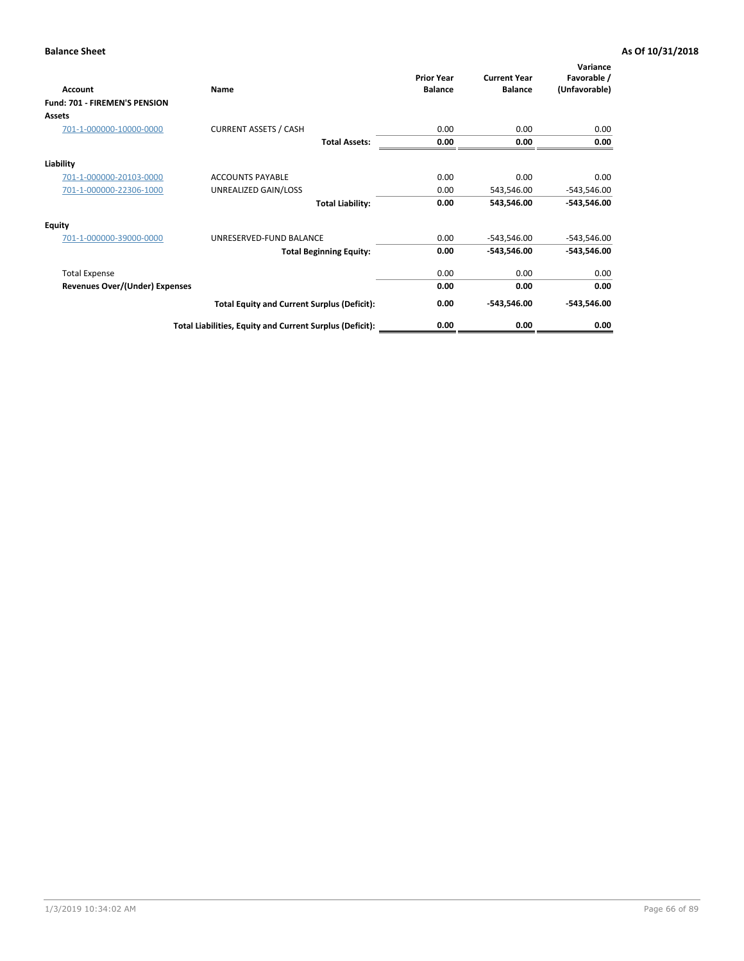| Account                        | Name                                                     | <b>Prior Year</b><br><b>Balance</b> | <b>Current Year</b><br><b>Balance</b> | Variance<br>Favorable /<br>(Unfavorable) |
|--------------------------------|----------------------------------------------------------|-------------------------------------|---------------------------------------|------------------------------------------|
| Fund: 701 - FIREMEN'S PENSION  |                                                          |                                     |                                       |                                          |
| <b>Assets</b>                  |                                                          |                                     |                                       |                                          |
| 701-1-000000-10000-0000        | <b>CURRENT ASSETS / CASH</b>                             | 0.00                                | 0.00                                  | 0.00                                     |
|                                | <b>Total Assets:</b>                                     | 0.00                                | 0.00                                  | 0.00                                     |
| Liability                      |                                                          |                                     |                                       |                                          |
| 701-1-000000-20103-0000        | <b>ACCOUNTS PAYABLE</b>                                  | 0.00                                | 0.00                                  | 0.00                                     |
| 701-1-000000-22306-1000        | UNREALIZED GAIN/LOSS                                     | 0.00                                | 543,546.00                            | $-543,546.00$                            |
|                                | <b>Total Liability:</b>                                  | 0.00                                | 543,546.00                            | $-543,546.00$                            |
| <b>Equity</b>                  |                                                          |                                     |                                       |                                          |
| 701-1-000000-39000-0000        | UNRESERVED-FUND BALANCE                                  | 0.00                                | $-543,546.00$                         | $-543,546.00$                            |
|                                | <b>Total Beginning Equity:</b>                           | 0.00                                | $-543,546.00$                         | $-543,546.00$                            |
| <b>Total Expense</b>           |                                                          | 0.00                                | 0.00                                  | 0.00                                     |
| Revenues Over/(Under) Expenses |                                                          | 0.00                                | 0.00                                  | 0.00                                     |
|                                | <b>Total Equity and Current Surplus (Deficit):</b>       | 0.00                                | $-543,546.00$                         | $-543,546.00$                            |
|                                | Total Liabilities, Equity and Current Surplus (Deficit): | 0.00                                | 0.00                                  | 0.00                                     |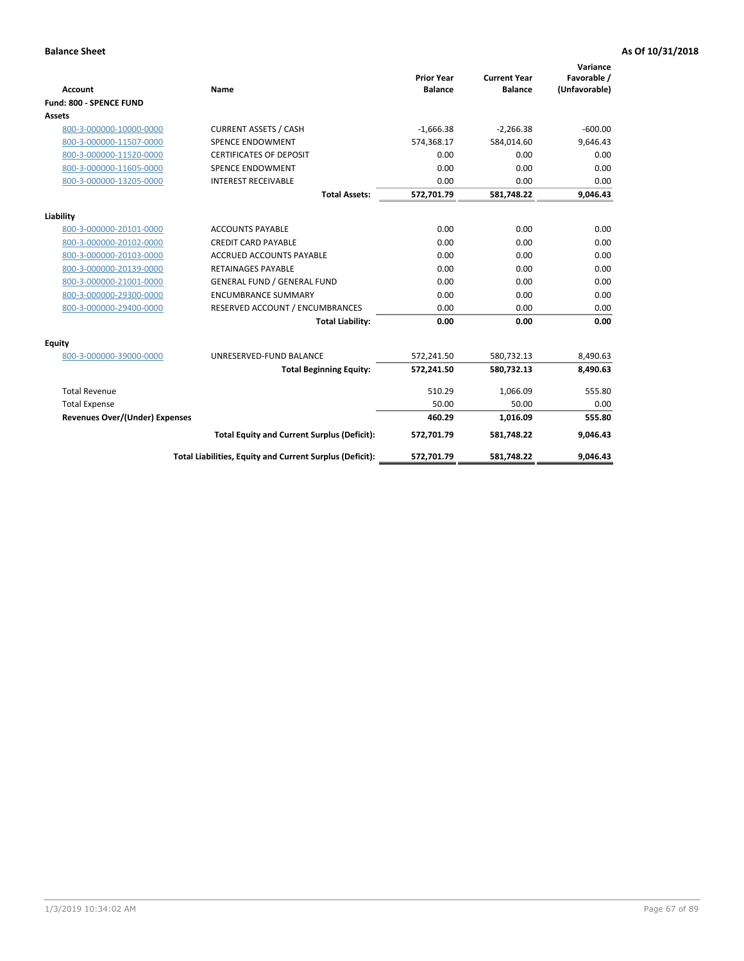|                                       |                                                          |                                     |                                       | Variance                     |
|---------------------------------------|----------------------------------------------------------|-------------------------------------|---------------------------------------|------------------------------|
| <b>Account</b>                        | <b>Name</b>                                              | <b>Prior Year</b><br><b>Balance</b> | <b>Current Year</b><br><b>Balance</b> | Favorable /<br>(Unfavorable) |
| Fund: 800 - SPENCE FUND               |                                                          |                                     |                                       |                              |
| Assets                                |                                                          |                                     |                                       |                              |
| 800-3-000000-10000-0000               | <b>CURRENT ASSETS / CASH</b>                             | $-1,666.38$                         | $-2,266.38$                           | $-600.00$                    |
| 800-3-000000-11507-0000               | <b>SPENCE ENDOWMENT</b>                                  | 574,368.17                          | 584,014.60                            | 9,646.43                     |
| 800-3-000000-11520-0000               | <b>CERTIFICATES OF DEPOSIT</b>                           | 0.00                                | 0.00                                  | 0.00                         |
| 800-3-000000-11605-0000               | <b>SPENCE ENDOWMENT</b>                                  | 0.00                                | 0.00                                  | 0.00                         |
| 800-3-000000-13205-0000               | <b>INTEREST RECEIVABLE</b>                               | 0.00                                | 0.00                                  | 0.00                         |
|                                       | <b>Total Assets:</b>                                     | 572,701.79                          | 581,748.22                            | 9,046.43                     |
|                                       |                                                          |                                     |                                       |                              |
| Liability                             |                                                          |                                     |                                       |                              |
| 800-3-000000-20101-0000               | <b>ACCOUNTS PAYABLE</b>                                  | 0.00                                | 0.00                                  | 0.00                         |
| 800-3-000000-20102-0000               | <b>CREDIT CARD PAYABLE</b>                               | 0.00                                | 0.00                                  | 0.00                         |
| 800-3-000000-20103-0000               | <b>ACCRUED ACCOUNTS PAYABLE</b>                          | 0.00                                | 0.00                                  | 0.00                         |
| 800-3-000000-20139-0000               | <b>RETAINAGES PAYABLE</b>                                | 0.00                                | 0.00                                  | 0.00                         |
| 800-3-000000-21001-0000               | <b>GENERAL FUND / GENERAL FUND</b>                       | 0.00                                | 0.00                                  | 0.00                         |
| 800-3-000000-29300-0000               | <b>ENCUMBRANCE SUMMARY</b>                               | 0.00                                | 0.00                                  | 0.00                         |
| 800-3-000000-29400-0000               | RESERVED ACCOUNT / ENCUMBRANCES                          | 0.00                                | 0.00                                  | 0.00                         |
|                                       | <b>Total Liability:</b>                                  | 0.00                                | 0.00                                  | 0.00                         |
| <b>Equity</b>                         |                                                          |                                     |                                       |                              |
| 800-3-000000-39000-0000               | UNRESERVED-FUND BALANCE                                  | 572,241.50                          | 580,732.13                            | 8,490.63                     |
|                                       | <b>Total Beginning Equity:</b>                           | 572,241.50                          | 580,732.13                            | 8,490.63                     |
| <b>Total Revenue</b>                  |                                                          | 510.29                              | 1,066.09                              | 555.80                       |
| <b>Total Expense</b>                  |                                                          | 50.00                               | 50.00                                 | 0.00                         |
| <b>Revenues Over/(Under) Expenses</b> |                                                          | 460.29                              | 1,016.09                              | 555.80                       |
|                                       | <b>Total Equity and Current Surplus (Deficit):</b>       | 572,701.79                          | 581,748.22                            | 9,046.43                     |
|                                       | Total Liabilities, Equity and Current Surplus (Deficit): | 572,701.79                          | 581,748.22                            | 9,046.43                     |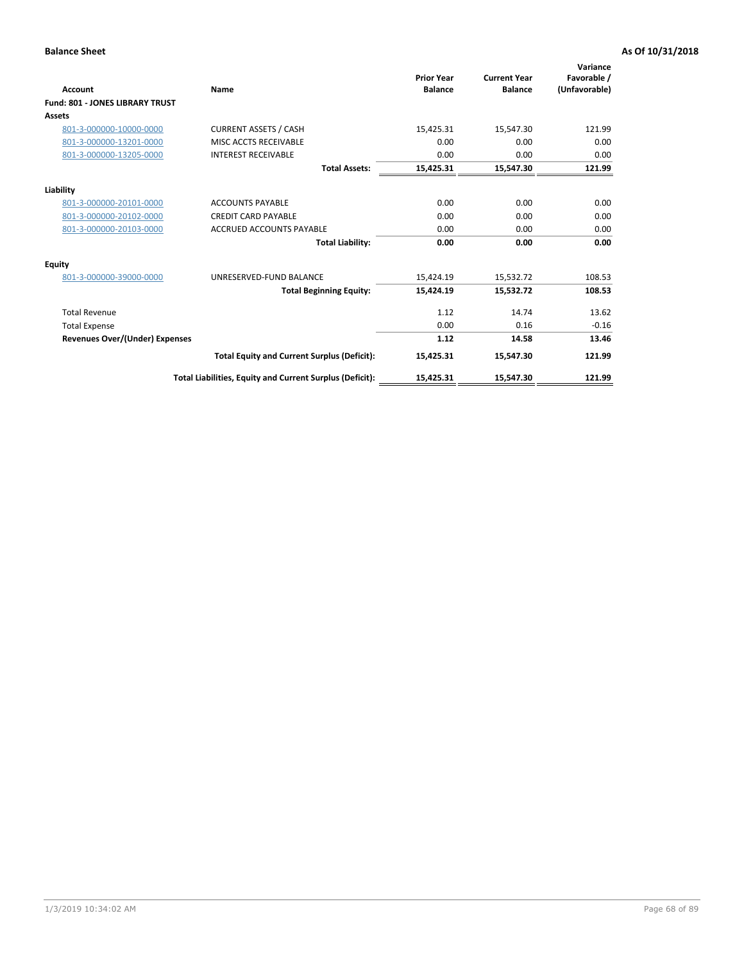| <b>Account</b>                         | Name                                                     | <b>Prior Year</b><br><b>Balance</b> | <b>Current Year</b><br><b>Balance</b> | Variance<br>Favorable /<br>(Unfavorable) |
|----------------------------------------|----------------------------------------------------------|-------------------------------------|---------------------------------------|------------------------------------------|
| <b>Fund: 801 - JONES LIBRARY TRUST</b> |                                                          |                                     |                                       |                                          |
| Assets                                 |                                                          |                                     |                                       |                                          |
| 801-3-000000-10000-0000                | <b>CURRENT ASSETS / CASH</b>                             | 15,425.31                           | 15,547.30                             | 121.99                                   |
| 801-3-000000-13201-0000                | MISC ACCTS RECEIVABLE                                    | 0.00                                | 0.00                                  | 0.00                                     |
| 801-3-000000-13205-0000                | <b>INTEREST RECEIVABLE</b>                               | 0.00                                | 0.00                                  | 0.00                                     |
|                                        | <b>Total Assets:</b>                                     | 15,425.31                           | 15,547.30                             | 121.99                                   |
| Liability                              |                                                          |                                     |                                       |                                          |
| 801-3-000000-20101-0000                | <b>ACCOUNTS PAYABLE</b>                                  | 0.00                                | 0.00                                  | 0.00                                     |
| 801-3-000000-20102-0000                | <b>CREDIT CARD PAYABLE</b>                               | 0.00                                | 0.00                                  | 0.00                                     |
| 801-3-000000-20103-0000                | <b>ACCRUED ACCOUNTS PAYABLE</b>                          | 0.00                                | 0.00                                  | 0.00                                     |
|                                        | <b>Total Liability:</b>                                  | 0.00                                | 0.00                                  | 0.00                                     |
| Equity                                 |                                                          |                                     |                                       |                                          |
| 801-3-000000-39000-0000                | UNRESERVED-FUND BALANCE                                  | 15,424.19                           | 15,532.72                             | 108.53                                   |
|                                        | <b>Total Beginning Equity:</b>                           | 15,424.19                           | 15,532.72                             | 108.53                                   |
| <b>Total Revenue</b>                   |                                                          | 1.12                                | 14.74                                 | 13.62                                    |
| <b>Total Expense</b>                   |                                                          | 0.00                                | 0.16                                  | $-0.16$                                  |
| <b>Revenues Over/(Under) Expenses</b>  |                                                          | 1.12                                | 14.58                                 | 13.46                                    |
|                                        | <b>Total Equity and Current Surplus (Deficit):</b>       | 15,425.31                           | 15,547.30                             | 121.99                                   |
|                                        | Total Liabilities, Equity and Current Surplus (Deficit): | 15,425.31                           | 15,547.30                             | 121.99                                   |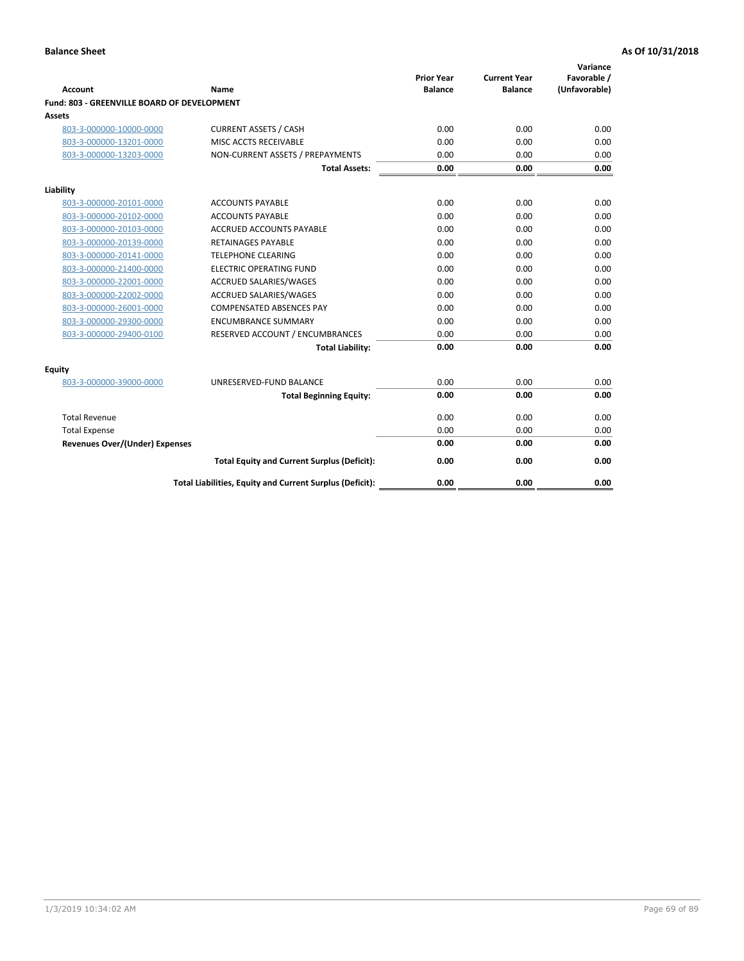| <b>Account</b>                              | Name                                                     | <b>Prior Year</b><br><b>Balance</b> | <b>Current Year</b><br><b>Balance</b> | Variance<br>Favorable /<br>(Unfavorable) |
|---------------------------------------------|----------------------------------------------------------|-------------------------------------|---------------------------------------|------------------------------------------|
| Fund: 803 - GREENVILLE BOARD OF DEVELOPMENT |                                                          |                                     |                                       |                                          |
| Assets                                      |                                                          |                                     |                                       |                                          |
| 803-3-000000-10000-0000                     | <b>CURRENT ASSETS / CASH</b>                             | 0.00                                | 0.00                                  | 0.00                                     |
| 803-3-000000-13201-0000                     | MISC ACCTS RECEIVABLE                                    | 0.00                                | 0.00                                  | 0.00                                     |
| 803-3-000000-13203-0000                     | NON-CURRENT ASSETS / PREPAYMENTS                         | 0.00                                | 0.00                                  | 0.00                                     |
|                                             | <b>Total Assets:</b>                                     | 0.00                                | 0.00                                  | 0.00                                     |
| Liability                                   |                                                          |                                     |                                       |                                          |
| 803-3-000000-20101-0000                     | <b>ACCOUNTS PAYABLE</b>                                  | 0.00                                | 0.00                                  | 0.00                                     |
| 803-3-000000-20102-0000                     | <b>ACCOUNTS PAYABLE</b>                                  | 0.00                                | 0.00                                  | 0.00                                     |
| 803-3-000000-20103-0000                     | <b>ACCRUED ACCOUNTS PAYABLE</b>                          | 0.00                                | 0.00                                  | 0.00                                     |
| 803-3-000000-20139-0000                     | <b>RETAINAGES PAYABLE</b>                                | 0.00                                | 0.00                                  | 0.00                                     |
| 803-3-000000-20141-0000                     | <b>TELEPHONE CLEARING</b>                                | 0.00                                | 0.00                                  | 0.00                                     |
| 803-3-000000-21400-0000                     | <b>ELECTRIC OPERATING FUND</b>                           | 0.00                                | 0.00                                  | 0.00                                     |
| 803-3-000000-22001-0000                     | ACCRUED SALARIES/WAGES                                   | 0.00                                | 0.00                                  | 0.00                                     |
| 803-3-000000-22002-0000                     | ACCRUED SALARIES/WAGES                                   | 0.00                                | 0.00                                  | 0.00                                     |
| 803-3-000000-26001-0000                     | <b>COMPENSATED ABSENCES PAY</b>                          | 0.00                                | 0.00                                  | 0.00                                     |
| 803-3-000000-29300-0000                     | <b>ENCUMBRANCE SUMMARY</b>                               | 0.00                                | 0.00                                  | 0.00                                     |
| 803-3-000000-29400-0100                     | RESERVED ACCOUNT / ENCUMBRANCES                          | 0.00                                | 0.00                                  | 0.00                                     |
|                                             | <b>Total Liability:</b>                                  | 0.00                                | 0.00                                  | 0.00                                     |
| Equity                                      |                                                          |                                     |                                       |                                          |
| 803-3-000000-39000-0000                     | UNRESERVED-FUND BALANCE                                  | 0.00                                | 0.00                                  | 0.00                                     |
|                                             | <b>Total Beginning Equity:</b>                           | 0.00                                | 0.00                                  | 0.00                                     |
| <b>Total Revenue</b>                        |                                                          | 0.00                                | 0.00                                  | 0.00                                     |
| <b>Total Expense</b>                        |                                                          | 0.00                                | 0.00                                  | 0.00                                     |
| <b>Revenues Over/(Under) Expenses</b>       |                                                          | 0.00                                | 0.00                                  | 0.00                                     |
|                                             | <b>Total Equity and Current Surplus (Deficit):</b>       | 0.00                                | 0.00                                  | 0.00                                     |
|                                             | Total Liabilities, Equity and Current Surplus (Deficit): | 0.00                                | 0.00                                  | 0.00                                     |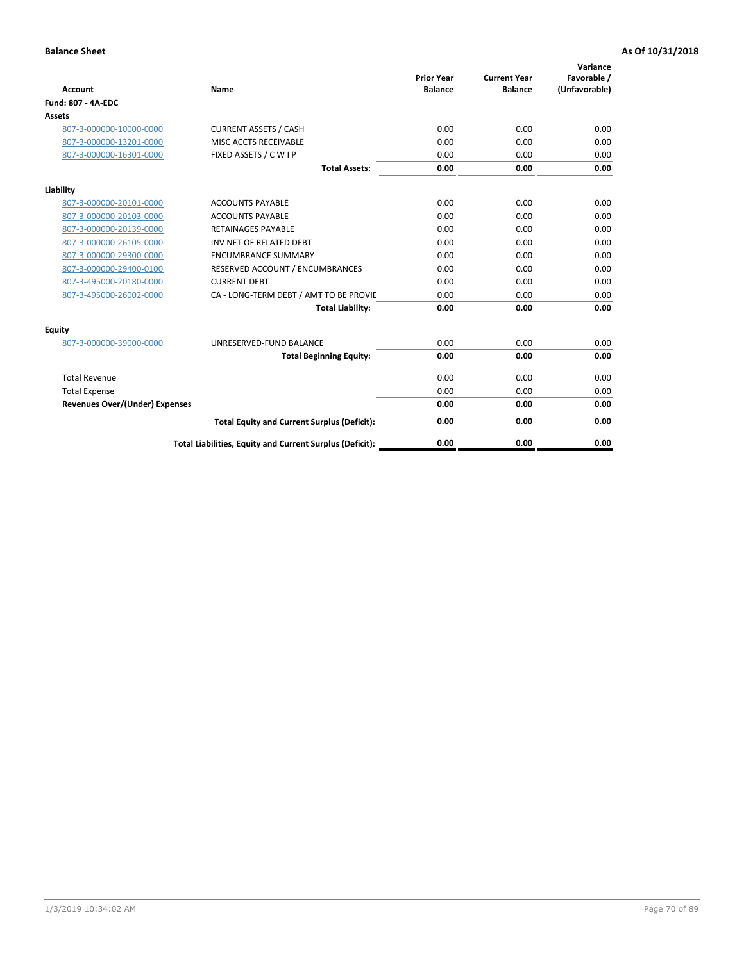| <b>Account</b>                        | Name                                                     | <b>Prior Year</b><br><b>Balance</b> | <b>Current Year</b><br><b>Balance</b> | Variance<br>Favorable /<br>(Unfavorable) |
|---------------------------------------|----------------------------------------------------------|-------------------------------------|---------------------------------------|------------------------------------------|
| <b>Fund: 807 - 4A-EDC</b>             |                                                          |                                     |                                       |                                          |
| <b>Assets</b>                         |                                                          |                                     |                                       |                                          |
| 807-3-000000-10000-0000               | <b>CURRENT ASSETS / CASH</b>                             | 0.00                                | 0.00                                  | 0.00                                     |
| 807-3-000000-13201-0000               | MISC ACCTS RECEIVABLE                                    | 0.00                                | 0.00                                  | 0.00                                     |
| 807-3-000000-16301-0000               | FIXED ASSETS / C W I P                                   | 0.00                                | 0.00                                  | 0.00                                     |
|                                       | <b>Total Assets:</b>                                     | 0.00                                | 0.00                                  | 0.00                                     |
| Liability                             |                                                          |                                     |                                       |                                          |
| 807-3-000000-20101-0000               | <b>ACCOUNTS PAYABLE</b>                                  | 0.00                                | 0.00                                  | 0.00                                     |
| 807-3-000000-20103-0000               | <b>ACCOUNTS PAYABLE</b>                                  | 0.00                                | 0.00                                  | 0.00                                     |
| 807-3-000000-20139-0000               | <b>RETAINAGES PAYABLE</b>                                | 0.00                                | 0.00                                  | 0.00                                     |
| 807-3-000000-26105-0000               | INV NET OF RELATED DEBT                                  | 0.00                                | 0.00                                  | 0.00                                     |
| 807-3-000000-29300-0000               | <b>ENCUMBRANCE SUMMARY</b>                               | 0.00                                | 0.00                                  | 0.00                                     |
| 807-3-000000-29400-0100               | RESERVED ACCOUNT / ENCUMBRANCES                          | 0.00                                | 0.00                                  | 0.00                                     |
| 807-3-495000-20180-0000               | <b>CURRENT DEBT</b>                                      | 0.00                                | 0.00                                  | 0.00                                     |
| 807-3-495000-26002-0000               | CA - LONG-TERM DEBT / AMT TO BE PROVIL                   | 0.00                                | 0.00                                  | 0.00                                     |
|                                       | <b>Total Liability:</b>                                  | 0.00                                | 0.00                                  | 0.00                                     |
| Equity                                |                                                          |                                     |                                       |                                          |
| 807-3-000000-39000-0000               | UNRESERVED-FUND BALANCE                                  | 0.00                                | 0.00                                  | 0.00                                     |
|                                       | <b>Total Beginning Equity:</b>                           | 0.00                                | 0.00                                  | 0.00                                     |
| <b>Total Revenue</b>                  |                                                          | 0.00                                | 0.00                                  | 0.00                                     |
| <b>Total Expense</b>                  |                                                          | 0.00                                | 0.00                                  | 0.00                                     |
| <b>Revenues Over/(Under) Expenses</b> |                                                          | 0.00                                | 0.00                                  | 0.00                                     |
|                                       | <b>Total Equity and Current Surplus (Deficit):</b>       | 0.00                                | 0.00                                  | 0.00                                     |
|                                       | Total Liabilities, Equity and Current Surplus (Deficit): | 0.00                                | 0.00                                  | 0.00                                     |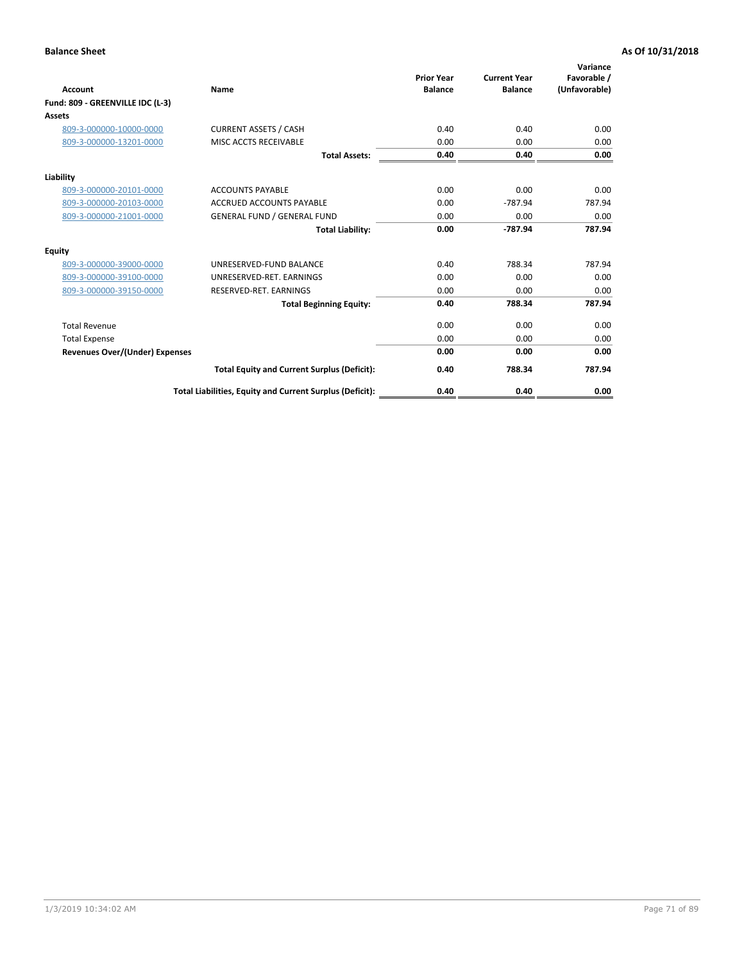| Account                               | Name                                                     | <b>Prior Year</b><br><b>Balance</b> | <b>Current Year</b><br><b>Balance</b> | Variance<br>Favorable /<br>(Unfavorable) |
|---------------------------------------|----------------------------------------------------------|-------------------------------------|---------------------------------------|------------------------------------------|
| Fund: 809 - GREENVILLE IDC (L-3)      |                                                          |                                     |                                       |                                          |
| Assets                                |                                                          |                                     |                                       |                                          |
| 809-3-000000-10000-0000               | <b>CURRENT ASSETS / CASH</b>                             | 0.40                                | 0.40                                  | 0.00                                     |
| 809-3-000000-13201-0000               | MISC ACCTS RECEIVABLE                                    | 0.00                                | 0.00                                  | 0.00                                     |
|                                       | <b>Total Assets:</b>                                     | 0.40                                | 0.40                                  | 0.00                                     |
| Liability                             |                                                          |                                     |                                       |                                          |
| 809-3-000000-20101-0000               | <b>ACCOUNTS PAYABLE</b>                                  | 0.00                                | 0.00                                  | 0.00                                     |
| 809-3-000000-20103-0000               | <b>ACCRUED ACCOUNTS PAYABLE</b>                          | 0.00                                | $-787.94$                             | 787.94                                   |
| 809-3-000000-21001-0000               | <b>GENERAL FUND / GENERAL FUND</b>                       | 0.00                                | 0.00                                  | 0.00                                     |
|                                       | <b>Total Liability:</b>                                  | 0.00                                | $-787.94$                             | 787.94                                   |
| Equity                                |                                                          |                                     |                                       |                                          |
| 809-3-000000-39000-0000               | UNRESERVED-FUND BALANCE                                  | 0.40                                | 788.34                                | 787.94                                   |
| 809-3-000000-39100-0000               | UNRESERVED-RET. EARNINGS                                 | 0.00                                | 0.00                                  | 0.00                                     |
| 809-3-000000-39150-0000               | RESERVED-RET. EARNINGS                                   | 0.00                                | 0.00                                  | 0.00                                     |
|                                       | <b>Total Beginning Equity:</b>                           | 0.40                                | 788.34                                | 787.94                                   |
| <b>Total Revenue</b>                  |                                                          | 0.00                                | 0.00                                  | 0.00                                     |
| <b>Total Expense</b>                  |                                                          | 0.00                                | 0.00                                  | 0.00                                     |
| <b>Revenues Over/(Under) Expenses</b> |                                                          | 0.00                                | 0.00                                  | 0.00                                     |
|                                       | <b>Total Equity and Current Surplus (Deficit):</b>       | 0.40                                | 788.34                                | 787.94                                   |
|                                       | Total Liabilities, Equity and Current Surplus (Deficit): | 0.40                                | 0.40                                  | 0.00                                     |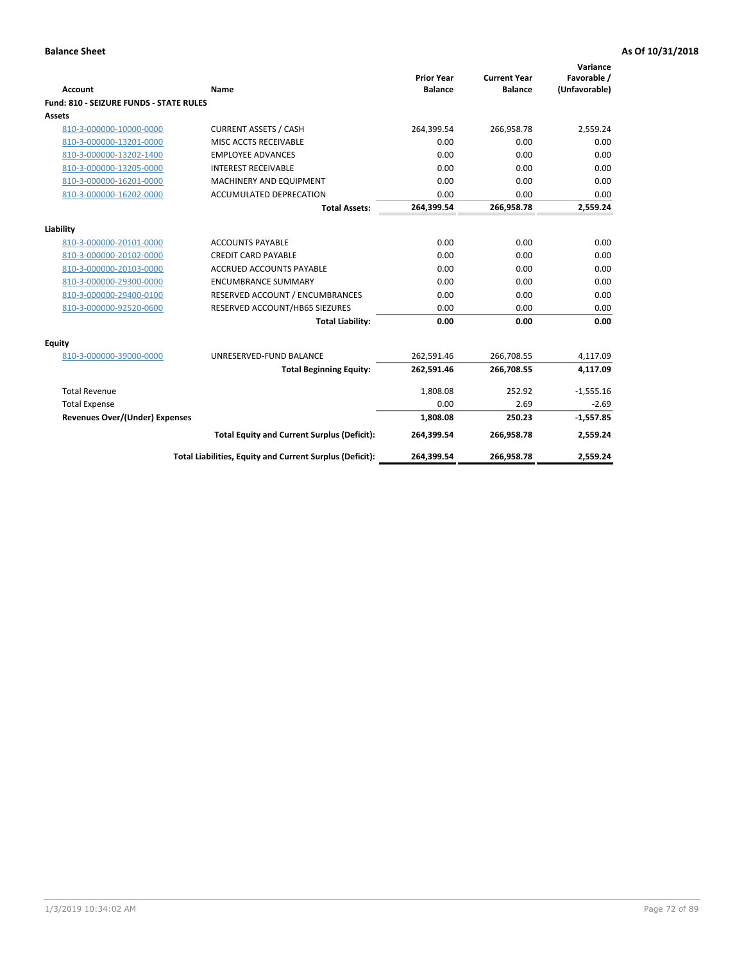| <b>Account</b>                                 | Name                                                     | <b>Prior Year</b><br><b>Balance</b> | <b>Current Year</b><br><b>Balance</b> | Variance<br>Favorable /<br>(Unfavorable) |
|------------------------------------------------|----------------------------------------------------------|-------------------------------------|---------------------------------------|------------------------------------------|
| <b>Fund: 810 - SEIZURE FUNDS - STATE RULES</b> |                                                          |                                     |                                       |                                          |
| <b>Assets</b>                                  |                                                          |                                     |                                       |                                          |
| 810-3-000000-10000-0000                        | <b>CURRENT ASSETS / CASH</b>                             | 264,399.54                          | 266,958.78                            | 2,559.24                                 |
| 810-3-000000-13201-0000                        | MISC ACCTS RECEIVABLE                                    | 0.00                                | 0.00                                  | 0.00                                     |
| 810-3-000000-13202-1400                        | <b>EMPLOYEE ADVANCES</b>                                 | 0.00                                | 0.00                                  | 0.00                                     |
| 810-3-000000-13205-0000                        | <b>INTEREST RECEIVABLE</b>                               | 0.00                                | 0.00                                  | 0.00                                     |
| 810-3-000000-16201-0000                        | MACHINERY AND EQUIPMENT                                  | 0.00                                | 0.00                                  | 0.00                                     |
| 810-3-000000-16202-0000                        | ACCUMULATED DEPRECATION                                  | 0.00                                | 0.00                                  | 0.00                                     |
|                                                | <b>Total Assets:</b>                                     | 264,399.54                          | 266,958.78                            | 2,559.24                                 |
|                                                |                                                          |                                     |                                       |                                          |
| Liability                                      |                                                          |                                     |                                       |                                          |
| 810-3-000000-20101-0000                        | <b>ACCOUNTS PAYABLE</b>                                  | 0.00                                | 0.00                                  | 0.00                                     |
| 810-3-000000-20102-0000                        | <b>CREDIT CARD PAYABLE</b>                               | 0.00                                | 0.00                                  | 0.00                                     |
| 810-3-000000-20103-0000                        | <b>ACCRUED ACCOUNTS PAYABLE</b>                          | 0.00                                | 0.00                                  | 0.00                                     |
| 810-3-000000-29300-0000                        | <b>ENCUMBRANCE SUMMARY</b>                               | 0.00                                | 0.00                                  | 0.00                                     |
| 810-3-000000-29400-0100                        | RESERVED ACCOUNT / ENCUMBRANCES                          | 0.00                                | 0.00                                  | 0.00                                     |
| 810-3-000000-92520-0600                        | RESERVED ACCOUNT/HB65 SIEZURES                           | 0.00                                | 0.00                                  | 0.00                                     |
|                                                | <b>Total Liability:</b>                                  | 0.00                                | 0.00                                  | 0.00                                     |
| Equity                                         |                                                          |                                     |                                       |                                          |
| 810-3-000000-39000-0000                        | UNRESERVED-FUND BALANCE                                  | 262,591.46                          | 266,708.55                            | 4,117.09                                 |
|                                                | <b>Total Beginning Equity:</b>                           | 262,591.46                          | 266,708.55                            | 4,117.09                                 |
| <b>Total Revenue</b>                           |                                                          | 1,808.08                            | 252.92                                | $-1,555.16$                              |
| <b>Total Expense</b>                           |                                                          | 0.00                                | 2.69                                  | $-2.69$                                  |
| Revenues Over/(Under) Expenses                 |                                                          | 1,808.08                            | 250.23                                | $-1,557.85$                              |
|                                                | <b>Total Equity and Current Surplus (Deficit):</b>       | 264,399.54                          | 266,958.78                            | 2,559.24                                 |
|                                                | Total Liabilities, Equity and Current Surplus (Deficit): | 264,399.54                          | 266,958.78                            | 2,559.24                                 |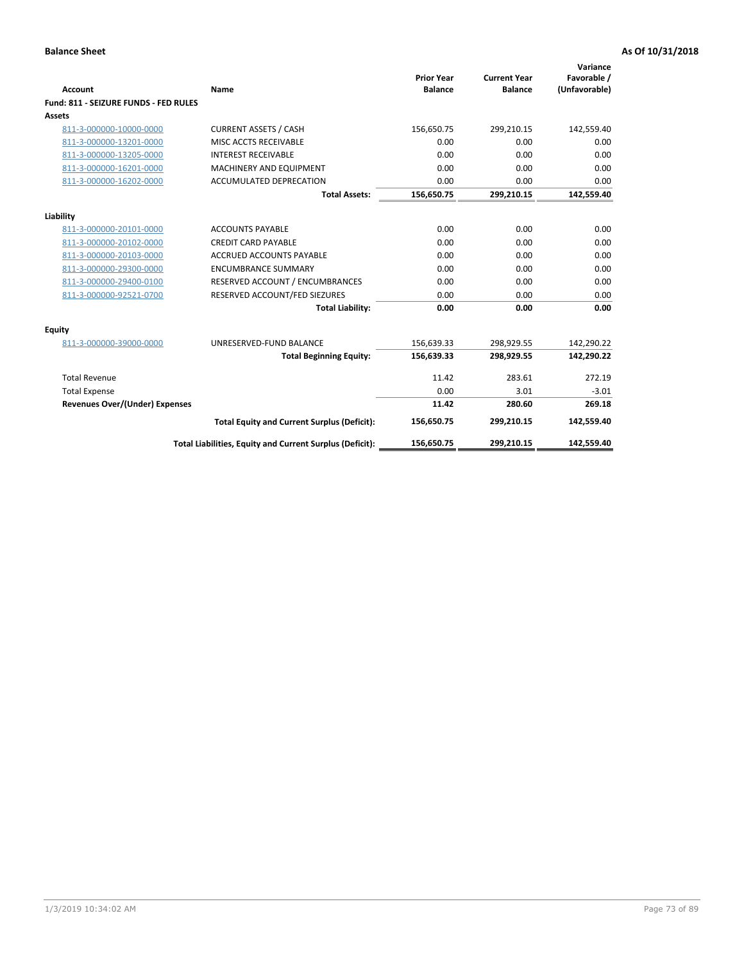| Account                               | Name                                                     | <b>Prior Year</b><br><b>Balance</b> | <b>Current Year</b><br><b>Balance</b> | Variance<br>Favorable /<br>(Unfavorable) |
|---------------------------------------|----------------------------------------------------------|-------------------------------------|---------------------------------------|------------------------------------------|
| Fund: 811 - SEIZURE FUNDS - FED RULES |                                                          |                                     |                                       |                                          |
| <b>Assets</b>                         |                                                          |                                     |                                       |                                          |
| 811-3-000000-10000-0000               | <b>CURRENT ASSETS / CASH</b>                             | 156,650.75                          | 299,210.15                            | 142,559.40                               |
| 811-3-000000-13201-0000               | MISC ACCTS RECEIVABLE                                    | 0.00                                | 0.00                                  | 0.00                                     |
| 811-3-000000-13205-0000               | <b>INTEREST RECEIVABLE</b>                               | 0.00                                | 0.00                                  | 0.00                                     |
| 811-3-000000-16201-0000               | <b>MACHINERY AND EQUIPMENT</b>                           | 0.00                                | 0.00                                  | 0.00                                     |
| 811-3-000000-16202-0000               | ACCUMULATED DEPRECATION                                  | 0.00                                | 0.00                                  | 0.00                                     |
|                                       | <b>Total Assets:</b>                                     | 156,650.75                          | 299,210.15                            | 142,559.40                               |
| Liability                             |                                                          |                                     |                                       |                                          |
| 811-3-000000-20101-0000               | <b>ACCOUNTS PAYABLE</b>                                  | 0.00                                | 0.00                                  | 0.00                                     |
| 811-3-000000-20102-0000               | <b>CREDIT CARD PAYABLE</b>                               | 0.00                                | 0.00                                  | 0.00                                     |
| 811-3-000000-20103-0000               | <b>ACCRUED ACCOUNTS PAYABLE</b>                          | 0.00                                | 0.00                                  | 0.00                                     |
| 811-3-000000-29300-0000               | <b>ENCUMBRANCE SUMMARY</b>                               | 0.00                                | 0.00                                  | 0.00                                     |
| 811-3-000000-29400-0100               | RESERVED ACCOUNT / ENCUMBRANCES                          | 0.00                                | 0.00                                  | 0.00                                     |
| 811-3-000000-92521-0700               | RESERVED ACCOUNT/FED SIEZURES                            | 0.00                                | 0.00                                  | 0.00                                     |
|                                       | <b>Total Liability:</b>                                  | 0.00                                | 0.00                                  | 0.00                                     |
| Equity                                |                                                          |                                     |                                       |                                          |
| 811-3-000000-39000-0000               | UNRESERVED-FUND BALANCE                                  | 156,639.33                          | 298,929.55                            | 142,290.22                               |
|                                       | <b>Total Beginning Equity:</b>                           | 156,639.33                          | 298,929.55                            | 142,290.22                               |
| <b>Total Revenue</b>                  |                                                          | 11.42                               | 283.61                                | 272.19                                   |
| <b>Total Expense</b>                  |                                                          | 0.00                                | 3.01                                  | $-3.01$                                  |
| Revenues Over/(Under) Expenses        |                                                          | 11.42                               | 280.60                                | 269.18                                   |
|                                       | <b>Total Equity and Current Surplus (Deficit):</b>       | 156,650.75                          | 299,210.15                            | 142,559.40                               |
|                                       | Total Liabilities, Equity and Current Surplus (Deficit): | 156,650.75                          | 299,210.15                            | 142,559.40                               |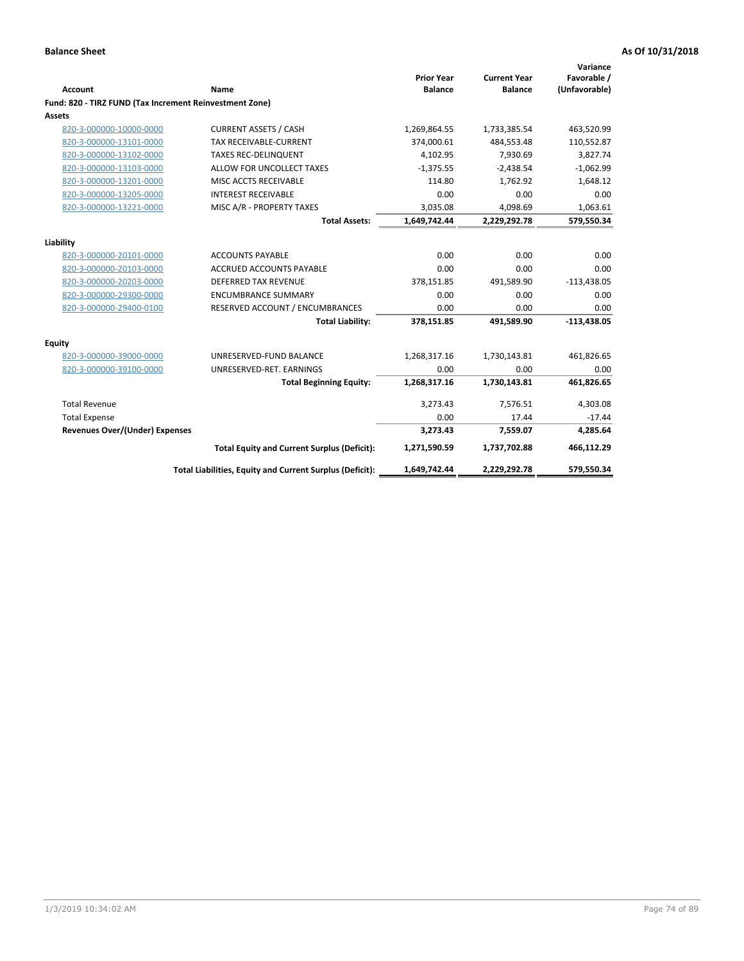|                                                         |                                                          | <b>Prior Year</b> | <b>Current Year</b> | Variance<br>Favorable / |
|---------------------------------------------------------|----------------------------------------------------------|-------------------|---------------------|-------------------------|
| <b>Account</b>                                          | Name                                                     | <b>Balance</b>    | <b>Balance</b>      | (Unfavorable)           |
| Fund: 820 - TIRZ FUND (Tax Increment Reinvestment Zone) |                                                          |                   |                     |                         |
| Assets                                                  |                                                          |                   |                     |                         |
| 820-3-000000-10000-0000                                 | <b>CURRENT ASSETS / CASH</b>                             | 1,269,864.55      | 1,733,385.54        | 463,520.99              |
| 820-3-000000-13101-0000                                 | TAX RECEIVABLE-CURRENT                                   | 374,000.61        | 484,553.48          | 110,552.87              |
| 820-3-000000-13102-0000                                 | <b>TAXES REC-DELINQUENT</b>                              | 4,102.95          | 7,930.69            | 3,827.74                |
| 820-3-000000-13103-0000                                 | ALLOW FOR UNCOLLECT TAXES                                | $-1,375.55$       | $-2,438.54$         | $-1,062.99$             |
| 820-3-000000-13201-0000                                 | MISC ACCTS RECEIVABLE                                    | 114.80            | 1,762.92            | 1,648.12                |
| 820-3-000000-13205-0000                                 | <b>INTEREST RECEIVABLE</b>                               | 0.00              | 0.00                | 0.00                    |
| 820-3-000000-13221-0000                                 | MISC A/R - PROPERTY TAXES                                | 3,035.08          | 4,098.69            | 1,063.61                |
|                                                         | <b>Total Assets:</b>                                     | 1,649,742.44      | 2,229,292.78        | 579,550.34              |
| Liability                                               |                                                          |                   |                     |                         |
| 820-3-000000-20101-0000                                 | <b>ACCOUNTS PAYABLE</b>                                  | 0.00              | 0.00                | 0.00                    |
| 820-3-000000-20103-0000                                 | <b>ACCRUED ACCOUNTS PAYABLE</b>                          | 0.00              | 0.00                | 0.00                    |
| 820-3-000000-20203-0000                                 | DEFERRED TAX REVENUE                                     | 378,151.85        | 491,589.90          | $-113,438.05$           |
| 820-3-000000-29300-0000                                 | <b>ENCUMBRANCE SUMMARY</b>                               | 0.00              | 0.00                | 0.00                    |
| 820-3-000000-29400-0100                                 | RESERVED ACCOUNT / ENCUMBRANCES                          | 0.00              | 0.00                | 0.00                    |
|                                                         | <b>Total Liability:</b>                                  | 378,151.85        | 491,589.90          | $-113,438.05$           |
| Equity                                                  |                                                          |                   |                     |                         |
| 820-3-000000-39000-0000                                 | UNRESERVED-FUND BALANCE                                  | 1,268,317.16      | 1,730,143.81        | 461,826.65              |
| 820-3-000000-39100-0000                                 | UNRESERVED-RET. EARNINGS                                 | 0.00              | 0.00                | 0.00                    |
|                                                         | <b>Total Beginning Equity:</b>                           | 1,268,317.16      | 1,730,143.81        | 461,826.65              |
| <b>Total Revenue</b>                                    |                                                          | 3,273.43          | 7,576.51            | 4,303.08                |
| <b>Total Expense</b>                                    |                                                          | 0.00              | 17.44               | $-17.44$                |
| <b>Revenues Over/(Under) Expenses</b>                   |                                                          | 3,273.43          | 7,559.07            | 4,285.64                |
|                                                         | <b>Total Equity and Current Surplus (Deficit):</b>       | 1,271,590.59      | 1,737,702.88        | 466,112.29              |
|                                                         | Total Liabilities, Equity and Current Surplus (Deficit): | 1,649,742.44      | 2,229,292.78        | 579,550.34              |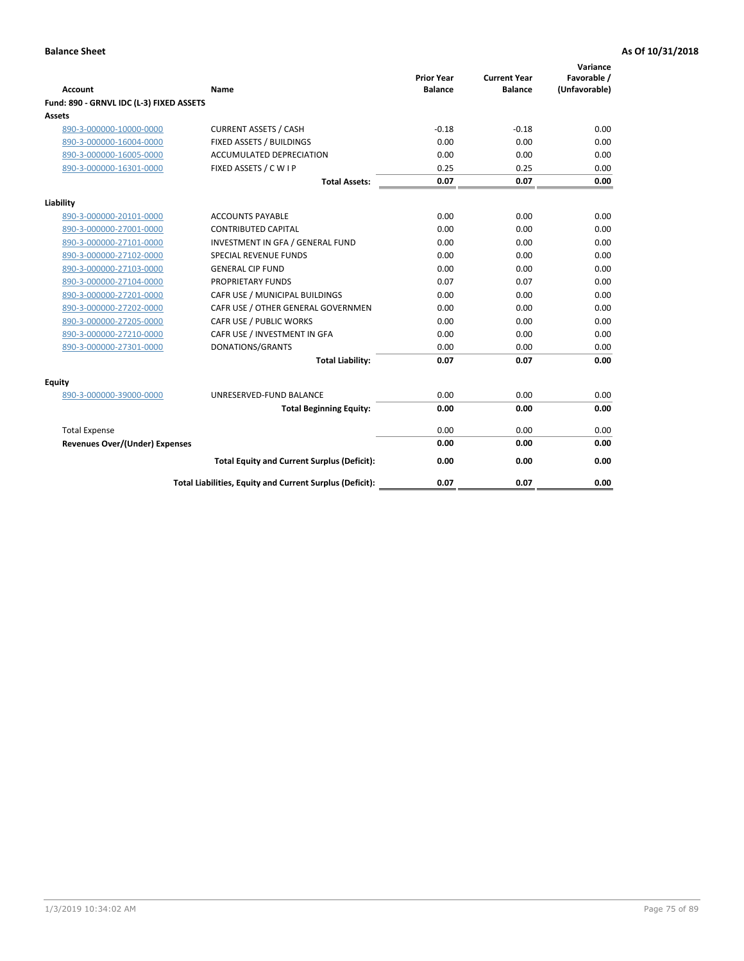| <b>Account</b>                           | Name                                                     | <b>Prior Year</b><br><b>Balance</b> | <b>Current Year</b><br><b>Balance</b> | Variance<br>Favorable /<br>(Unfavorable) |
|------------------------------------------|----------------------------------------------------------|-------------------------------------|---------------------------------------|------------------------------------------|
| Fund: 890 - GRNVL IDC (L-3) FIXED ASSETS |                                                          |                                     |                                       |                                          |
| <b>Assets</b>                            |                                                          |                                     |                                       |                                          |
| 890-3-000000-10000-0000                  | <b>CURRENT ASSETS / CASH</b>                             | $-0.18$                             | $-0.18$                               | 0.00                                     |
| 890-3-000000-16004-0000                  | FIXED ASSETS / BUILDINGS                                 | 0.00                                | 0.00                                  | 0.00                                     |
| 890-3-000000-16005-0000                  | <b>ACCUMULATED DEPRECIATION</b>                          | 0.00                                | 0.00                                  | 0.00                                     |
| 890-3-000000-16301-0000                  | FIXED ASSETS / C W I P                                   | 0.25                                | 0.25                                  | 0.00                                     |
|                                          | <b>Total Assets:</b>                                     | 0.07                                | 0.07                                  | 0.00                                     |
| Liability                                |                                                          |                                     |                                       |                                          |
| 890-3-000000-20101-0000                  | <b>ACCOUNTS PAYABLE</b>                                  | 0.00                                | 0.00                                  | 0.00                                     |
| 890-3-000000-27001-0000                  | <b>CONTRIBUTED CAPITAL</b>                               | 0.00                                | 0.00                                  | 0.00                                     |
| 890-3-000000-27101-0000                  | INVESTMENT IN GFA / GENERAL FUND                         | 0.00                                | 0.00                                  | 0.00                                     |
| 890-3-000000-27102-0000                  | SPECIAL REVENUE FUNDS                                    | 0.00                                | 0.00                                  | 0.00                                     |
| 890-3-000000-27103-0000                  | <b>GENERAL CIP FUND</b>                                  | 0.00                                | 0.00                                  | 0.00                                     |
| 890-3-000000-27104-0000                  | PROPRIETARY FUNDS                                        | 0.07                                | 0.07                                  | 0.00                                     |
| 890-3-000000-27201-0000                  | CAFR USE / MUNICIPAL BUILDINGS                           | 0.00                                | 0.00                                  | 0.00                                     |
| 890-3-000000-27202-0000                  | CAFR USE / OTHER GENERAL GOVERNMEN                       | 0.00                                | 0.00                                  | 0.00                                     |
| 890-3-000000-27205-0000                  | CAFR USE / PUBLIC WORKS                                  | 0.00                                | 0.00                                  | 0.00                                     |
| 890-3-000000-27210-0000                  | CAFR USE / INVESTMENT IN GFA                             | 0.00                                | 0.00                                  | 0.00                                     |
| 890-3-000000-27301-0000                  | DONATIONS/GRANTS                                         | 0.00                                | 0.00                                  | 0.00                                     |
|                                          | <b>Total Liability:</b>                                  | 0.07                                | 0.07                                  | 0.00                                     |
| Equity                                   |                                                          |                                     |                                       |                                          |
| 890-3-000000-39000-0000                  | UNRESERVED-FUND BALANCE                                  | 0.00                                | 0.00                                  | 0.00                                     |
|                                          | <b>Total Beginning Equity:</b>                           | 0.00                                | 0.00                                  | 0.00                                     |
| <b>Total Expense</b>                     |                                                          | 0.00                                | 0.00                                  | 0.00                                     |
| Revenues Over/(Under) Expenses           |                                                          | 0.00                                | 0.00                                  | 0.00                                     |
|                                          | <b>Total Equity and Current Surplus (Deficit):</b>       | 0.00                                | 0.00                                  | 0.00                                     |
|                                          | Total Liabilities, Equity and Current Surplus (Deficit): | 0.07                                | 0.07                                  | 0.00                                     |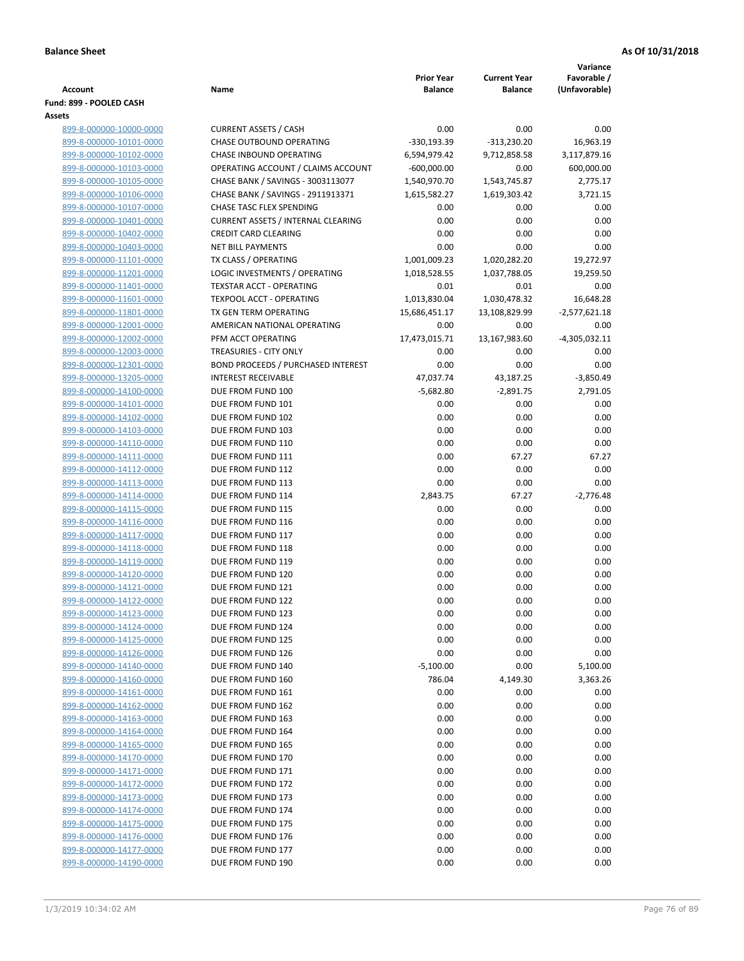|                                                    |                                           |                                     |                                       | Variance                     |
|----------------------------------------------------|-------------------------------------------|-------------------------------------|---------------------------------------|------------------------------|
| <b>Account</b>                                     | Name                                      | <b>Prior Year</b><br><b>Balance</b> | <b>Current Year</b><br><b>Balance</b> | Favorable /<br>(Unfavorable) |
| Fund: 899 - POOLED CASH                            |                                           |                                     |                                       |                              |
| Assets                                             |                                           |                                     |                                       |                              |
| 899-8-000000-10000-0000                            | <b>CURRENT ASSETS / CASH</b>              | 0.00                                | 0.00                                  | 0.00                         |
| 899-8-000000-10101-0000                            | CHASE OUTBOUND OPERATING                  | $-330, 193.39$                      | $-313,230.20$                         | 16,963.19                    |
| 899-8-000000-10102-0000                            | CHASE INBOUND OPERATING                   | 6,594,979.42                        | 9,712,858.58                          | 3,117,879.16                 |
| 899-8-000000-10103-0000                            | OPERATING ACCOUNT / CLAIMS ACCOUNT        | $-600,000.00$                       | 0.00                                  | 600,000.00                   |
| 899-8-000000-10105-0000                            | CHASE BANK / SAVINGS - 3003113077         | 1,540,970.70                        | 1,543,745.87                          | 2,775.17                     |
| 899-8-000000-10106-0000                            | CHASE BANK / SAVINGS - 2911913371         | 1,615,582.27                        | 1,619,303.42                          | 3,721.15                     |
| 899-8-000000-10107-0000                            | <b>CHASE TASC FLEX SPENDING</b>           | 0.00                                | 0.00                                  | 0.00                         |
| 899-8-000000-10401-0000                            | <b>CURRENT ASSETS / INTERNAL CLEARING</b> | 0.00                                | 0.00                                  | 0.00                         |
| 899-8-000000-10402-0000                            | <b>CREDIT CARD CLEARING</b>               | 0.00                                | 0.00                                  | 0.00                         |
| 899-8-000000-10403-0000                            | <b>NET BILL PAYMENTS</b>                  | 0.00                                | 0.00                                  | 0.00                         |
| 899-8-000000-11101-0000                            | TX CLASS / OPERATING                      | 1,001,009.23                        | 1,020,282.20                          | 19,272.97                    |
| 899-8-000000-11201-0000                            | LOGIC INVESTMENTS / OPERATING             | 1,018,528.55                        | 1,037,788.05                          | 19,259.50                    |
| 899-8-000000-11401-0000                            | <b>TEXSTAR ACCT - OPERATING</b>           | 0.01                                | 0.01                                  | 0.00                         |
| 899-8-000000-11601-0000                            | <b>TEXPOOL ACCT - OPERATING</b>           | 1,013,830.04                        | 1,030,478.32                          | 16,648.28                    |
| 899-8-000000-11801-0000                            | TX GEN TERM OPERATING                     | 15,686,451.17                       | 13,108,829.99                         | $-2,577,621.18$              |
| 899-8-000000-12001-0000                            | AMERICAN NATIONAL OPERATING               | 0.00                                | 0.00                                  | 0.00                         |
| 899-8-000000-12002-0000                            | PFM ACCT OPERATING                        | 17,473,015.71                       | 13,167,983.60                         | $-4,305,032.11$              |
| 899-8-000000-12003-0000                            | TREASURIES - CITY ONLY                    | 0.00                                | 0.00                                  | 0.00                         |
| 899-8-000000-12301-0000                            | BOND PROCEEDS / PURCHASED INTEREST        | 0.00                                | 0.00                                  | 0.00                         |
| 899-8-000000-13205-0000                            | <b>INTEREST RECEIVABLE</b>                | 47,037.74                           | 43,187.25                             | $-3,850.49$                  |
| 899-8-000000-14100-0000<br>899-8-000000-14101-0000 | DUE FROM FUND 100<br>DUE FROM FUND 101    | $-5,682.80$                         | $-2,891.75$                           | 2,791.05                     |
| 899-8-000000-14102-0000                            | DUE FROM FUND 102                         | 0.00<br>0.00                        | 0.00<br>0.00                          | 0.00<br>0.00                 |
| 899-8-000000-14103-0000                            | DUE FROM FUND 103                         | 0.00                                | 0.00                                  | 0.00                         |
| 899-8-000000-14110-0000                            | DUE FROM FUND 110                         | 0.00                                | 0.00                                  | 0.00                         |
| 899-8-000000-14111-0000                            | DUE FROM FUND 111                         | 0.00                                | 67.27                                 | 67.27                        |
| 899-8-000000-14112-0000                            | DUE FROM FUND 112                         | 0.00                                | 0.00                                  | 0.00                         |
| 899-8-000000-14113-0000                            | DUE FROM FUND 113                         | 0.00                                | 0.00                                  | 0.00                         |
| 899-8-000000-14114-0000                            | DUE FROM FUND 114                         | 2,843.75                            | 67.27                                 | $-2,776.48$                  |
| 899-8-000000-14115-0000                            | DUE FROM FUND 115                         | 0.00                                | 0.00                                  | 0.00                         |
| 899-8-000000-14116-0000                            | DUE FROM FUND 116                         | 0.00                                | 0.00                                  | 0.00                         |
| 899-8-000000-14117-0000                            | DUE FROM FUND 117                         | 0.00                                | 0.00                                  | 0.00                         |
| 899-8-000000-14118-0000                            | DUE FROM FUND 118                         | 0.00                                | 0.00                                  | 0.00                         |
| 899-8-000000-14119-0000                            | DUE FROM FUND 119                         | 0.00                                | 0.00                                  | 0.00                         |
| 899-8-000000-14120-0000                            | DUE FROM FUND 120                         | 0.00                                | 0.00                                  | 0.00                         |
| 899-8-000000-14121-0000                            | DUE FROM FUND 121                         | 0.00                                | 0.00                                  | 0.00                         |
| 899-8-000000-14122-0000                            | DUE FROM FUND 122                         | 0.00                                | 0.00                                  | 0.00                         |
| 899-8-000000-14123-0000                            | DUE FROM FUND 123                         | 0.00                                | 0.00                                  | 0.00                         |
| 899-8-000000-14124-0000                            | DUE FROM FUND 124                         | 0.00                                | 0.00                                  | 0.00                         |
| 899-8-000000-14125-0000                            | DUE FROM FUND 125                         | 0.00                                | 0.00                                  | 0.00                         |
| 899-8-000000-14126-0000                            | DUE FROM FUND 126                         | 0.00                                | 0.00                                  | 0.00                         |
| 899-8-000000-14140-0000                            | DUE FROM FUND 140                         | $-5,100.00$                         | 0.00                                  | 5,100.00                     |
| 899-8-000000-14160-0000                            | DUE FROM FUND 160                         | 786.04                              | 4,149.30                              | 3,363.26                     |
| 899-8-000000-14161-0000                            | DUE FROM FUND 161                         | 0.00                                | 0.00                                  | 0.00                         |
| 899-8-000000-14162-0000                            | DUE FROM FUND 162<br>DUE FROM FUND 163    | 0.00                                | 0.00                                  | 0.00                         |
| 899-8-000000-14163-0000<br>899-8-000000-14164-0000 | DUE FROM FUND 164                         | 0.00<br>0.00                        | 0.00<br>0.00                          | 0.00<br>0.00                 |
| 899-8-000000-14165-0000                            | DUE FROM FUND 165                         | 0.00                                | 0.00                                  | 0.00                         |
| 899-8-000000-14170-0000                            | DUE FROM FUND 170                         | 0.00                                | 0.00                                  | 0.00                         |
| 899-8-000000-14171-0000                            | DUE FROM FUND 171                         | 0.00                                | 0.00                                  | 0.00                         |
| 899-8-000000-14172-0000                            | DUE FROM FUND 172                         | 0.00                                | 0.00                                  | 0.00                         |
| 899-8-000000-14173-0000                            | DUE FROM FUND 173                         | 0.00                                | 0.00                                  | 0.00                         |
| 899-8-000000-14174-0000                            | DUE FROM FUND 174                         | 0.00                                | 0.00                                  | 0.00                         |
| 899-8-000000-14175-0000                            | DUE FROM FUND 175                         | 0.00                                | 0.00                                  | 0.00                         |
| 899-8-000000-14176-0000                            | DUE FROM FUND 176                         | 0.00                                | 0.00                                  | 0.00                         |
| 899-8-000000-14177-0000                            | DUE FROM FUND 177                         | 0.00                                | 0.00                                  | 0.00                         |
| 899-8-000000-14190-0000                            | DUE FROM FUND 190                         | 0.00                                | 0.00                                  | 0.00                         |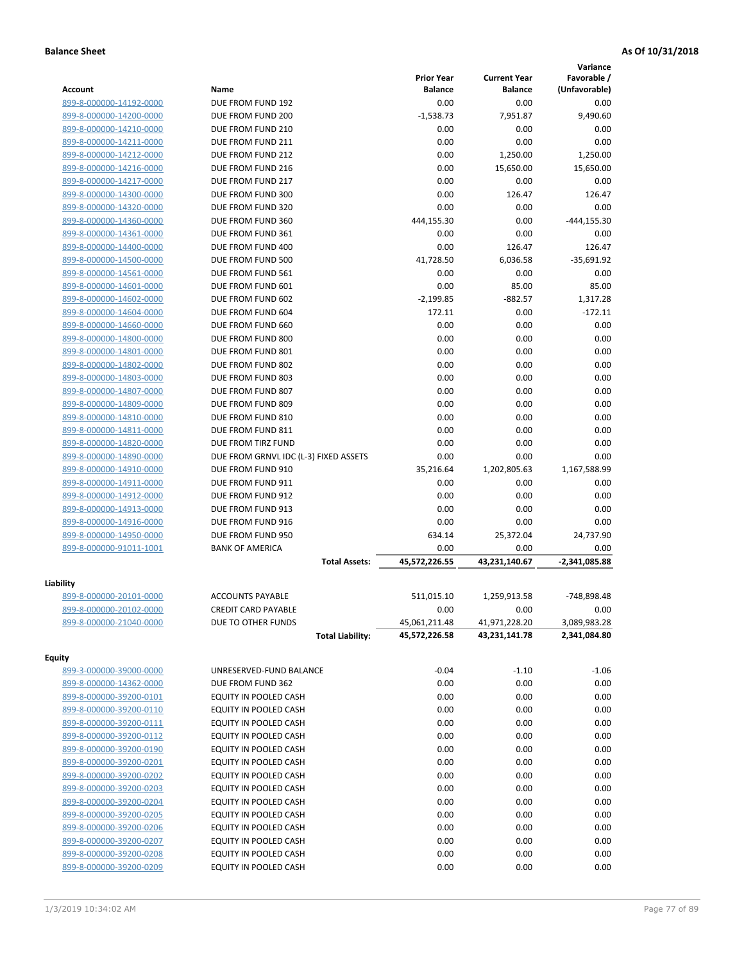|                         |                                       |                   |                     | Variance        |
|-------------------------|---------------------------------------|-------------------|---------------------|-----------------|
|                         |                                       | <b>Prior Year</b> | <b>Current Year</b> | Favorable /     |
| <b>Account</b>          | Name                                  | <b>Balance</b>    | <b>Balance</b>      | (Unfavorable)   |
| 899-8-000000-14192-0000 | DUE FROM FUND 192                     | 0.00              | 0.00                | 0.00            |
| 899-8-000000-14200-0000 | DUE FROM FUND 200                     | $-1,538.73$       | 7,951.87            | 9,490.60        |
| 899-8-000000-14210-0000 | DUE FROM FUND 210                     | 0.00              | 0.00                | 0.00            |
| 899-8-000000-14211-0000 | DUE FROM FUND 211                     | 0.00              | 0.00                | 0.00            |
| 899-8-000000-14212-0000 | DUE FROM FUND 212                     | 0.00              | 1,250.00            | 1,250.00        |
| 899-8-000000-14216-0000 | DUE FROM FUND 216                     | 0.00              | 15,650.00           | 15,650.00       |
| 899-8-000000-14217-0000 | DUE FROM FUND 217                     | 0.00              | 0.00                | 0.00            |
| 899-8-000000-14300-0000 | DUE FROM FUND 300                     | 0.00              | 126.47              | 126.47          |
| 899-8-000000-14320-0000 | DUE FROM FUND 320                     | 0.00              | 0.00                | 0.00            |
| 899-8-000000-14360-0000 | DUE FROM FUND 360                     | 444,155.30        | 0.00                | $-444, 155.30$  |
| 899-8-000000-14361-0000 | DUE FROM FUND 361                     | 0.00              | 0.00                | 0.00            |
| 899-8-000000-14400-0000 | DUE FROM FUND 400                     | 0.00              | 126.47              | 126.47          |
| 899-8-000000-14500-0000 | DUE FROM FUND 500                     | 41,728.50         | 6,036.58            | $-35,691.92$    |
| 899-8-000000-14561-0000 | DUE FROM FUND 561                     | 0.00              | 0.00                | 0.00            |
| 899-8-000000-14601-0000 | DUE FROM FUND 601                     | 0.00              | 85.00               | 85.00           |
| 899-8-000000-14602-0000 | DUE FROM FUND 602                     | $-2.199.85$       | $-882.57$           | 1,317.28        |
| 899-8-000000-14604-0000 | DUE FROM FUND 604                     | 172.11            | 0.00                | $-172.11$       |
| 899-8-000000-14660-0000 | DUE FROM FUND 660                     | 0.00              | 0.00                | 0.00            |
| 899-8-000000-14800-0000 | DUE FROM FUND 800                     | 0.00              | 0.00                | 0.00            |
| 899-8-000000-14801-0000 | DUE FROM FUND 801                     | 0.00              | 0.00                | 0.00            |
| 899-8-000000-14802-0000 | DUE FROM FUND 802                     | 0.00              | 0.00                | 0.00            |
| 899-8-000000-14803-0000 | DUE FROM FUND 803                     | 0.00              | 0.00                | 0.00            |
| 899-8-000000-14807-0000 | DUE FROM FUND 807                     | 0.00              | 0.00                | 0.00            |
| 899-8-000000-14809-0000 | DUE FROM FUND 809                     | 0.00              | 0.00                | 0.00            |
| 899-8-000000-14810-0000 | DUE FROM FUND 810                     | 0.00              | 0.00                | 0.00            |
| 899-8-000000-14811-0000 | DUE FROM FUND 811                     | 0.00              | 0.00                | 0.00            |
| 899-8-000000-14820-0000 | DUE FROM TIRZ FUND                    | 0.00              | 0.00                | 0.00            |
| 899-8-000000-14890-0000 | DUE FROM GRNVL IDC (L-3) FIXED ASSETS | 0.00              | 0.00                | 0.00            |
| 899-8-000000-14910-0000 | DUE FROM FUND 910                     | 35,216.64         | 1,202,805.63        | 1,167,588.99    |
| 899-8-000000-14911-0000 | DUE FROM FUND 911                     | 0.00              | 0.00                | 0.00            |
| 899-8-000000-14912-0000 | DUE FROM FUND 912                     | 0.00              | 0.00                | 0.00            |
| 899-8-000000-14913-0000 | DUE FROM FUND 913                     | 0.00              | 0.00                | 0.00            |
| 899-8-000000-14916-0000 | DUE FROM FUND 916                     | 0.00              | 0.00                | 0.00            |
| 899-8-000000-14950-0000 | DUE FROM FUND 950                     | 634.14            | 25,372.04           | 24,737.90       |
| 899-8-000000-91011-1001 | <b>BANK OF AMERICA</b>                | 0.00              | 0.00                | 0.00            |
|                         | <b>Total Assets:</b>                  | 45,572,226.55     | 43,231,140.67       | $-2,341,085.88$ |
|                         |                                       |                   |                     |                 |
| Liability               |                                       |                   |                     |                 |
| 899-8-000000-20101-0000 | <b>ACCOUNTS PAYABLE</b>               | 511,015.10        | 1,259,913.58        | -748,898.48     |
| 899-8-000000-20102-0000 | <b>CREDIT CARD PAYABLE</b>            | 0.00              | 0.00                | 0.00            |
| 899-8-000000-21040-0000 | DUE TO OTHER FUNDS                    | 45,061,211.48     | 41,971,228.20       | 3,089,983.28    |
|                         | <b>Total Liability:</b>               | 45,572,226.58     | 43,231,141.78       | 2,341,084.80    |
| <b>Equity</b>           |                                       |                   |                     |                 |
| 899-3-000000-39000-0000 | UNRESERVED-FUND BALANCE               | $-0.04$           | $-1.10$             | $-1.06$         |
| 899-8-000000-14362-0000 | DUE FROM FUND 362                     | 0.00              | 0.00                | 0.00            |
| 899-8-000000-39200-0101 | EQUITY IN POOLED CASH                 | 0.00              | 0.00                | 0.00            |
| 899-8-000000-39200-0110 | EQUITY IN POOLED CASH                 | 0.00              | 0.00                | 0.00            |
|                         |                                       |                   |                     |                 |
| 899-8-000000-39200-0111 | EQUITY IN POOLED CASH                 | 0.00              | 0.00                | 0.00            |
| 899-8-000000-39200-0112 | EQUITY IN POOLED CASH                 | 0.00              | 0.00                | 0.00            |
| 899-8-000000-39200-0190 | EQUITY IN POOLED CASH                 | 0.00              | 0.00                | 0.00            |
| 899-8-000000-39200-0201 | EQUITY IN POOLED CASH                 | 0.00              | 0.00                | 0.00            |
| 899-8-000000-39200-0202 | EQUITY IN POOLED CASH                 | 0.00              | 0.00                | 0.00            |
| 899-8-000000-39200-0203 | EQUITY IN POOLED CASH                 | 0.00              | 0.00                | 0.00            |
| 899-8-000000-39200-0204 | EQUITY IN POOLED CASH                 | 0.00              | 0.00                | 0.00            |
| 899-8-000000-39200-0205 | EQUITY IN POOLED CASH                 | 0.00              | 0.00                | 0.00            |
| 899-8-000000-39200-0206 | EQUITY IN POOLED CASH                 | 0.00              | 0.00                | 0.00            |
| 899-8-000000-39200-0207 | EQUITY IN POOLED CASH                 | 0.00              | 0.00                | 0.00            |
| 899-8-000000-39200-0208 | EQUITY IN POOLED CASH                 | 0.00              | 0.00                | 0.00            |
| 899-8-000000-39200-0209 | EQUITY IN POOLED CASH                 | 0.00              | 0.00                | 0.00            |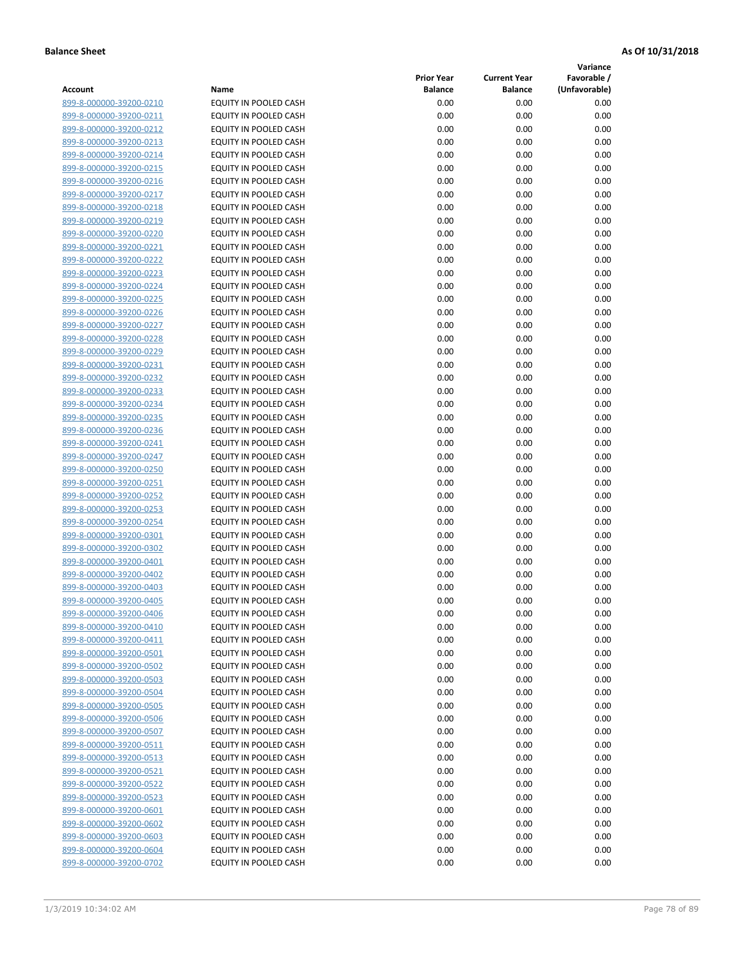**Variance**

| Account                                            | Name                                           | <b>Prior Year</b><br><b>Balance</b> | <b>Current Year</b><br><b>Balance</b> | Favorable /<br>(Unfavorable) |
|----------------------------------------------------|------------------------------------------------|-------------------------------------|---------------------------------------|------------------------------|
| 899-8-000000-39200-0210                            | EQUITY IN POOLED CASH                          | 0.00                                | 0.00                                  | 0.00                         |
| 899-8-000000-39200-0211                            | EQUITY IN POOLED CASH                          | 0.00                                | 0.00                                  | 0.00                         |
| 899-8-000000-39200-0212                            | EQUITY IN POOLED CASH                          | 0.00                                | 0.00                                  | 0.00                         |
| 899-8-000000-39200-0213                            | EQUITY IN POOLED CASH                          | 0.00                                | 0.00                                  | 0.00                         |
| 899-8-000000-39200-0214                            | <b>EQUITY IN POOLED CASH</b>                   | 0.00                                | 0.00                                  | 0.00                         |
| 899-8-000000-39200-0215                            | EQUITY IN POOLED CASH                          | 0.00                                | 0.00                                  | 0.00                         |
| 899-8-000000-39200-0216                            | EQUITY IN POOLED CASH                          | 0.00                                | 0.00                                  | 0.00                         |
| 899-8-000000-39200-0217                            | EQUITY IN POOLED CASH                          | 0.00                                | 0.00                                  | 0.00                         |
| 899-8-000000-39200-0218                            | EQUITY IN POOLED CASH                          | 0.00                                | 0.00                                  | 0.00                         |
| 899-8-000000-39200-0219                            | EQUITY IN POOLED CASH                          | 0.00                                | 0.00                                  | 0.00                         |
| 899-8-000000-39200-0220                            | EQUITY IN POOLED CASH                          | 0.00                                | 0.00                                  | 0.00                         |
| 899-8-000000-39200-0221                            | EQUITY IN POOLED CASH                          | 0.00                                | 0.00                                  | 0.00                         |
| 899-8-000000-39200-0222                            | EQUITY IN POOLED CASH                          | 0.00                                | 0.00                                  | 0.00                         |
| 899-8-000000-39200-0223                            | EQUITY IN POOLED CASH                          | 0.00                                | 0.00                                  | 0.00                         |
| 899-8-000000-39200-0224                            | EQUITY IN POOLED CASH                          | 0.00                                | 0.00                                  | 0.00                         |
| 899-8-000000-39200-0225                            | EQUITY IN POOLED CASH                          | 0.00                                | 0.00                                  | 0.00                         |
| 899-8-000000-39200-0226                            | EQUITY IN POOLED CASH                          | 0.00                                | 0.00                                  | 0.00                         |
| 899-8-000000-39200-0227                            | EQUITY IN POOLED CASH                          | 0.00                                | 0.00                                  | 0.00                         |
| 899-8-000000-39200-0228                            | EQUITY IN POOLED CASH                          | 0.00                                | 0.00                                  | 0.00                         |
| 899-8-000000-39200-0229                            | <b>EQUITY IN POOLED CASH</b>                   | 0.00                                | 0.00                                  | 0.00                         |
| 899-8-000000-39200-0231                            | <b>EQUITY IN POOLED CASH</b>                   | 0.00                                | 0.00                                  | 0.00                         |
| 899-8-000000-39200-0232                            | EQUITY IN POOLED CASH                          | 0.00                                | 0.00                                  | 0.00                         |
| 899-8-000000-39200-0233                            | EQUITY IN POOLED CASH                          | 0.00                                | 0.00                                  | 0.00                         |
| 899-8-000000-39200-0234                            | EQUITY IN POOLED CASH                          | 0.00                                | 0.00                                  | 0.00                         |
| 899-8-000000-39200-0235                            | EQUITY IN POOLED CASH                          | 0.00                                | 0.00                                  | 0.00                         |
| 899-8-000000-39200-0236                            | EQUITY IN POOLED CASH                          | 0.00                                | 0.00                                  | 0.00                         |
| 899-8-000000-39200-0241                            | EQUITY IN POOLED CASH                          | 0.00                                | 0.00                                  | 0.00                         |
| 899-8-000000-39200-0247                            | EQUITY IN POOLED CASH                          | 0.00                                | 0.00                                  | 0.00                         |
| 899-8-000000-39200-0250                            | EQUITY IN POOLED CASH                          | 0.00                                | 0.00                                  | 0.00                         |
| 899-8-000000-39200-0251                            | EQUITY IN POOLED CASH                          | 0.00                                | 0.00                                  | 0.00                         |
| 899-8-000000-39200-0252                            | EQUITY IN POOLED CASH                          | 0.00                                | 0.00                                  | 0.00                         |
| 899-8-000000-39200-0253                            | EQUITY IN POOLED CASH                          | 0.00                                | 0.00                                  | 0.00                         |
| 899-8-000000-39200-0254                            | EQUITY IN POOLED CASH                          | 0.00                                | 0.00                                  | 0.00                         |
| 899-8-000000-39200-0301<br>899-8-000000-39200-0302 | EQUITY IN POOLED CASH                          | 0.00<br>0.00                        | 0.00                                  | 0.00                         |
| 899-8-000000-39200-0401                            | EQUITY IN POOLED CASH<br>EQUITY IN POOLED CASH | 0.00                                | 0.00<br>0.00                          | 0.00<br>0.00                 |
| 899-8-000000-39200-0402                            | EQUITY IN POOLED CASH                          | 0.00                                | 0.00                                  | 0.00                         |
| 899-8-000000-39200-0403                            | EQUITY IN POOLED CASH                          | 0.00                                | 0.00                                  | 0.00                         |
| 899-8-000000-39200-0405                            | <b>EQUITY IN POOLED CASH</b>                   | 0.00                                | 0.00                                  | 0.00                         |
| 899-8-000000-39200-0406                            | EQUITY IN POOLED CASH                          | 0.00                                | 0.00                                  | 0.00                         |
| 899-8-000000-39200-0410                            | <b>EQUITY IN POOLED CASH</b>                   | 0.00                                | 0.00                                  | 0.00                         |
| 899-8-000000-39200-0411                            | EQUITY IN POOLED CASH                          | 0.00                                | 0.00                                  | 0.00                         |
| 899-8-000000-39200-0501                            | EQUITY IN POOLED CASH                          | 0.00                                | 0.00                                  | 0.00                         |
| 899-8-000000-39200-0502                            | EQUITY IN POOLED CASH                          | 0.00                                | 0.00                                  | 0.00                         |
| 899-8-000000-39200-0503                            | EQUITY IN POOLED CASH                          | 0.00                                | 0.00                                  | 0.00                         |
| 899-8-000000-39200-0504                            | <b>EQUITY IN POOLED CASH</b>                   | 0.00                                | 0.00                                  | 0.00                         |
| 899-8-000000-39200-0505                            | EQUITY IN POOLED CASH                          | 0.00                                | 0.00                                  | 0.00                         |
| 899-8-000000-39200-0506                            | EQUITY IN POOLED CASH                          | 0.00                                | 0.00                                  | 0.00                         |
| 899-8-000000-39200-0507                            | EQUITY IN POOLED CASH                          | 0.00                                | 0.00                                  | 0.00                         |
| 899-8-000000-39200-0511                            | <b>EQUITY IN POOLED CASH</b>                   | 0.00                                | 0.00                                  | 0.00                         |
| 899-8-000000-39200-0513                            | EQUITY IN POOLED CASH                          | 0.00                                | 0.00                                  | 0.00                         |
| 899-8-000000-39200-0521                            | EQUITY IN POOLED CASH                          | 0.00                                | 0.00                                  | 0.00                         |
| 899-8-000000-39200-0522                            | EQUITY IN POOLED CASH                          | 0.00                                | 0.00                                  | 0.00                         |
| 899-8-000000-39200-0523                            | EQUITY IN POOLED CASH                          | 0.00                                | 0.00                                  | 0.00                         |
| 899-8-000000-39200-0601                            | EQUITY IN POOLED CASH                          | 0.00                                | 0.00                                  | 0.00                         |
| 899-8-000000-39200-0602                            | EQUITY IN POOLED CASH                          | 0.00                                | 0.00                                  | 0.00                         |
| 899-8-000000-39200-0603                            | EQUITY IN POOLED CASH                          | 0.00                                | 0.00                                  | 0.00                         |
| 899-8-000000-39200-0604                            | EQUITY IN POOLED CASH                          | 0.00                                | 0.00                                  | 0.00                         |
| 899-8-000000-39200-0702                            | EQUITY IN POOLED CASH                          | 0.00                                | 0.00                                  | 0.00                         |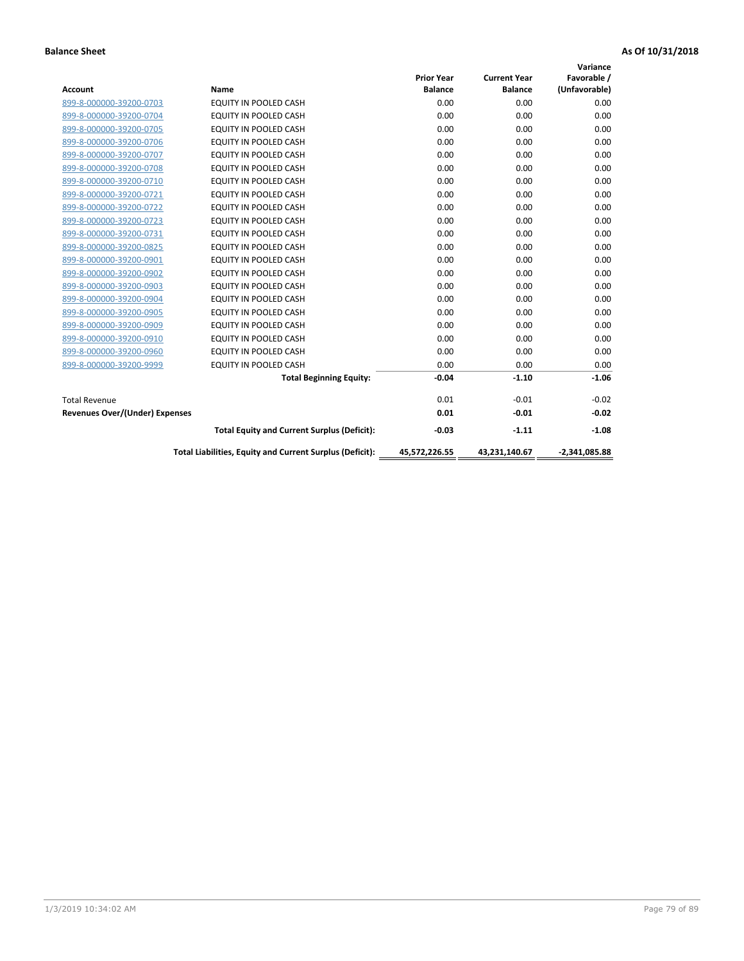|                                       |                                                          |                   |                     | Variance        |
|---------------------------------------|----------------------------------------------------------|-------------------|---------------------|-----------------|
|                                       |                                                          | <b>Prior Year</b> | <b>Current Year</b> | Favorable /     |
| <b>Account</b>                        | <b>Name</b>                                              | <b>Balance</b>    | <b>Balance</b>      | (Unfavorable)   |
| 899-8-000000-39200-0703               | EQUITY IN POOLED CASH                                    | 0.00              | 0.00                | 0.00            |
| 899-8-000000-39200-0704               | EQUITY IN POOLED CASH                                    | 0.00              | 0.00                | 0.00            |
| 899-8-000000-39200-0705               | EQUITY IN POOLED CASH                                    | 0.00              | 0.00                | 0.00            |
| 899-8-000000-39200-0706               | <b>EQUITY IN POOLED CASH</b>                             | 0.00              | 0.00                | 0.00            |
| 899-8-000000-39200-0707               | <b>EQUITY IN POOLED CASH</b>                             | 0.00              | 0.00                | 0.00            |
| 899-8-000000-39200-0708               | <b>EQUITY IN POOLED CASH</b>                             | 0.00              | 0.00                | 0.00            |
| 899-8-000000-39200-0710               | <b>EQUITY IN POOLED CASH</b>                             | 0.00              | 0.00                | 0.00            |
| 899-8-000000-39200-0721               | EQUITY IN POOLED CASH                                    | 0.00              | 0.00                | 0.00            |
| 899-8-000000-39200-0722               | <b>EQUITY IN POOLED CASH</b>                             | 0.00              | 0.00                | 0.00            |
| 899-8-000000-39200-0723               | <b>EQUITY IN POOLED CASH</b>                             | 0.00              | 0.00                | 0.00            |
| 899-8-000000-39200-0731               | <b>EQUITY IN POOLED CASH</b>                             | 0.00              | 0.00                | 0.00            |
| 899-8-000000-39200-0825               | EQUITY IN POOLED CASH                                    | 0.00              | 0.00                | 0.00            |
| 899-8-000000-39200-0901               | <b>EQUITY IN POOLED CASH</b>                             | 0.00              | 0.00                | 0.00            |
| 899-8-000000-39200-0902               | EQUITY IN POOLED CASH                                    | 0.00              | 0.00                | 0.00            |
| 899-8-000000-39200-0903               | <b>EQUITY IN POOLED CASH</b>                             | 0.00              | 0.00                | 0.00            |
| 899-8-000000-39200-0904               | <b>EQUITY IN POOLED CASH</b>                             | 0.00              | 0.00                | 0.00            |
| 899-8-000000-39200-0905               | EQUITY IN POOLED CASH                                    | 0.00              | 0.00                | 0.00            |
| 899-8-000000-39200-0909               | EQUITY IN POOLED CASH                                    | 0.00              | 0.00                | 0.00            |
| 899-8-000000-39200-0910               | <b>EQUITY IN POOLED CASH</b>                             | 0.00              | 0.00                | 0.00            |
| 899-8-000000-39200-0960               | <b>EQUITY IN POOLED CASH</b>                             | 0.00              | 0.00                | 0.00            |
| 899-8-000000-39200-9999               | <b>EQUITY IN POOLED CASH</b>                             | 0.00              | 0.00                | 0.00            |
|                                       | <b>Total Beginning Equity:</b>                           | $-0.04$           | $-1.10$             | $-1.06$         |
| <b>Total Revenue</b>                  |                                                          | 0.01              | $-0.01$             | $-0.02$         |
| <b>Revenues Over/(Under) Expenses</b> |                                                          | 0.01              | $-0.01$             | $-0.02$         |
|                                       | <b>Total Equity and Current Surplus (Deficit):</b>       | $-0.03$           | $-1.11$             | $-1.08$         |
|                                       | Total Liabilities, Equity and Current Surplus (Deficit): | 45,572,226.55     | 43,231,140.67       | $-2,341,085.88$ |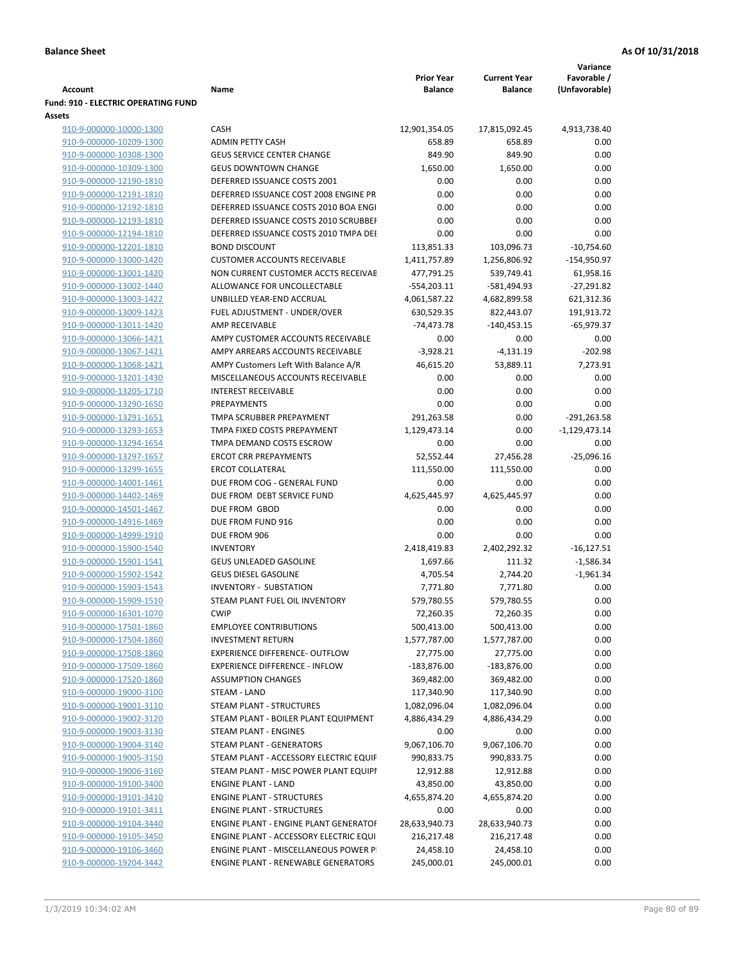|                                                              |                                        |                   |                     | Variance        |
|--------------------------------------------------------------|----------------------------------------|-------------------|---------------------|-----------------|
|                                                              |                                        | <b>Prior Year</b> | <b>Current Year</b> | Favorable /     |
| <b>Account</b><br><b>Fund: 910 - ELECTRIC OPERATING FUND</b> | Name                                   | <b>Balance</b>    | <b>Balance</b>      | (Unfavorable)   |
| Assets                                                       |                                        |                   |                     |                 |
| 910-9-000000-10000-1300                                      | <b>CASH</b>                            | 12,901,354.05     | 17,815,092.45       | 4,913,738.40    |
| 910-9-000000-10209-1300                                      | <b>ADMIN PETTY CASH</b>                | 658.89            | 658.89              | 0.00            |
| 910-9-000000-10308-1300                                      | <b>GEUS SERVICE CENTER CHANGE</b>      | 849.90            | 849.90              | 0.00            |
| 910-9-000000-10309-1300                                      | <b>GEUS DOWNTOWN CHANGE</b>            | 1,650.00          | 1,650.00            | 0.00            |
| 910-9-000000-12190-1810                                      | DEFERRED ISSUANCE COSTS 2001           | 0.00              | 0.00                | 0.00            |
| 910-9-000000-12191-1810                                      | DEFERRED ISSUANCE COST 2008 ENGINE PR  | 0.00              | 0.00                | 0.00            |
| 910-9-000000-12192-1810                                      | DEFERRED ISSUANCE COSTS 2010 BOA ENGI  | 0.00              | 0.00                | 0.00            |
| 910-9-000000-12193-1810                                      | DEFERRED ISSUANCE COSTS 2010 SCRUBBEI  | 0.00              | 0.00                | 0.00            |
| 910-9-000000-12194-1810                                      | DEFERRED ISSUANCE COSTS 2010 TMPA DEI  | 0.00              | 0.00                | 0.00            |
| 910-9-000000-12201-1810                                      | <b>BOND DISCOUNT</b>                   | 113,851.33        | 103,096.73          | $-10,754.60$    |
| 910-9-000000-13000-1420                                      | <b>CUSTOMER ACCOUNTS RECEIVABLE</b>    | 1,411,757.89      | 1,256,806.92        | $-154,950.97$   |
| 910-9-000000-13001-1420                                      | NON CURRENT CUSTOMER ACCTS RECEIVAE    | 477,791.25        | 539,749.41          | 61,958.16       |
| 910-9-000000-13002-1440                                      | ALLOWANCE FOR UNCOLLECTABLE            | $-554,203.11$     | -581,494.93         | $-27,291.82$    |
| 910-9-000000-13003-1422                                      | UNBILLED YEAR-END ACCRUAL              | 4,061,587.22      | 4,682,899.58        | 621,312.36      |
| 910-9-000000-13009-1423                                      | FUEL ADJUSTMENT - UNDER/OVER           | 630,529.35        | 822,443.07          | 191,913.72      |
| 910-9-000000-13011-1420                                      | <b>AMP RECEIVABLE</b>                  | $-74,473.78$      | $-140,453.15$       | $-65,979.37$    |
| 910-9-000000-13066-1421                                      | AMPY CUSTOMER ACCOUNTS RECEIVABLE      | 0.00              | 0.00                | 0.00            |
| 910-9-000000-13067-1421                                      | AMPY ARREARS ACCOUNTS RECEIVABLE       | $-3,928.21$       | $-4,131.19$         | $-202.98$       |
| 910-9-000000-13068-1421                                      | AMPY Customers Left With Balance A/R   | 46,615.20         | 53,889.11           | 7,273.91        |
| 910-9-000000-13201-1430                                      | MISCELLANEOUS ACCOUNTS RECEIVABLE      | 0.00              | 0.00                | 0.00            |
| 910-9-000000-13205-1710                                      | <b>INTEREST RECEIVABLE</b>             | 0.00              | 0.00                | 0.00            |
| 910-9-000000-13290-1650                                      | PREPAYMENTS                            | 0.00              | 0.00                | 0.00            |
| 910-9-000000-13291-1651                                      | TMPA SCRUBBER PREPAYMENT               | 291,263.58        | 0.00                | $-291,263.58$   |
| 910-9-000000-13293-1653                                      | TMPA FIXED COSTS PREPAYMENT            | 1,129,473.14      | 0.00                | $-1,129,473.14$ |
| 910-9-000000-13294-1654                                      | TMPA DEMAND COSTS ESCROW               | 0.00              | 0.00                | 0.00            |
| 910-9-000000-13297-1657                                      | <b>ERCOT CRR PREPAYMENTS</b>           | 52,552.44         | 27,456.28           | $-25,096.16$    |
| 910-9-000000-13299-1655                                      | <b>ERCOT COLLATERAL</b>                | 111,550.00        | 111,550.00          | 0.00            |
| 910-9-000000-14001-1461                                      | DUE FROM COG - GENERAL FUND            | 0.00              | 0.00                | 0.00            |
| 910-9-000000-14402-1469                                      | DUE FROM DEBT SERVICE FUND             | 4,625,445.97      | 4,625,445.97        | 0.00            |
| 910-9-000000-14501-1467                                      | DUE FROM GBOD                          | 0.00              | 0.00                | 0.00            |
| 910-9-000000-14916-1469                                      | DUE FROM FUND 916                      | 0.00              | 0.00                | 0.00            |
| 910-9-000000-14999-1910                                      | DUE FROM 906                           | 0.00              | 0.00                | 0.00            |
| 910-9-000000-15900-1540                                      | <b>INVENTORY</b>                       | 2,418,419.83      | 2,402,292.32        | $-16,127.51$    |
| 910-9-000000-15901-1541                                      | GEUS UNLEADED GASOLINE                 | 1,697.66          | 111.32              | $-1,586.34$     |
| 910-9-000000-15902-1542                                      | <b>GEUS DIESEL GASOLINE</b>            | 4,705.54          | 2,744.20            | $-1,961.34$     |
| 910-9-000000-15903-1543                                      | <b>INVENTORY - SUBSTATION</b>          | 7,771.80          | 7,771.80            | 0.00            |
| 910-9-000000-15909-1510                                      | STEAM PLANT FUEL OIL INVENTORY         | 579,780.55        | 579,780.55          | 0.00            |
| 910-9-000000-16301-1070                                      | <b>CWIP</b>                            | 72,260.35         | 72,260.35           | 0.00            |
| 910-9-000000-17501-1860                                      | <b>EMPLOYEE CONTRIBUTIONS</b>          | 500,413.00        | 500,413.00          | 0.00            |
| 910-9-000000-17504-1860                                      | <b>INVESTMENT RETURN</b>               | 1,577,787.00      | 1,577,787.00        | 0.00            |
| 910-9-000000-17508-1860                                      | <b>EXPERIENCE DIFFERENCE- OUTFLOW</b>  | 27,775.00         | 27,775.00           | 0.00            |
| 910-9-000000-17509-1860                                      | <b>EXPERIENCE DIFFERENCE - INFLOW</b>  | $-183,876.00$     | $-183,876.00$       | 0.00            |
| 910-9-000000-17520-1860                                      | <b>ASSUMPTION CHANGES</b>              | 369,482.00        | 369,482.00          | 0.00            |
| 910-9-000000-19000-3100                                      | STEAM - LAND                           | 117,340.90        | 117,340.90          | 0.00            |
| 910-9-000000-19001-3110                                      | STEAM PLANT - STRUCTURES               | 1,082,096.04      | 1,082,096.04        | 0.00            |
| 910-9-000000-19002-3120                                      | STEAM PLANT - BOILER PLANT EQUIPMENT   | 4,886,434.29      | 4,886,434.29        | 0.00            |
| 910-9-000000-19003-3130                                      | STEAM PLANT - ENGINES                  | 0.00              | 0.00                | 0.00            |
| 910-9-000000-19004-3140                                      | <b>STEAM PLANT - GENERATORS</b>        | 9,067,106.70      | 9,067,106.70        | 0.00            |
| 910-9-000000-19005-3150                                      | STEAM PLANT - ACCESSORY ELECTRIC EQUIF | 990,833.75        | 990,833.75          | 0.00            |
| 910-9-000000-19006-3160                                      | STEAM PLANT - MISC POWER PLANT EQUIPI  | 12,912.88         | 12,912.88           | 0.00            |
| 910-9-000000-19100-3400                                      | <b>ENGINE PLANT - LAND</b>             | 43,850.00         | 43,850.00           | 0.00            |
| 910-9-000000-19101-3410                                      | <b>ENGINE PLANT - STRUCTURES</b>       | 4,655,874.20      | 4,655,874.20        | 0.00            |
| 910-9-000000-19101-3411                                      | <b>ENGINE PLANT - STRUCTURES</b>       | 0.00              | 0.00                | 0.00            |
| 910-9-000000-19104-3440                                      | ENGINE PLANT - ENGINE PLANT GENERATOF  | 28,633,940.73     | 28,633,940.73       | 0.00            |
| 910-9-000000-19105-3450                                      | ENGINE PLANT - ACCESSORY ELECTRIC EQUI | 216,217.48        | 216,217.48          | 0.00            |
| 910-9-000000-19106-3460                                      | ENGINE PLANT - MISCELLANEOUS POWER P   | 24,458.10         | 24,458.10           | 0.00            |
| 910-9-000000-19204-3442                                      | ENGINE PLANT - RENEWABLE GENERATORS    | 245,000.01        | 245,000.01          | 0.00            |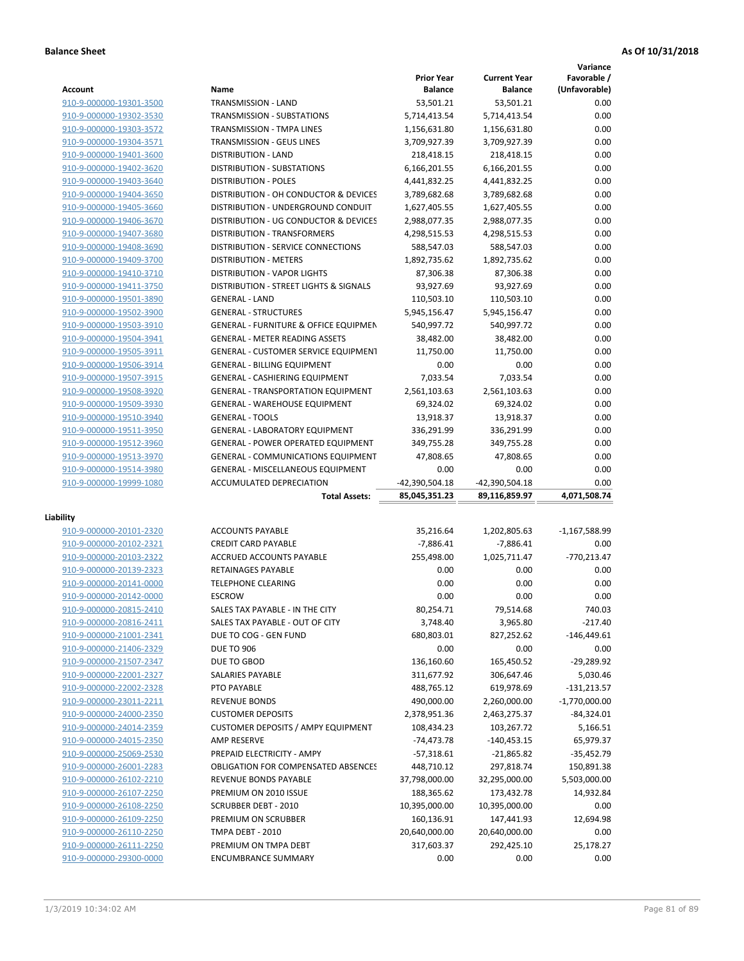**Variance**

|                                                    |                                                    | <b>Prior Year</b>  | <b>Current Year</b> | Favorable /       |
|----------------------------------------------------|----------------------------------------------------|--------------------|---------------------|-------------------|
| Account                                            | Name                                               | <b>Balance</b>     | <b>Balance</b>      | (Unfavorable)     |
| 910-9-000000-19301-3500                            | TRANSMISSION - LAND                                | 53,501.21          | 53,501.21           | 0.00              |
| 910-9-000000-19302-3530                            | <b>TRANSMISSION - SUBSTATIONS</b>                  | 5,714,413.54       | 5,714,413.54        | 0.00              |
| 910-9-000000-19303-3572                            | TRANSMISSION - TMPA LINES                          | 1,156,631.80       | 1,156,631.80        | 0.00              |
| 910-9-000000-19304-3571                            | TRANSMISSION - GEUS LINES                          | 3,709,927.39       | 3,709,927.39        | 0.00              |
| 910-9-000000-19401-3600                            | <b>DISTRIBUTION - LAND</b>                         | 218,418.15         | 218,418.15          | 0.00              |
| 910-9-000000-19402-3620                            | DISTRIBUTION - SUBSTATIONS                         | 6,166,201.55       | 6,166,201.55        | 0.00              |
| 910-9-000000-19403-3640                            | <b>DISTRIBUTION - POLES</b>                        | 4,441,832.25       | 4,441,832.25        | 0.00              |
| 910-9-000000-19404-3650                            | DISTRIBUTION - OH CONDUCTOR & DEVICES              | 3,789,682.68       | 3,789,682.68        | 0.00              |
| 910-9-000000-19405-3660                            | DISTRIBUTION - UNDERGROUND CONDUIT                 | 1,627,405.55       | 1,627,405.55        | 0.00              |
| 910-9-000000-19406-3670                            | DISTRIBUTION - UG CONDUCTOR & DEVICES              | 2,988,077.35       | 2,988,077.35        | 0.00              |
| 910-9-000000-19407-3680                            | DISTRIBUTION - TRANSFORMERS                        | 4,298,515.53       | 4,298,515.53        | 0.00              |
| 910-9-000000-19408-3690                            | DISTRIBUTION - SERVICE CONNECTIONS                 | 588,547.03         | 588,547.03          | 0.00              |
| 910-9-000000-19409-3700                            | <b>DISTRIBUTION - METERS</b>                       | 1,892,735.62       | 1,892,735.62        | 0.00              |
| 910-9-000000-19410-3710                            | <b>DISTRIBUTION - VAPOR LIGHTS</b>                 | 87,306.38          | 87,306.38           | 0.00              |
| 910-9-000000-19411-3750                            | DISTRIBUTION - STREET LIGHTS & SIGNALS             | 93,927.69          | 93,927.69           | 0.00              |
| 910-9-000000-19501-3890                            | <b>GENERAL - LAND</b>                              | 110,503.10         | 110,503.10          | 0.00              |
| 910-9-000000-19502-3900                            | <b>GENERAL - STRUCTURES</b>                        | 5,945,156.47       | 5,945,156.47        | 0.00              |
|                                                    |                                                    |                    |                     |                   |
| 910-9-000000-19503-3910                            | <b>GENERAL - FURNITURE &amp; OFFICE EQUIPMEN</b>   | 540,997.72         | 540,997.72          | 0.00              |
| 910-9-000000-19504-3941                            | <b>GENERAL - METER READING ASSETS</b>              | 38,482.00          | 38,482.00           | 0.00              |
| 910-9-000000-19505-3911                            | GENERAL - CUSTOMER SERVICE EQUIPMENT               | 11,750.00          | 11,750.00           | 0.00              |
| 910-9-000000-19506-3914                            | <b>GENERAL - BILLING EQUIPMENT</b>                 | 0.00               | 0.00                | 0.00              |
| 910-9-000000-19507-3915                            | GENERAL - CASHIERING EQUIPMENT                     | 7,033.54           | 7,033.54            | 0.00              |
| 910-9-000000-19508-3920                            | <b>GENERAL - TRANSPORTATION EQUIPMENT</b>          | 2,561,103.63       | 2,561,103.63        | 0.00              |
| 910-9-000000-19509-3930                            | <b>GENERAL - WAREHOUSE EQUIPMENT</b>               | 69,324.02          | 69,324.02           | 0.00              |
| 910-9-000000-19510-3940                            | <b>GENERAL - TOOLS</b>                             | 13,918.37          | 13,918.37           | 0.00              |
| 910-9-000000-19511-3950                            | <b>GENERAL - LABORATORY EQUIPMENT</b>              | 336,291.99         | 336,291.99          | 0.00              |
| 910-9-000000-19512-3960                            | <b>GENERAL - POWER OPERATED EQUIPMENT</b>          | 349,755.28         | 349,755.28          | 0.00              |
| 910-9-000000-19513-3970                            | <b>GENERAL - COMMUNICATIONS EQUIPMENT</b>          | 47,808.65          | 47,808.65           | 0.00              |
| 910-9-000000-19514-3980                            | <b>GENERAL - MISCELLANEOUS EQUIPMENT</b>           | 0.00               | 0.00                | 0.00              |
| 910-9-000000-19999-1080                            | ACCUMULATED DEPRECIATION                           | -42,390,504.18     | -42,390,504.18      | 0.00              |
|                                                    |                                                    |                    |                     |                   |
|                                                    | <b>Total Assets:</b>                               | 85,045,351.23      | 89,116,859.97       | 4,071,508.74      |
|                                                    |                                                    |                    |                     |                   |
| Liability                                          |                                                    |                    |                     |                   |
| 910-9-000000-20101-2320                            | <b>ACCOUNTS PAYABLE</b>                            | 35,216.64          | 1,202,805.63        | -1,167,588.99     |
| 910-9-000000-20102-2321                            | <b>CREDIT CARD PAYABLE</b>                         | $-7,886.41$        | $-7,886.41$         | 0.00              |
| 910-9-000000-20103-2322                            | ACCRUED ACCOUNTS PAYABLE                           | 255,498.00         | 1,025,711.47        | $-770,213.47$     |
| 910-9-000000-20139-2323                            | <b>RETAINAGES PAYABLE</b>                          | 0.00               | 0.00                | 0.00              |
| 910-9-000000-20141-0000                            | <b>TELEPHONE CLEARING</b>                          | 0.00               | 0.00                | 0.00              |
| 910-9-000000-20142-0000                            | <b>ESCROW</b>                                      | 0.00               | 0.00                | 0.00              |
| 910-9-000000-20815-2410                            | SALES TAX PAYABLE - IN THE CITY                    | 80,254.71          | 79,514.68           | 740.03            |
| 910-9-000000-20816-2411                            | SALES TAX PAYABLE - OUT OF CITY                    | 3,748.40           | 3,965.80            | $-217.40$         |
| 910-9-000000-21001-2341                            | DUE TO COG - GEN FUND                              | 680,803.01         | 827,252.62          | $-146,449.61$     |
| 910-9-000000-21406-2329                            | <b>DUE TO 906</b>                                  | 0.00               | 0.00                | 0.00              |
| 910-9-000000-21507-2347                            | DUE TO GBOD                                        | 136,160.60         | 165,450.52          | $-29,289.92$      |
|                                                    | SALARIES PAYABLE                                   | 311,677.92         | 306,647.46          | 5,030.46          |
| 910-9-000000-22001-2327<br>910-9-000000-22002-2328 | PTO PAYABLE                                        | 488,765.12         | 619,978.69          | $-131,213.57$     |
| 910-9-000000-23011-2211                            | <b>REVENUE BONDS</b>                               | 490,000.00         |                     |                   |
|                                                    |                                                    |                    | 2,260,000.00        | $-1,770,000.00$   |
| 910-9-000000-24000-2350                            | <b>CUSTOMER DEPOSITS</b>                           | 2,378,951.36       | 2,463,275.37        | $-84,324.01$      |
| 910-9-000000-24014-2359                            | <b>CUSTOMER DEPOSITS / AMPY EQUIPMENT</b>          | 108,434.23         | 103,267.72          | 5,166.51          |
| 910-9-000000-24015-2350                            | <b>AMP RESERVE</b>                                 | -74,473.78         | $-140,453.15$       | 65,979.37         |
| 910-9-000000-25069-2530                            | PREPAID ELECTRICITY - AMPY                         | $-57,318.61$       | $-21,865.82$        | $-35,452.79$      |
| 910-9-000000-26001-2283                            | <b>OBLIGATION FOR COMPENSATED ABSENCES</b>         | 448,710.12         | 297,818.74          | 150,891.38        |
| 910-9-000000-26102-2210                            | REVENUE BONDS PAYABLE                              | 37,798,000.00      | 32,295,000.00       | 5,503,000.00      |
| 910-9-000000-26107-2250                            | PREMIUM ON 2010 ISSUE                              | 188,365.62         | 173,432.78          | 14,932.84         |
| 910-9-000000-26108-2250                            | <b>SCRUBBER DEBT - 2010</b>                        | 10,395,000.00      | 10,395,000.00       | 0.00              |
| 910-9-000000-26109-2250                            | PREMIUM ON SCRUBBER                                | 160,136.91         | 147,441.93          | 12,694.98         |
| 910-9-000000-26110-2250                            | TMPA DEBT - 2010                                   | 20,640,000.00      | 20,640,000.00       | 0.00              |
| 910-9-000000-26111-2250<br>910-9-000000-29300-0000 | PREMIUM ON TMPA DEBT<br><b>ENCUMBRANCE SUMMARY</b> | 317,603.37<br>0.00 | 292,425.10<br>0.00  | 25,178.27<br>0.00 |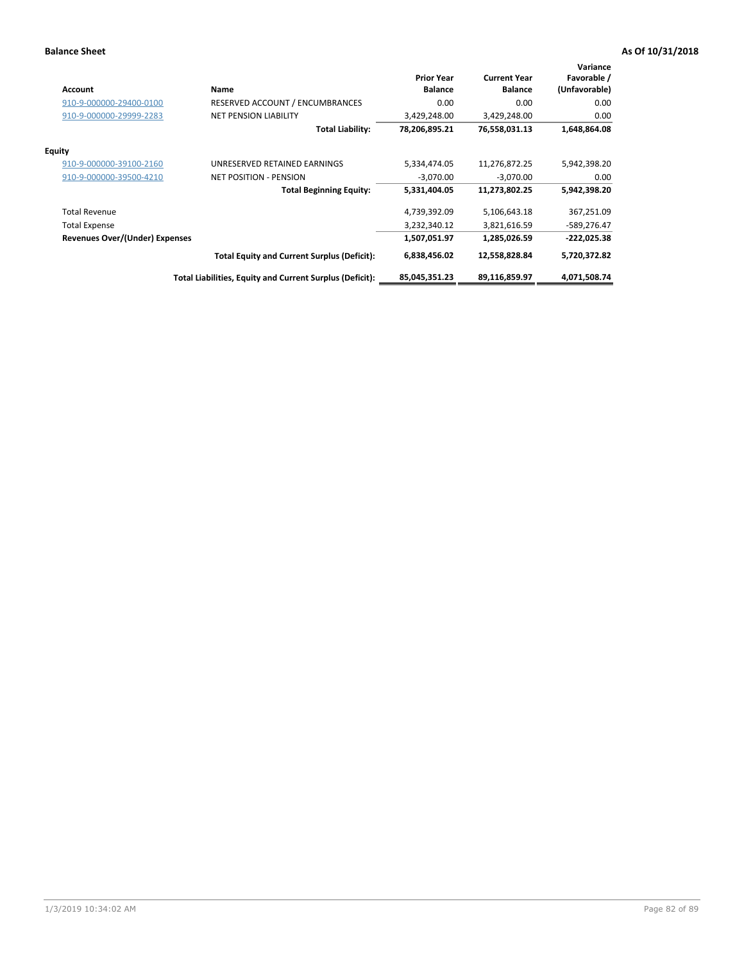| <b>Account</b>                        | Name                                                     | <b>Prior Year</b><br><b>Balance</b> | <b>Current Year</b><br><b>Balance</b> | Variance<br>Favorable /<br>(Unfavorable) |
|---------------------------------------|----------------------------------------------------------|-------------------------------------|---------------------------------------|------------------------------------------|
| 910-9-000000-29400-0100               | RESERVED ACCOUNT / ENCUMBRANCES                          | 0.00                                | 0.00                                  | 0.00                                     |
| 910-9-000000-29999-2283               | <b>NET PENSION LIABILITY</b>                             | 3,429,248.00                        | 3,429,248.00                          | 0.00                                     |
|                                       | <b>Total Liability:</b>                                  | 78,206,895.21                       | 76,558,031.13                         | 1,648,864.08                             |
| <b>Equity</b>                         |                                                          |                                     |                                       |                                          |
| 910-9-000000-39100-2160               | UNRESERVED RETAINED EARNINGS                             | 5,334,474.05                        | 11,276,872.25                         | 5,942,398.20                             |
| 910-9-000000-39500-4210               | <b>NET POSITION - PENSION</b>                            | $-3,070.00$                         | $-3,070.00$                           | 0.00                                     |
|                                       | <b>Total Beginning Equity:</b>                           | 5,331,404.05                        | 11,273,802.25                         | 5,942,398.20                             |
| <b>Total Revenue</b>                  |                                                          | 4,739,392.09                        | 5,106,643.18                          | 367,251.09                               |
| <b>Total Expense</b>                  |                                                          | 3,232,340.12                        | 3,821,616.59                          | $-589,276.47$                            |
| <b>Revenues Over/(Under) Expenses</b> |                                                          | 1,507,051.97                        | 1,285,026.59                          | $-222,025.38$                            |
|                                       | <b>Total Equity and Current Surplus (Deficit):</b>       | 6,838,456.02                        | 12,558,828.84                         | 5,720,372.82                             |
|                                       | Total Liabilities, Equity and Current Surplus (Deficit): | 85,045,351.23                       | 89,116,859.97                         | 4,071,508.74                             |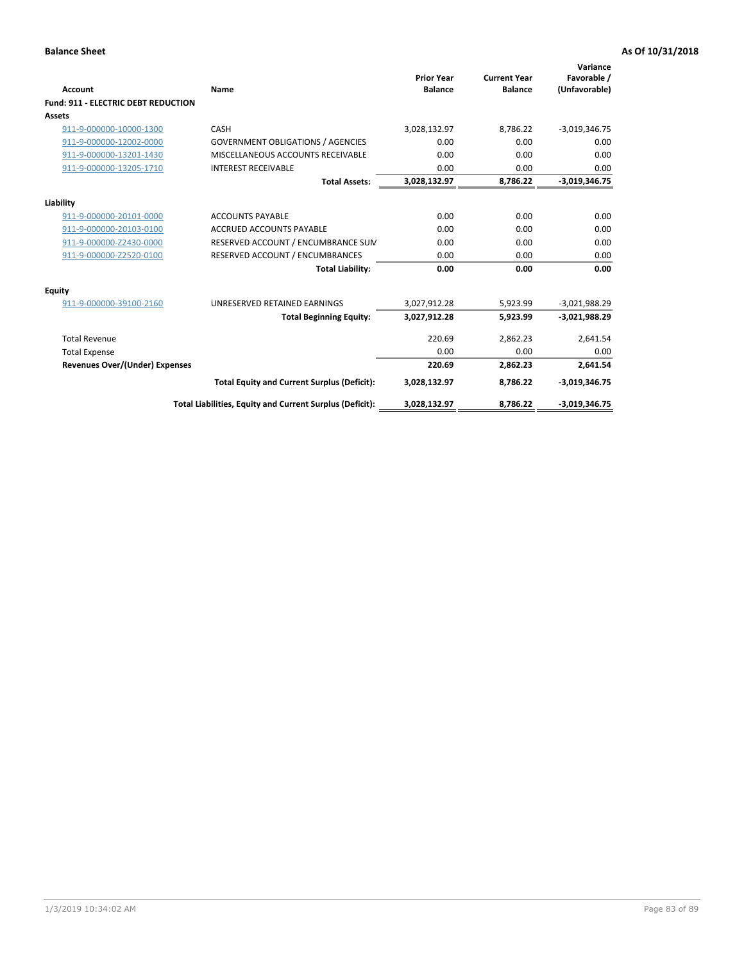| <b>Account</b>                             | Name                                                     | <b>Prior Year</b><br><b>Balance</b> | <b>Current Year</b><br><b>Balance</b> | Variance<br>Favorable /<br>(Unfavorable) |
|--------------------------------------------|----------------------------------------------------------|-------------------------------------|---------------------------------------|------------------------------------------|
| <b>Fund: 911 - ELECTRIC DEBT REDUCTION</b> |                                                          |                                     |                                       |                                          |
| Assets                                     |                                                          |                                     |                                       |                                          |
| 911-9-000000-10000-1300                    | CASH                                                     | 3,028,132.97                        | 8,786.22                              | $-3,019,346.75$                          |
| 911-9-000000-12002-0000                    | <b>GOVERNMENT OBLIGATIONS / AGENCIES</b>                 | 0.00                                | 0.00                                  | 0.00                                     |
| 911-9-000000-13201-1430                    | MISCELLANEOUS ACCOUNTS RECEIVABLE                        | 0.00                                | 0.00                                  | 0.00                                     |
| 911-9-000000-13205-1710                    | <b>INTEREST RECEIVABLE</b>                               | 0.00                                | 0.00                                  | 0.00                                     |
|                                            | <b>Total Assets:</b>                                     | 3,028,132.97                        | 8,786.22                              | $-3,019,346.75$                          |
| Liability                                  |                                                          |                                     |                                       |                                          |
| 911-9-000000-20101-0000                    | <b>ACCOUNTS PAYABLE</b>                                  | 0.00                                | 0.00                                  | 0.00                                     |
| 911-9-000000-20103-0100                    | <b>ACCRUED ACCOUNTS PAYABLE</b>                          | 0.00                                | 0.00                                  | 0.00                                     |
| 911-9-000000-Z2430-0000                    | RESERVED ACCOUNT / ENCUMBRANCE SUM                       | 0.00                                | 0.00                                  | 0.00                                     |
| 911-9-000000-Z2520-0100                    | RESERVED ACCOUNT / ENCUMBRANCES                          | 0.00                                | 0.00                                  | 0.00                                     |
|                                            | <b>Total Liability:</b>                                  | 0.00                                | 0.00                                  | 0.00                                     |
| <b>Equity</b>                              |                                                          |                                     |                                       |                                          |
| 911-9-000000-39100-2160                    | UNRESERVED RETAINED EARNINGS                             | 3,027,912.28                        | 5,923.99                              | $-3,021,988.29$                          |
|                                            | <b>Total Beginning Equity:</b>                           | 3,027,912.28                        | 5,923.99                              | $-3,021,988.29$                          |
| <b>Total Revenue</b>                       |                                                          | 220.69                              | 2,862.23                              | 2,641.54                                 |
| <b>Total Expense</b>                       |                                                          | 0.00                                | 0.00                                  | 0.00                                     |
| <b>Revenues Over/(Under) Expenses</b>      |                                                          | 220.69                              | 2,862.23                              | 2,641.54                                 |
|                                            | <b>Total Equity and Current Surplus (Deficit):</b>       | 3,028,132.97                        | 8.786.22                              | $-3,019,346.75$                          |
|                                            | Total Liabilities, Equity and Current Surplus (Deficit): | 3,028,132.97                        | 8,786.22                              | $-3,019,346.75$                          |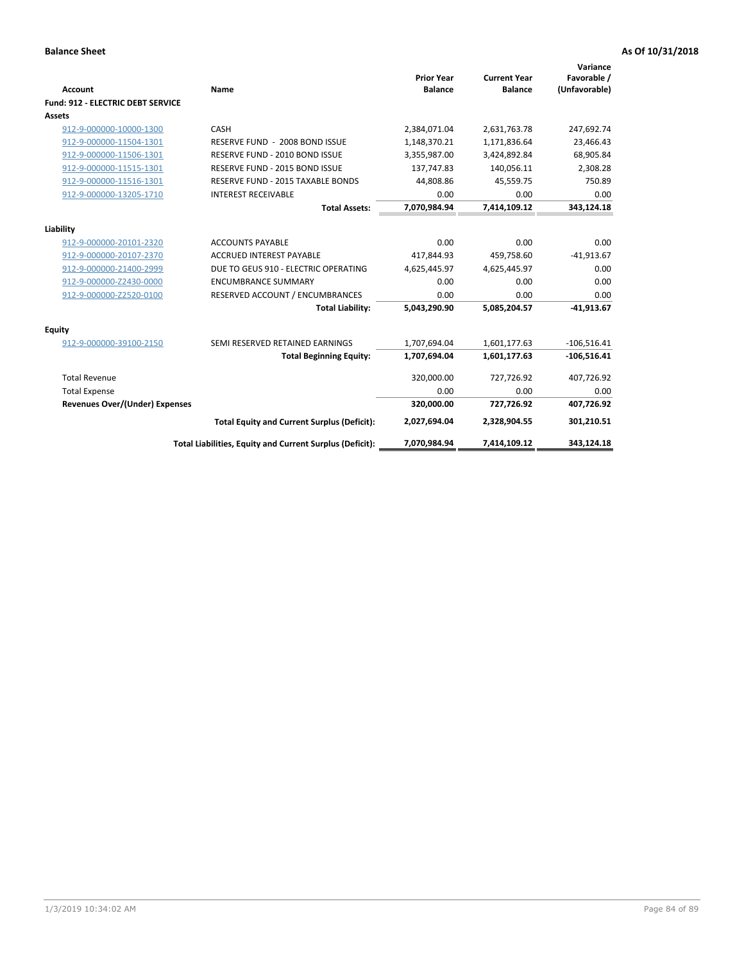| <b>Account</b>                           | Name                                                     | <b>Prior Year</b><br><b>Balance</b> | <b>Current Year</b><br><b>Balance</b> | Variance<br>Favorable /<br>(Unfavorable) |
|------------------------------------------|----------------------------------------------------------|-------------------------------------|---------------------------------------|------------------------------------------|
| <b>Fund: 912 - ELECTRIC DEBT SERVICE</b> |                                                          |                                     |                                       |                                          |
| <b>Assets</b>                            |                                                          |                                     |                                       |                                          |
| 912-9-000000-10000-1300                  | CASH                                                     | 2,384,071.04                        | 2,631,763.78                          | 247,692.74                               |
| 912-9-000000-11504-1301                  | RESERVE FUND - 2008 BOND ISSUE                           | 1,148,370.21                        | 1,171,836.64                          | 23,466.43                                |
| 912-9-000000-11506-1301                  | RESERVE FUND - 2010 BOND ISSUE                           | 3,355,987.00                        | 3,424,892.84                          | 68,905.84                                |
| 912-9-000000-11515-1301                  | RESERVE FUND - 2015 BOND ISSUE                           | 137.747.83                          | 140,056.11                            | 2,308.28                                 |
| 912-9-000000-11516-1301                  | RESERVE FUND - 2015 TAXABLE BONDS                        | 44,808.86                           | 45,559.75                             | 750.89                                   |
| 912-9-000000-13205-1710                  | <b>INTEREST RECEIVABLE</b>                               | 0.00                                | 0.00                                  | 0.00                                     |
|                                          | <b>Total Assets:</b>                                     | 7,070,984.94                        | 7,414,109.12                          | 343,124.18                               |
| Liability                                |                                                          |                                     |                                       |                                          |
| 912-9-000000-20101-2320                  | <b>ACCOUNTS PAYABLE</b>                                  | 0.00                                | 0.00                                  | 0.00                                     |
| 912-9-000000-20107-2370                  | <b>ACCRUED INTEREST PAYABLE</b>                          | 417,844.93                          | 459,758.60                            | $-41,913.67$                             |
| 912-9-000000-21400-2999                  | DUE TO GEUS 910 - ELECTRIC OPERATING                     | 4,625,445.97                        | 4,625,445.97                          | 0.00                                     |
| 912-9-000000-Z2430-0000                  | <b>ENCUMBRANCE SUMMARY</b>                               | 0.00                                | 0.00                                  | 0.00                                     |
| 912-9-000000-Z2520-0100                  | RESERVED ACCOUNT / ENCUMBRANCES                          | 0.00                                | 0.00                                  | 0.00                                     |
|                                          | <b>Total Liability:</b>                                  | 5,043,290.90                        | 5,085,204.57                          | $-41,913.67$                             |
| Equity                                   |                                                          |                                     |                                       |                                          |
| 912-9-000000-39100-2150                  | SEMI RESERVED RETAINED EARNINGS                          | 1,707,694.04                        | 1,601,177.63                          | $-106,516.41$                            |
|                                          | <b>Total Beginning Equity:</b>                           | 1,707,694.04                        | 1,601,177.63                          | $-106,516.41$                            |
| <b>Total Revenue</b>                     |                                                          | 320,000.00                          | 727.726.92                            | 407.726.92                               |
| <b>Total Expense</b>                     |                                                          | 0.00                                | 0.00                                  | 0.00                                     |
| <b>Revenues Over/(Under) Expenses</b>    |                                                          | 320,000.00                          | 727,726.92                            | 407,726.92                               |
|                                          | <b>Total Equity and Current Surplus (Deficit):</b>       | 2,027,694.04                        | 2,328,904.55                          | 301,210.51                               |
|                                          | Total Liabilities, Equity and Current Surplus (Deficit): | 7,070,984.94                        | 7,414,109.12                          | 343,124.18                               |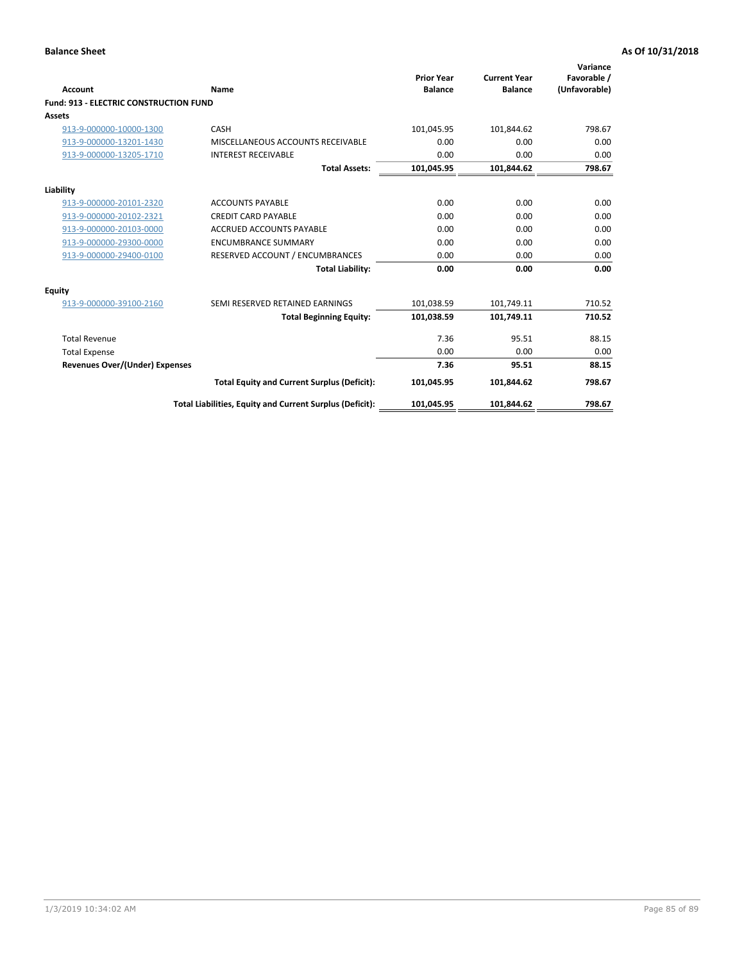| Account                                       | Name                                                     | <b>Prior Year</b><br><b>Balance</b> | <b>Current Year</b><br><b>Balance</b> | Variance<br>Favorable /<br>(Unfavorable) |
|-----------------------------------------------|----------------------------------------------------------|-------------------------------------|---------------------------------------|------------------------------------------|
| <b>Fund: 913 - ELECTRIC CONSTRUCTION FUND</b> |                                                          |                                     |                                       |                                          |
| <b>Assets</b>                                 |                                                          |                                     |                                       |                                          |
| 913-9-000000-10000-1300                       | CASH                                                     | 101,045.95                          | 101,844.62                            | 798.67                                   |
| 913-9-000000-13201-1430                       | MISCELLANEOUS ACCOUNTS RECEIVABLE                        | 0.00                                | 0.00                                  | 0.00                                     |
| 913-9-000000-13205-1710                       | <b>INTEREST RECEIVABLE</b>                               | 0.00                                | 0.00                                  | 0.00                                     |
|                                               | <b>Total Assets:</b>                                     | 101,045.95                          | 101,844.62                            | 798.67                                   |
| Liability                                     |                                                          |                                     |                                       |                                          |
| 913-9-000000-20101-2320                       | <b>ACCOUNTS PAYABLE</b>                                  | 0.00                                | 0.00                                  | 0.00                                     |
| 913-9-000000-20102-2321                       | <b>CREDIT CARD PAYABLE</b>                               | 0.00                                | 0.00                                  | 0.00                                     |
| 913-9-000000-20103-0000                       | <b>ACCRUED ACCOUNTS PAYABLE</b>                          | 0.00                                | 0.00                                  | 0.00                                     |
| 913-9-000000-29300-0000                       | <b>ENCUMBRANCE SUMMARY</b>                               | 0.00                                | 0.00                                  | 0.00                                     |
| 913-9-000000-29400-0100                       | RESERVED ACCOUNT / ENCUMBRANCES                          | 0.00                                | 0.00                                  | 0.00                                     |
|                                               | <b>Total Liability:</b>                                  | 0.00                                | 0.00                                  | 0.00                                     |
| Equity                                        |                                                          |                                     |                                       |                                          |
| 913-9-000000-39100-2160                       | SEMI RESERVED RETAINED EARNINGS                          | 101,038.59                          | 101,749.11                            | 710.52                                   |
|                                               | <b>Total Beginning Equity:</b>                           | 101,038.59                          | 101,749.11                            | 710.52                                   |
| <b>Total Revenue</b>                          |                                                          | 7.36                                | 95.51                                 | 88.15                                    |
| <b>Total Expense</b>                          |                                                          | 0.00                                | 0.00                                  | 0.00                                     |
| Revenues Over/(Under) Expenses                |                                                          | 7.36                                | 95.51                                 | 88.15                                    |
|                                               | <b>Total Equity and Current Surplus (Deficit):</b>       | 101,045.95                          | 101,844.62                            | 798.67                                   |
|                                               | Total Liabilities, Equity and Current Surplus (Deficit): | 101,045.95                          | 101.844.62                            | 798.67                                   |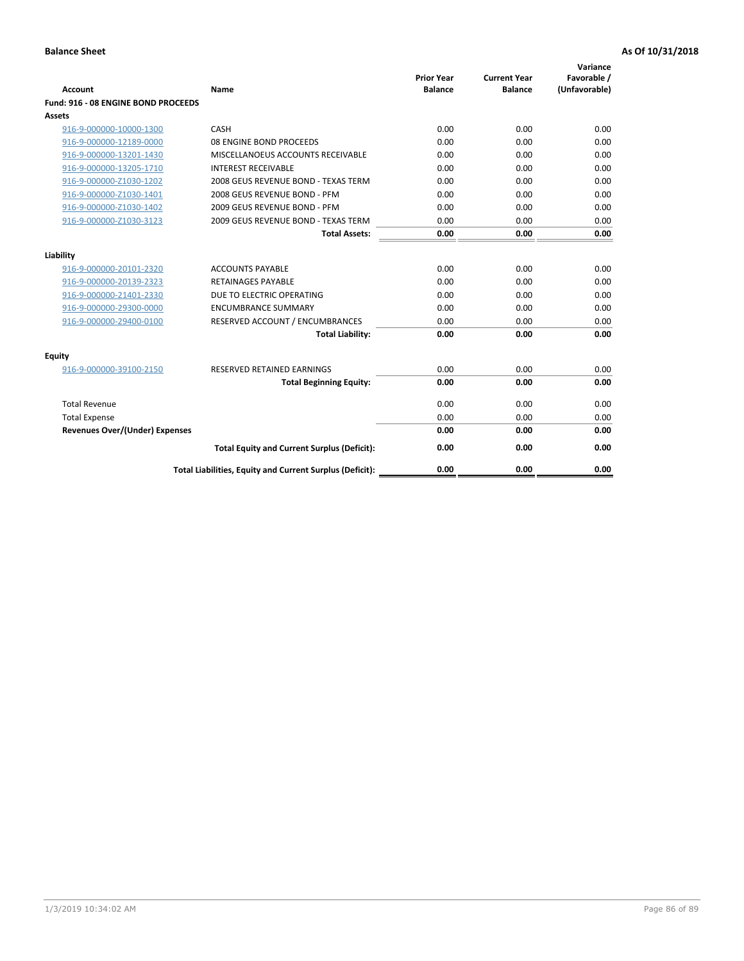| <b>Account</b>                      | Name                                                     | <b>Prior Year</b><br><b>Balance</b> | <b>Current Year</b><br><b>Balance</b> | Variance<br>Favorable /<br>(Unfavorable) |
|-------------------------------------|----------------------------------------------------------|-------------------------------------|---------------------------------------|------------------------------------------|
| Fund: 916 - 08 ENGINE BOND PROCEEDS |                                                          |                                     |                                       |                                          |
| Assets                              |                                                          |                                     |                                       |                                          |
| 916-9-000000-10000-1300             | CASH                                                     | 0.00                                | 0.00                                  | 0.00                                     |
| 916-9-000000-12189-0000             | 08 ENGINE BOND PROCEEDS                                  | 0.00                                | 0.00                                  | 0.00                                     |
| 916-9-000000-13201-1430             | MISCELLANOEUS ACCOUNTS RECEIVABLE                        | 0.00                                | 0.00                                  | 0.00                                     |
| 916-9-000000-13205-1710             | <b>INTEREST RECEIVABLE</b>                               | 0.00                                | 0.00                                  | 0.00                                     |
| 916-9-000000-Z1030-1202             | 2008 GEUS REVENUE BOND - TEXAS TERM                      | 0.00                                | 0.00                                  | 0.00                                     |
| 916-9-000000-Z1030-1401             | 2008 GEUS REVENUE BOND - PFM                             | 0.00                                | 0.00                                  | 0.00                                     |
| 916-9-000000-Z1030-1402             | 2009 GEUS REVENUE BOND - PFM                             | 0.00                                | 0.00                                  | 0.00                                     |
| 916-9-000000-Z1030-3123             | 2009 GEUS REVENUE BOND - TEXAS TERM                      | 0.00                                | 0.00                                  | 0.00                                     |
|                                     | <b>Total Assets:</b>                                     | 0.00                                | 0.00                                  | 0.00                                     |
| Liability                           |                                                          |                                     |                                       |                                          |
| 916-9-000000-20101-2320             | <b>ACCOUNTS PAYABLE</b>                                  | 0.00                                | 0.00                                  | 0.00                                     |
| 916-9-000000-20139-2323             | <b>RETAINAGES PAYABLE</b>                                | 0.00                                | 0.00                                  | 0.00                                     |
| 916-9-000000-21401-2330             | DUE TO ELECTRIC OPERATING                                | 0.00                                | 0.00                                  | 0.00                                     |
| 916-9-000000-29300-0000             | <b>ENCUMBRANCE SUMMARY</b>                               | 0.00                                | 0.00                                  | 0.00                                     |
| 916-9-000000-29400-0100             | RESERVED ACCOUNT / ENCUMBRANCES                          | 0.00                                | 0.00                                  | 0.00                                     |
|                                     | <b>Total Liability:</b>                                  | 0.00                                | 0.00                                  | 0.00                                     |
| Equity                              |                                                          |                                     |                                       |                                          |
| 916-9-000000-39100-2150             | <b>RESERVED RETAINED EARNINGS</b>                        | 0.00                                | 0.00                                  | 0.00                                     |
|                                     | <b>Total Beginning Equity:</b>                           | 0.00                                | 0.00                                  | 0.00                                     |
| <b>Total Revenue</b>                |                                                          | 0.00                                | 0.00                                  | 0.00                                     |
| <b>Total Expense</b>                |                                                          | 0.00                                | 0.00                                  | 0.00                                     |
| Revenues Over/(Under) Expenses      |                                                          | 0.00                                | 0.00                                  | 0.00                                     |
|                                     | <b>Total Equity and Current Surplus (Deficit):</b>       | 0.00                                | 0.00                                  | 0.00                                     |
|                                     | Total Liabilities, Equity and Current Surplus (Deficit): | 0.00                                | 0.00                                  | 0.00                                     |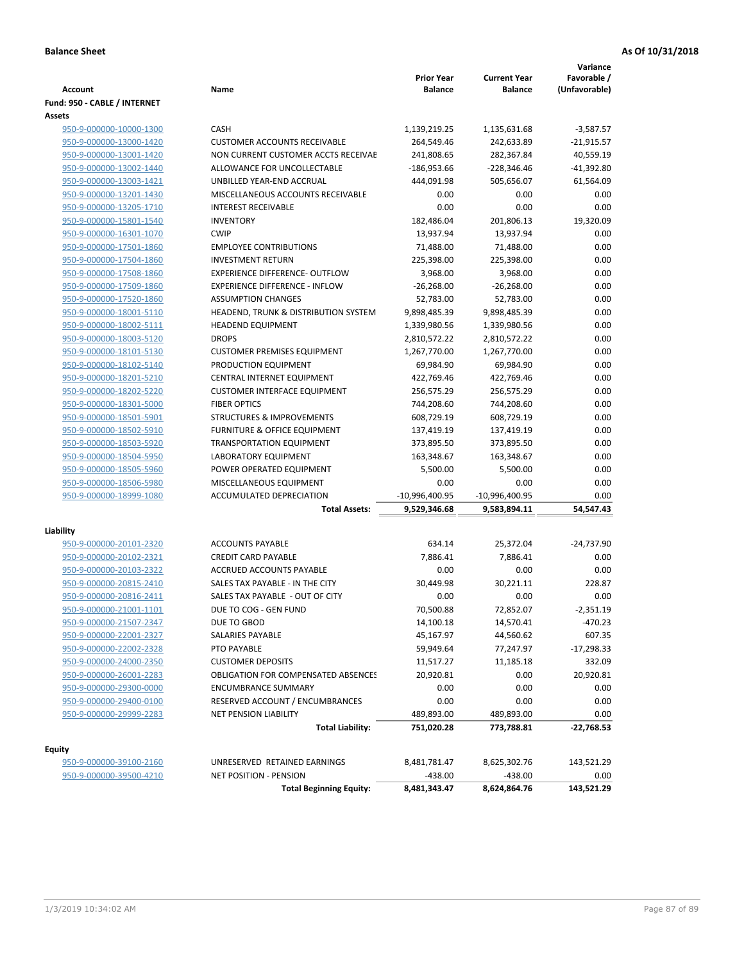| <b>Account</b>               | Name                                                          | <b>Prior Year</b><br><b>Balance</b> | <b>Current Year</b><br><b>Balance</b> | Variance<br>Favorable /<br>(Unfavorable) |
|------------------------------|---------------------------------------------------------------|-------------------------------------|---------------------------------------|------------------------------------------|
| Fund: 950 - CABLE / INTERNET |                                                               |                                     |                                       |                                          |
| Assets                       |                                                               |                                     |                                       |                                          |
| 950-9-000000-10000-1300      | CASH                                                          | 1,139,219.25                        | 1,135,631.68                          | $-3,587.57$                              |
| 950-9-000000-13000-1420      | <b>CUSTOMER ACCOUNTS RECEIVABLE</b>                           | 264,549.46                          | 242,633.89                            | $-21,915.57$                             |
| 950-9-000000-13001-1420      | NON CURRENT CUSTOMER ACCTS RECEIVAE                           | 241,808.65                          | 282,367.84                            | 40,559.19                                |
| 950-9-000000-13002-1440      | ALLOWANCE FOR UNCOLLECTABLE                                   | -186,953.66                         | $-228,346.46$                         | -41,392.80                               |
| 950-9-000000-13003-1421      | UNBILLED YEAR-END ACCRUAL                                     | 444,091.98                          | 505,656.07                            | 61,564.09                                |
| 950-9-000000-13201-1430      | MISCELLANEOUS ACCOUNTS RECEIVABLE                             | 0.00                                | 0.00                                  | 0.00                                     |
| 950-9-000000-13205-1710      | <b>INTEREST RECEIVABLE</b>                                    | 0.00                                | 0.00                                  | 0.00                                     |
| 950-9-000000-15801-1540      | <b>INVENTORY</b>                                              | 182,486.04                          | 201,806.13                            | 19,320.09                                |
| 950-9-000000-16301-1070      | <b>CWIP</b>                                                   | 13,937.94                           | 13,937.94                             | 0.00                                     |
| 950-9-000000-17501-1860      | <b>EMPLOYEE CONTRIBUTIONS</b>                                 | 71,488.00                           | 71,488.00                             | 0.00                                     |
| 950-9-000000-17504-1860      | <b>INVESTMENT RETURN</b>                                      | 225,398.00                          | 225,398.00                            | 0.00                                     |
| 950-9-000000-17508-1860      | <b>EXPERIENCE DIFFERENCE- OUTFLOW</b>                         | 3,968.00                            | 3,968.00                              | 0.00                                     |
| 950-9-000000-17509-1860      | <b>EXPERIENCE DIFFERENCE - INFLOW</b>                         | $-26,268.00$                        | $-26,268.00$                          | 0.00                                     |
| 950-9-000000-17520-1860      | <b>ASSUMPTION CHANGES</b>                                     | 52,783.00                           | 52,783.00                             | 0.00                                     |
| 950-9-000000-18001-5110      | HEADEND, TRUNK & DISTRIBUTION SYSTEM                          | 9,898,485.39                        | 9,898,485.39                          | 0.00                                     |
| 950-9-000000-18002-5111      | <b>HEADEND EQUIPMENT</b>                                      | 1,339,980.56                        | 1,339,980.56                          | 0.00                                     |
| 950-9-000000-18003-5120      | <b>DROPS</b>                                                  | 2,810,572.22                        | 2,810,572.22                          | 0.00                                     |
| 950-9-000000-18101-5130      | <b>CUSTOMER PREMISES EQUIPMENT</b>                            | 1,267,770.00                        | 1,267,770.00                          | 0.00                                     |
| 950-9-000000-18102-5140      | PRODUCTION EQUIPMENT                                          | 69,984.90                           | 69,984.90                             | 0.00                                     |
| 950-9-000000-18201-5210      | CENTRAL INTERNET EQUIPMENT                                    | 422,769.46                          | 422,769.46                            | 0.00                                     |
| 950-9-000000-18202-5220      | <b>CUSTOMER INTERFACE EQUIPMENT</b>                           | 256,575.29                          | 256,575.29                            | 0.00                                     |
| 950-9-000000-18301-5000      | <b>FIBER OPTICS</b>                                           | 744,208.60                          | 744,208.60                            | 0.00                                     |
| 950-9-000000-18501-5901      | <b>STRUCTURES &amp; IMPROVEMENTS</b>                          | 608,729.19                          | 608,729.19                            | 0.00                                     |
| 950-9-000000-18502-5910      | <b>FURNITURE &amp; OFFICE EQUIPMENT</b>                       | 137,419.19                          | 137,419.19                            | 0.00                                     |
| 950-9-000000-18503-5920      | <b>TRANSPORTATION EQUIPMENT</b>                               | 373,895.50                          | 373,895.50                            | 0.00                                     |
| 950-9-000000-18504-5950      | LABORATORY EQUIPMENT                                          | 163,348.67                          | 163,348.67                            | 0.00                                     |
| 950-9-000000-18505-5960      | POWER OPERATED EQUIPMENT                                      | 5,500.00                            | 5,500.00                              | 0.00                                     |
| 950-9-000000-18506-5980      | MISCELLANEOUS EQUIPMENT                                       | 0.00                                | 0.00                                  | 0.00                                     |
| 950-9-000000-18999-1080      | ACCUMULATED DEPRECIATION                                      | -10,996,400.95                      | -10,996,400.95                        | 0.00                                     |
|                              | <b>Total Assets:</b>                                          | 9,529,346.68                        | 9,583,894.11                          | 54,547.43                                |
| Liability                    |                                                               |                                     |                                       |                                          |
| 950-9-000000-20101-2320      | <b>ACCOUNTS PAYABLE</b>                                       | 634.14                              | 25,372.04                             | $-24,737.90$                             |
| 950-9-000000-20102-2321      | <b>CREDIT CARD PAYABLE</b>                                    | 7,886.41                            | 7,886.41                              | 0.00                                     |
| 950-9-000000-20103-2322      | <b>ACCRUED ACCOUNTS PAYABLE</b>                               | 0.00                                | 0.00                                  | 0.00                                     |
| 950-9-000000-20815-2410      | SALES TAX PAYABLE - IN THE CITY                               | 30,449.98                           | 30,221.11                             | 228.87                                   |
| 950-9-000000-20816-2411      | SALES TAX PAYABLE - OUT OF CITY                               | 0.00                                | 0.00                                  | 0.00                                     |
| 950-9-000000-21001-1101      | DUE TO COG - GEN FUND                                         | 70,500.88                           | 72,852.07                             | $-2,351.19$                              |
| 950-9-000000-21507-2347      | DUE TO GBOD                                                   | 14,100.18                           | 14,570.41                             | -470.23                                  |
| 950-9-000000-22001-2327      | SALARIES PAYABLE                                              | 45,167.97                           | 44,560.62                             | 607.35                                   |
| 950-9-000000-22002-2328      | PTO PAYABLE                                                   | 59,949.64                           | 77,247.97                             | -17,298.33                               |
| 950-9-000000-24000-2350      | <b>CUSTOMER DEPOSITS</b>                                      | 11,517.27                           | 11,185.18                             | 332.09                                   |
| 950-9-000000-26001-2283      | <b>OBLIGATION FOR COMPENSATED ABSENCES</b>                    | 20,920.81                           | 0.00                                  | 20,920.81                                |
| 950-9-000000-29300-0000      | <b>ENCUMBRANCE SUMMARY</b>                                    | 0.00                                | 0.00                                  | 0.00                                     |
| 950-9-000000-29400-0100      | RESERVED ACCOUNT / ENCUMBRANCES                               | 0.00                                | 0.00                                  | 0.00                                     |
| 950-9-000000-29999-2283      | NET PENSION LIABILITY                                         | 489,893.00                          | 489,893.00                            | 0.00                                     |
|                              | <b>Total Liability:</b>                                       | 751,020.28                          | 773,788.81                            | -22,768.53                               |
|                              |                                                               |                                     |                                       |                                          |
| <b>Equity</b>                |                                                               |                                     |                                       |                                          |
| 950-9-000000-39100-2160      | UNRESERVED RETAINED EARNINGS<br><b>NET POSITION - PENSION</b> | 8,481,781.47                        | 8,625,302.76                          | 143,521.29                               |
| 950-9-000000-39500-4210      | <b>Total Beginning Equity:</b>                                | $-438.00$<br>8,481,343.47           | -438.00<br>8,624,864.76               | 0.00<br>143,521.29                       |
|                              |                                                               |                                     |                                       |                                          |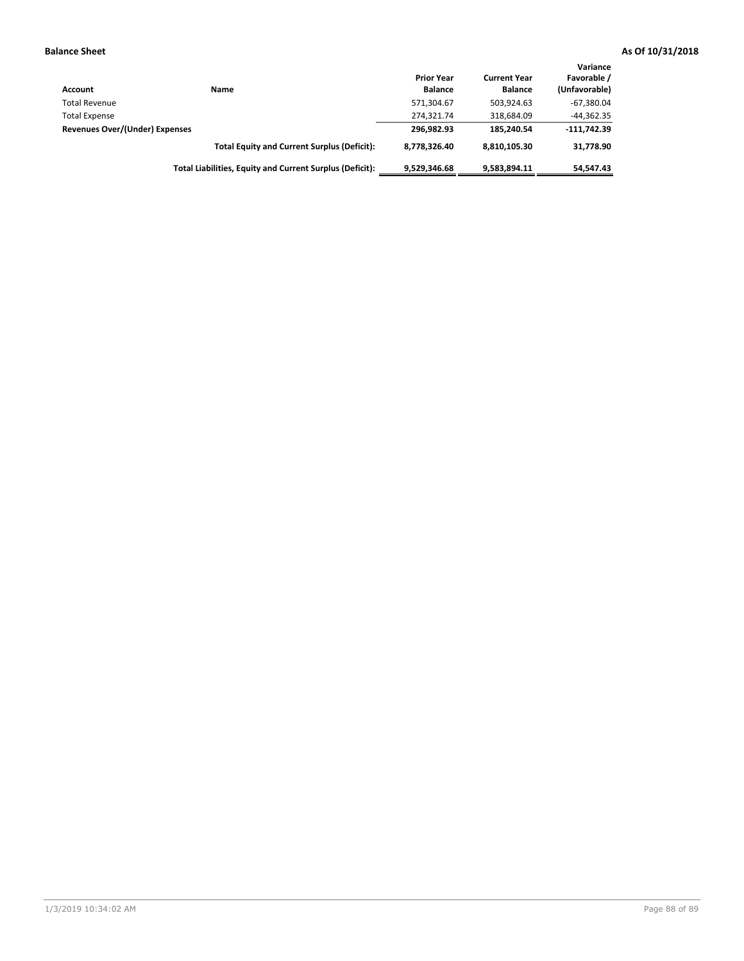| Account                        | Name                                                     | <b>Prior Year</b><br><b>Balance</b> | <b>Current Year</b><br><b>Balance</b> | Variance<br>Favorable /<br>(Unfavorable) |
|--------------------------------|----------------------------------------------------------|-------------------------------------|---------------------------------------|------------------------------------------|
| <b>Total Revenue</b>           |                                                          | 571,304.67                          | 503.924.63                            | $-67,380.04$                             |
| <b>Total Expense</b>           |                                                          | 274,321.74                          | 318.684.09                            | $-44,362.35$                             |
| Revenues Over/(Under) Expenses |                                                          | 296.982.93                          | 185.240.54                            | $-111.742.39$                            |
|                                | <b>Total Equity and Current Surplus (Deficit):</b>       | 8.778.326.40                        | 8.810.105.30                          | 31,778.90                                |
|                                | Total Liabilities, Equity and Current Surplus (Deficit): | 9.529.346.68                        | 9,583,894.11                          | 54.547.43                                |